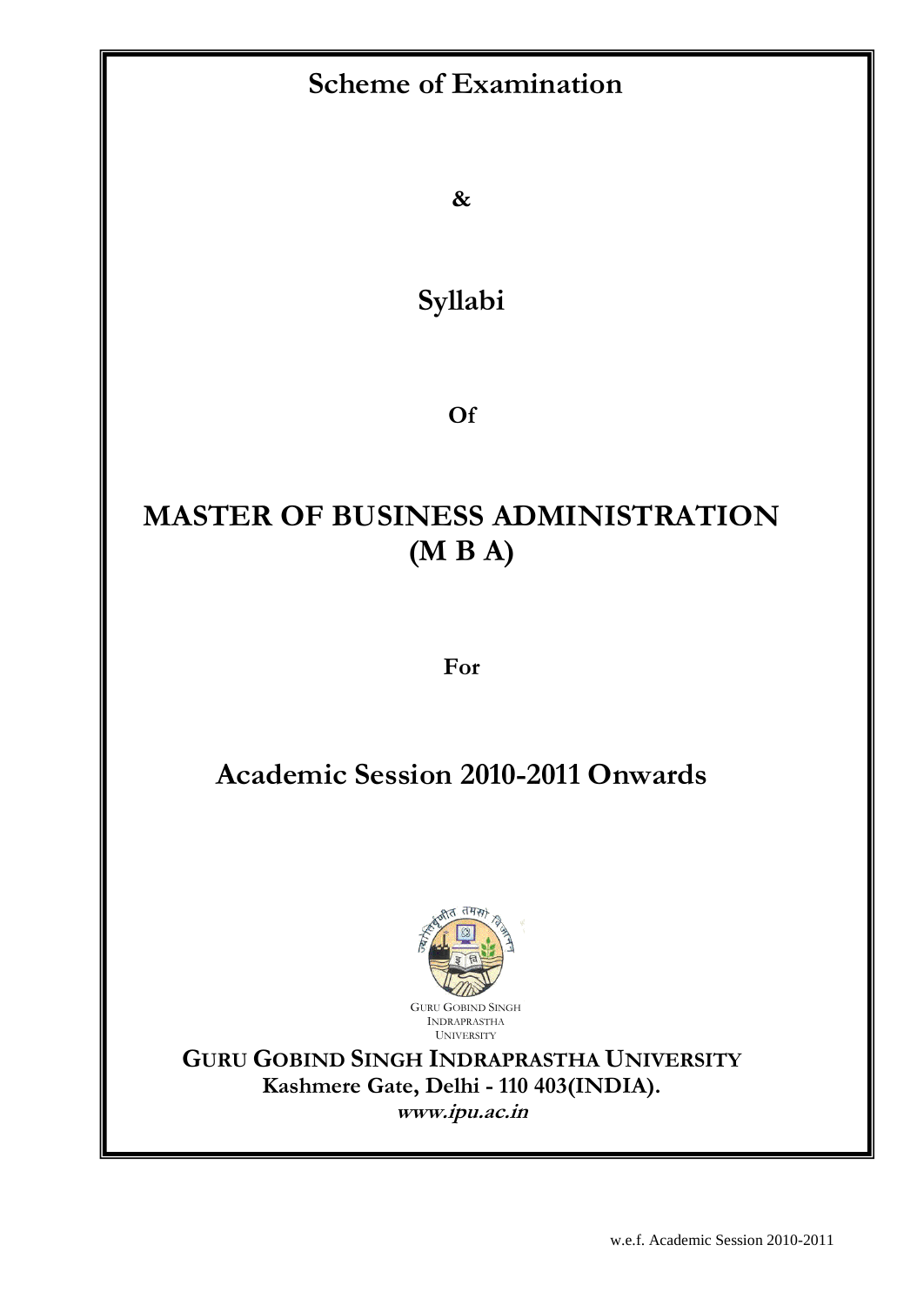# **Scheme of Examination**

**&**

**Syllabi**

**Of**

# **MASTER OF BUSINESS ADMINISTRATION (M B A)**

**For**

# **Academic Session 2010-2011 Onwards**



**GURU GOBIND SINGH INDRAPRASTHA UNIVERSITY Kashmere Gate, Delhi - 110 403(INDIA). www.ipu.ac.in**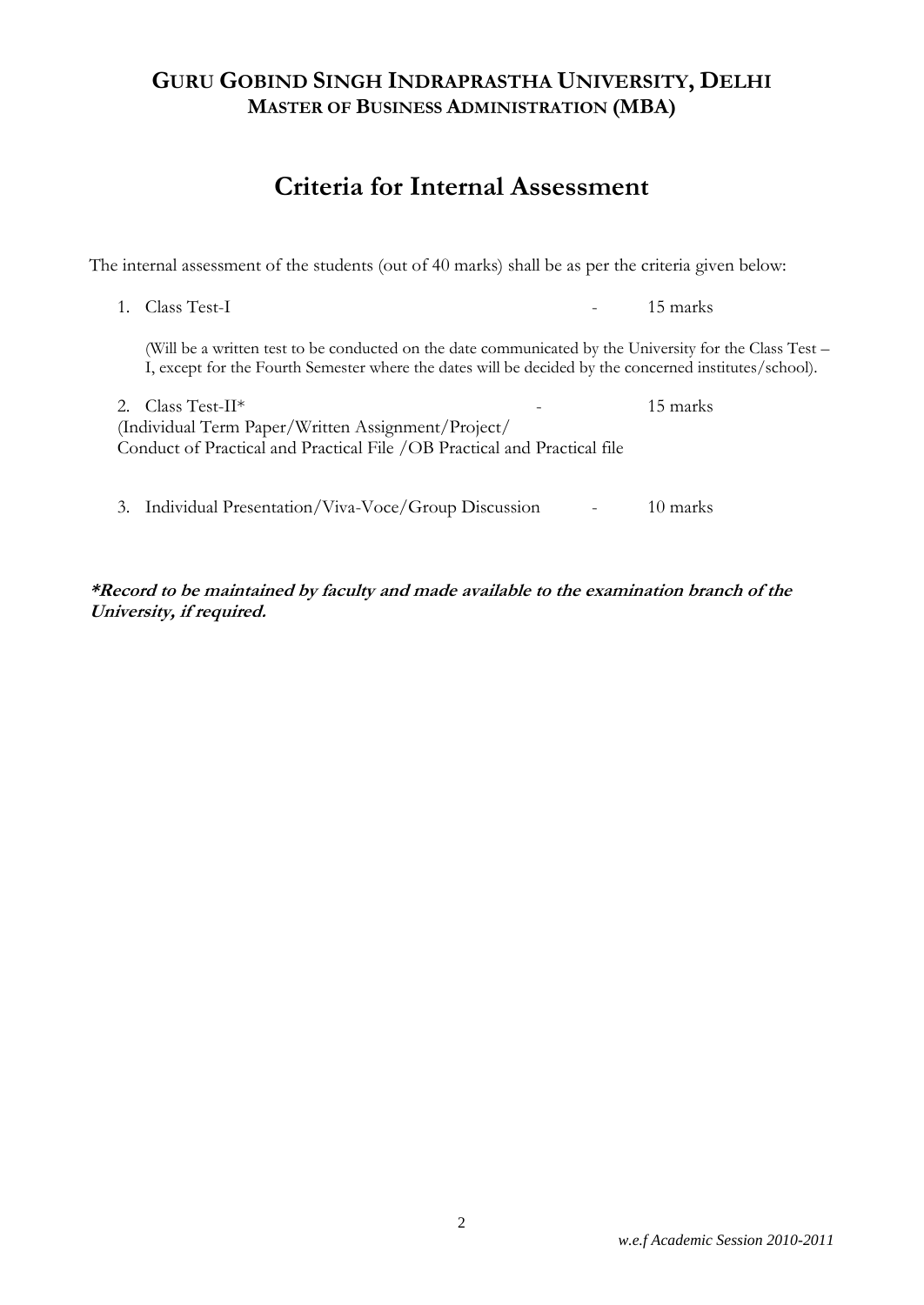# **Criteria for Internal Assessment**

The internal assessment of the students (out of 40 marks) shall be as per the criteria given below:

1. Class Test-I - 15 marks

(Will be a written test to be conducted on the date communicated by the University for the Class Test – I, except for the Fourth Semester where the dates will be decided by the concerned institutes/school).

| 2. Class Test-II <sup>*</sup>                                            | $\overline{\phantom{0}}$ | 15 marks |
|--------------------------------------------------------------------------|--------------------------|----------|
| (Individual Term Paper/Written Assignment/Project/                       |                          |          |
| Conduct of Practical and Practical File /OB Practical and Practical file |                          |          |
|                                                                          |                          |          |
|                                                                          |                          |          |

3. Individual Presentation/Viva-Voce/Group Discussion - 10 marks

**\*Record to be maintained by faculty and made available to the examination branch of the University, if required.**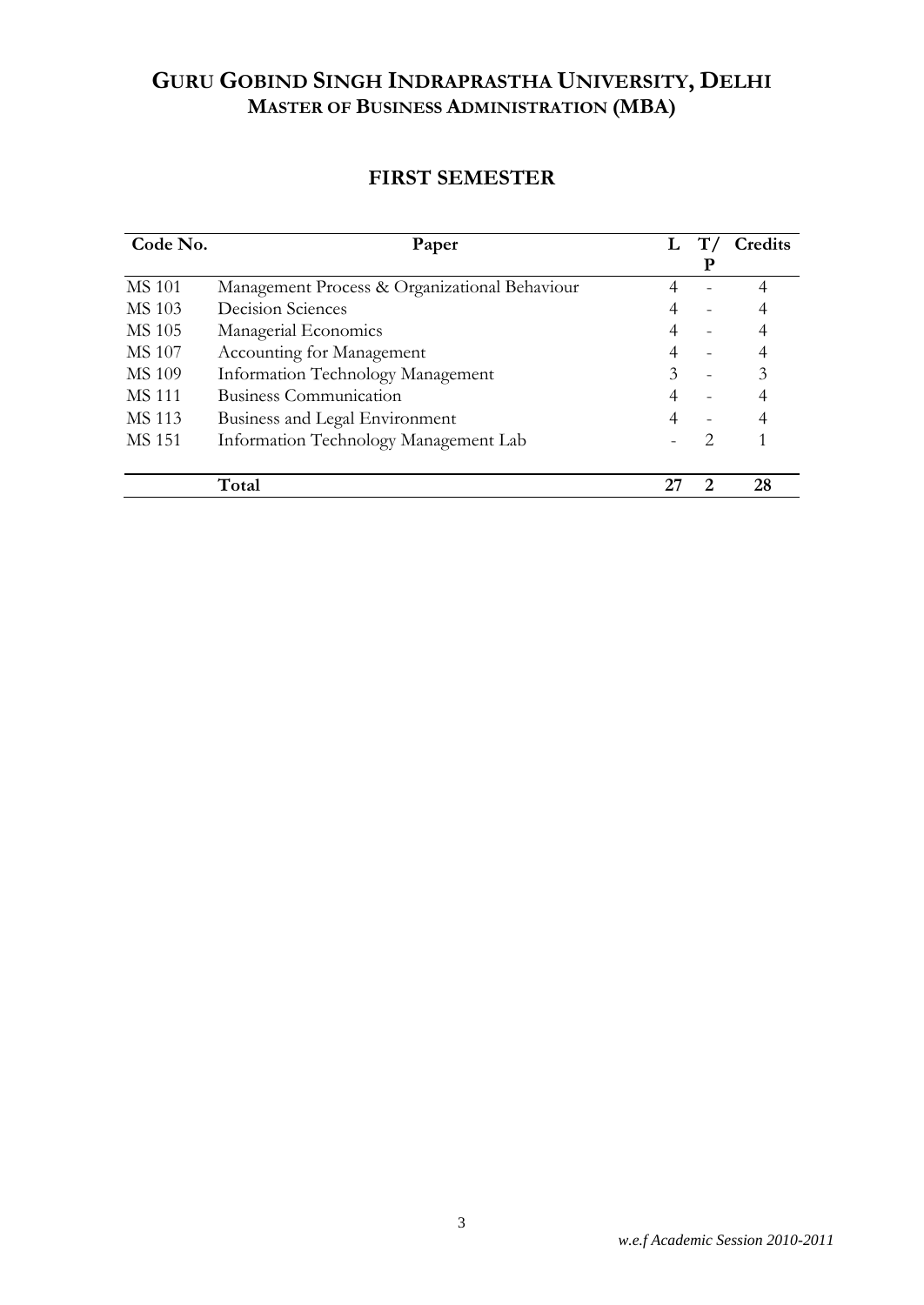## **FIRST SEMESTER**

| Code No.      | Paper                                         |    |               | Credits |
|---------------|-----------------------------------------------|----|---------------|---------|
|               |                                               |    | P             |         |
| <b>MS 101</b> | Management Process & Organizational Behaviour |    |               | 4       |
| MS 103        | Decision Sciences                             |    |               |         |
| MS 105        | Managerial Economics                          |    |               |         |
| MS 107        | Accounting for Management                     |    |               |         |
| MS 109        | Information Technology Management             | 3  |               | 3       |
| <b>MS 111</b> | <b>Business Communication</b>                 |    |               |         |
| MS 113        | Business and Legal Environment                |    |               |         |
| MS 151        | Information Technology Management Lab         |    | $\mathcal{D}$ |         |
|               |                                               |    |               |         |
|               | Total                                         | 25 | 2             | 28      |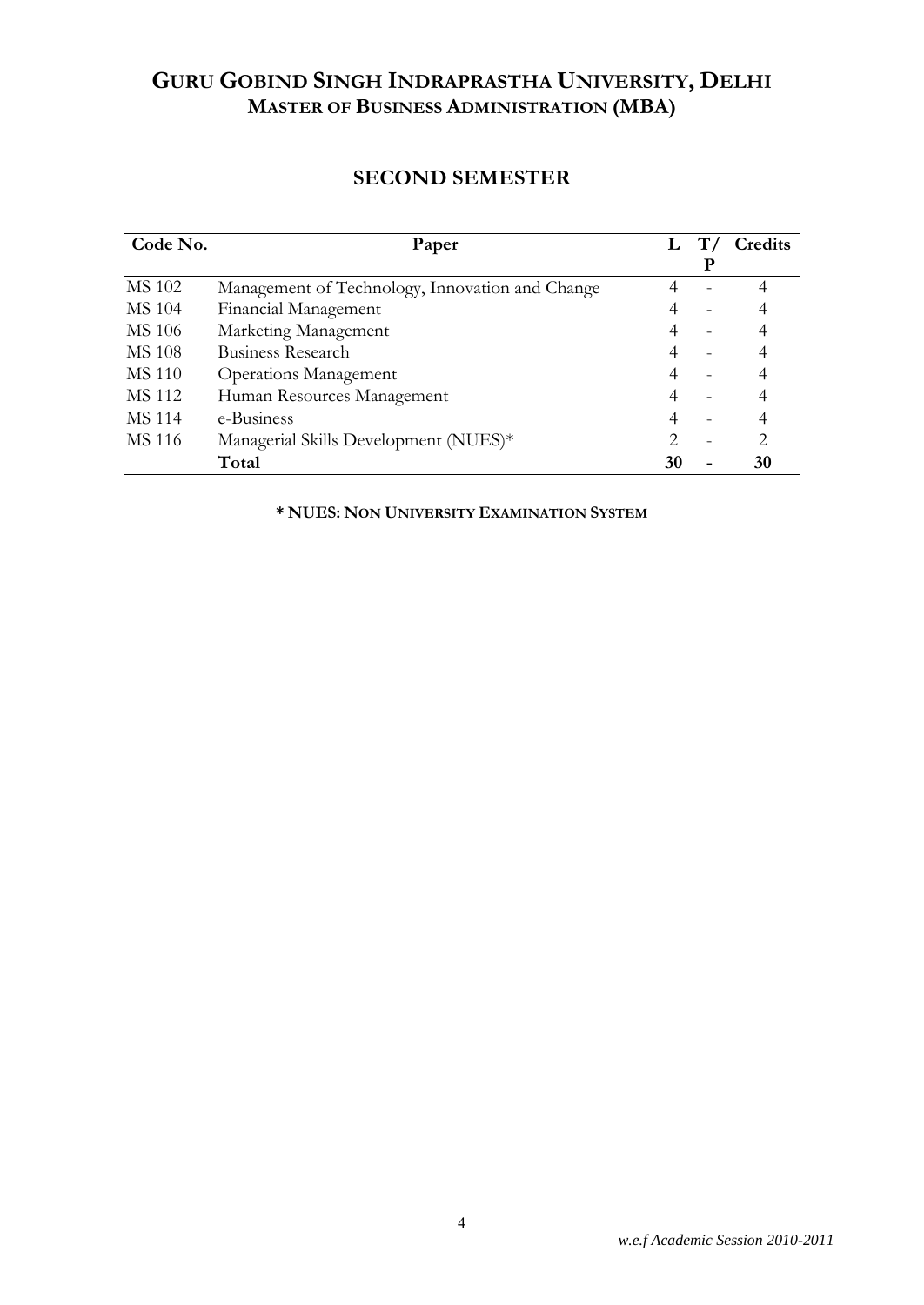## **SECOND SEMESTER**

| Code No.      | Paper                                           |    | $\mathbf{T}$ | Credits |
|---------------|-------------------------------------------------|----|--------------|---------|
|               |                                                 |    | Р            |         |
| MS 102        | Management of Technology, Innovation and Change |    |              |         |
| MS 104        | Financial Management                            |    |              |         |
| MS 106        | Marketing Management                            |    |              |         |
| <b>MS 108</b> | Business Research                               |    |              |         |
| MS 110        | <b>Operations Management</b>                    |    |              |         |
| MS 112        | Human Resources Management                      |    |              |         |
| <b>MS 114</b> | e-Business                                      |    |              |         |
| MS 116        | Managerial Skills Development (NUES)*           |    |              | 2       |
|               | Total                                           | 30 |              | 30      |

**\* NUES: NON UNIVERSITY EXAMINATION SYSTEM**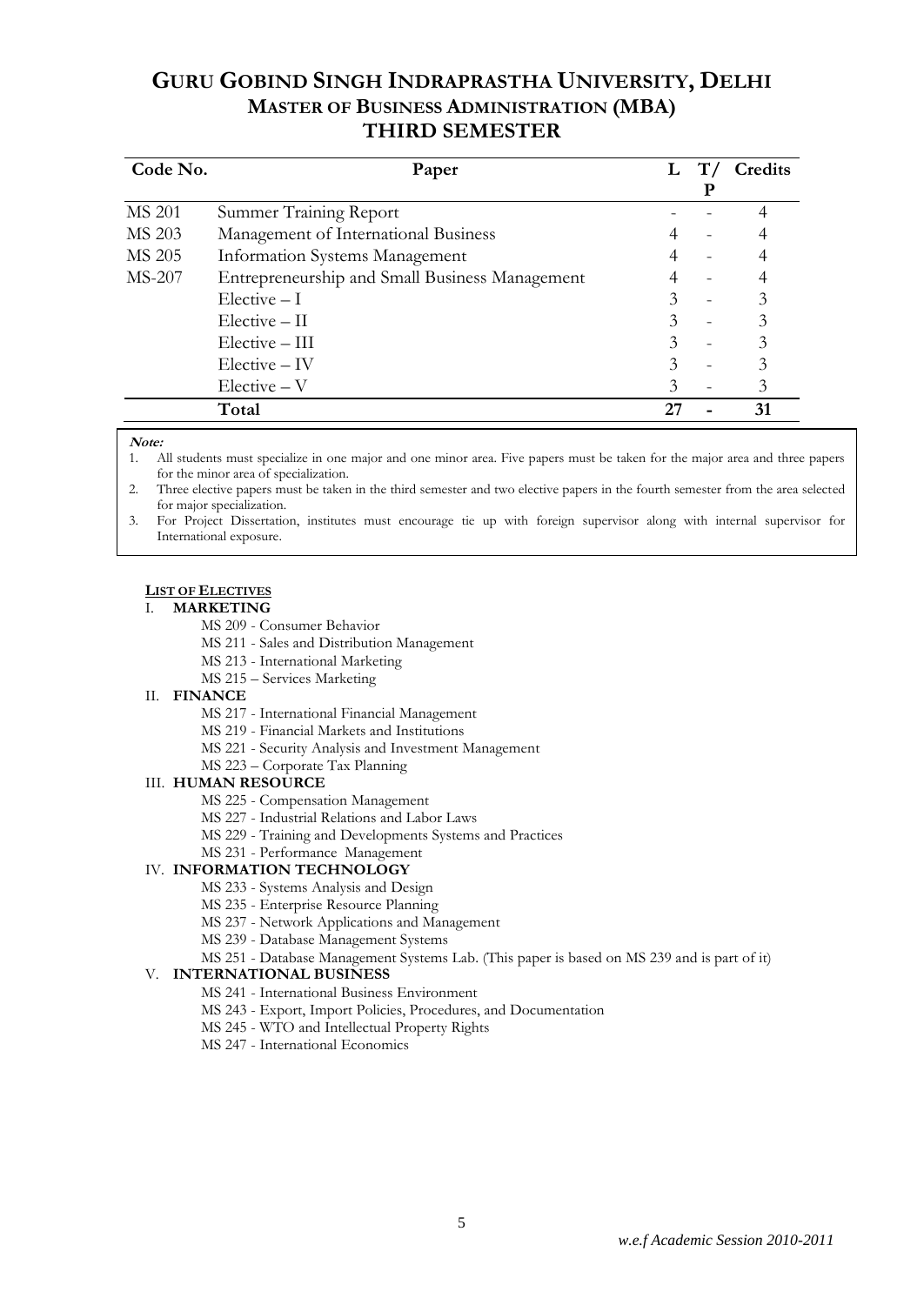| Code No.      | Paper                                          | L | Credits |
|---------------|------------------------------------------------|---|---------|
| <b>MS 201</b> | Summer Training Report                         |   |         |
| MS 203        | Management of International Business           |   |         |
| MS 205        | <b>Information Systems Management</b>          |   |         |
| <b>MS-207</b> | Entrepreneurship and Small Business Management |   |         |
|               | $Electric - I$                                 |   | 3       |
|               | $Electric - II$                                |   | 3       |
|               | $Electric - III$                               | 3 |         |
|               | $Electric - IV$                                | 3 |         |
|               | $Electric - V$                                 | 3 |         |
|               | Total                                          |   | 31      |

### **Note:**

1. All students must specialize in one major and one minor area. Five papers must be taken for the major area and three papers for the minor area of specialization.

2. Three elective papers must be taken in the third semester and two elective papers in the fourth semester from the area selected for major specialization.

3. For Project Dissertation, institutes must encourage tie up with foreign supervisor along with internal supervisor for International exposure.

### **LIST OF ELECTIVES**

### I. **MARKETING**

- MS 209 Consumer Behavior
- MS 211 Sales and Distribution Management
- MS 213 International Marketing
- MS 215 Services Marketing

### II. **FINANCE**

- MS 217 International Financial Management
- MS 219 Financial Markets and Institutions
- MS 221 Security Analysis and Investment Management
- MS 223 Corporate Tax Planning

### III. **HUMAN RESOURCE**

- MS 225 Compensation Management
- MS 227 Industrial Relations and Labor Laws
- MS 229 Training and Developments Systems and Practices

### MS 231 - Performance Management

### IV. **INFORMATION TECHNOLOGY**

- MS 233 Systems Analysis and Design
- MS 235 Enterprise Resource Planning
- MS 237 Network Applications and Management
- MS 239 Database Management Systems

### MS 251 - Database Management Systems Lab. (This paper is based on MS 239 and is part of it)

### V. **INTERNATIONAL BUSINESS**

- MS 241 International Business Environment
- MS 243 Export, Import Policies, Procedures, and Documentation
- MS 245 WTO and Intellectual Property Rights
- MS 247 International Economics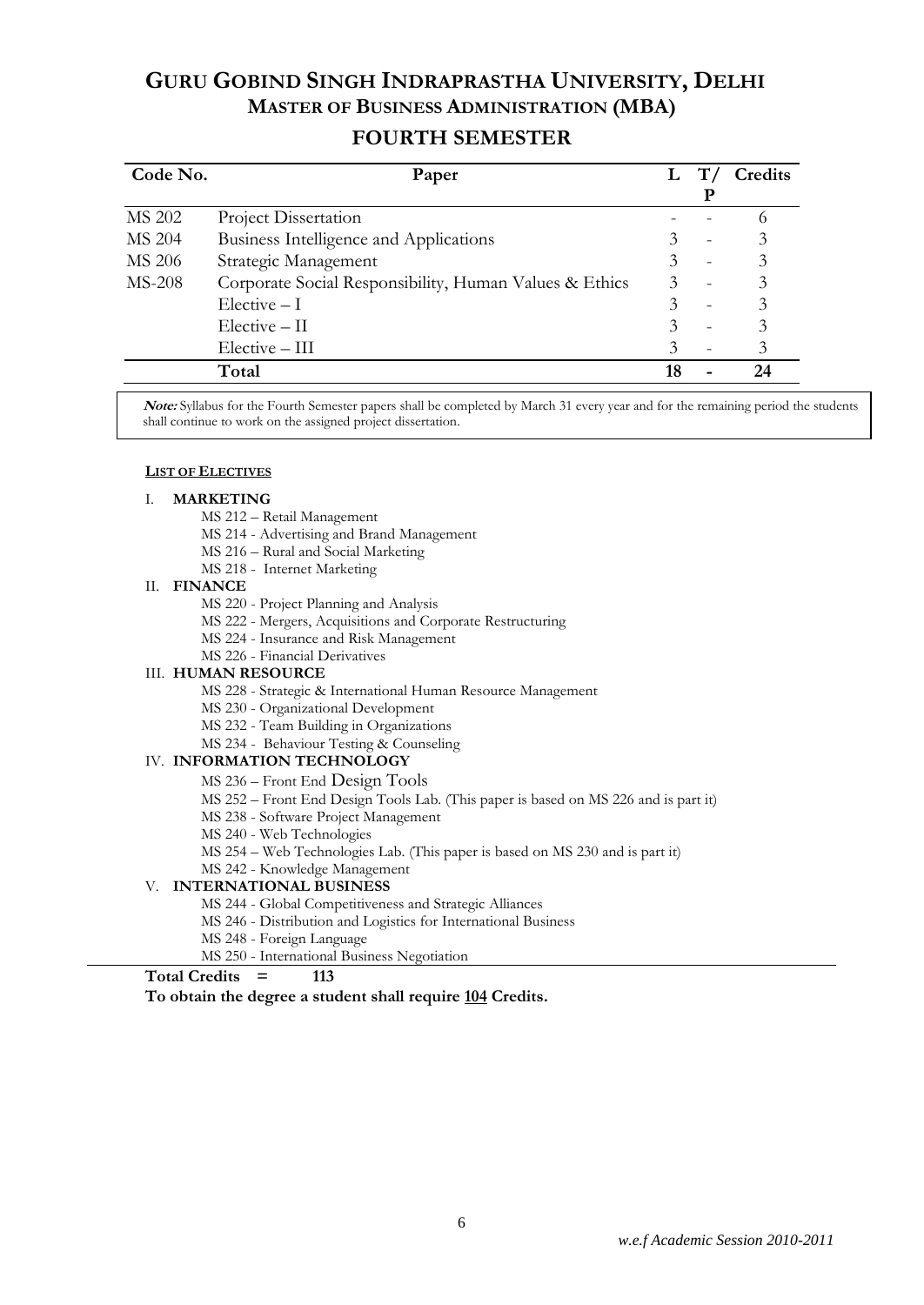### **FOURTH SEMESTER**

| Code No.      | Paper                                                  |    | Credits  |
|---------------|--------------------------------------------------------|----|----------|
| MS 202        | Project Dissertation                                   |    | $\Omega$ |
| <b>MS 204</b> | Business Intelligence and Applications                 |    | 3        |
| MS 206        | Strategic Management                                   |    | 3        |
| <b>MS-208</b> | Corporate Social Responsibility, Human Values & Ethics | 3  | 3        |
|               | $Electric - I$                                         |    | 3        |
|               | $Electric - II$                                        |    | 3        |
|               | Elective - III                                         |    | 3        |
|               | Total                                                  | 18 | 24       |

**Note:** Syllabus for the Fourth Semester papers shall be completed by March 31 every year and for the remaining period the students shall continue to work on the assigned project dissertation.

### **LIST OF ELECTIVES**

### I. **MARKETING**

- MS 212 Retail Management
- MS 214 Advertising and Brand Management
- MS 216 Rural and Social Marketing
- MS 218 Internet Marketing

### II. **FINANCE**

- MS 220 Project Planning and Analysis
- MS 222 Mergers, Acquisitions and Corporate Restructuring
- MS 224 Insurance and Risk Management
- MS 226 Financial Derivatives

### III. **HUMAN RESOURCE**

- MS 228 Strategic & International Human Resource Management
- MS 230 Organizational Development
- MS 232 Team Building in Organizations
- MS 234 Behaviour Testing & Counseling

### IV. **INFORMATION TECHNOLOGY**

- MS 236 Front End Design Tools
- MS 252 Front End Design Tools Lab. (This paper is based on MS 226 and is part it)
- MS 238 Software Project Management
- MS 240 Web Technologies
- MS 254 Web Technologies Lab. (This paper is based on MS 230 and is part it)
- MS 242 Knowledge Management

### V. **INTERNATIONAL BUSINESS**

- MS 244 Global Competitiveness and Strategic Alliances
- MS 246 Distribution and Logistics for International Business
- MS 248 Foreign Language
- MS 250 International Business Negotiation

### **Total Credits = 113**

**To obtain the degree a student shall require 104 Credits.**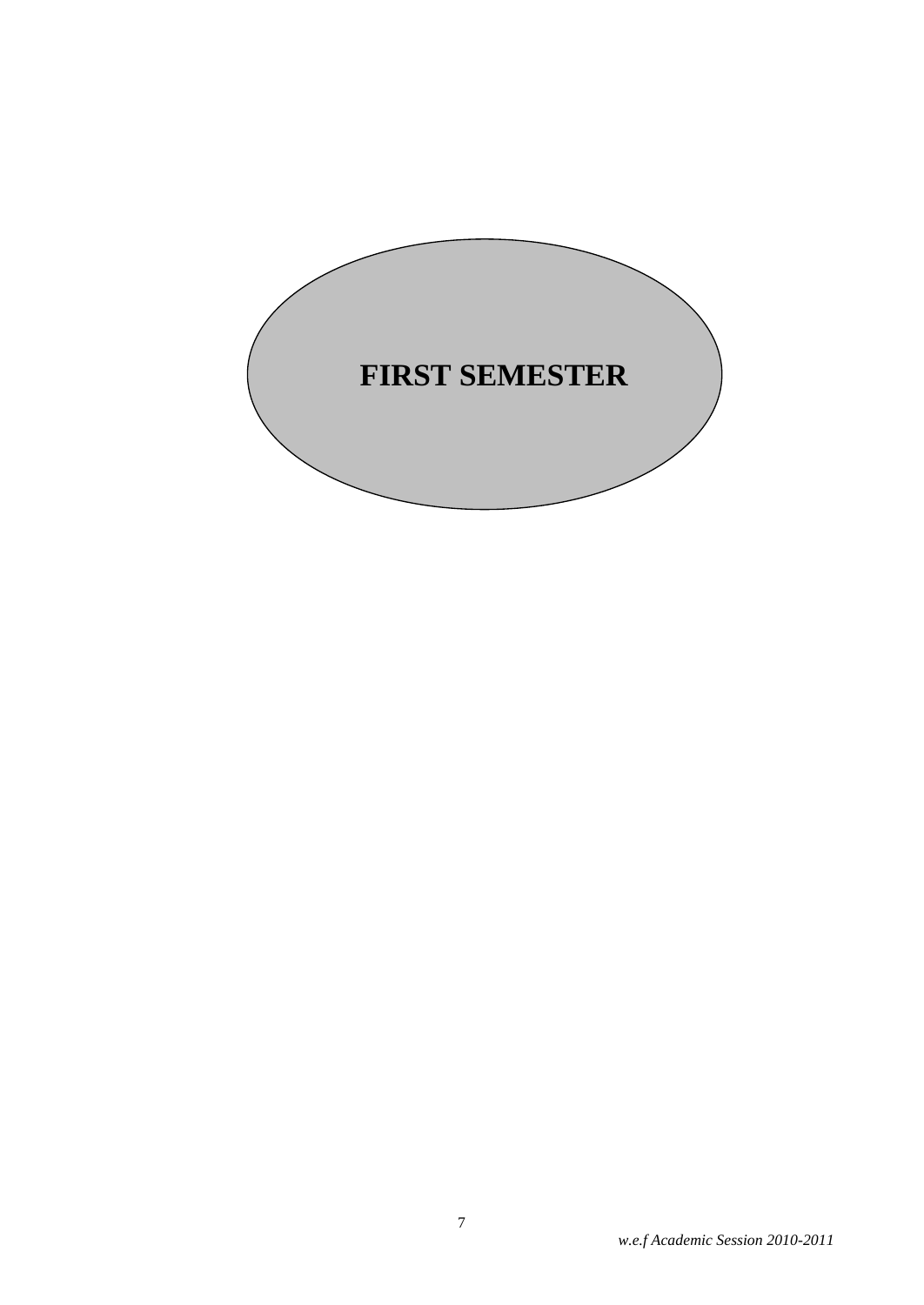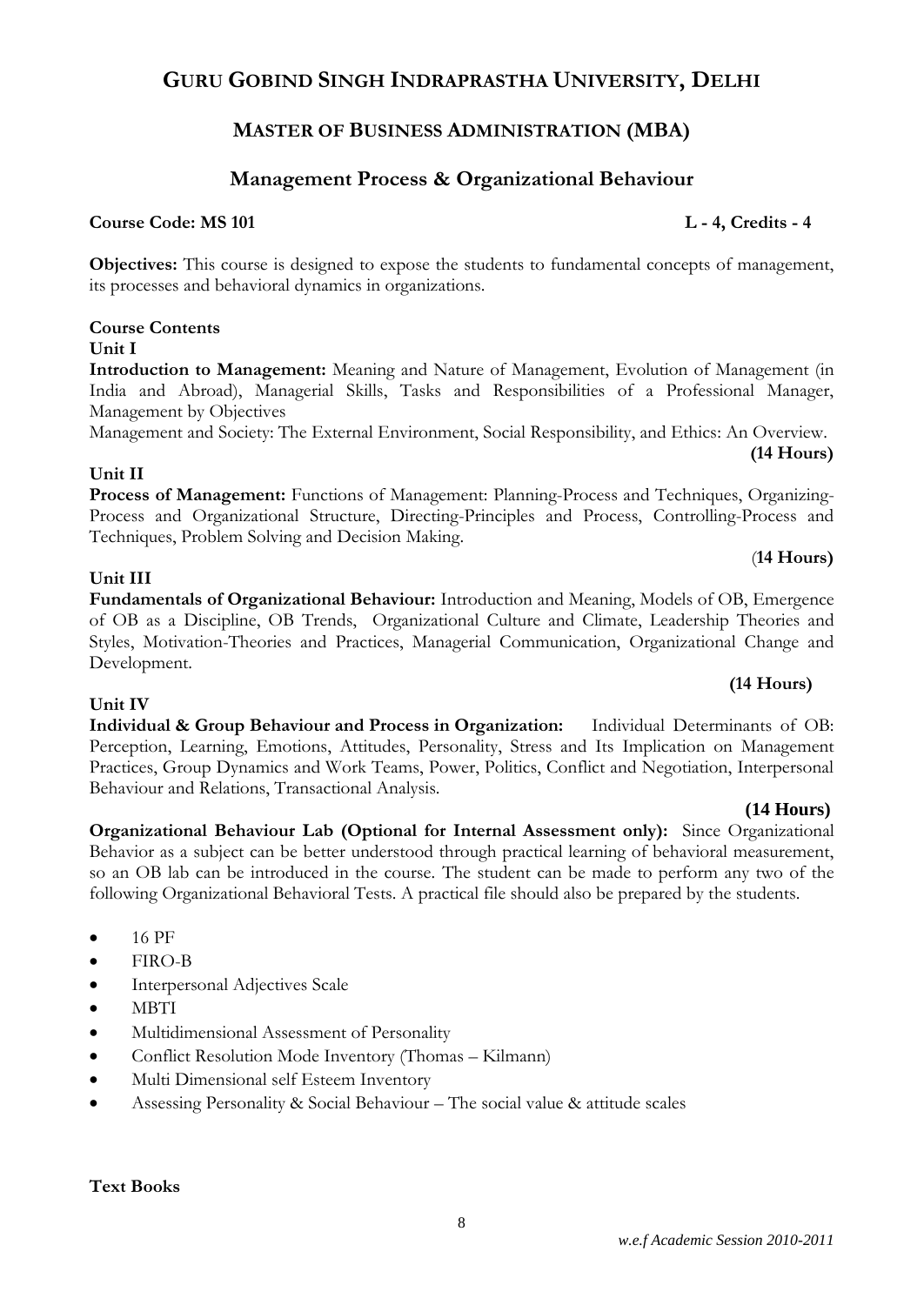## **GURU GOBIND SINGH INDRAPRASTHA UNIVERSITY, DELHI**

## **MASTER OF BUSINESS ADMINISTRATION (MBA)**

## **Management Process & Organizational Behaviour**

## **Course Code: MS 101 L - 4, Credits - 4**

**Objectives:** This course is designed to expose the students to fundamental concepts of management, its processes and behavioral dynamics in organizations.

### **Course Contents Unit I**

**Introduction to Management:** Meaning and Nature of Management, Evolution of Management (in India and Abroad), Managerial Skills, Tasks and Responsibilities of a Professional Manager, Management by Objectives

Management and Society: The External Environment, Social Responsibility, and Ethics: An Overview. **(14 Hours)**

## **Unit II**

**Process of Management:** Functions of Management: Planning-Process and Techniques, Organizing-Process and Organizational Structure, Directing-Principles and Process, Controlling-Process and Techniques, Problem Solving and Decision Making.

## **Unit III**

**Unit IV**

**Fundamentals of Organizational Behaviour:** Introduction and Meaning, Models of OB, Emergence of OB as a Discipline, OB Trends, Organizational Culture and Climate, Leadership Theories and Styles, Motivation-Theories and Practices, Managerial Communication, Organizational Change and Development.

**Individual & Group Behaviour and Process in Organization:** Individual Determinants of OB: Perception, Learning, Emotions, Attitudes, Personality, Stress and Its Implication on Management Practices, Group Dynamics and Work Teams, Power, Politics, Conflict and Negotiation, Interpersonal Behaviour and Relations, Transactional Analysis.

so an OB lab can be introduced in the course. The student can be made to perform any two of the following Organizational Behavioral Tests. A practical file should also be prepared by the students.

 **(14 Hours) Organizational Behaviour Lab (Optional for Internal Assessment only):** Since Organizational Behavior as a subject can be better understood through practical learning of behavioral measurement,

### $\bullet$  16 PF

- FIRO-B
- Interpersonal Adjectives Scale
- **MBTI**
- Multidimensional Assessment of Personality
- Conflict Resolution Mode Inventory (Thomas Kilmann)
- Multi Dimensional self Esteem Inventory
- Assessing Personality & Social Behaviour The social value & attitude scales

## **Text Books**

(**14 Hours)**

**(14 Hours)**

### 8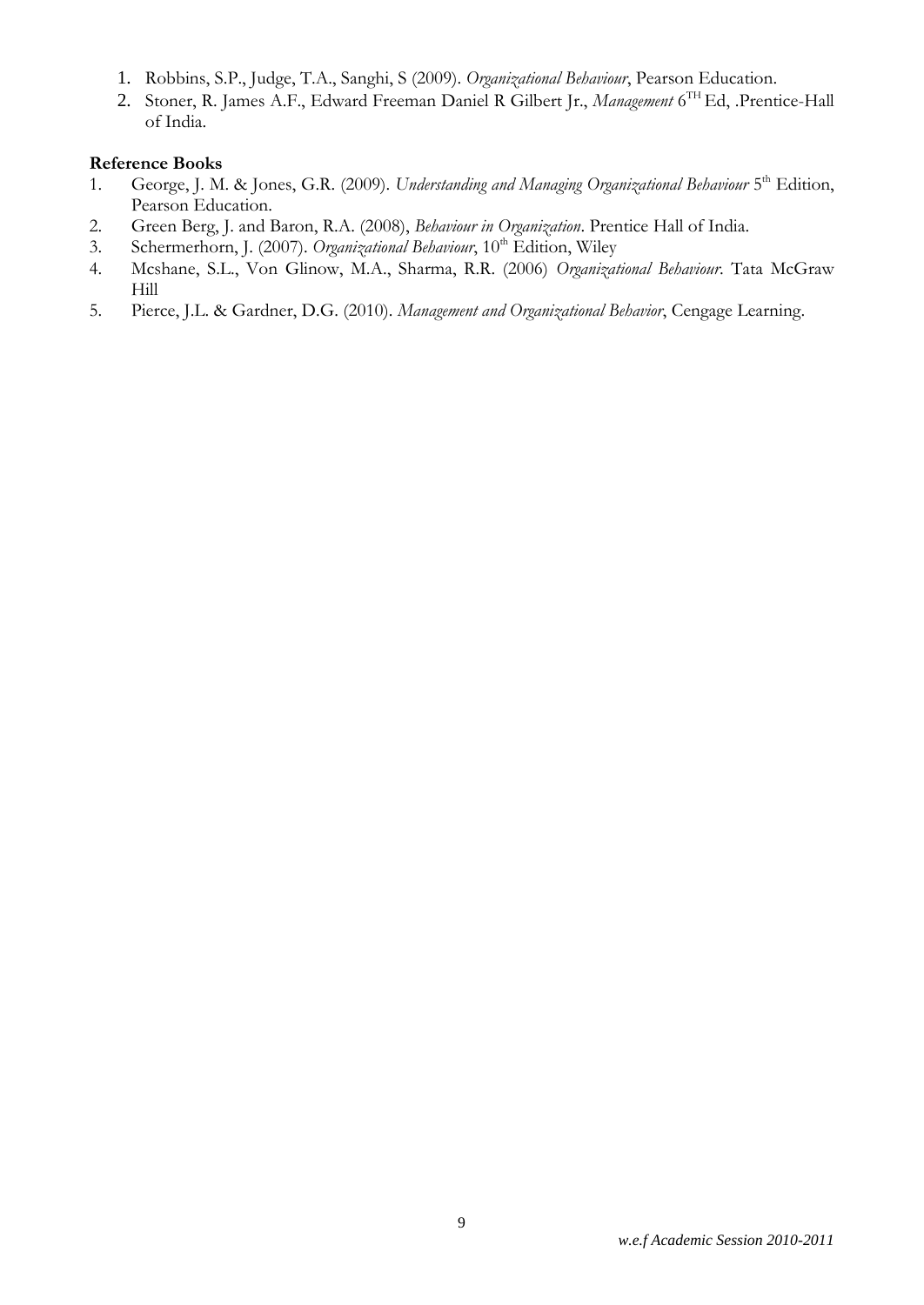- 1. Robbins, S.P., Judge, T.A., Sanghi, S (2009). *Organizational Behaviour*, Pearson Education.
- 2. Stoner, R. James A.F., Edward Freeman Daniel R Gilbert Jr., *Management* 6 TH Ed, .Prentice-Hall of India.

### **Reference Books**

- 1. George, J. M. & Jones, G.R. (2009). Understanding and Managing Organizational Behaviour 5<sup>th</sup> Edition, Pearson Education.
- 2. Green Berg, J. and Baron, R.A. (2008), *Behaviour in Organization*. Prentice Hall of India.
- 3. Schermerhorn, J. (2007). *Organizational Behaviour*, 10<sup>th</sup> Edition, Wiley
- 4. Mcshane, S.L., Von Glinow, M.A., Sharma, R.R. (2006) *Organizational Behaviour*. Tata McGraw Hill
- 5. Pierce, J.L. & Gardner, D.G. (2010). *Management and Organizational Behavior*, Cengage Learning.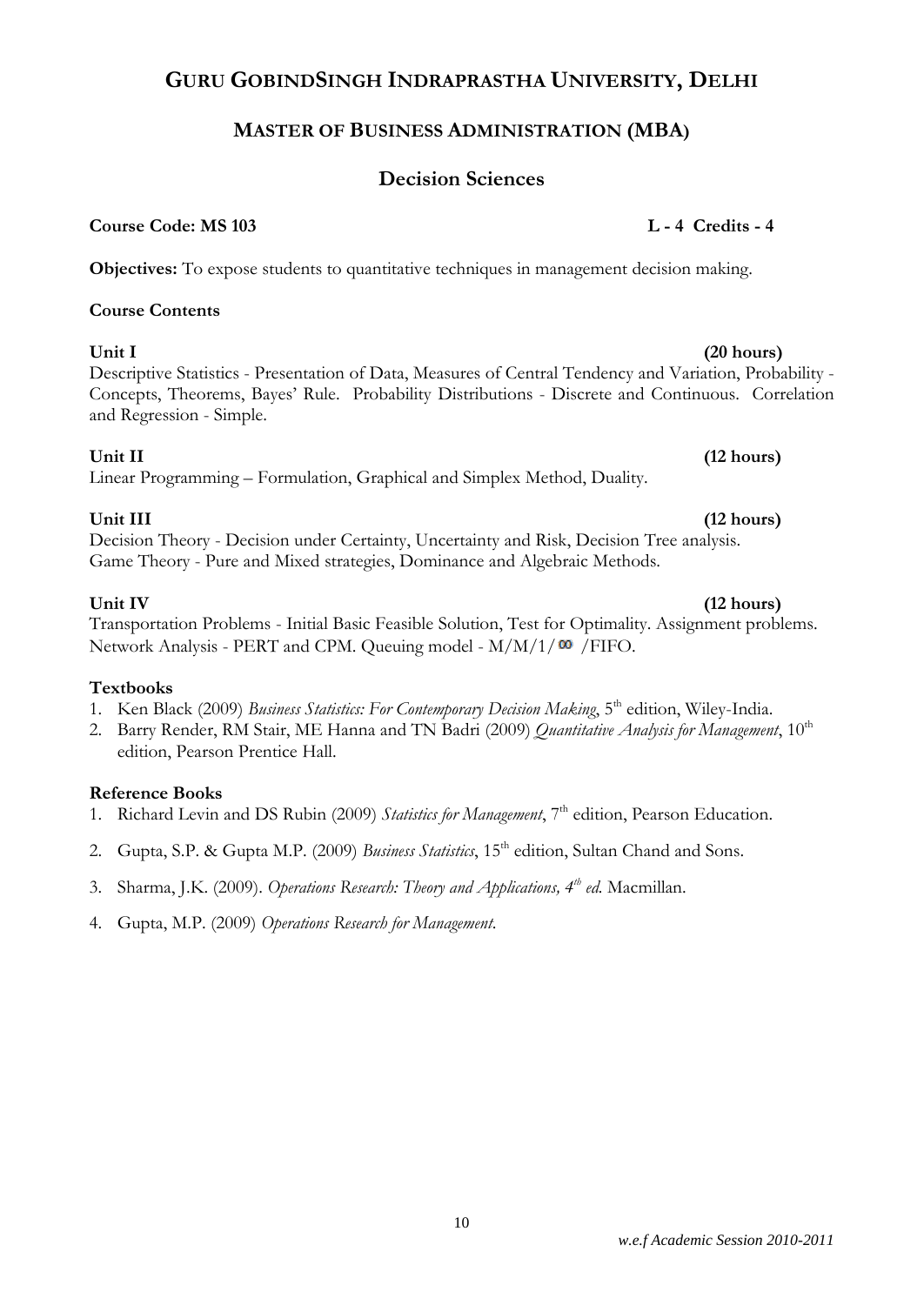## **GURU GOBINDSINGH INDRAPRASTHA UNIVERSITY, DELHI**

## **MASTER OF BUSINESS ADMINISTRATION (MBA)**

## **Decision Sciences**

## **Course Code: MS 103 L - 4 Credits - 4**

**Objectives:** To expose students to quantitative techniques in management decision making.

## **Course Contents**

**Unit I (20 hours)** Descriptive Statistics - Presentation of Data, Measures of Central Tendency and Variation, Probability - Concepts, Theorems, Bayes' Rule. Probability Distributions - Discrete and Continuous. Correlation and Regression - Simple.

## **Unit II (12 hours)**

Linear Programming – Formulation, Graphical and Simplex Method, Duality.

## **Unit III (12 hours)**

Decision Theory - Decision under Certainty, Uncertainty and Risk, Decision Tree analysis. Game Theory - Pure and Mixed strategies, Dominance and Algebraic Methods.

**Unit IV (12 hours)**  Transportation Problems - Initial Basic Feasible Solution, Test for Optimality. Assignment problems. Network Analysis - PERT and CPM. Queuing model -  $M/M/1/\omega$  / FIFO.

### **Textbooks**

- 1. Ken Black (2009) *Business Statistics: For Contemporary Decision Making*, 5<sup>th</sup> edition, Wiley-India.
- 2. Barry Render, RM Stair, ME Hanna and TN Badri (2009) *Quantitative Analysis for Management*, 10<sup>th</sup> edition, Pearson Prentice Hall.

## **Reference Books**

- 1. Richard Levin and DS Rubin (2009) *Statistics for Management*, 7<sup>th</sup> edition, Pearson Education.
- 2. Gupta, S.P. & Gupta M.P. (2009) *Business Statistics*, 15<sup>th</sup> edition, Sultan Chand and Sons.
- 3. Sharma, J.K. (2009). *Operations Research: Theory and Applications, 4th ed.* Macmillan.
- 4. Gupta, M.P. (2009) *Operations Research for Management*.

### 10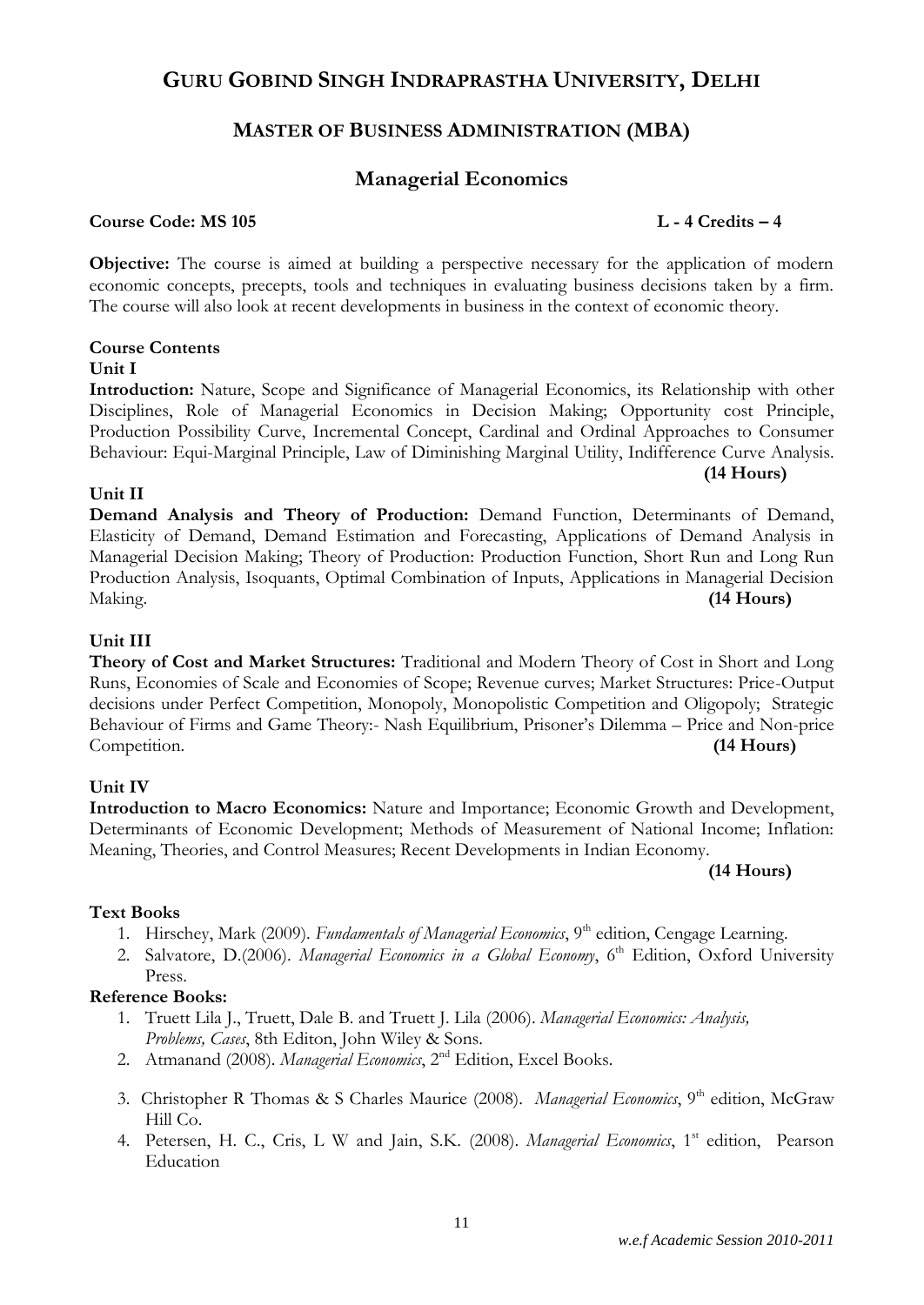## **GURU GOBIND SINGH INDRAPRASTHA UNIVERSITY, DELHI**

## **MASTER OF BUSINESS ADMINISTRATION (MBA)**

## **Managerial Economics**

### **Course Code: MS 105 L - 4 Credits – 4**

**(14 Hours)**

**Objective:** The course is aimed at building a perspective necessary for the application of modern economic concepts, precepts, tools and techniques in evaluating business decisions taken by a firm. The course will also look at recent developments in business in the context of economic theory.

### **Course Contents**

### **Unit I**

**Introduction:** Nature, Scope and Significance of Managerial Economics, its Relationship with other Disciplines, Role of Managerial Economics in Decision Making; Opportunity cost Principle, Production Possibility Curve, Incremental Concept, Cardinal and Ordinal Approaches to Consumer Behaviour: Equi-Marginal Principle, Law of Diminishing Marginal Utility, Indifference Curve Analysis.

### **Unit II**

**Demand Analysis and Theory of Production:** Demand Function, Determinants of Demand, Elasticity of Demand, Demand Estimation and Forecasting, Applications of Demand Analysis in Managerial Decision Making; Theory of Production: Production Function, Short Run and Long Run Production Analysis, Isoquants, Optimal Combination of Inputs, Applications in Managerial Decision Making. **(14 Hours)**

### **Unit III**

**Theory of Cost and Market Structures:** Traditional and Modern Theory of Cost in Short and Long Runs, Economies of Scale and Economies of Scope; Revenue curves; Market Structures: Price-Output decisions under Perfect Competition, Monopoly, Monopolistic Competition and Oligopoly; Strategic Behaviour of Firms and Game Theory:- Nash Equilibrium, Prisoner's Dilemma – Price and Non-price Competition. **(14 Hours)**

### **Unit IV**

**Introduction to Macro Economics:** Nature and Importance; Economic Growth and Development, Determinants of Economic Development; Methods of Measurement of National Income; Inflation: Meaning, Theories, and Control Measures; Recent Developments in Indian Economy.

### **(14 Hours)**

### **Text Books**

- 1. Hirschey, Mark (2009). *Fundamentals of Managerial Economics*, 9<sup>th</sup> edition, Cengage Learning.
- 2. Salvatore, D.(2006). *Managerial Economics in a Global Economy*, 6<sup>th</sup> Edition, Oxford University Press.

### **Reference Books:**

- 1. Truett Lila J., Truett, Dale B. and [Truett J. Lila](http://www.flipkart.com/author/truett-j-lila/) (2006). *Managerial Economics: Analysis, Problems, Cases*, 8th Editon, John Wiley & Sons.
- 2. Atmanand (2008). *Managerial Economics*, 2nd Edition, Excel Books.
- 3. Christopher R Thomas & S Charles Maurice (2008). *Managerial Economics*, 9<sup>th</sup> edition, McGraw Hill Co.
- 4. Petersen, H. C., Cris, L W and Jain, S.K. (2008). *Managerial Economics*, 1<sup>st</sup> edition, Pearson Education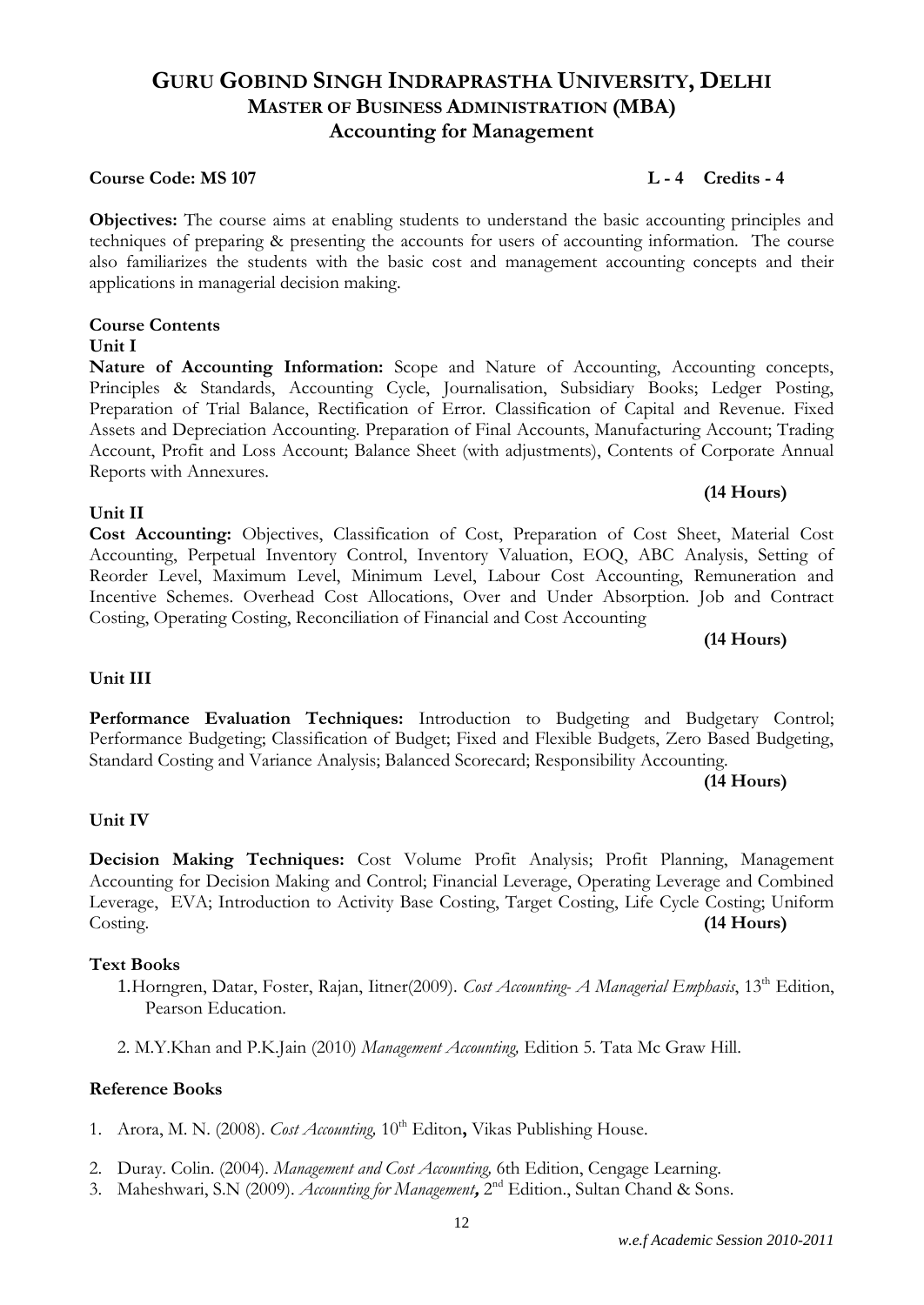### *w.e.f Academic Session 2010-2011*

## **GURU GOBIND SINGH INDRAPRASTHA UNIVERSITY, DELHI MASTER OF BUSINESS ADMINISTRATION (MBA) Accounting for Management**

### **Course Code: MS 107 L - 4 Credits - 4**

**Objectives:** The course aims at enabling students to understand the basic accounting principles and techniques of preparing & presenting the accounts for users of accounting information. The course also familiarizes the students with the basic cost and management accounting concepts and their applications in managerial decision making.

### **Course Contents**

### **Unit I**

**Unit II**

**Nature of Accounting Information:** Scope and Nature of Accounting, Accounting concepts, Principles & Standards, Accounting Cycle, Journalisation, Subsidiary Books; Ledger Posting, Preparation of Trial Balance, Rectification of Error. Classification of Capital and Revenue. Fixed Assets and Depreciation Accounting. Preparation of Final Accounts, Manufacturing Account; Trading Account, Profit and Loss Account; Balance Sheet (with adjustments), Contents of Corporate Annual Reports with Annexures.

## **(14 Hours)**

**Cost Accounting:** Objectives, Classification of Cost, Preparation of Cost Sheet, Material Cost Accounting, Perpetual Inventory Control, Inventory Valuation, EOQ, ABC Analysis, Setting of Reorder Level, Maximum Level, Minimum Level, Labour Cost Accounting, Remuneration and Incentive Schemes. Overhead Cost Allocations, Over and Under Absorption. Job and Contract Costing, Operating Costing, Reconciliation of Financial and Cost Accounting

**(14 Hours)**

### **Unit III**

**Performance Evaluation Techniques:** Introduction to Budgeting and Budgetary Control; Performance Budgeting; Classification of Budget; Fixed and Flexible Budgets, Zero Based Budgeting, Standard Costing and Variance Analysis; Balanced Scorecard; Responsibility Accounting.

### **(14 Hours)**

### **Unit IV**

**Decision Making Techniques:** Cost Volume Profit Analysis; Profit Planning, Management Accounting for Decision Making and Control; Financial Leverage, Operating Leverage and Combined Leverage, EVA; Introduction to Activity Base Costing, Target Costing, Life Cycle Costing; Uniform Costing. **(14 Hours)**

### **Text Books**

- 1.Horngren, Datar, Foster, Rajan, Iitner(2009). *Cost Accounting- A Managerial Emphasis*, 13<sup>th</sup> Edition, Pearson Education.
- 2. M.Y.Khan and P.K.Jain (2010) *Management Accounting,* Edition 5. Tata Mc Graw Hill.

### **Reference Books**

- 1. Arora, M. N. (2008). *Cost Accounting*, 10<sup>th</sup> Editon, Vikas Publishing House.
- 2. Duray. Colin. (2004). *Management and Cost Accounting,* 6th Edition, Cengage Learning.
- 3. Maheshwari, S.N (2009). Accounting for Management, 2<sup>nd</sup> Edition., Sultan Chand & Sons.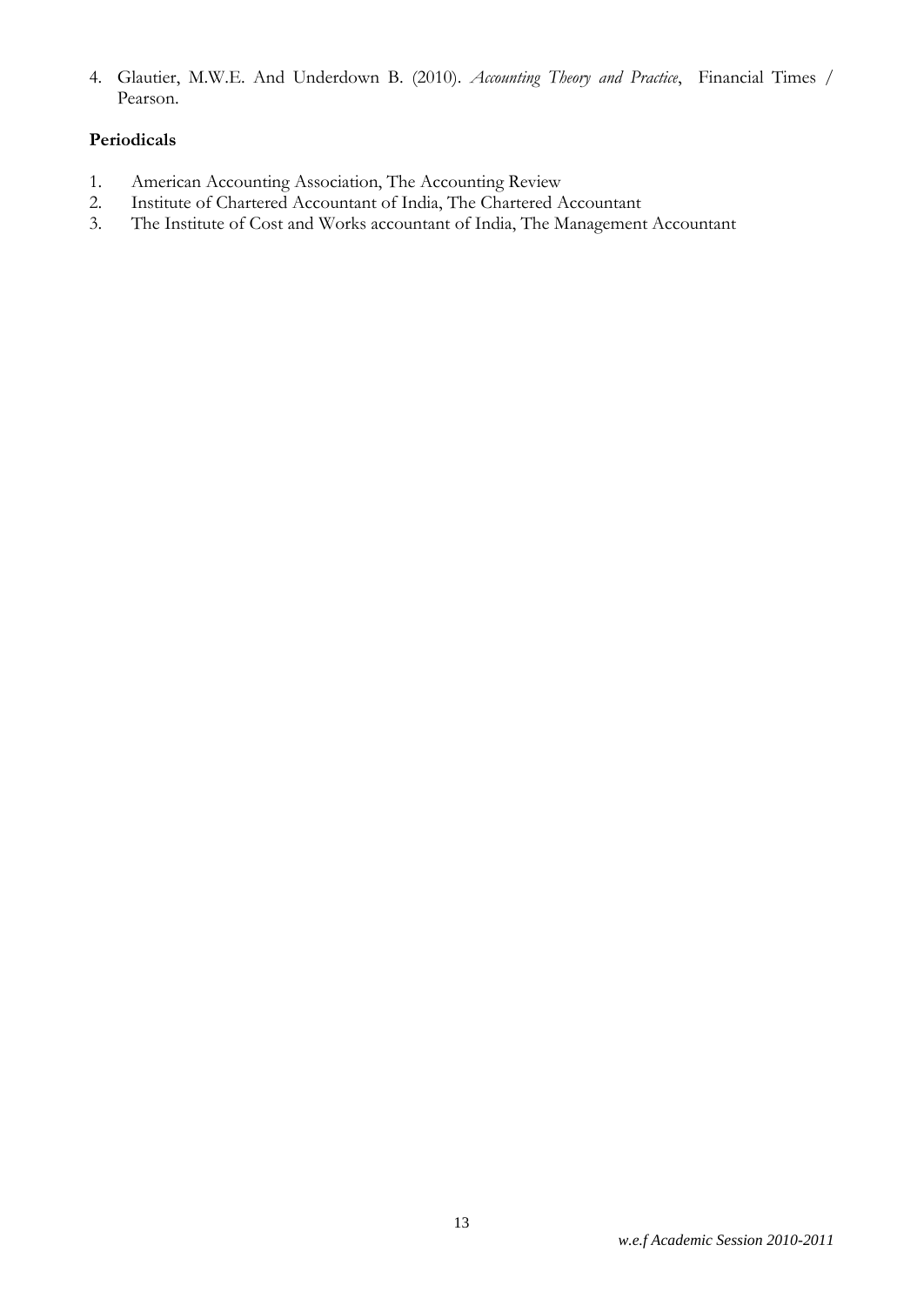4. Glautier, M.W.E. And Underdown B. (2010). *Accounting Theory and Practice*, Financial Times / Pearson.

### **Periodicals**

- 1. American Accounting Association, The Accounting Review
- 2. Institute of Chartered Accountant of India, The Chartered Accountant
- 3. The Institute of Cost and Works accountant of India, The Management Accountant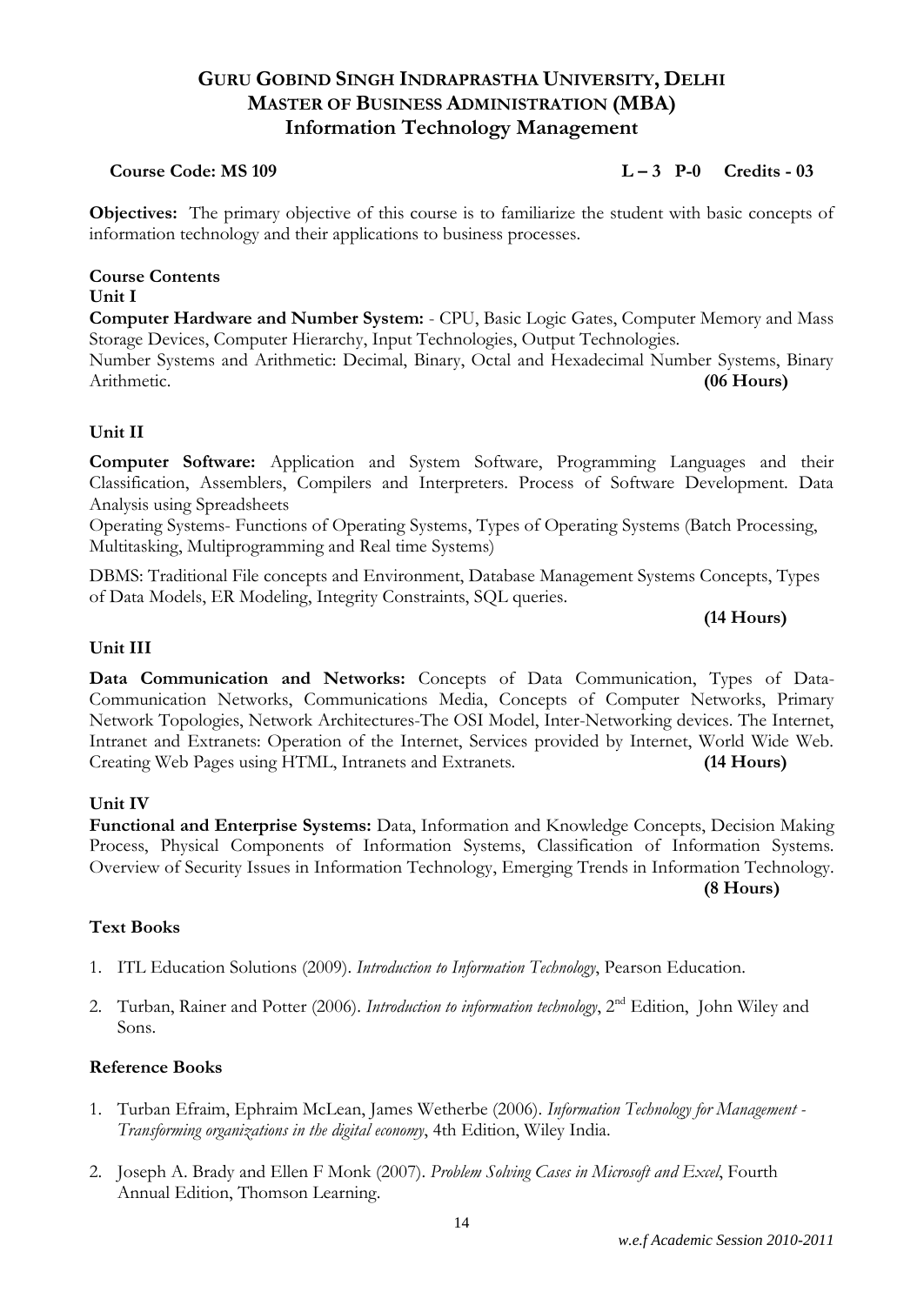## **GURU GOBIND SINGH INDRAPRASTHA UNIVERSITY, DELHI MASTER OF BUSINESS ADMINISTRATION (MBA) Information Technology Management**

### **Course Code: MS 109 L – 3 P-0 Credits - 03**

**Objectives:** The primary objective of this course is to familiarize the student with basic concepts of information technology and their applications to business processes.

**Course Contents**

### **Unit I**

**Computer Hardware and Number System:** - CPU, Basic Logic Gates, Computer Memory and Mass Storage Devices, Computer Hierarchy, Input Technologies, Output Technologies.

Number Systems and Arithmetic: Decimal, Binary, Octal and Hexadecimal Number Systems, Binary Arithmetic. **(06 Hours)**

### **Unit II**

**Computer Software:** Application and System Software, Programming Languages and their Classification, Assemblers, Compilers and Interpreters. Process of Software Development. Data Analysis using Spreadsheets

Operating Systems- Functions of Operating Systems, Types of Operating Systems (Batch Processing, Multitasking, Multiprogramming and Real time Systems)

DBMS: Traditional File concepts and Environment, Database Management Systems Concepts, Types of Data Models, ER Modeling, Integrity Constraints, SQL queries.

### **(14 Hours)**

### **Unit III**

**Data Communication and Networks:** Concepts of Data Communication, Types of Data-Communication Networks, Communications Media, Concepts of Computer Networks, Primary Network Topologies, Network Architectures-The OSI Model, Inter-Networking devices. The Internet, Intranet and Extranets: Operation of the Internet, Services provided by Internet, World Wide Web. Creating Web Pages using HTML, Intranets and Extranets. **(14 Hours)**

### **Unit IV**

**Functional and Enterprise Systems:** Data, Information and Knowledge Concepts, Decision Making Process, Physical Components of Information Systems, Classification of Information Systems. Overview of Security Issues in Information Technology, Emerging Trends in Information Technology.

**(8 Hours)**

### **Text Books**

- 1. ITL Education Solutions (2009). *Introduction to Information Technology*, Pearson Education.
- 2. Turban, Rainer and Potter (2006). *Introduction to information technology*, 2nd Edition, John Wiley and Sons.

### **Reference Books**

- 1. Turban Efraim, Ephraim McLean, James Wetherbe (2006). *Information Technology for Management - Transforming organizations in the digital economy*, 4th Edition, Wiley India.
- 2. Joseph A. Brady and Ellen F Monk (2007). *Problem Solving Cases in Microsoft and Excel*, Fourth Annual Edition, Thomson Learning.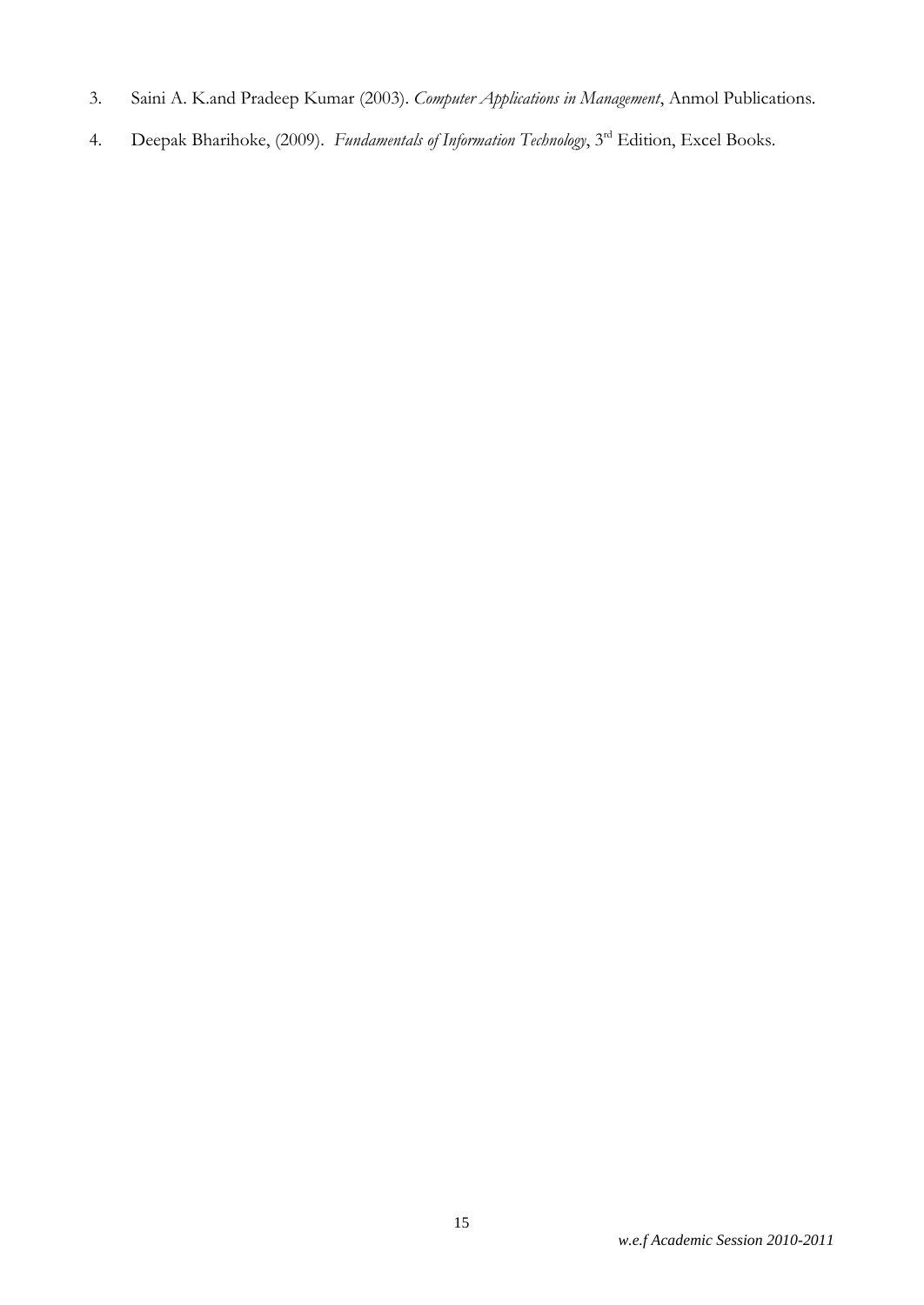- 3. Saini A. K.and Pradeep Kumar (2003). *Computer Applications in Management*, Anmol Publications.
- 4. Deepak Bharihoke, (2009). *Fundamentals of Information Technology*, 3<sup>rd</sup> Edition, Excel Books.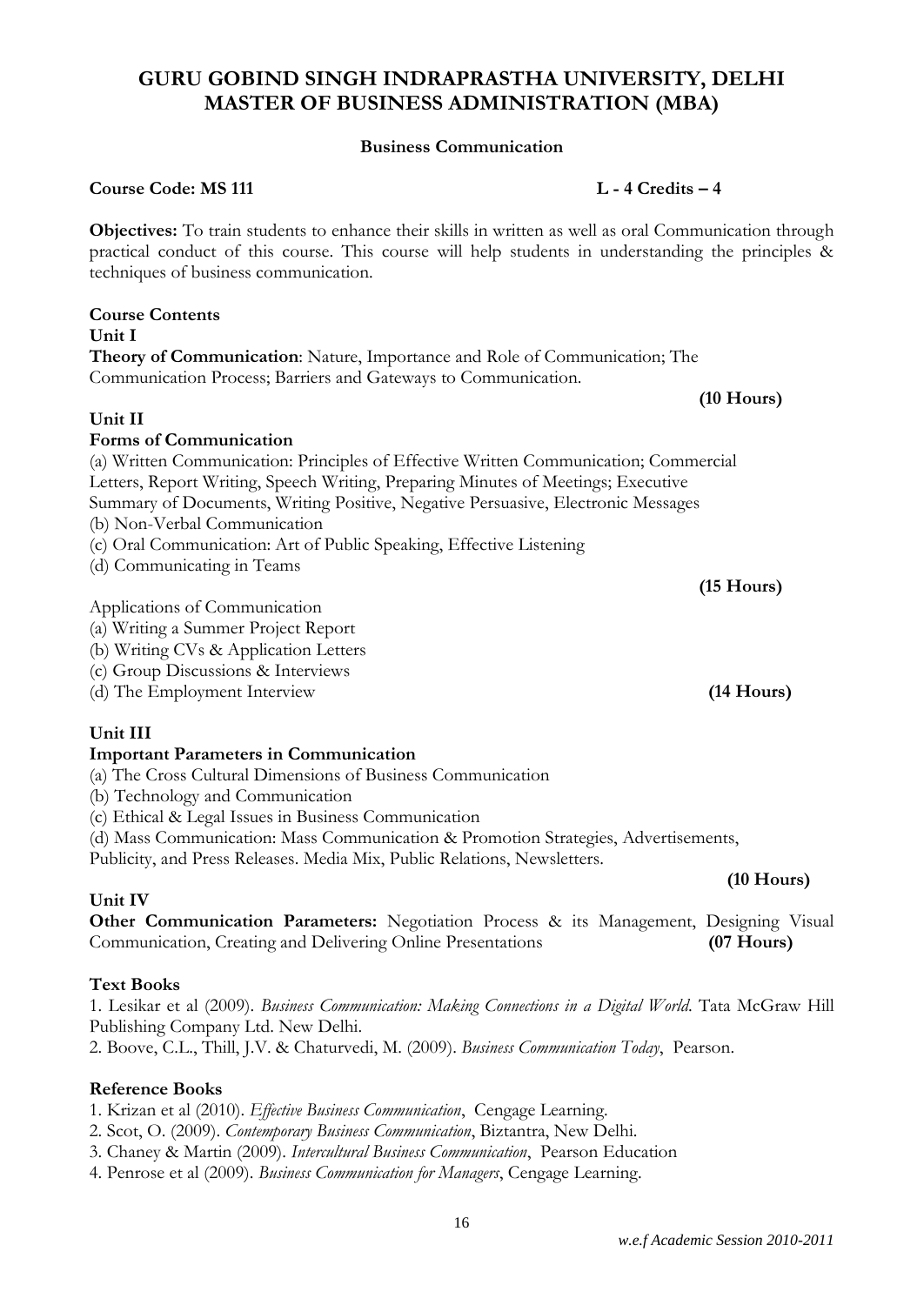### *w.e.f Academic Session 2010-2011*

## **GURU GOBIND SINGH INDRAPRASTHA UNIVERSITY, DELHI MASTER OF BUSINESS ADMINISTRATION (MBA)**

### **Business Communication**

### **Course Code: MS 111 L - 4 Credits – 4**

**Objectives:** To train students to enhance their skills in written as well as oral Communication through practical conduct of this course. This course will help students in understanding the principles & techniques of business communication.

### **Course Contents Unit I Theory of Communication**: Nature, Importance and Role of Communication; The

Communication Process; Barriers and Gateways to Communication.

**Unit II**

### **Forms of Communication**

(a) Written Communication: Principles of Effective Written Communication; Commercial Letters, Report Writing, Speech Writing, Preparing Minutes of Meetings; Executive Summary of Documents, Writing Positive, Negative Persuasive, Electronic Messages

(b) Non-Verbal Communication

- (c) Oral Communication: Art of Public Speaking, Effective Listening
- (d) Communicating in Teams

### Applications of Communication

- (a) Writing a Summer Project Report
- (b) Writing CVs & Application Letters
- (c) Group Discussions & Interviews
- (d) The Employment Interview **(14 Hours)**

## **Unit III**

### **Important Parameters in Communication**

- (a) The Cross Cultural Dimensions of Business Communication
- (b) Technology and Communication
- (c) Ethical & Legal Issues in Business Communication
- (d) Mass Communication: Mass Communication & Promotion Strategies, Advertisements,

Publicity, and Press Releases. Media Mix, Public Relations, Newsletters.

### **Unit IV**

**Other Communication Parameters:** Negotiation Process & its Management, Designing Visual Communication, Creating and Delivering Online Presentations **(07 Hours)**

### **Text Books**

1. Lesikar et al (2009). *Business Communication: Making Connections in a Digital World*. Tata McGraw Hill Publishing Company Ltd. New Delhi.

2. Boove, C.L., Thill, J.V. & Chaturvedi, M. (2009). *Business Communication Today*, Pearson.

### **Reference Books**

1. Krizan et al (2010). *Effective Business Communication*, Cengage Learning.

- 2. Scot, O. (2009). *Contemporary Business Communication*, Biztantra, New Delhi.
- 3. Chaney & Martin (2009). *Intercultural Business Communication*, Pearson Education
- 4. Penrose et al (2009). *Business Communication for Managers*, Cengage Learning.

**(10 Hours)**

**(10 Hours)**

**(15 Hours)**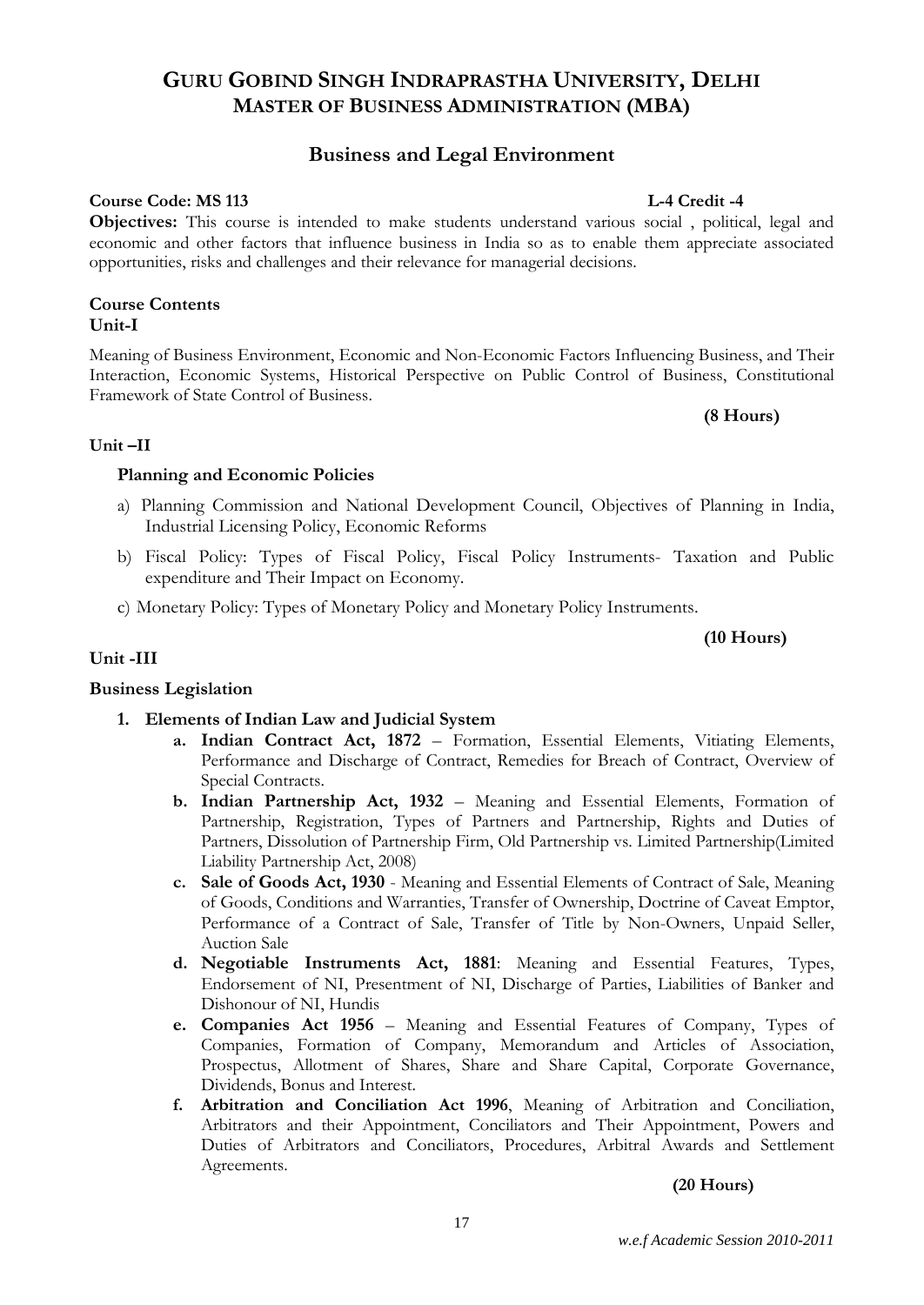### *w.e.f Academic Session 2010-2011*

## **GURU GOBIND SINGH INDRAPRASTHA UNIVERSITY, DELHI MASTER OF BUSINESS ADMINISTRATION (MBA)**

### **Business and Legal Environment**

### **Course Code: MS 113** L-4 Credit -4

**Objectives:** This course is intended to make students understand various social , political, legal and economic and other factors that influence business in India so as to enable them appreciate associated opportunities, risks and challenges and their relevance for managerial decisions.

### **Course Contents Unit-I**

Meaning of Business Environment, Economic and Non-Economic Factors Influencing Business, and Their Interaction, Economic Systems, Historical Perspective on Public Control of Business, Constitutional Framework of State Control of Business.

### **(8 Hours)**

### **Unit –II**

### **Planning and Economic Policies**

- a) Planning Commission and National Development Council, Objectives of Planning in India, Industrial Licensing Policy, Economic Reforms
- b) Fiscal Policy: Types of Fiscal Policy, Fiscal Policy Instruments- Taxation and Public expenditure and Their Impact on Economy.
- c) Monetary Policy: Types of Monetary Policy and Monetary Policy Instruments.

### **(10 Hours)**

### **Unit -III**

### **Business Legislation**

### **1. Elements of Indian Law and Judicial System**

- **a. Indian Contract Act, 1872** Formation, Essential Elements, Vitiating Elements, Performance and Discharge of Contract, Remedies for Breach of Contract, Overview of Special Contracts.
- **b. Indian Partnership Act, 1932**  Meaning and Essential Elements, Formation of Partnership, Registration, Types of Partners and Partnership, Rights and Duties of Partners, Dissolution of Partnership Firm, Old Partnership vs. Limited Partnership(Limited Liability Partnership Act, 2008)
- **c. Sale of Goods Act, 1930** Meaning and Essential Elements of Contract of Sale, Meaning of Goods, Conditions and Warranties, Transfer of Ownership, Doctrine of Caveat Emptor, Performance of a Contract of Sale, Transfer of Title by Non-Owners, Unpaid Seller, Auction Sale
- **d. Negotiable Instruments Act, 1881**: Meaning and Essential Features, Types, Endorsement of NI, Presentment of NI, Discharge of Parties, Liabilities of Banker and Dishonour of NI, Hundis
- **e. Companies Act 1956** Meaning and Essential Features of Company, Types of Companies, Formation of Company, Memorandum and Articles of Association, Prospectus, Allotment of Shares, Share and Share Capital, Corporate Governance, Dividends, Bonus and Interest.
- **f. Arbitration and Conciliation Act 1996**, Meaning of Arbitration and Conciliation, Arbitrators and their Appointment, Conciliators and Their Appointment, Powers and Duties of Arbitrators and Conciliators, Procedures, Arbitral Awards and Settlement Agreements.

### **(20 Hours)**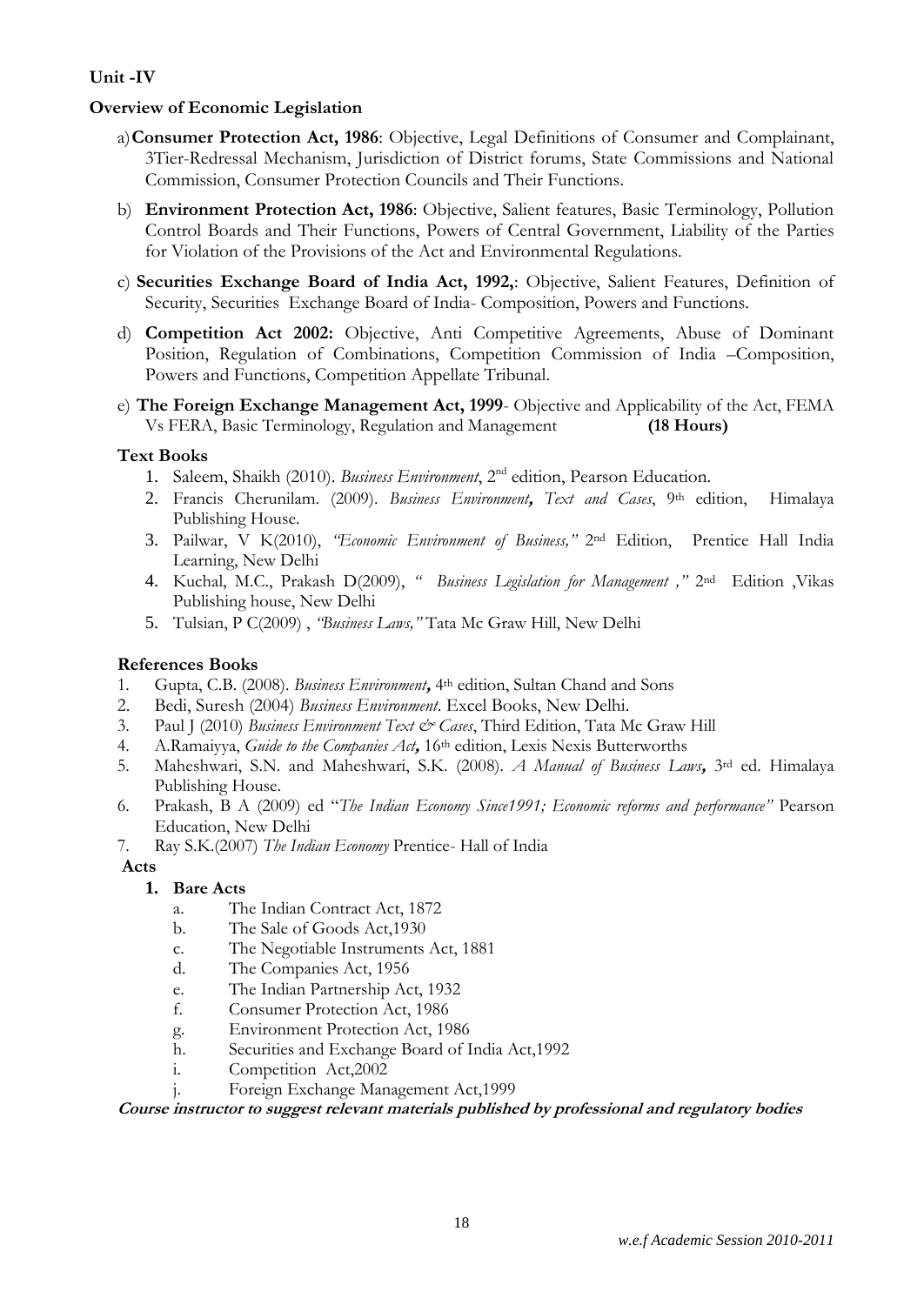## **Unit -IV**

## **Overview of Economic Legislation**

- a)**Consumer Protection Act, 1986**: Objective, Legal Definitions of Consumer and Complainant, 3Tier-Redressal Mechanism, Jurisdiction of District forums, State Commissions and National Commission, Consumer Protection Councils and Their Functions.
- b) **Environment Protection Act, 1986**: Objective, Salient features, Basic Terminology, Pollution Control Boards and Their Functions, Powers of Central Government, Liability of the Parties for Violation of the Provisions of the Act and Environmental Regulations.
- c) **Securities Exchange Board of India Act, 1992,**: Objective, Salient Features, Definition of Security, Securities Exchange Board of India- Composition, Powers and Functions.
- d) **Competition Act 2002:** Objective, Anti Competitive Agreements, Abuse of Dominant Position, Regulation of Combinations, Competition Commission of India –Composition, Powers and Functions, Competition Appellate Tribunal.
- e) **The Foreign Exchange Management Act, 1999** Objective and Applicability of the Act, FEMA Vs FERA, Basic Terminology, Regulation and Management **(18 Hours)**

### **Text Books**

- 1. Saleem, Shaikh (2010). *Business Environment*, 2nd edition, Pearson Education.
- 2. Francis Cherunilam. (2009). *Business Environment***,** *Text and Cases*, 9th edition, Himalaya Publishing House.
- 3. Pailwar, V K(2010), *"Economic Environment of Business,"* 2nd Edition, Prentice Hall India Learning, New Delhi
- 4. Kuchal, M.C., Prakash D(2009), *" Business Legislation for Management ,"* 2nd Edition ,Vikas Publishing house, New Delhi
- 5. Tulsian, P C(2009) , *"Business Laws,"* Tata Mc Graw Hill, New Delhi

### **References Books**

- 1. Gupta, C.B. (2008). *Business Environment***,** 4th edition, Sultan Chand and Sons
- 2. Bedi, Suresh (2004) *Business Environment*. Excel Books, New Delhi.
- 3. Paul J (2010) *Business Environment Text & Cases*, Third Edition, Tata Mc Graw Hill
- 4. A.Ramaiyya, *Guide to the Companies Act***,** 16th edition, Lexis Nexis Butterworths
- 5. Maheshwari, S.N. and Maheshwari, S.K. (2008). *A Manual of Business Laws***,** 3rd ed. Himalaya Publishing House.
- 6. Prakash, B A (2009) ed "*The Indian Economy Since1991; Economic reforms and performance"* Pearson Education, New Delhi
- 7. Ray S.K.(2007) *The Indian Economy* Prentice- Hall of India

**Acts**

### **1. Bare Acts**

- a. The Indian Contract Act, 1872
- b. The Sale of Goods Act,1930
- c. The Negotiable Instruments Act, 1881
- d. The Companies Act, 1956
- e. The Indian Partnership Act, 1932
- f. Consumer Protection Act, 1986
- g. Environment Protection Act, 1986
- h. Securities and Exchange Board of India Act,1992
- i. Competition Act,2002
- j. Foreign Exchange Management Act,1999

**Course instructor to suggest relevant materials published by professional and regulatory bodies**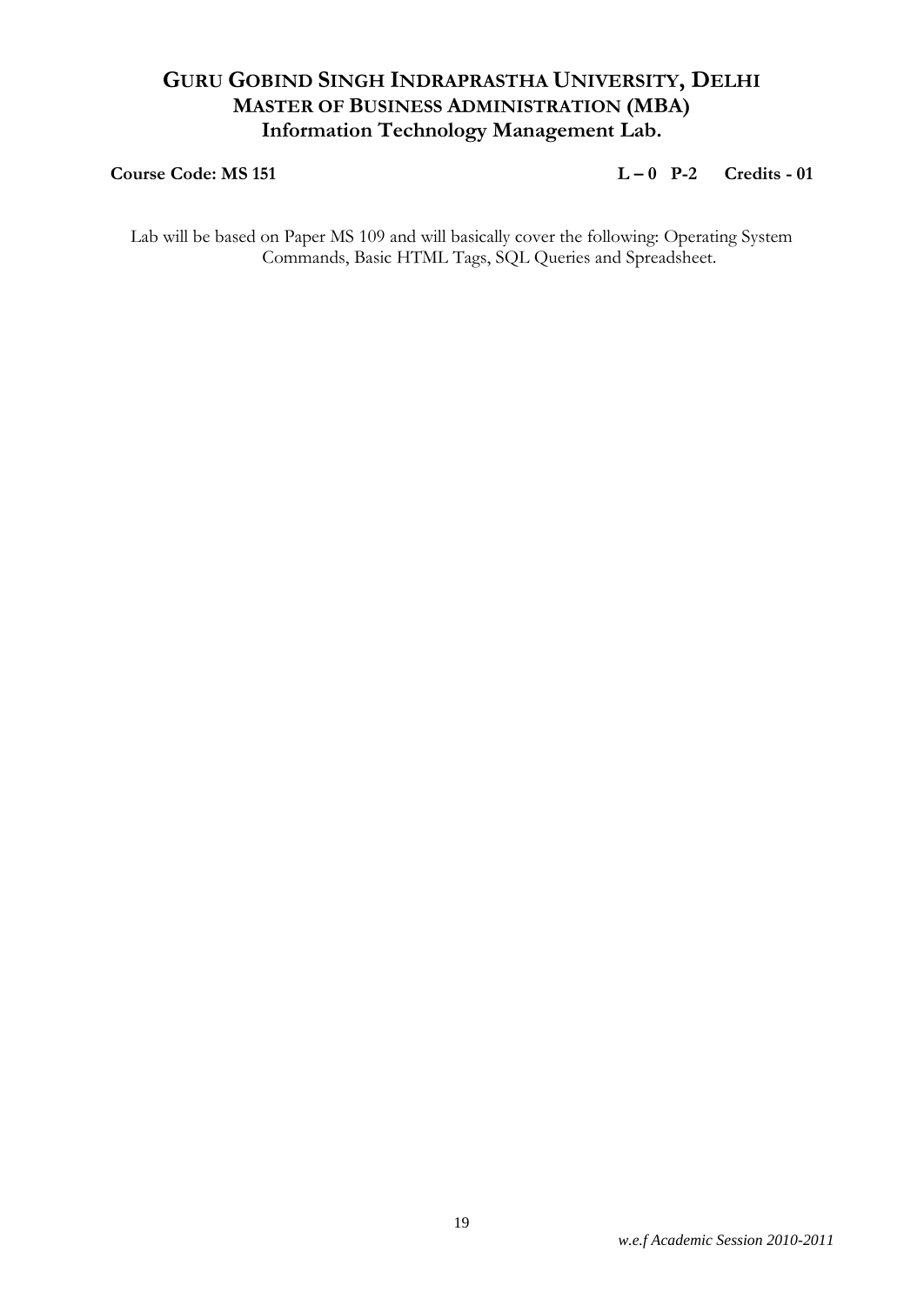## **GURU GOBIND SINGH INDRAPRASTHA UNIVERSITY, DELHI MASTER OF BUSINESS ADMINISTRATION (MBA) Information Technology Management Lab.**

### **Course Code: MS 151 L – 0 P-2 Credits - 01**

Lab will be based on Paper MS 109 and will basically cover the following: Operating System Commands, Basic HTML Tags, SQL Queries and Spreadsheet.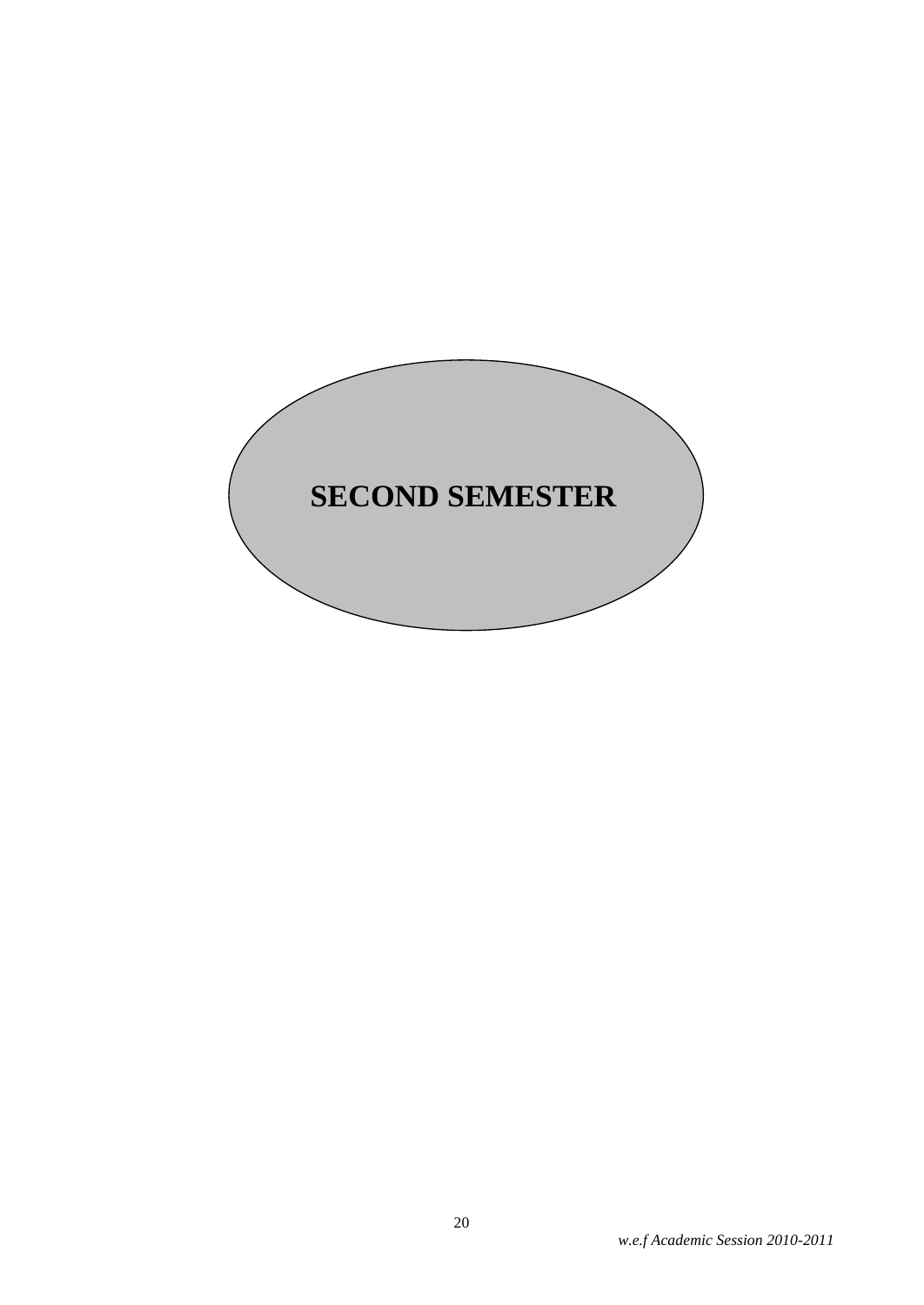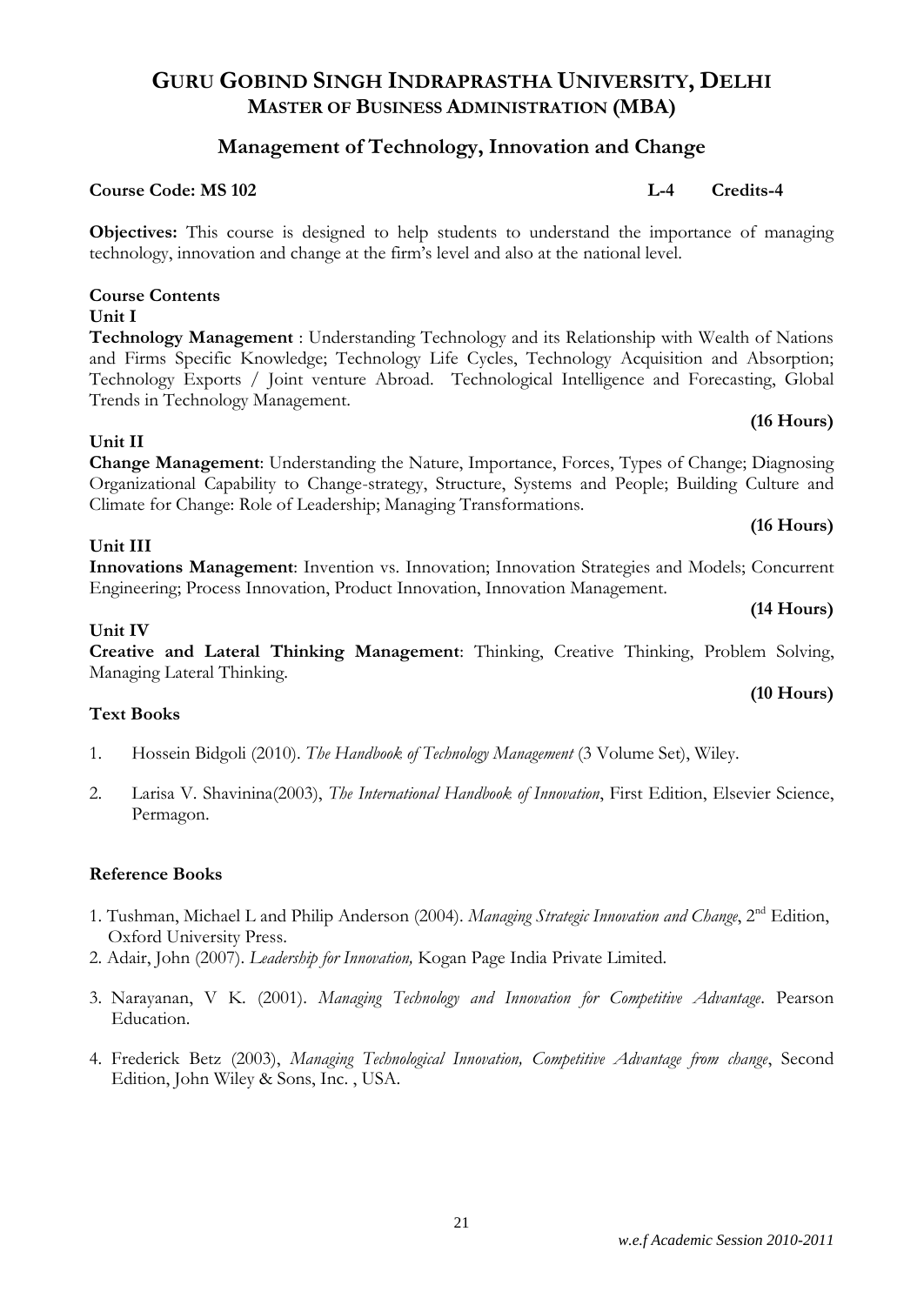## **Management of Technology, Innovation and Change**

### **Course Code: MS 102 L-4 Credits-4**

**Objectives:** This course is designed to help students to understand the importance of managing technology, innovation and change at the firm's level and also at the national level.

### **Course Contents Unit I**

**Technology Management** : Understanding Technology and its Relationship with Wealth of Nations and Firms Specific Knowledge; Technology Life Cycles, Technology Acquisition and Absorption; Technology Exports / Joint venture Abroad. Technological Intelligence and Forecasting, Global Trends in Technology Management.

### **Unit II**

**Change Management**: Understanding the Nature, Importance, Forces, Types of Change; Diagnosing Organizational Capability to Change-strategy, Structure, Systems and People; Building Culture and Climate for Change: Role of Leadership; Managing Transformations.

### **Unit III**

**Innovations Management**: Invention vs. Innovation; Innovation Strategies and Models; Concurrent Engineering; Process Innovation, Product Innovation, Innovation Management.

### **Unit IV**

**Creative and Lateral Thinking Management**: Thinking, Creative Thinking, Problem Solving, Managing Lateral Thinking.

### **Text Books**

- 1. Hossein Bidgoli (2010). *The Handbook of Technology Management* (3 Volume Set), Wiley.
- 2. Larisa V. Shavinina(2003), *The International Handbook of Innovation*, First Edition, Elsevier Science, Permagon.

### **Reference Books**

- 1. Tushman, Michael L and Philip Anderson (2004). *Managing Strategic Innovation and Change*, 2nd Edition, Oxford University Press.
- 2. Adair, John (2007). *Leadership for Innovation,* Kogan Page India Private Limited.
- 3. Narayanan, V K. (2001). *Managing Technology and Innovation for Competitive Advantage*. Pearson Education.
- 4. Frederick Betz (2003), *Managing Technological Innovation, Competitive Advantage from change*, Second Edition, John Wiley & Sons, Inc. , USA.

21

## **(10 Hours)**

**(16 Hours)**

**(16 Hours)**

**(14 Hours)**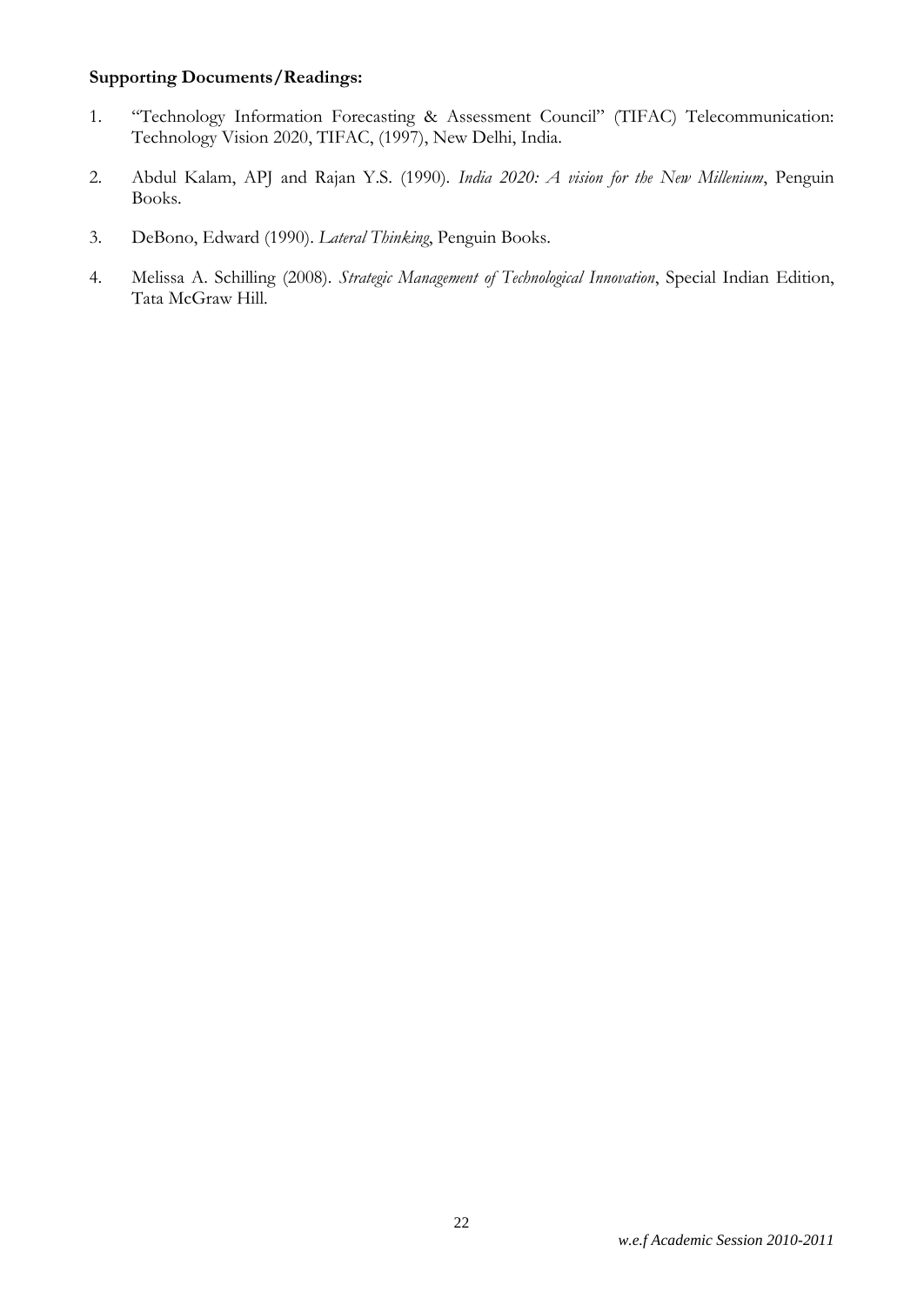## **Supporting Documents/Readings:**

- 1. "Technology Information Forecasting & Assessment Council" (TIFAC) Telecommunication: Technology Vision 2020, TIFAC, (1997), New Delhi, India.
- 2. Abdul Kalam, APJ and Rajan Y.S. (1990). *India 2020: A vision for the New Millenium*, Penguin Books.
- 3. DeBono, Edward (1990). *Lateral Thinking*, Penguin Books.
- 4. Melissa A. Schilling (2008). *Strategic Management of Technological Innovation*, Special Indian Edition, Tata McGraw Hill.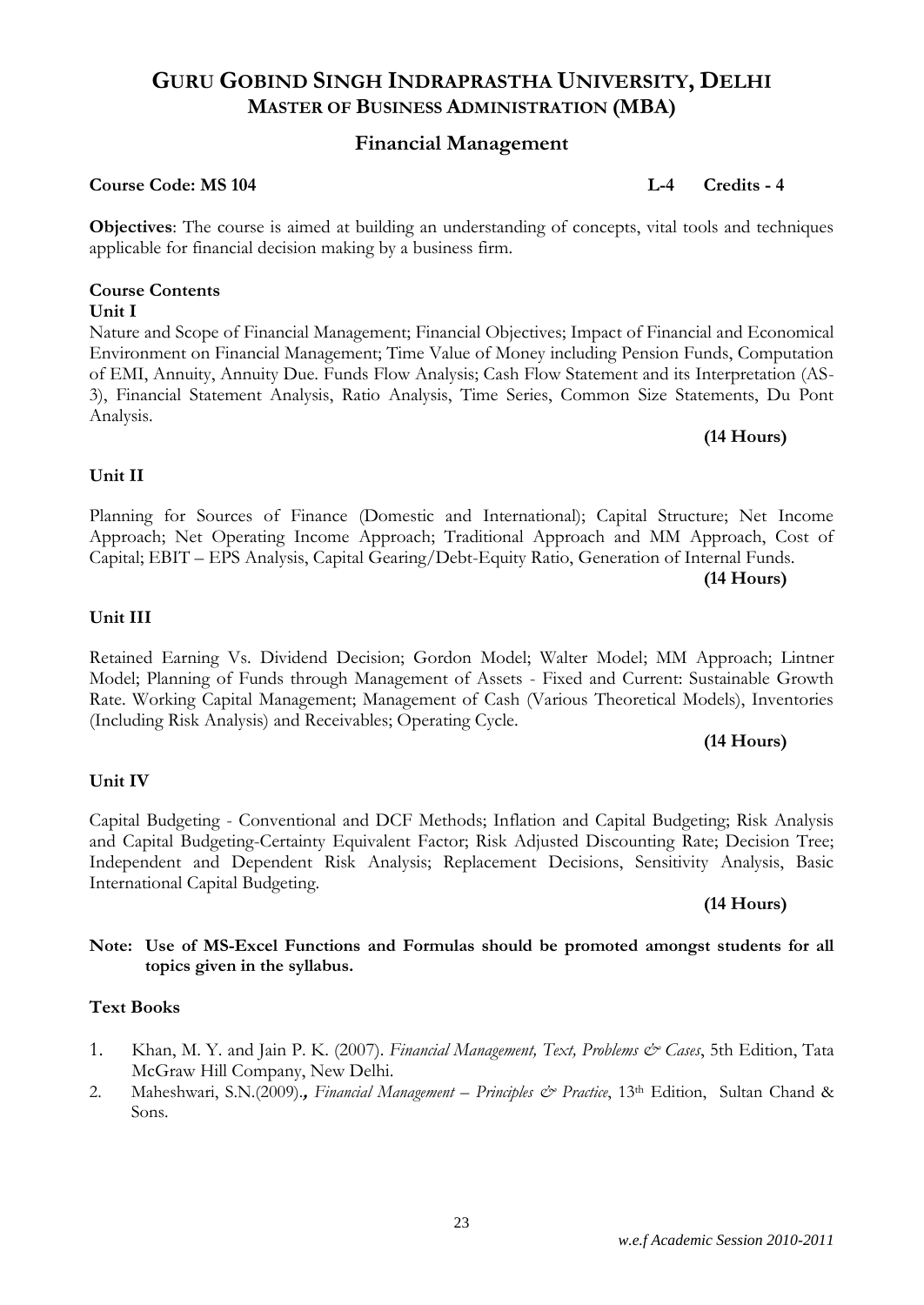### **Financial Management**

### **Course Code: MS 104 L-4 Credits - 4**

**Objectives**: The course is aimed at building an understanding of concepts, vital tools and techniques applicable for financial decision making by a business firm.

### **Course Contents Unit I**

Nature and Scope of Financial Management; Financial Objectives; Impact of Financial and Economical Environment on Financial Management; Time Value of Money including Pension Funds, Computation of EMI, Annuity, Annuity Due. Funds Flow Analysis; Cash Flow Statement and its Interpretation (AS-3), Financial Statement Analysis, Ratio Analysis, Time Series, Common Size Statements, Du Pont Analysis.

Planning for Sources of Finance (Domestic and International); Capital Structure; Net Income Approach; Net Operating Income Approach; Traditional Approach and MM Approach, Cost of Capital; EBIT – EPS Analysis, Capital Gearing/Debt-Equity Ratio, Generation of Internal Funds.

### **Unit II**

### **Unit III**

### Retained Earning Vs. Dividend Decision; Gordon Model; Walter Model; MM Approach; Lintner Model; Planning of Funds through Management of Assets - Fixed and Current: Sustainable Growth Rate. Working Capital Management; Management of Cash (Various Theoretical Models), Inventories (Including Risk Analysis) and Receivables; Operating Cycle.

### **(14 Hours)**

### **Unit IV**

### Capital Budgeting - Conventional and DCF Methods; Inflation and Capital Budgeting; Risk Analysis and Capital Budgeting-Certainty Equivalent Factor; Risk Adjusted Discounting Rate; Decision Tree; Independent and Dependent Risk Analysis; Replacement Decisions, Sensitivity Analysis, Basic International Capital Budgeting.

### **(14 Hours)**

### **Note: Use of MS-Excel Functions and Formulas should be promoted amongst students for all topics given in the syllabus.**

### **Text Books**

- 1. Khan, M. Y. and Jain P. K. (2007). *Financial Management, Text, Problems & Cases*, 5th Edition, Tata McGraw Hill Company, New Delhi.
- 2. Maheshwari, S.N.(2009).**,** *Financial Management – Principles & Practice*, 13th Edition, Sultan Chand & Sons.

### 23

# **(14 Hours)**

**(14 Hours)**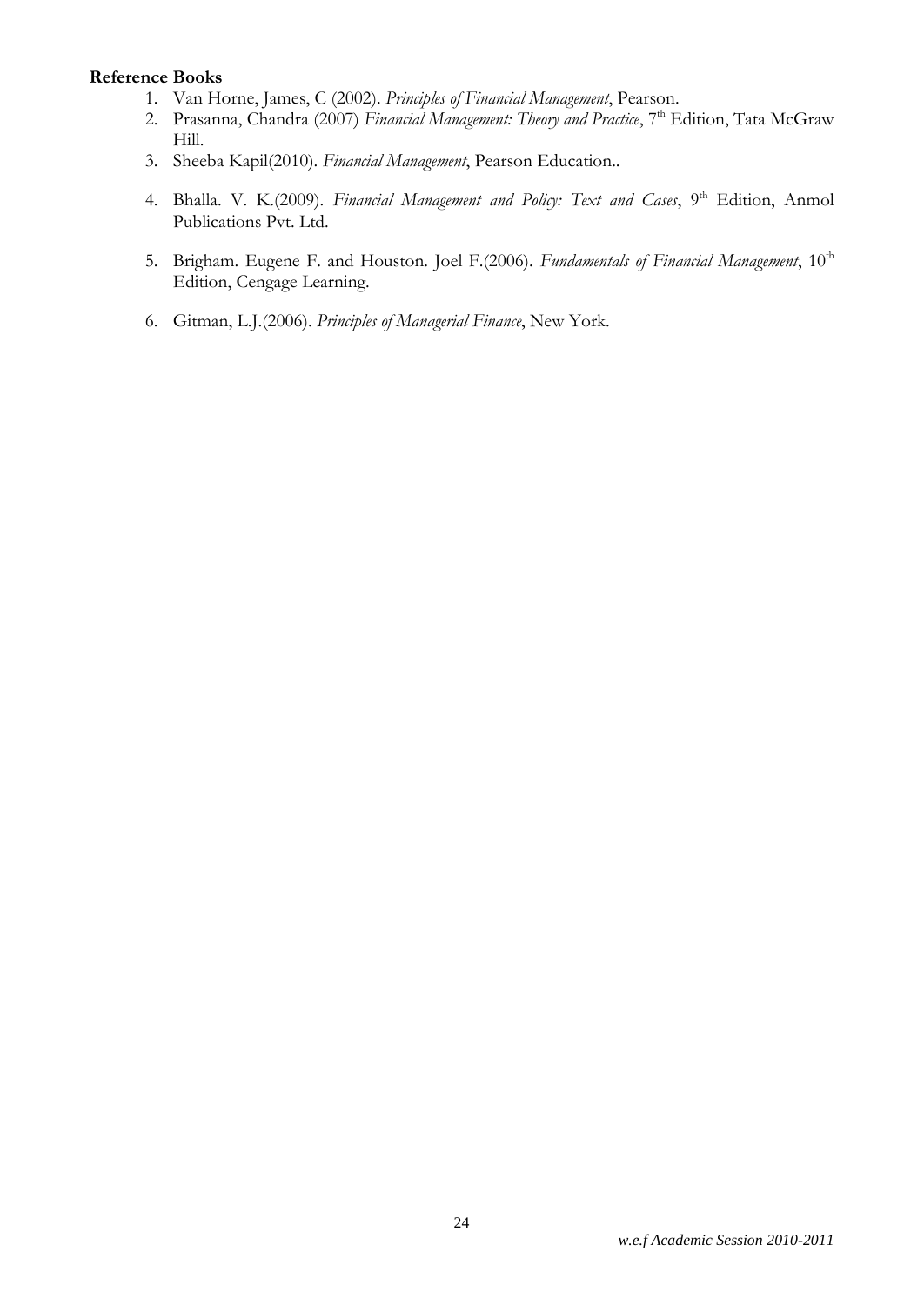### **Reference Books**

- 1. Van Horne, James, C (2002). *Principles of Financial Management*, Pearson.
- 2. Prasanna, Chandra (2007) Financial Management: Theory and Practice, 7<sup>th</sup> Edition, Tata McGraw Hill.
- 3. Sheeba Kapil(2010). *Financial Management*, Pearson Education..
- 4. Bhalla. V. K.(2009). *Financial Management and Policy: Text and Cases*, 9<sup>th</sup> Edition, Anmol Publications Pvt. Ltd.
- 5. Brigham. Eugene F. and Houston. Joel F.(2006). *Fundamentals of Financial Management*, 10<sup>th</sup> Edition, Cengage Learning.
- 6. Gitman, L.J.(2006). *Principles of Managerial Finance*, New York.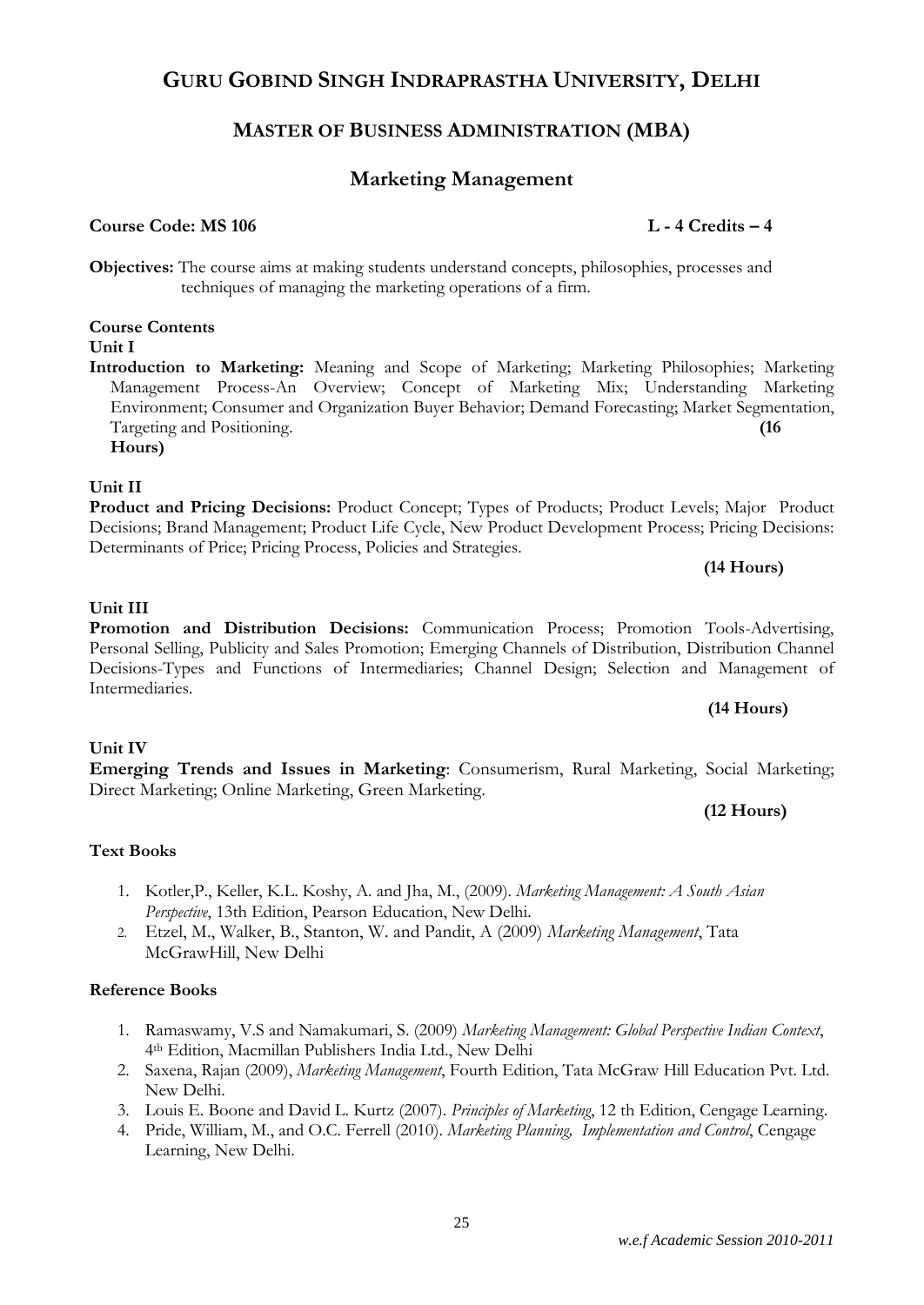## **MASTER OF BUSINESS ADMINISTRATION (MBA)**

## **Marketing Management**

### **Course Code: MS 106 L - 4 Credits – 4**

**Objectives:** The course aims at making students understand concepts, philosophies, processes and techniques of managing the marketing operations of a firm.

## **Course Contents**

**Unit I**

**Introduction to Marketing:** Meaning and Scope of Marketing; Marketing Philosophies; Marketing Management Process-An Overview; Concept of Marketing Mix; Understanding Marketing Environment; Consumer and Organization Buyer Behavior; Demand Forecasting; Market Segmentation, Targeting and Positioning. **(16** 

**Hours)**

### **Unit II**

**Product and Pricing Decisions:** Product Concept; Types of Products; Product Levels; Major Product Decisions; Brand Management; Product Life Cycle, New Product Development Process; Pricing Decisions: Determinants of Price; Pricing Process, Policies and Strategies.

**(14 Hours)**

### **Unit III**

**Promotion and Distribution Decisions:** Communication Process; Promotion Tools-Advertising, Personal Selling, Publicity and Sales Promotion; Emerging Channels of Distribution, Distribution Channel Decisions-Types and Functions of Intermediaries; Channel Design; Selection and Management of Intermediaries.

### **(14 Hours)**

## **Unit IV**

**Emerging Trends and Issues in Marketing**: Consumerism, Rural Marketing, Social Marketing; Direct Marketing; Online Marketing, Green Marketing.

## **(12 Hours)**

## **Text Books**

- 1. Kotler,P., Keller, K.L. Koshy, A. and Jha, M., (2009). *Marketing Management: A South Asian Perspective*, 13th Edition, Pearson Education, New Delhi.
- 2. Etzel, M., Walker, B., Stanton, W. and Pandit, A (2009) *Marketing Management*, Tata McGrawHill, New Delhi

## **Reference Books**

- 1. Ramaswamy, V.S and Namakumari, S. (2009) *Marketing Management: Global Perspective Indian Context*, 4th Edition, Macmillan Publishers India Ltd., New Delhi
- 2. Saxena, Rajan (2009), *Marketing Management*, Fourth Edition, Tata McGraw Hill Education Pvt. Ltd. New Delhi.
- 3. Louis E. Boone and David L. Kurtz (2007). *Principles of Marketing*, 12 th Edition, Cengage Learning.
- 4. Pride, William, M., and O.C. Ferrell (2010). *Marketing Planning, Implementation and Control*, Cengage Learning, New Delhi.

25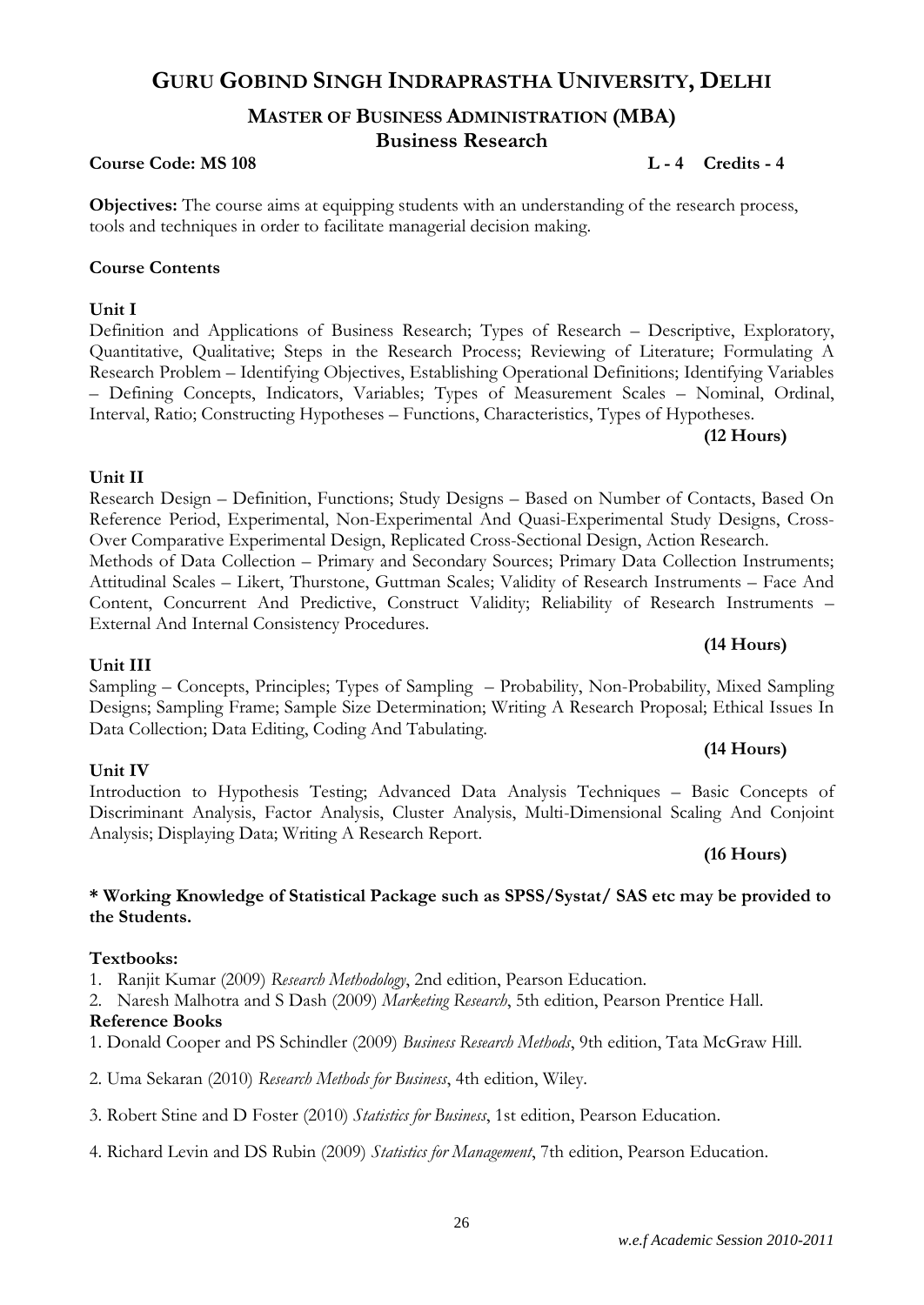### *w.e.f Academic Session 2010-2011*

## **GURU GOBIND SINGH INDRAPRASTHA UNIVERSITY, DELHI**

## **MASTER OF BUSINESS ADMINISTRATION (MBA) Business Research**

### **Course Code: MS 108 L** -4 **Credits -4 L**

**Objectives:** The course aims at equipping students with an understanding of the research process, tools and techniques in order to facilitate managerial decision making.

### **Course Contents**

**Unit I**

Definition and Applications of Business Research; Types of Research – Descriptive, Exploratory, Quantitative, Qualitative; Steps in the Research Process; Reviewing of Literature; Formulating A Research Problem – Identifying Objectives, Establishing Operational Definitions; Identifying Variables – Defining Concepts, Indicators, Variables; Types of Measurement Scales – Nominal, Ordinal, Interval, Ratio; Constructing Hypotheses – Functions, Characteristics, Types of Hypotheses.

### **(12 Hours)**

### **Unit II**

Research Design – Definition, Functions; Study Designs – Based on Number of Contacts, Based On Reference Period, Experimental, Non-Experimental And Quasi-Experimental Study Designs, Cross-Over Comparative Experimental Design, Replicated Cross-Sectional Design, Action Research. Methods of Data Collection – Primary and Secondary Sources; Primary Data Collection Instruments; Attitudinal Scales – Likert, Thurstone, Guttman Scales; Validity of Research Instruments – Face And Content, Concurrent And Predictive, Construct Validity; Reliability of Research Instruments – External And Internal Consistency Procedures.

### **Unit III**

Sampling – Concepts, Principles; Types of Sampling – Probability, Non-Probability, Mixed Sampling Designs; Sampling Frame; Sample Size Determination; Writing A Research Proposal; Ethical Issues In Data Collection; Data Editing, Coding And Tabulating.

### **Unit IV**

### Introduction to Hypothesis Testing; Advanced Data Analysis Techniques – Basic Concepts of Discriminant Analysis, Factor Analysis, Cluster Analysis, Multi-Dimensional Scaling And Conjoint Analysis; Displaying Data; Writing A Research Report.

### **(16 Hours)**

**(14 Hours)**

**(14 Hours)**

### **\* Working Knowledge of Statistical Package such as SPSS/Systat/ SAS etc may be provided to the Students.**

### **Textbooks:**

1. Ranjit Kumar (2009) *Research Methodology*, 2nd edition, Pearson Education.

2. Naresh Malhotra and S Dash (2009) *Marketing Research*, 5th edition, Pearson Prentice Hall.

### **Reference Books**

- 1. Donald Cooper and PS Schindler (2009) *Business Research Methods*, 9th edition, Tata McGraw Hill.
- 2. Uma Sekaran (2010) *Research Methods for Business*, 4th edition, Wiley.
- 3. Robert Stine and D Foster (2010) *Statistics for Business*, 1st edition, Pearson Education.
- 4. Richard Levin and DS Rubin (2009) *Statistics for Management*, 7th edition, Pearson Education.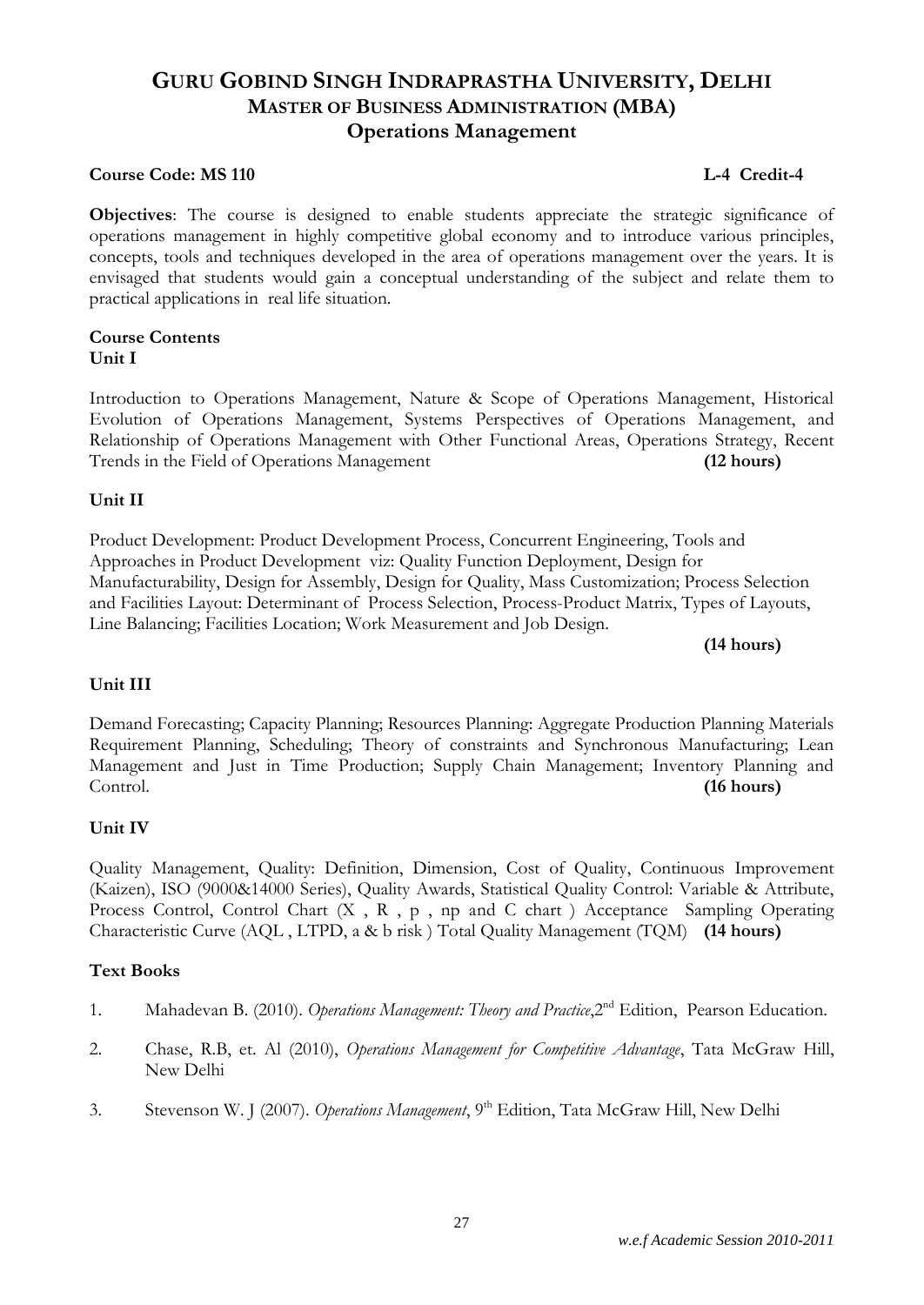## **GURU GOBIND SINGH INDRAPRASTHA UNIVERSITY, DELHI MASTER OF BUSINESS ADMINISTRATION (MBA) Operations Management**

### **Course Code: MS 110** Let us a set of the control of the control of the control of the control of the control of the control of the control of the control of the control of the control of the control of the control of the

**Objectives**: The course is designed to enable students appreciate the strategic significance of operations management in highly competitive global economy and to introduce various principles, concepts, tools and techniques developed in the area of operations management over the years. It is envisaged that students would gain a conceptual understanding of the subject and relate them to practical applications in real life situation.

### **Course Contents Unit I**

Introduction to Operations Management, Nature & Scope of Operations Management, Historical Evolution of Operations Management, Systems Perspectives of Operations Management, and Relationship of Operations Management with Other Functional Areas, Operations Strategy, Recent Trends in the Field of Operations Management **(12 hours)**

### **Unit II**

Product Development: Product Development Process, Concurrent Engineering, Tools and Approaches in Product Development viz: Quality Function Deployment, Design for Manufacturability, Design for Assembly, Design for Quality, Mass Customization; Process Selection and Facilities Layout: Determinant of Process Selection, Process-Product Matrix, Types of Layouts, Line Balancing; Facilities Location; Work Measurement and Job Design.

**(14 hours)**

### **Unit III**

Demand Forecasting; Capacity Planning; Resources Planning: Aggregate Production Planning Materials Requirement Planning, Scheduling; Theory of constraints and Synchronous Manufacturing; Lean Management and Just in Time Production; Supply Chain Management; Inventory Planning and Control. **(16 hours)**

### **Unit IV**

Quality Management, Quality: Definition, Dimension, Cost of Quality, Continuous Improvement (Kaizen), ISO (9000&14000 Series), Quality Awards, Statistical Quality Control: Variable & Attribute, Process Control, Control Chart (X, R, p, np and C chart) Acceptance Sampling Operating Characteristic Curve (AQL , LTPD, a & b risk ) Total Quality Management (TQM) **(14 hours)**

### **Text Books**

- 1. Mahadevan B. (2010). *Operations Management: Theory and Practice*,2nd Edition, Pearson Education.
- 2. Chase, R.B, et. Al (2010), *Operations Management for Competitive Advantage*, Tata McGraw Hill, New Delhi
- 3. Stevenson W. J (2007). *Operations Management*, 9th Edition, Tata McGraw Hill, New Delhi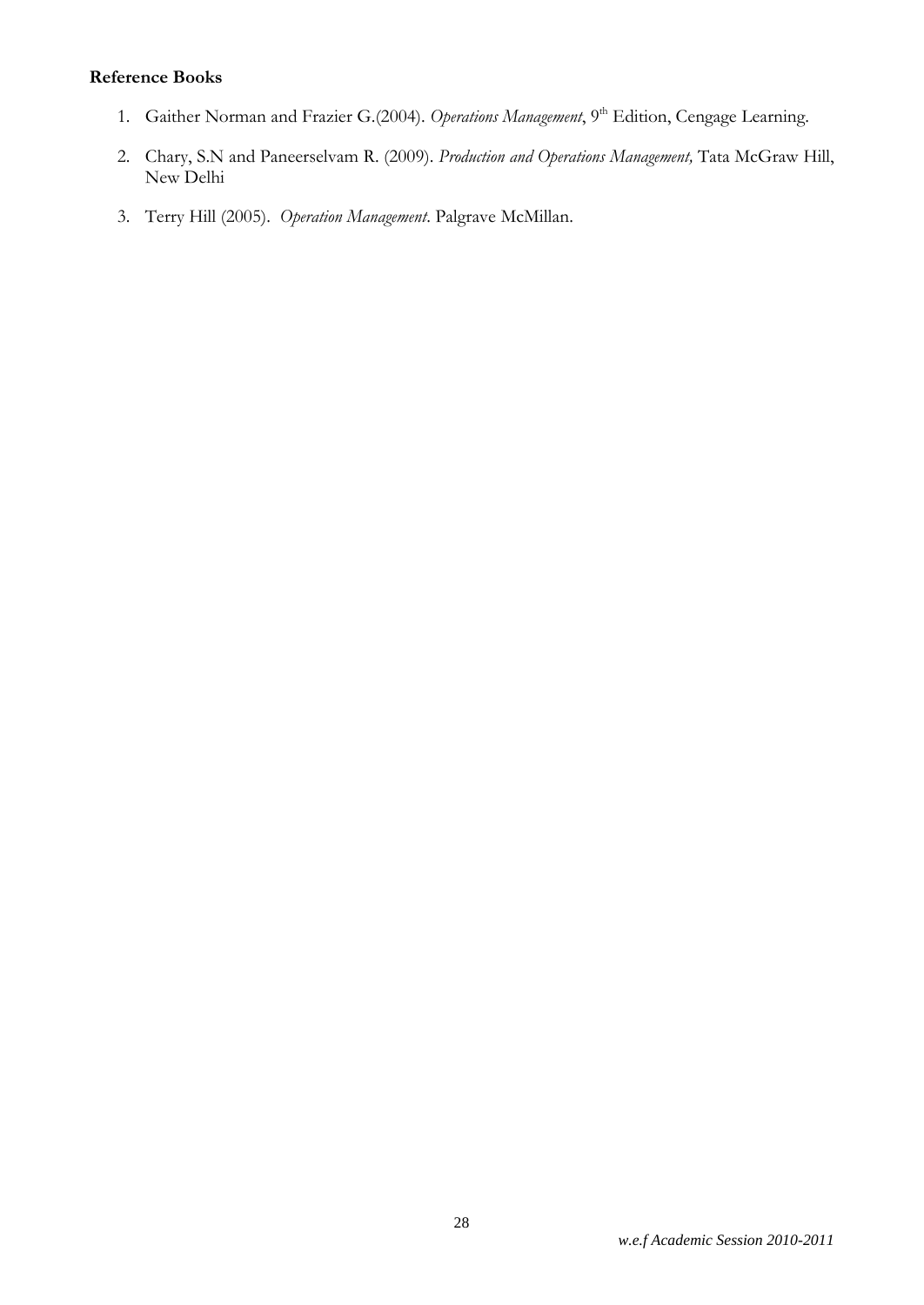### **Reference Books**

- 1. Gaither Norman and Frazier G.(2004). *Operations Management*, 9<sup>th</sup> Edition, Cengage Learning.
- 2. Chary, S.N and Paneerselvam R. (2009). *Production and Operations Management,* Tata McGraw Hill, New Delhi
- 3. Terry Hill (2005). *Operation Management*. Palgrave McMillan.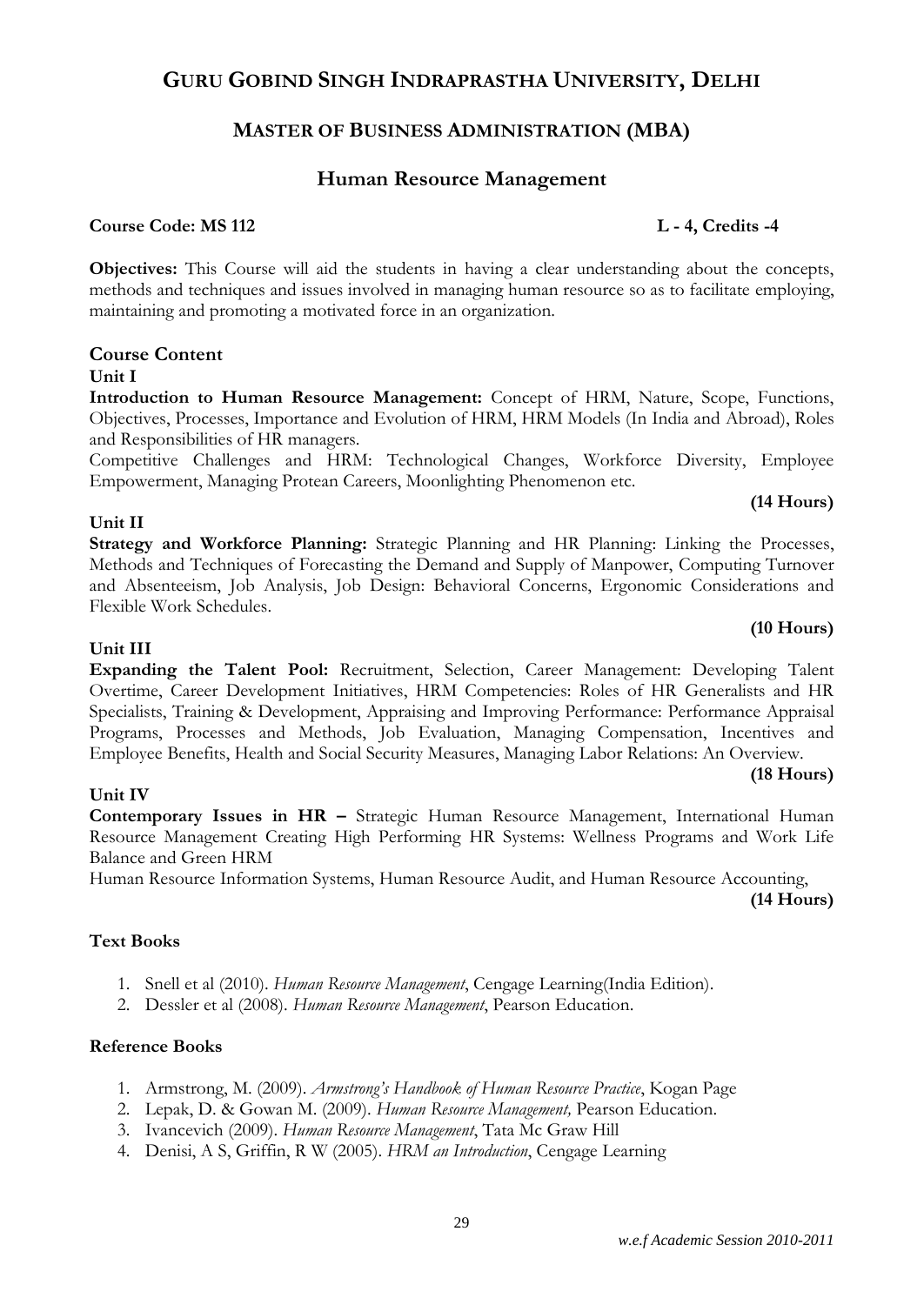## **GURU GOBIND SINGH INDRAPRASTHA UNIVERSITY, DELHI**

## **MASTER OF BUSINESS ADMINISTRATION (MBA)**

## **Human Resource Management**

### **Course Code: MS 112 L - 4, Credits -4**

**Objectives:** This Course will aid the students in having a clear understanding about the concepts, methods and techniques and issues involved in managing human resource so as to facilitate employing, maintaining and promoting a motivated force in an organization.

### **Course Content**

### **Unit I**

**Introduction to Human Resource Management:** Concept of HRM, Nature, Scope, Functions, Objectives, Processes, Importance and Evolution of HRM, HRM Models (In India and Abroad), Roles and Responsibilities of HR managers.

Competitive Challenges and HRM: Technological Changes, Workforce Diversity, Employee Empowerment, Managing Protean Careers, Moonlighting Phenomenon etc.

### **(14 Hours)**

**(10 Hours)**

### **Unit II**

**Strategy and Workforce Planning:** Strategic Planning and HR Planning: Linking the Processes, Methods and Techniques of Forecasting the Demand and Supply of Manpower, Computing Turnover and Absenteeism, Job Analysis, Job Design: Behavioral Concerns, Ergonomic Considerations and Flexible Work Schedules.

### **Unit III**

**Expanding the Talent Pool:** Recruitment, Selection, Career Management: Developing Talent Overtime, Career Development Initiatives, HRM Competencies: Roles of HR Generalists and HR Specialists, Training & Development, Appraising and Improving Performance: Performance Appraisal Programs, Processes and Methods, Job Evaluation, Managing Compensation, Incentives and Employee Benefits, Health and Social Security Measures, Managing Labor Relations: An Overview.

### **(18 Hours)**

### **Unit IV**

**Contemporary Issues in HR –** Strategic Human Resource Management, International Human Resource Management Creating High Performing HR Systems: Wellness Programs and Work Life Balance and Green HRM

Human Resource Information Systems, Human Resource Audit, and Human Resource Accounting,

**(14 Hours)**

### **Text Books**

- 1. Snell et al (2010). *Human Resource Management*, Cengage Learning(India Edition).
- 2. Dessler et al (2008). *Human Resource Management*, Pearson Education.

### **Reference Books**

- 1. Armstrong, M. (2009). *Armstrong's Handbook of Human Resource Practice*, Kogan Page
- 2. Lepak, D. & Gowan M. (2009). *Human Resource Management,* Pearson Education.
- 3. Ivancevich (2009). *Human Resource Management*, Tata Mc Graw Hill
- 4. Denisi, A S, Griffin, R W (2005). *HRM an Introduction*, Cengage Learning

29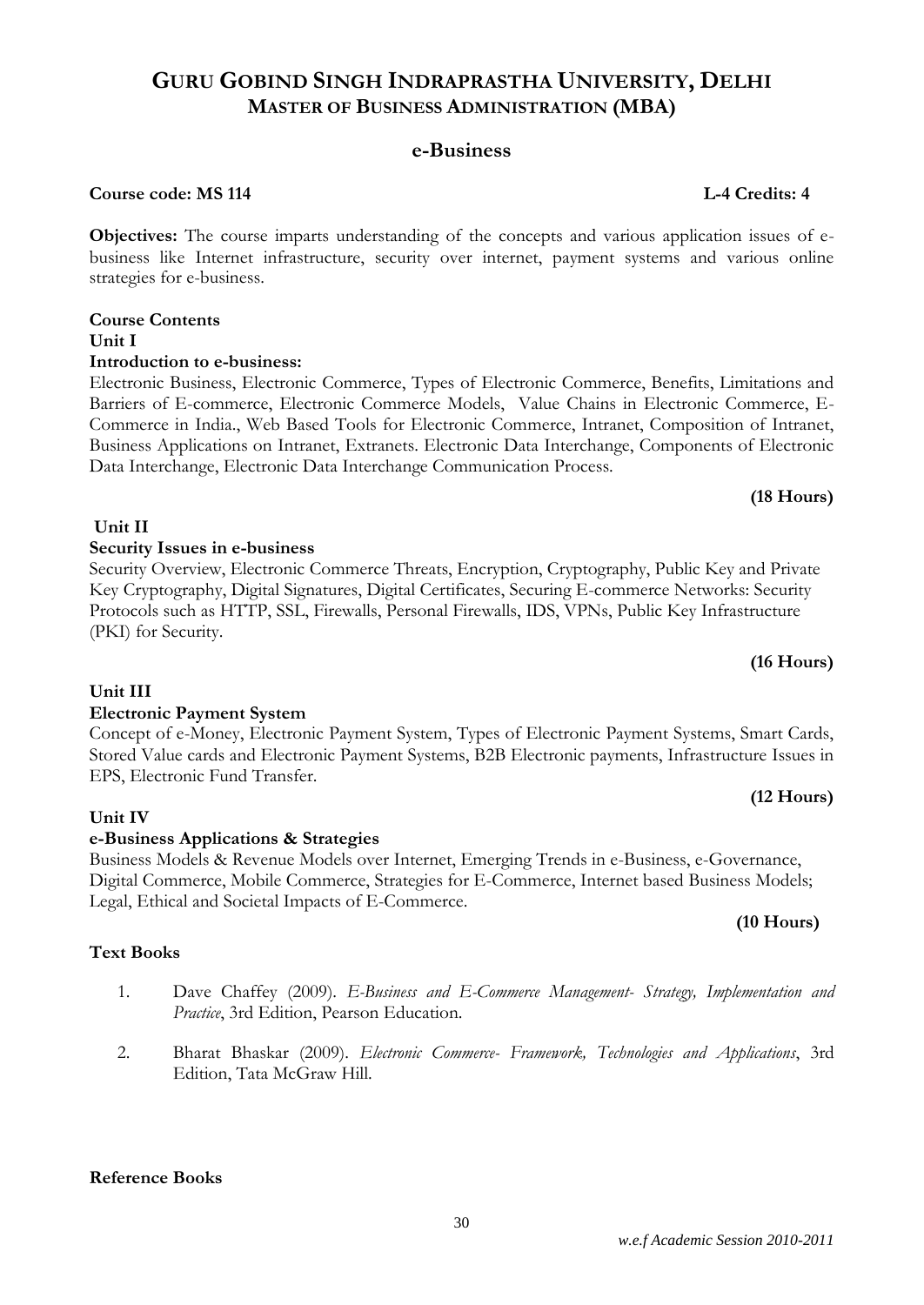## **e-Business**

### **Course code: MS 114 L-4 Credits: 4**

**Objectives:** The course imparts understanding of the concepts and various application issues of ebusiness like Internet infrastructure, security over internet, payment systems and various online strategies for e-business.

## **Course Contents Unit I**

### **Introduction to e-business:**

Electronic Business, Electronic Commerce, Types of Electronic Commerce, Benefits, Limitations and Barriers of E-commerce, Electronic Commerce Models, Value Chains in Electronic Commerce, E-Commerce in India., Web Based Tools for Electronic Commerce, Intranet, Composition of Intranet, Business Applications on Intranet, Extranets. Electronic Data Interchange, Components of Electronic Data Interchange, Electronic Data Interchange Communication Process.

Security Overview, Electronic Commerce Threats, Encryption, Cryptography, Public Key and Private Key Cryptography, Digital Signatures, Digital Certificates, Securing E-commerce Networks: Security Protocols such as HTTP, SSL, Firewalls, Personal Firewalls, IDS, VPNs, Public Key Infrastructure

### **(18 Hours)**

## **(16 Hours)**

## **Unit III**

(PKI) for Security.

**Unit II**

## **Electronic Payment System**

**Security Issues in e-business**

### Concept of e-Money, Electronic Payment System, Types of Electronic Payment Systems, Smart Cards, Stored Value cards and Electronic Payment Systems, B2B Electronic payments, Infrastructure Issues in EPS, Electronic Fund Transfer. **(12 Hours)**

## **Unit IV**

## **e-Business Applications & Strategies**

Business Models & Revenue Models over Internet, Emerging Trends in e-Business, e-Governance, Digital Commerce, Mobile Commerce, Strategies for E-Commerce, Internet based Business Models; Legal, Ethical and Societal Impacts of E-Commerce.

## **Text Books**

- 1. Dave Chaffey (2009). *E-Business and E-Commerce Management- Strategy, Implementation and Practice*, 3rd Edition, Pearson Education.
- 2. Bharat Bhaskar (2009). *Electronic Commerce- Framework, Technologies and Applications*, 3rd Edition, Tata McGraw Hill.

## **Reference Books**

### **(10 Hours)**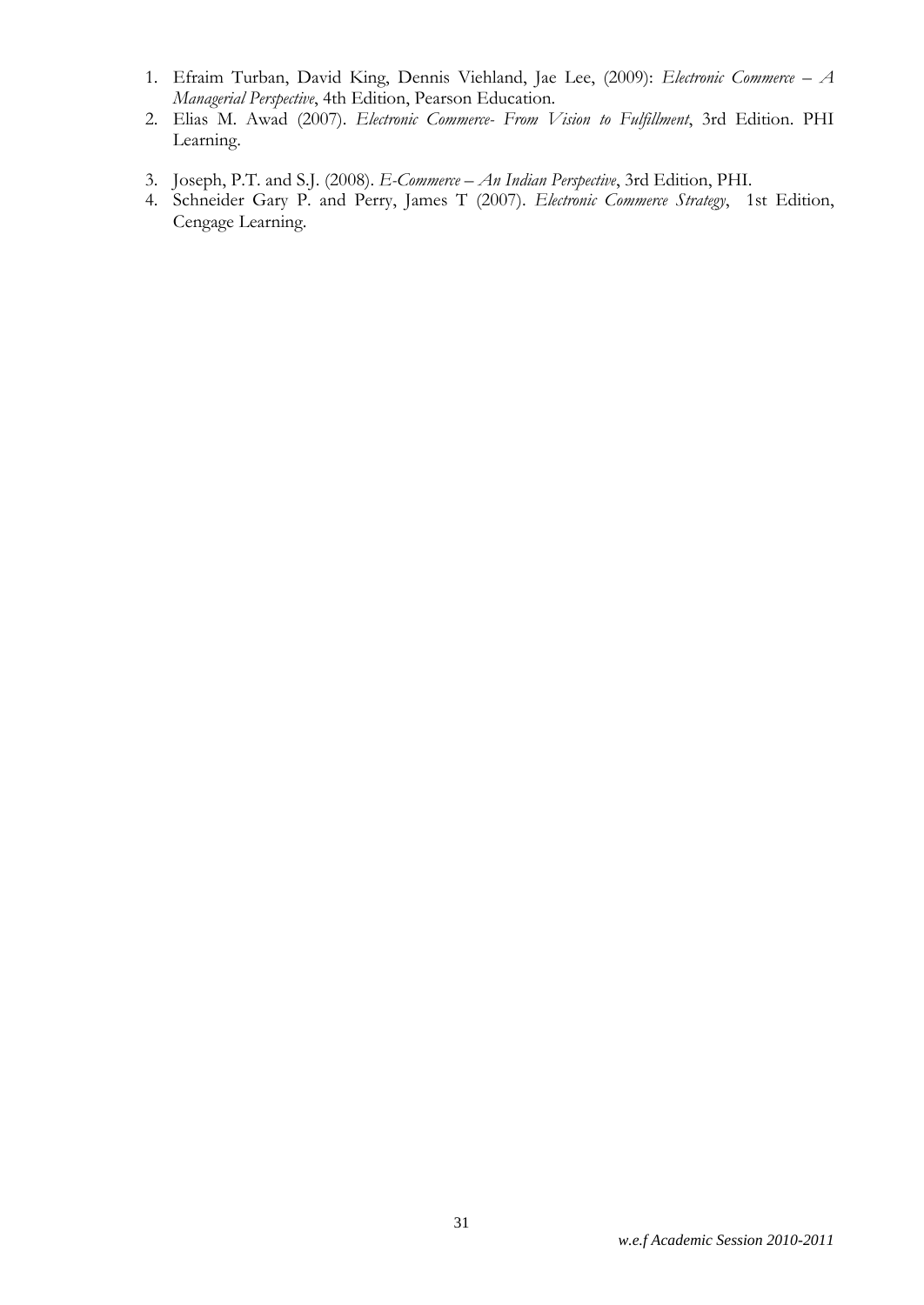- 1. Efraim Turban, David King, Dennis Viehland, Jae Lee, (2009): *Electronic Commerce – A Managerial Perspective*, 4th Edition, Pearson Education.
- 2. Elias M. Awad (2007). *Electronic Commerce- From Vision to Fulfillment*, 3rd Edition. PHI Learning.
- 3. Joseph, P.T. and S.J. (2008). *E-Commerce – An Indian Perspective*, 3rd Edition, PHI.
- 4. Schneider Gary P. and Perry, James T (2007). *Electronic Commerce Strategy*, 1st Edition, Cengage Learning.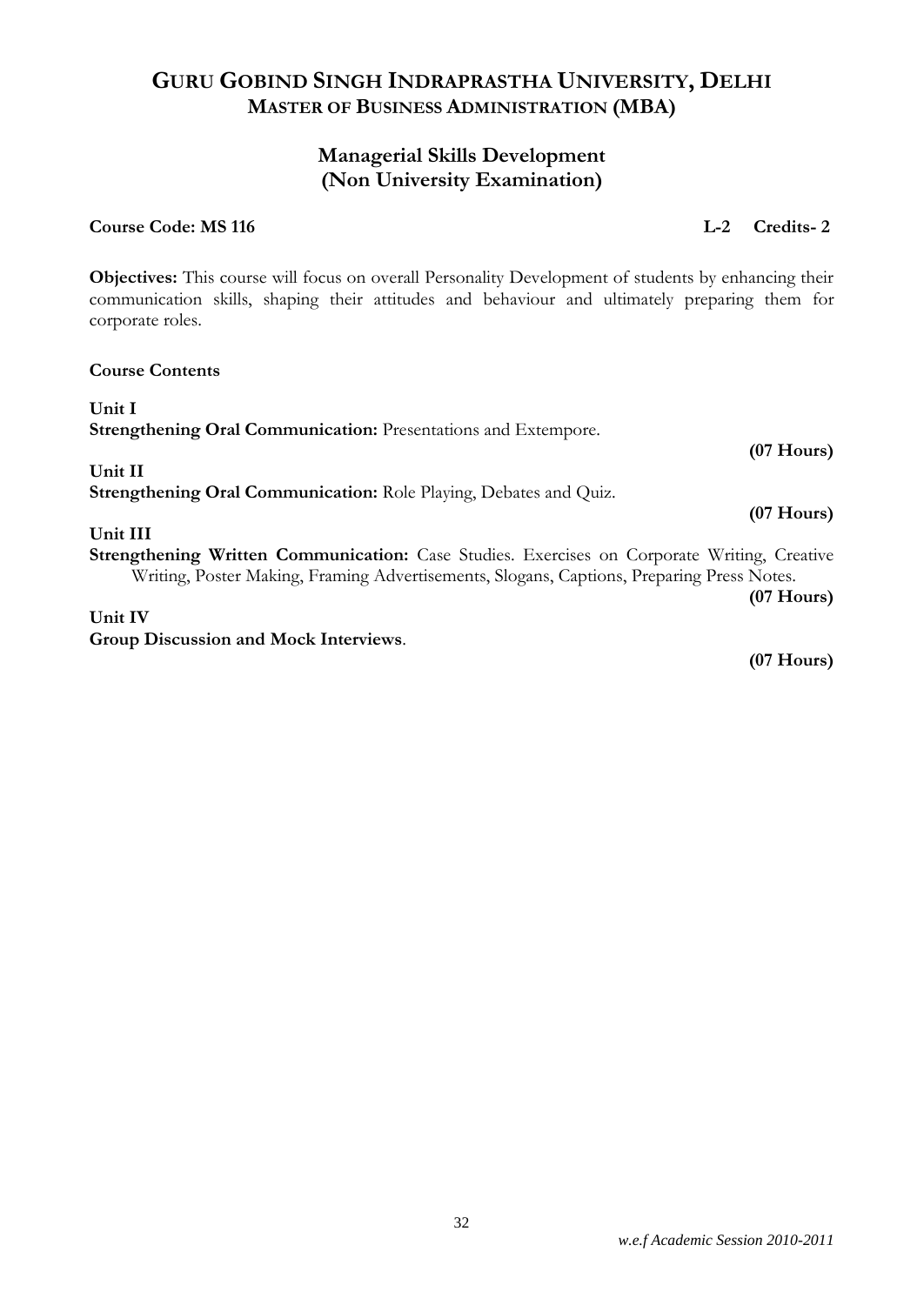### *w.e.f Academic Session 2010-2011*

## **GURU GOBIND SINGH INDRAPRASTHA UNIVERSITY, DELHI MASTER OF BUSINESS ADMINISTRATION (MBA)**

## **Managerial Skills Development (Non University Examination)**

### **Course Code: MS 116 L-2 Credits- 2**

**Objectives:** This course will focus on overall Personality Development of students by enhancing their communication skills, shaping their attitudes and behaviour and ultimately preparing them for corporate roles.

## **Course Contents Unit I Strengthening Oral Communication:** Presentations and Extempore. **(07 Hours) Unit II Strengthening Oral Communication:** Role Playing, Debates and Quiz. **(07 Hours) Unit III Strengthening Written Communication:** Case Studies. Exercises on Corporate Writing, Creative Writing, Poster Making, Framing Advertisements, Slogans, Captions, Preparing Press Notes. **(07 Hours) Unit IV Group Discussion and Mock Interviews**.

**(07 Hours)**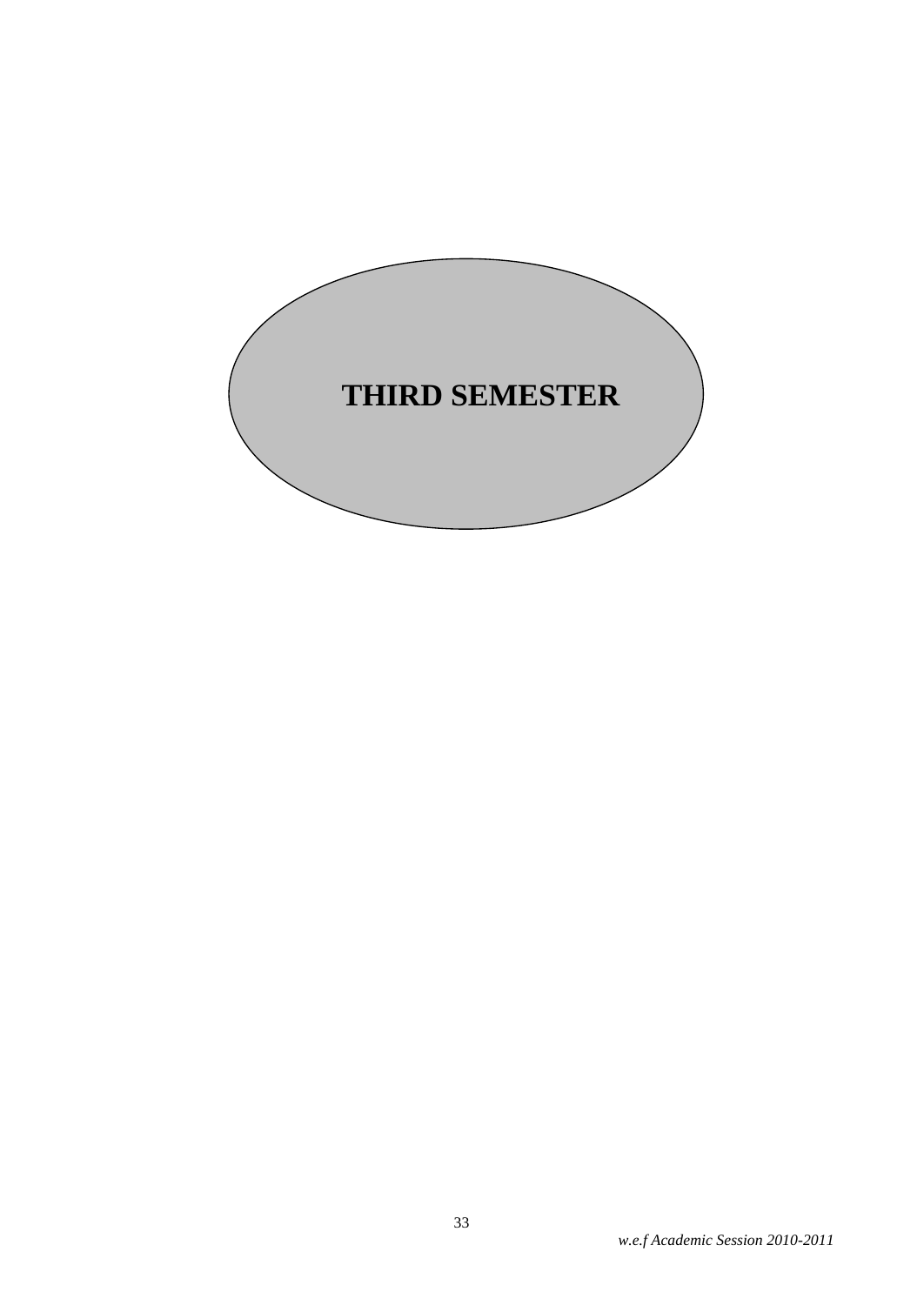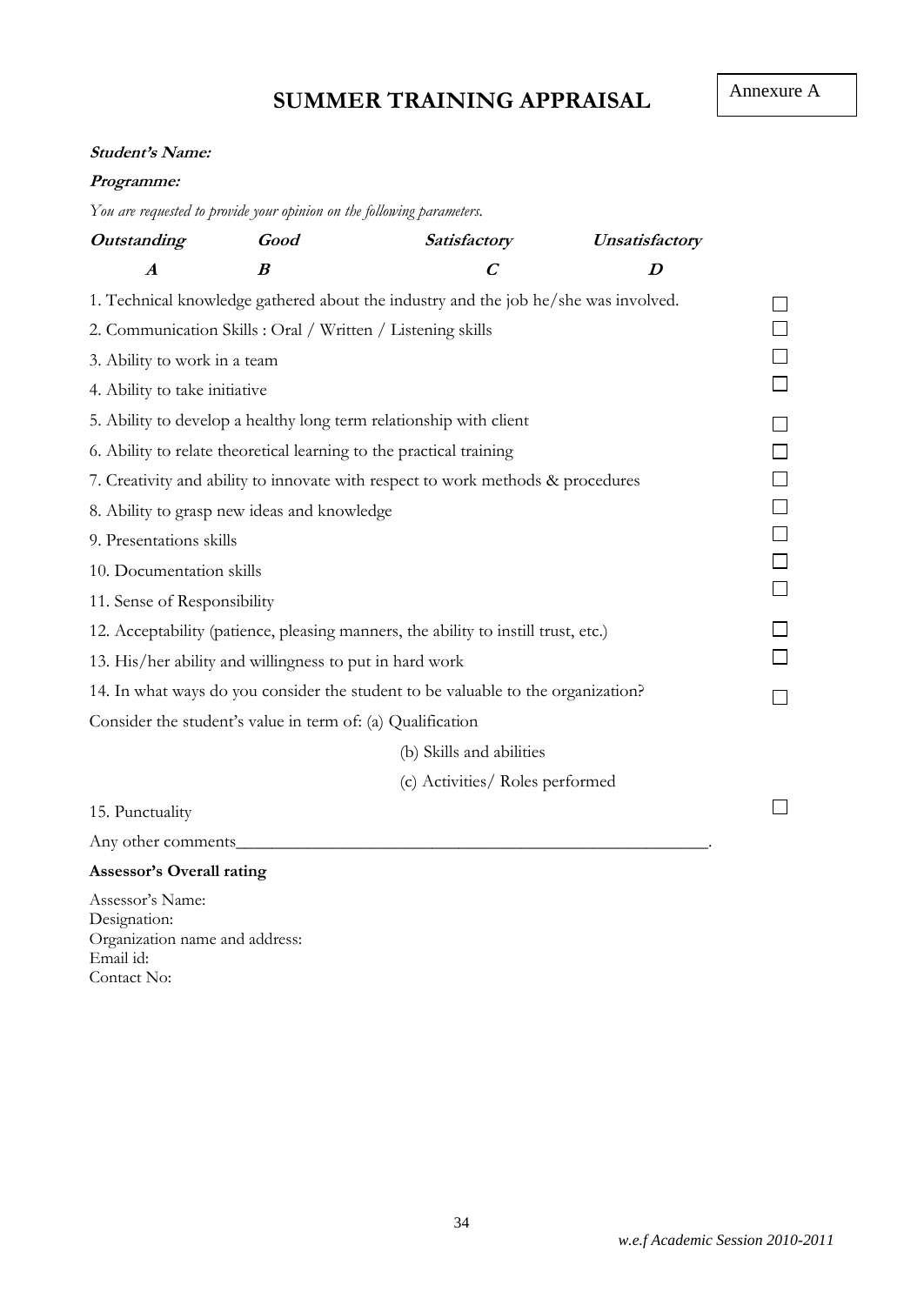# **SUMMER TRAINING APPRAISAL**

### **Student's Name:**

### **Programme:**

*You are requested to provide your opinion on the following parameters.*

| <b>Outstanding</b>                                                                  | Good                                                        | Satisfactory                                                                       | Unsatisfactory   |  |  |
|-------------------------------------------------------------------------------------|-------------------------------------------------------------|------------------------------------------------------------------------------------|------------------|--|--|
| $\boldsymbol{A}$                                                                    | $\boldsymbol{B}$                                            | $\boldsymbol{C}$                                                                   | $\boldsymbol{D}$ |  |  |
| 1. Technical knowledge gathered about the industry and the job he/she was involved. |                                                             |                                                                                    |                  |  |  |
|                                                                                     | 2. Communication Skills : Oral / Written / Listening skills |                                                                                    |                  |  |  |
| 3. Ability to work in a team                                                        |                                                             |                                                                                    |                  |  |  |
| 4. Ability to take initiative                                                       |                                                             |                                                                                    |                  |  |  |
|                                                                                     |                                                             | 5. Ability to develop a healthy long term relationship with client                 |                  |  |  |
|                                                                                     |                                                             | 6. Ability to relate theoretical learning to the practical training                |                  |  |  |
|                                                                                     |                                                             | 7. Creativity and ability to innovate with respect to work methods & procedures    |                  |  |  |
|                                                                                     | 8. Ability to grasp new ideas and knowledge                 |                                                                                    |                  |  |  |
| 9. Presentations skills                                                             |                                                             |                                                                                    |                  |  |  |
| 10. Documentation skills                                                            |                                                             |                                                                                    |                  |  |  |
| 11. Sense of Responsibility                                                         |                                                             |                                                                                    |                  |  |  |
|                                                                                     |                                                             | 12. Acceptability (patience, pleasing manners, the ability to instill trust, etc.) |                  |  |  |
|                                                                                     | 13. His/her ability and willingness to put in hard work     |                                                                                    |                  |  |  |
|                                                                                     |                                                             | 14. In what ways do you consider the student to be valuable to the organization?   |                  |  |  |
|                                                                                     | Consider the student's value in term of: (a) Qualification  |                                                                                    |                  |  |  |
|                                                                                     |                                                             | (b) Skills and abilities                                                           |                  |  |  |
|                                                                                     |                                                             | (c) Activities/ Roles performed                                                    |                  |  |  |
| 15. Punctuality                                                                     |                                                             |                                                                                    |                  |  |  |
| Any other comments                                                                  |                                                             |                                                                                    |                  |  |  |
| <b>Assessor's Overall rating</b>                                                    |                                                             |                                                                                    |                  |  |  |
| Assessor's Name:                                                                    |                                                             |                                                                                    |                  |  |  |

Designation: Organization name and address: Email id: Contact No: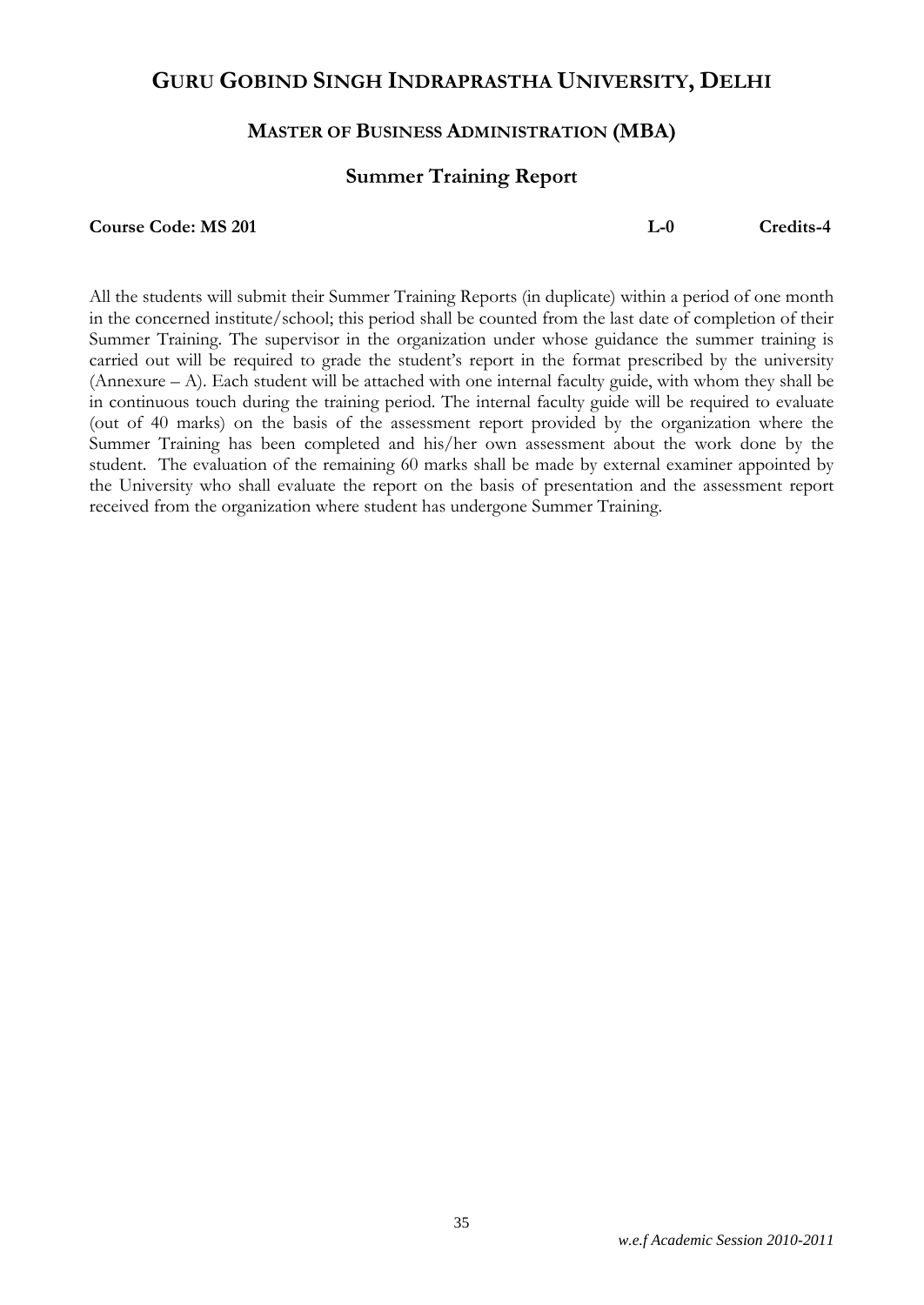## **GURU GOBIND SINGH INDRAPRASTHA UNIVERSITY, DELHI**

### **MASTER OF BUSINESS ADMINISTRATION (MBA)**

### **Summer Training Report**

**Course Code: MS 201 L-0 Credits-4**

All the students will submit their Summer Training Reports (in duplicate) within a period of one month in the concerned institute/school; this period shall be counted from the last date of completion of their Summer Training. The supervisor in the organization under whose guidance the summer training is carried out will be required to grade the student's report in the format prescribed by the university (Annexure – A). Each student will be attached with one internal faculty guide, with whom they shall be in continuous touch during the training period. The internal faculty guide will be required to evaluate (out of 40 marks) on the basis of the assessment report provided by the organization where the Summer Training has been completed and his/her own assessment about the work done by the student. The evaluation of the remaining 60 marks shall be made by external examiner appointed by the University who shall evaluate the report on the basis of presentation and the assessment report received from the organization where student has undergone Summer Training.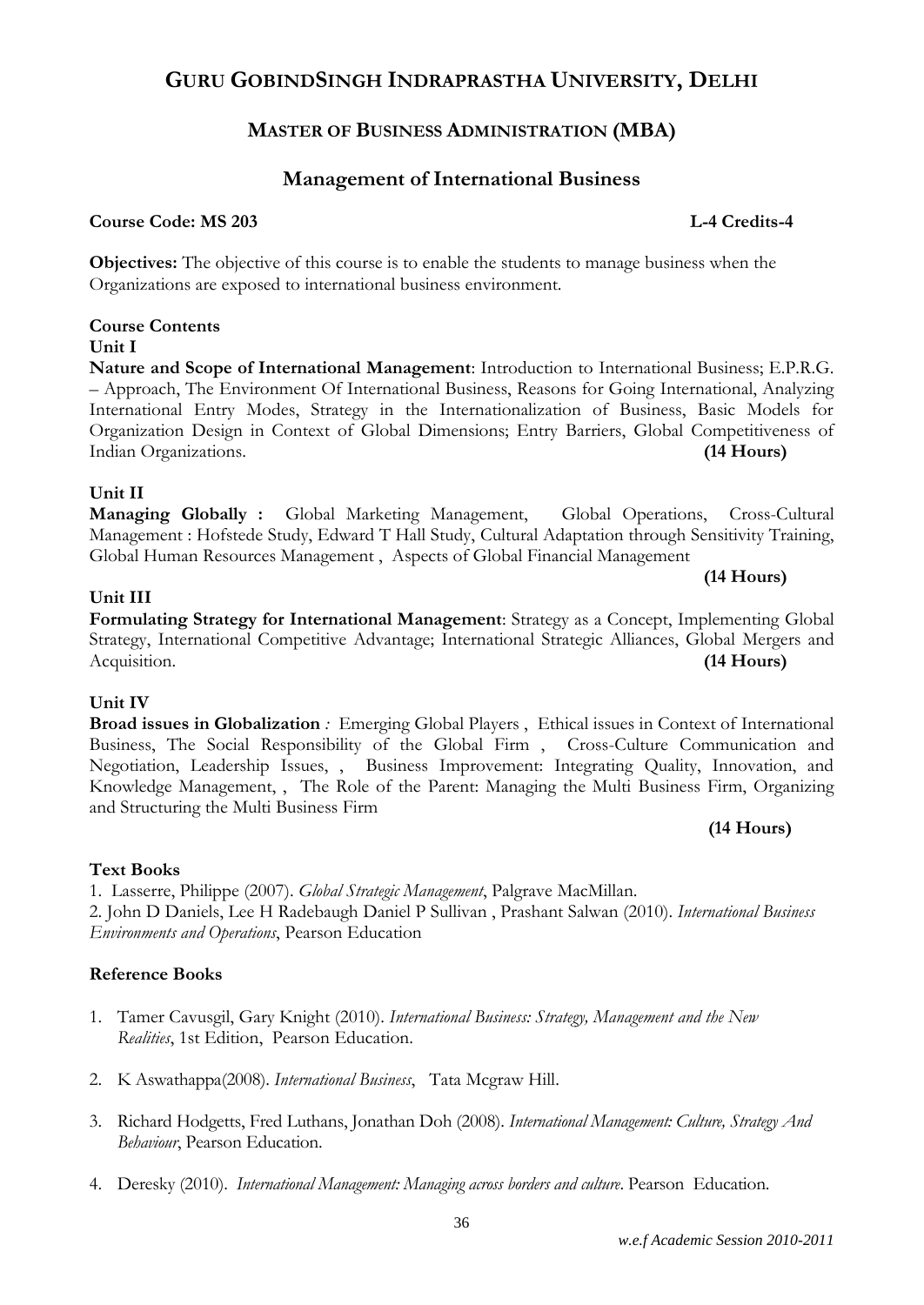## **GURU GOBINDSINGH INDRAPRASTHA UNIVERSITY, DELHI**

## **MASTER OF BUSINESS ADMINISTRATION (MBA)**

## **Management of International Business**

## **Course Code: MS 203 L-4 Credits-4**

**Objectives:** The objective of this course is to enable the students to manage business when the Organizations are exposed to international business environment.

## **Course Contents**

**Unit I**

**Nature and Scope of International Management**: Introduction to International Business; E.P.R.G. – Approach, The Environment Of International Business, Reasons for Going International, Analyzing International Entry Modes, Strategy in the Internationalization of Business, Basic Models for Organization Design in Context of Global Dimensions; Entry Barriers, Global Competitiveness of Indian Organizations. **(14 Hours)**

## **Unit II**

**Unit III**

### **Managing Globally :** Global Marketing Management, Global Operations, Cross-Cultural Management : Hofstede Study, Edward T Hall Study, Cultural Adaptation through Sensitivity Training, Global Human Resources Management , Aspects of Global Financial Management

**Formulating Strategy for International Management**: Strategy as a Concept, Implementing Global Strategy, International Competitive Advantage; International Strategic Alliances, Global Mergers and Acquisition. **(14 Hours)**

## **Unit IV**

### **Broad issues in Globalization** *:* Emerging Global Players , Ethical issues in Context of International Business, The Social Responsibility of the Global Firm , Cross-Culture Communication and Negotiation, Leadership Issues, , Business Improvement: Integrating Quality, Innovation, and Knowledge Management, , The Role of the Parent: Managing the Multi Business Firm, Organizing and Structuring the Multi Business Firm

### **Text Books**

1. Lasserre, Philippe (2007). *Global Strategic Management*, Palgrave MacMillan.

2. [John D Daniels,](http://www.infibeam.com/Books/search?author=John%20D%20Daniels) [Lee H Radebaugh](http://www.infibeam.com/Books/search?author=Lee%20H%20Radebaugh) [Daniel P Sullivan](http://www.infibeam.com/Books/search?author=Daniel%20P%20Sullivan) , [Prashant Salwan](http://www.infibeam.com/Books/search?author=Prashant%20Salwan) (2010). *International Business Environments and Operations*, Pearson Education

## **Reference Books**

- 1. Tamer Cavusgil, Gary Knight (2010). *International Business: Strategy, Management and the New Realities*, 1st Edition, Pearson Education.
- 2. K Aswathappa(2008). *International Business*, Tata Mcgraw Hill.
- 3. Richard Hodgetts, Fred Luthans, Jonathan Doh (2008). *International Management: Culture, Strategy And Behaviour*, Pearson Education.
- 4. Deresky (2010). *International Management: Managing across borders and culture*. Pearson Education.

## **(14 Hours)**

## **(14 Hours)**

### 36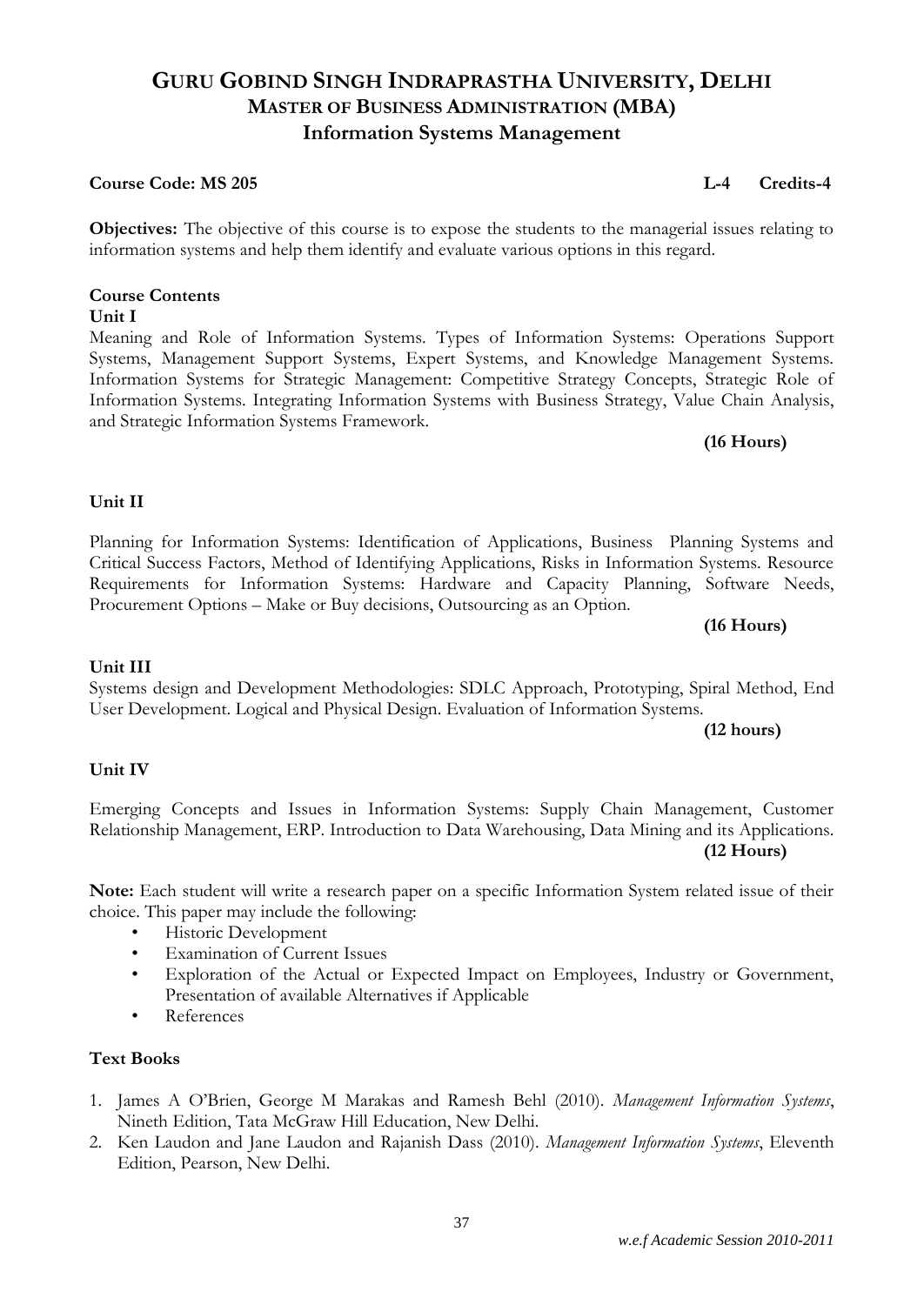# **GURU GOBIND SINGH INDRAPRASTHA UNIVERSITY, DELHI MASTER OF BUSINESS ADMINISTRATION (MBA) Information Systems Management**

#### **Course Code: MS 205 L-4 Credits-4**

**Objectives:** The objective of this course is to expose the students to the managerial issues relating to information systems and help them identify and evaluate various options in this regard.

#### **Course Contents Unit I**

Meaning and Role of Information Systems. Types of Information Systems: Operations Support Systems, Management Support Systems, Expert Systems, and Knowledge Management Systems. Information Systems for Strategic Management: Competitive Strategy Concepts, Strategic Role of Information Systems. Integrating Information Systems with Business Strategy, Value Chain Analysis, and Strategic Information Systems Framework.

#### **(16 Hours)**

#### **Unit II**

#### Planning for Information Systems: Identification of Applications, Business Planning Systems and Critical Success Factors, Method of Identifying Applications, Risks in Information Systems. Resource Requirements for Information Systems: Hardware and Capacity Planning, Software Needs, Procurement Options – Make or Buy decisions, Outsourcing as an Option.

**(16 Hours)**

#### **Unit III**

#### Systems design and Development Methodologies: SDLC Approach, Prototyping, Spiral Method, End User Development. Logical and Physical Design. Evaluation of Information Systems.

**(12 hours)**

#### **Unit IV**

#### Emerging Concepts and Issues in Information Systems: Supply Chain Management, Customer Relationship Management, ERP. Introduction to Data Warehousing, Data Mining and its Applications. **(12 Hours)**

**Note:** Each student will write a research paper on a specific Information System related issue of their choice. This paper may include the following:

- Historic Development
- **Examination of Current Issues**
- Exploration of the Actual or Expected Impact on Employees, Industry or Government, Presentation of available Alternatives if Applicable
- References

#### **Text Books**

- 1. James A O'Brien, George M Marakas and Ramesh Behl (2010). *Management Information Systems*, Nineth Edition, Tata McGraw Hill Education, New Delhi.
- 2. Ken Laudon and Jane Laudon and Rajanish Dass (2010). *Management Information Systems*, Eleventh Edition, Pearson, New Delhi.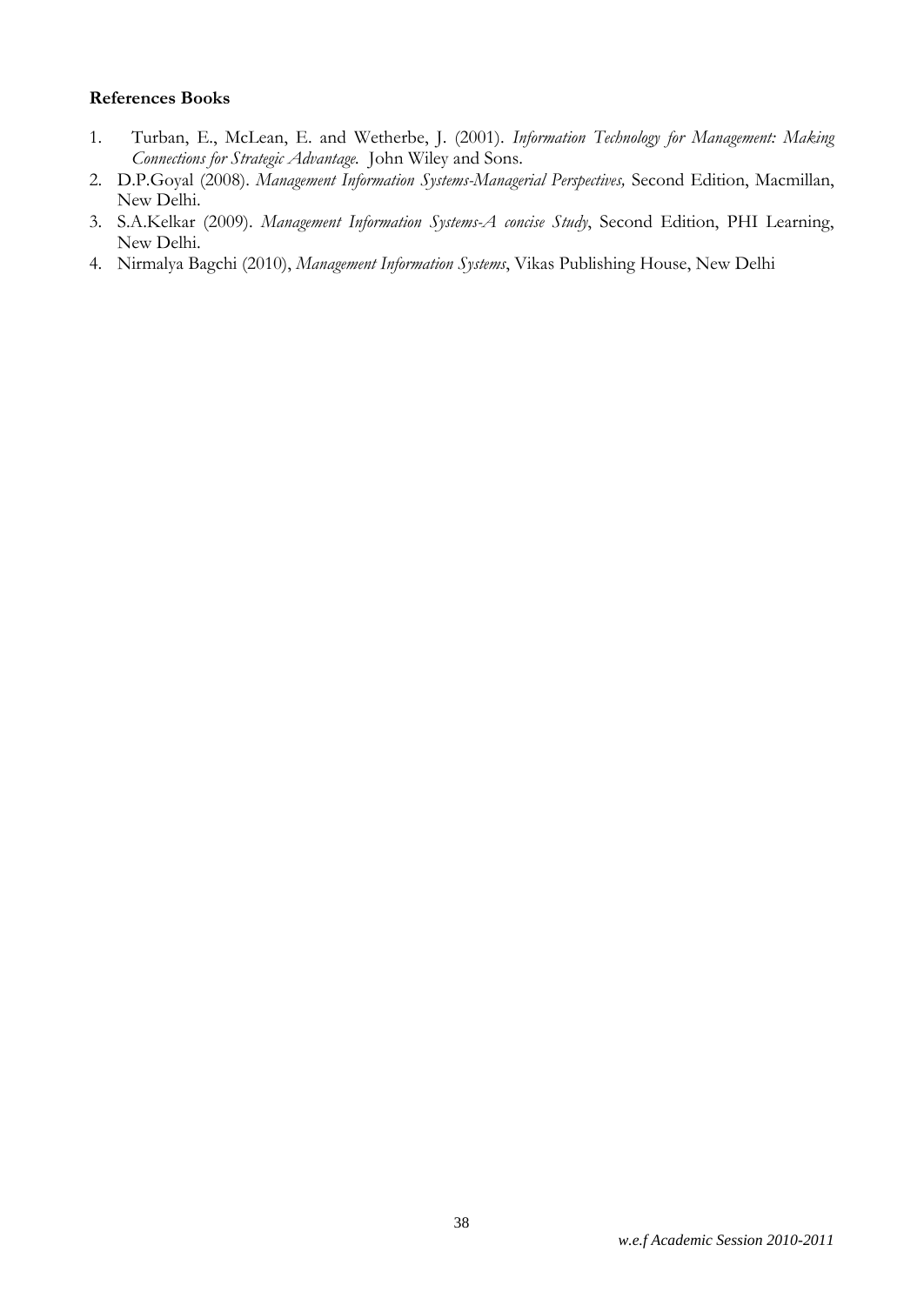- 1. Turban, E., McLean, E. and Wetherbe, J. (2001). *Information Technology for Management: Making Connections for Strategic Advantage.* John Wiley and Sons.
- 2. D.P.Goyal (2008). *Management Information Systems-Managerial Perspectives,* Second Edition, Macmillan, New Delhi.
- 3. S.A.Kelkar (2009). *Management Information Systems-A concise Study*, Second Edition, PHI Learning, New Delhi.
- 4. Nirmalya Bagchi (2010), *Management Information Systems*, Vikas Publishing House, New Delhi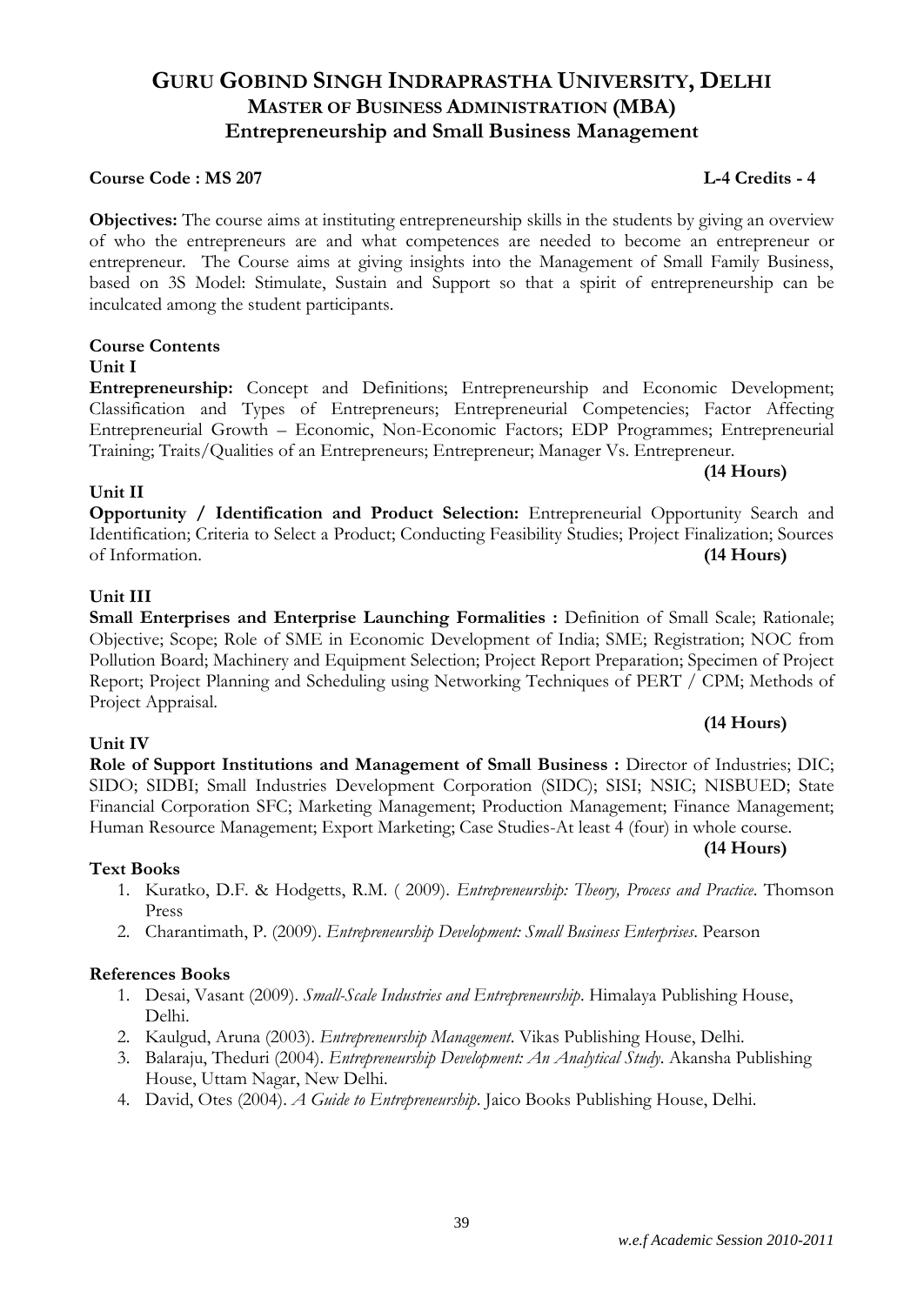# **GURU GOBIND SINGH INDRAPRASTHA UNIVERSITY, DELHI MASTER OF BUSINESS ADMINISTRATION (MBA) Entrepreneurship and Small Business Management**

#### **Course Code : MS 207 L-4 Credits - 4**

**Objectives:** The course aims at instituting entrepreneurship skills in the students by giving an overview of who the entrepreneurs are and what competences are needed to become an entrepreneur or entrepreneur. The Course aims at giving insights into the Management of Small Family Business, based on 3S Model: Stimulate, Sustain and Support so that a spirit of entrepreneurship can be inculcated among the student participants.

#### **Course Contents**

#### **Unit I**

**Entrepreneurship:** Concept and Definitions; Entrepreneurship and Economic Development; Classification and Types of Entrepreneurs; Entrepreneurial Competencies; Factor Affecting Entrepreneurial Growth – Economic, Non-Economic Factors; EDP Programmes; Entrepreneurial Training; Traits/Qualities of an Entrepreneurs; Entrepreneur; Manager Vs. Entrepreneur.

### **(14 Hours)**

**Opportunity / Identification and Product Selection:** Entrepreneurial Opportunity Search and Identification; Criteria to Select a Product; Conducting Feasibility Studies; Project Finalization; Sources of Information. **(14 Hours)**

#### **Unit III**

**Unit IV**

**Unit II**

**Small Enterprises and Enterprise Launching Formalities :** Definition of Small Scale; Rationale; Objective; Scope; Role of SME in Economic Development of India; SME; Registration; NOC from Pollution Board; Machinery and Equipment Selection; Project Report Preparation; Specimen of Project Report; Project Planning and Scheduling using Networking Techniques of PERT / CPM; Methods of Project Appraisal.

### **(14 Hours)**

**Role of Support Institutions and Management of Small Business :** Director of Industries; DIC; SIDO; SIDBI; Small Industries Development Corporation (SIDC); SISI; NSIC; NISBUED; State Financial Corporation SFC; Marketing Management; Production Management; Finance Management; Human Resource Management; Export Marketing; Case Studies-At least 4 (four) in whole course.

#### **(14 Hours)**

#### **Text Books**

- 1. Kuratko, D.F. & Hodgetts, R.M. ( 2009). *Entrepreneurship: Theory, Process and Practice*. Thomson Press
- 2. Charantimath, P. (2009). *Entrepreneurship Development: Small Business Enterprises*. Pearson

- 1. Desai, Vasant (2009). *Small-Scale Industries and Entrepreneurship*. Himalaya Publishing House, Delhi.
- 2. Kaulgud, Aruna (2003). *Entrepreneurship Management*. Vikas Publishing House, Delhi.
- 3. Balaraju, Theduri (2004). *Entrepreneurship Development: An Analytical Study*. Akansha Publishing House, Uttam Nagar, New Delhi.
- 4. David, Otes (2004). *A Guide to Entrepreneurship*. Jaico Books Publishing House, Delhi.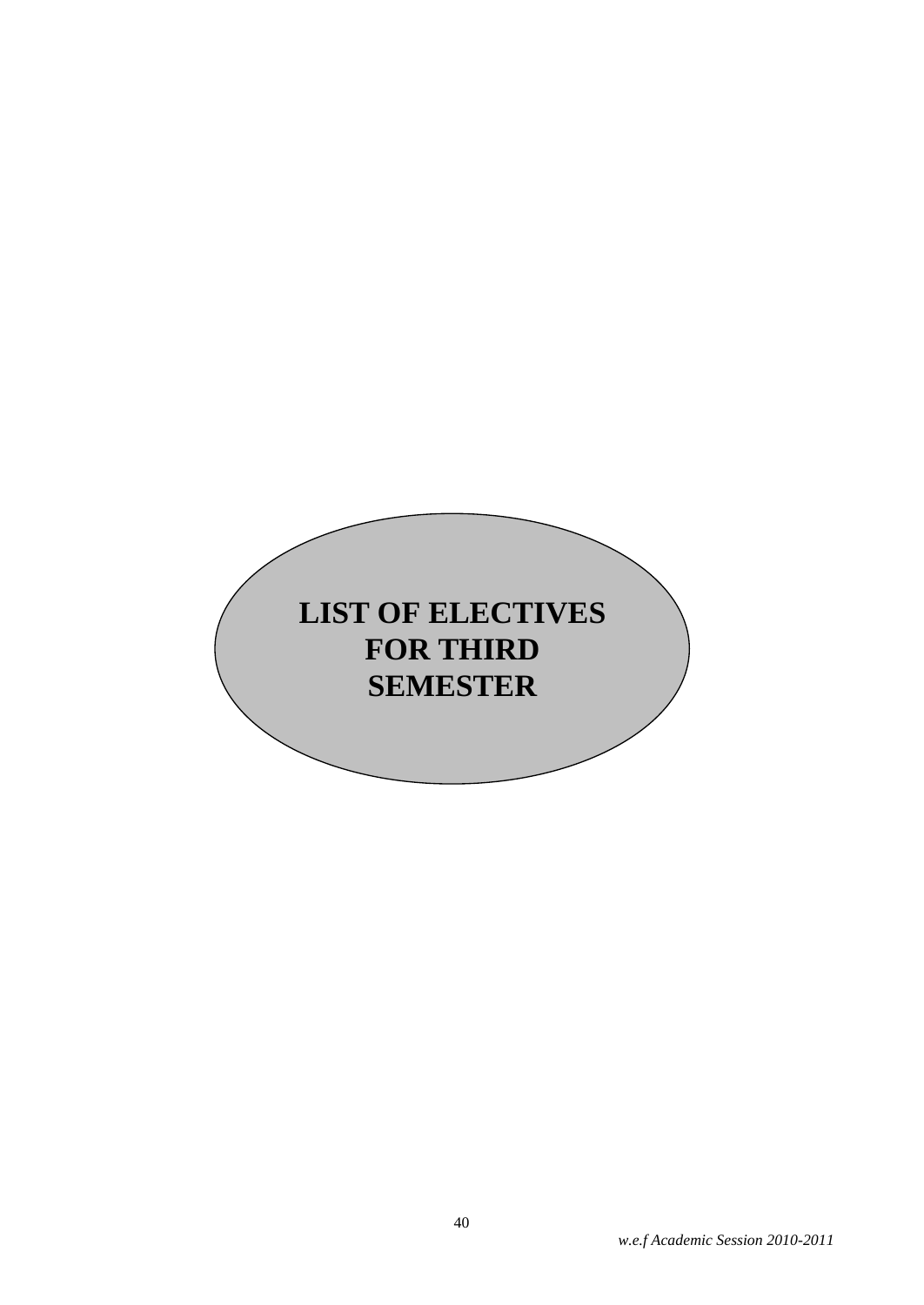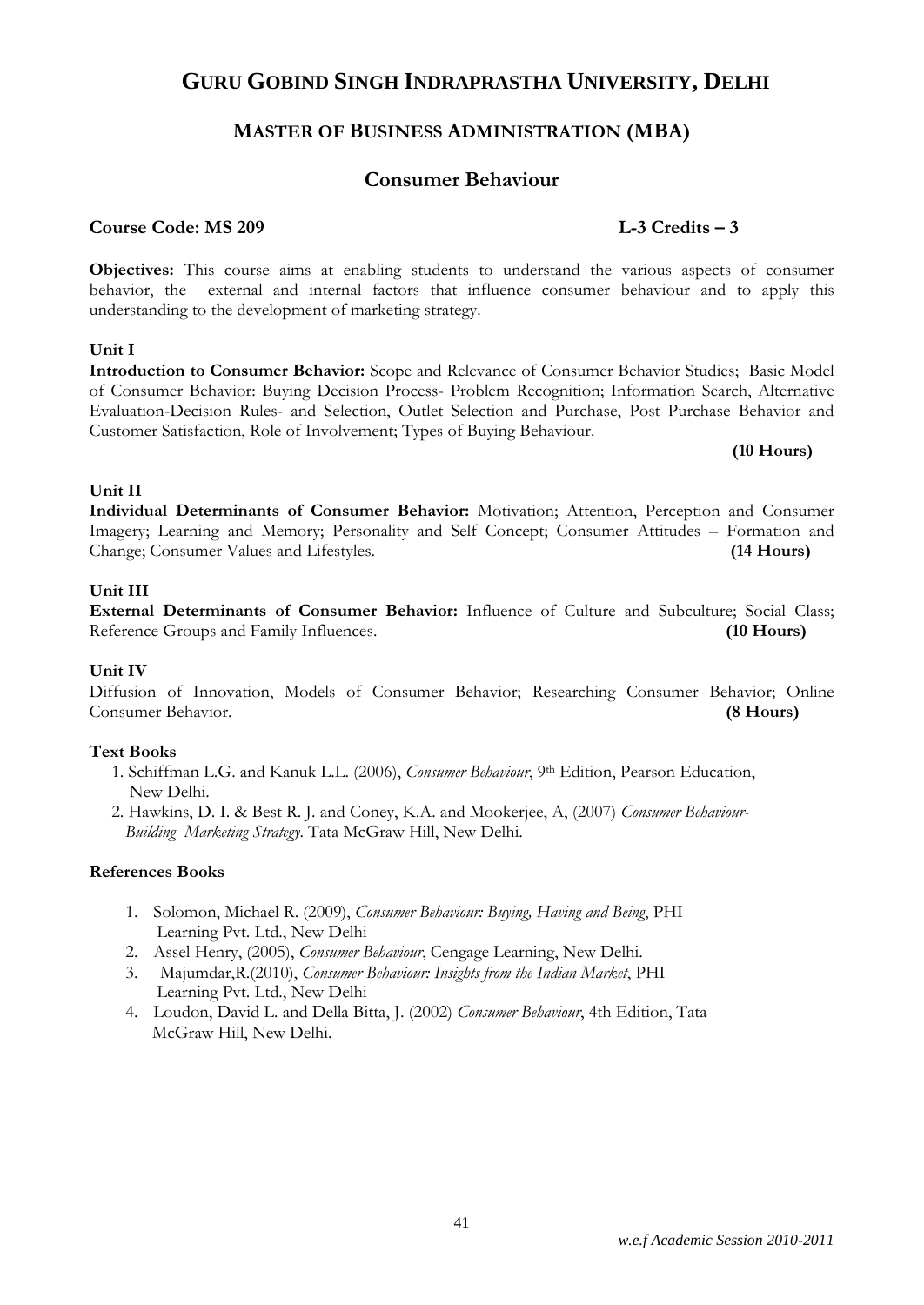# **MASTER OF BUSINESS ADMINISTRATION (MBA)**

# **Consumer Behaviour**

#### **Course Code: MS 209 L-3 Credits – 3**

**Objectives:** This course aims at enabling students to understand the various aspects of consumer behavior, the external and internal factors that influence consumer behaviour and to apply this understanding to the development of marketing strategy.

#### **Unit I**

**Introduction to Consumer Behavior:** Scope and Relevance of Consumer Behavior Studies; Basic Model of Consumer Behavior: Buying Decision Process- Problem Recognition; Information Search, Alternative Evaluation-Decision Rules- and Selection, Outlet Selection and Purchase, Post Purchase Behavior and Customer Satisfaction, Role of Involvement; Types of Buying Behaviour.

**(10 Hours)**

#### **Unit II**

**Individual Determinants of Consumer Behavior:** Motivation; Attention, Perception and Consumer Imagery; Learning and Memory; Personality and Self Concept; Consumer Attitudes – Formation and Change; Consumer Values and Lifestyles. **(14 Hours)**

#### **Unit III**

**External Determinants of Consumer Behavior:** Influence of Culture and Subculture; Social Class; Reference Groups and Family Influences. **(10 Hours)**

#### **Unit IV**

Diffusion of Innovation, Models of Consumer Behavior; Researching Consumer Behavior; Online Consumer Behavior. **(8 Hours)**

#### **Text Books**

- 1. Schiffman L.G. and Kanuk L.L. (2006), *Consumer Behaviour*, 9th Edition, Pearson Education, New Delhi.
- 2. Hawkins, D. I. & Best R. J. and Coney, K.A. and Mookerjee, A, (2007) *Consumer Behaviour- Building Marketing Strategy*. Tata McGraw Hill, New Delhi.

- 1. Solomon, Michael R. (2009), *Consumer Behaviour: Buying, Having and Being*, PHI Learning Pvt. Ltd., New Delhi
- 2. Assel Henry, (2005), *Consumer Behaviour*, Cengage Learning, New Delhi.
- 3. Majumdar,R.(2010), *Consumer Behaviour: Insights from the Indian Market*, PHI Learning Pvt. Ltd., New Delhi
- 4. Loudon, David L. and Della Bitta, J. (2002) *Consumer Behaviour*, 4th Edition, Tata McGraw Hill, New Delhi.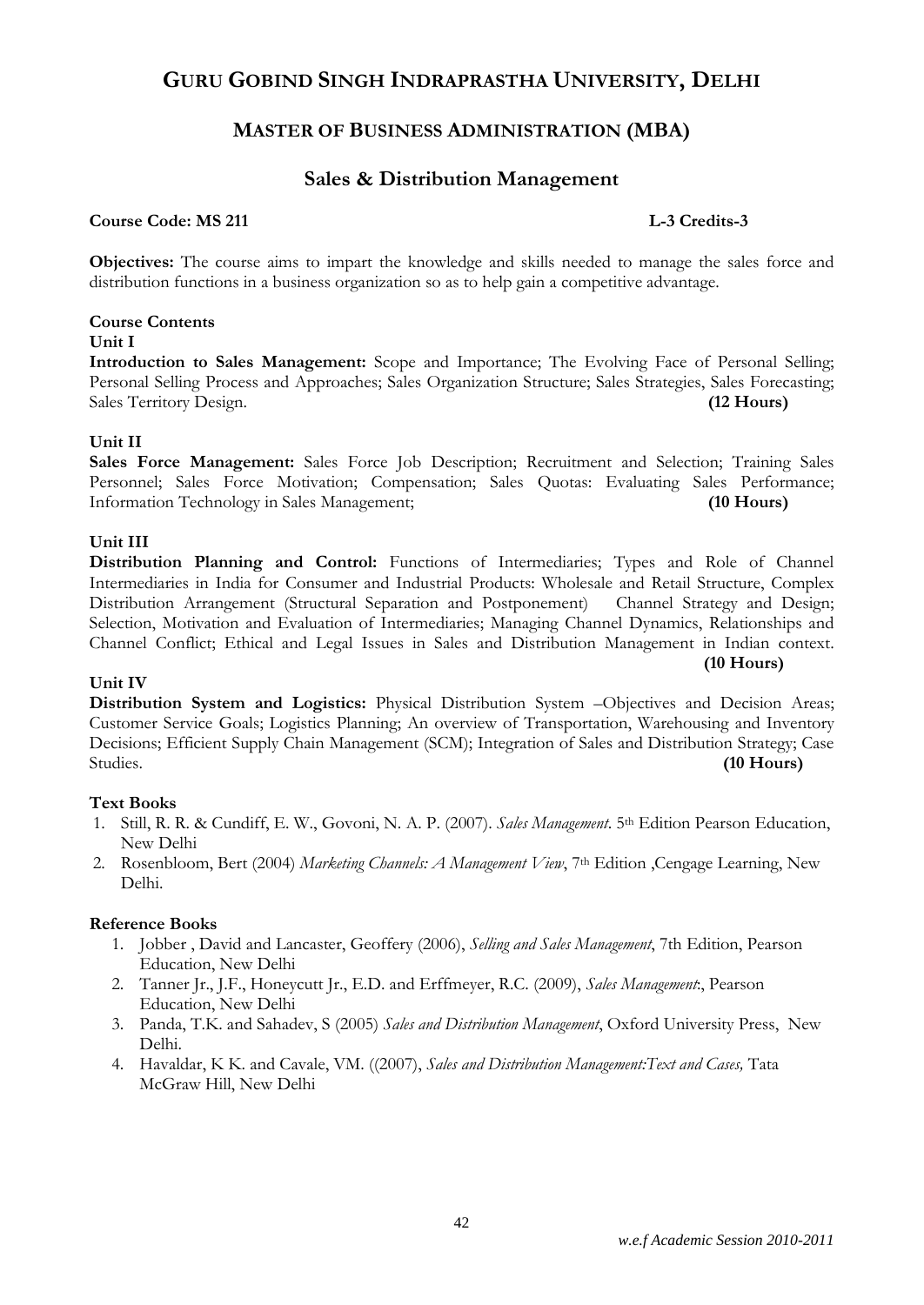### **MASTER OF BUSINESS ADMINISTRATION (MBA)**

#### **Sales & Distribution Management**

#### **Course Code: MS 211 L-3 Credits-3**

**(10 Hours)**

**Objectives:** The course aims to impart the knowledge and skills needed to manage the sales force and distribution functions in a business organization so as to help gain a competitive advantage.

#### **Course Contents**

#### **Unit I**

**Introduction to Sales Management:** Scope and Importance; The Evolving Face of Personal Selling; Personal Selling Process and Approaches; Sales Organization Structure; Sales Strategies, Sales Forecasting; Sales Territory Design. **(12 Hours)**

#### **Unit II**

**Sales Force Management:** Sales Force Job Description; Recruitment and Selection; Training Sales Personnel; Sales Force Motivation; Compensation; Sales Quotas: Evaluating Sales Performance; Information Technology in Sales Management; **(10 Hours)**

#### **Unit III**

**Distribution Planning and Control:** Functions of Intermediaries; Types and Role of Channel Intermediaries in India for Consumer and Industrial Products: Wholesale and Retail Structure, Complex Distribution Arrangement (Structural Separation and Postponement) Channel Strategy and Design; Selection, Motivation and Evaluation of Intermediaries; Managing Channel Dynamics, Relationships and Channel Conflict; Ethical and Legal Issues in Sales and Distribution Management in Indian context.

#### **Unit IV**

**Distribution System and Logistics:** Physical Distribution System –Objectives and Decision Areas; Customer Service Goals; Logistics Planning; An overview of Transportation, Warehousing and Inventory Decisions; Efficient Supply Chain Management (SCM); Integration of Sales and Distribution Strategy; Case Studies. **(10 Hours)**

#### **Text Books**

- 1. Still, R. R. & Cundiff, E. W., Govoni, N. A. P. (2007). *Sales Management*. 5th Edition Pearson Education, New Delhi
- 2. Rosenbloom, Bert (2004) *Marketing Channels: A Management View*, 7<sup>th</sup> Edition , Cengage Learning, New Delhi.

- 1. Jobber , David and Lancaster, Geoffery (2006), *Selling and Sales Management*, 7th Edition, Pearson Education, New Delhi
- 2. Tanner Jr., J.F., Honeycutt Jr., E.D. and Erffmeyer, R.C. (2009), *Sales Management*:, Pearson Education, New Delhi
- 3. Panda, T.K. and Sahadev, S (2005) *Sales and Distribution Management*, Oxford University Press, New Delhi.
- 4. Havaldar, K K. and Cavale, VM. ((2007), *Sales and Distribution Management:Text and Cases,* Tata McGraw Hill, New Delhi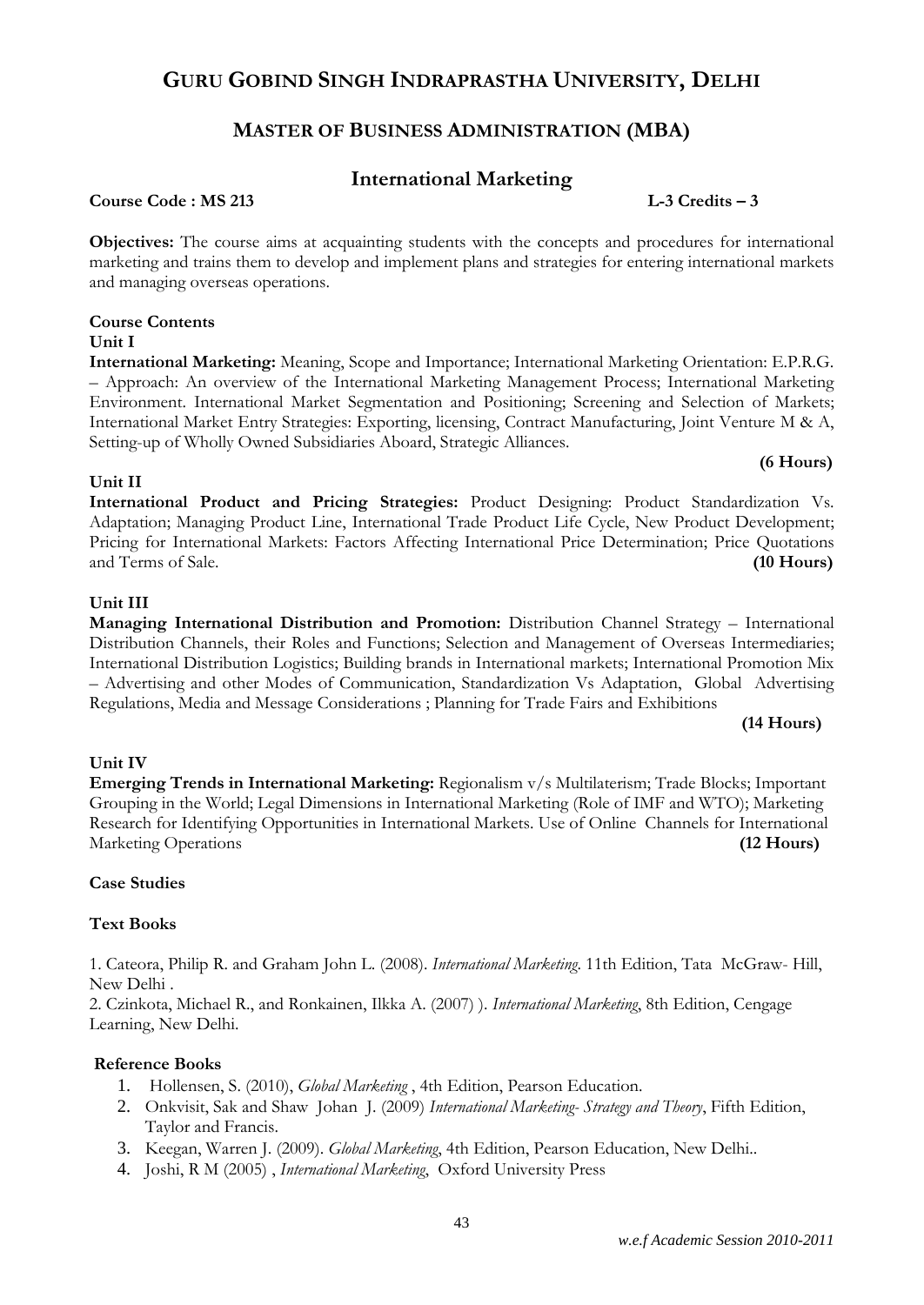# **MASTER OF BUSINESS ADMINISTRATION (MBA)**

# **International Marketing**

**Course Code : MS 213 L-3 Credits – 3**

**Objectives:** The course aims at acquainting students with the concepts and procedures for international marketing and trains them to develop and implement plans and strategies for entering international markets and managing overseas operations.

# **Course Contents**

**Unit I**

**International Marketing:** Meaning, Scope and Importance; International Marketing Orientation: E.P.R.G. – Approach: An overview of the International Marketing Management Process; International Marketing Environment. International Market Segmentation and Positioning; Screening and Selection of Markets; International Market Entry Strategies: Exporting, licensing, Contract Manufacturing, Joint Venture M & A, Setting-up of Wholly Owned Subsidiaries Aboard, Strategic Alliances.

#### **Unit II**

**International Product and Pricing Strategies:** Product Designing: Product Standardization Vs. Adaptation; Managing Product Line, International Trade Product Life Cycle, New Product Development; Pricing for International Markets: Factors Affecting International Price Determination; Price Quotations and Terms of Sale. **(10 Hours)**

#### **Unit III**

**Managing International Distribution and Promotion:** Distribution Channel Strategy – International Distribution Channels, their Roles and Functions; Selection and Management of Overseas Intermediaries; International Distribution Logistics; Building brands in International markets; International Promotion Mix – Advertising and other Modes of Communication, Standardization Vs Adaptation, Global Advertising Regulations, Media and Message Considerations ; Planning for Trade Fairs and Exhibitions

#### **(14 Hours)**

**(6 Hours)**

#### **Unit IV**

**Emerging Trends in International Marketing:** Regionalism v/s Multilaterism; Trade Blocks; Important Grouping in the World; Legal Dimensions in International Marketing (Role of IMF and WTO); Marketing Research for Identifying Opportunities in International Markets. Use of Online Channels for International Marketing Operations **(12 Hours)**

#### **Case Studies**

#### **Text Books**

1. Cateora, Philip R. and Graham John L. (2008). *International Marketing*. 11th Edition, Tata McGraw- Hill, New Delhi .

2. Czinkota, Michael R., and Ronkainen, Ilkka A. (2007) ). *International Marketing*, 8th Edition, Cengage Learning, New Delhi.

- 1. Hollensen, S. (2010), *Global Marketing* , 4th Edition, Pearson Education.
- 2. Onkvisit, Sak and Shaw Johan J. (2009) *International Marketing- Strategy and Theory*, Fifth Edition, Taylor and Francis.
- 3. Keegan, Warren J. (2009). *Global Marketing*, 4th Edition, Pearson Education, New Delhi..
- 4. Joshi, R M (2005) , *International Marketing*, Oxford University Press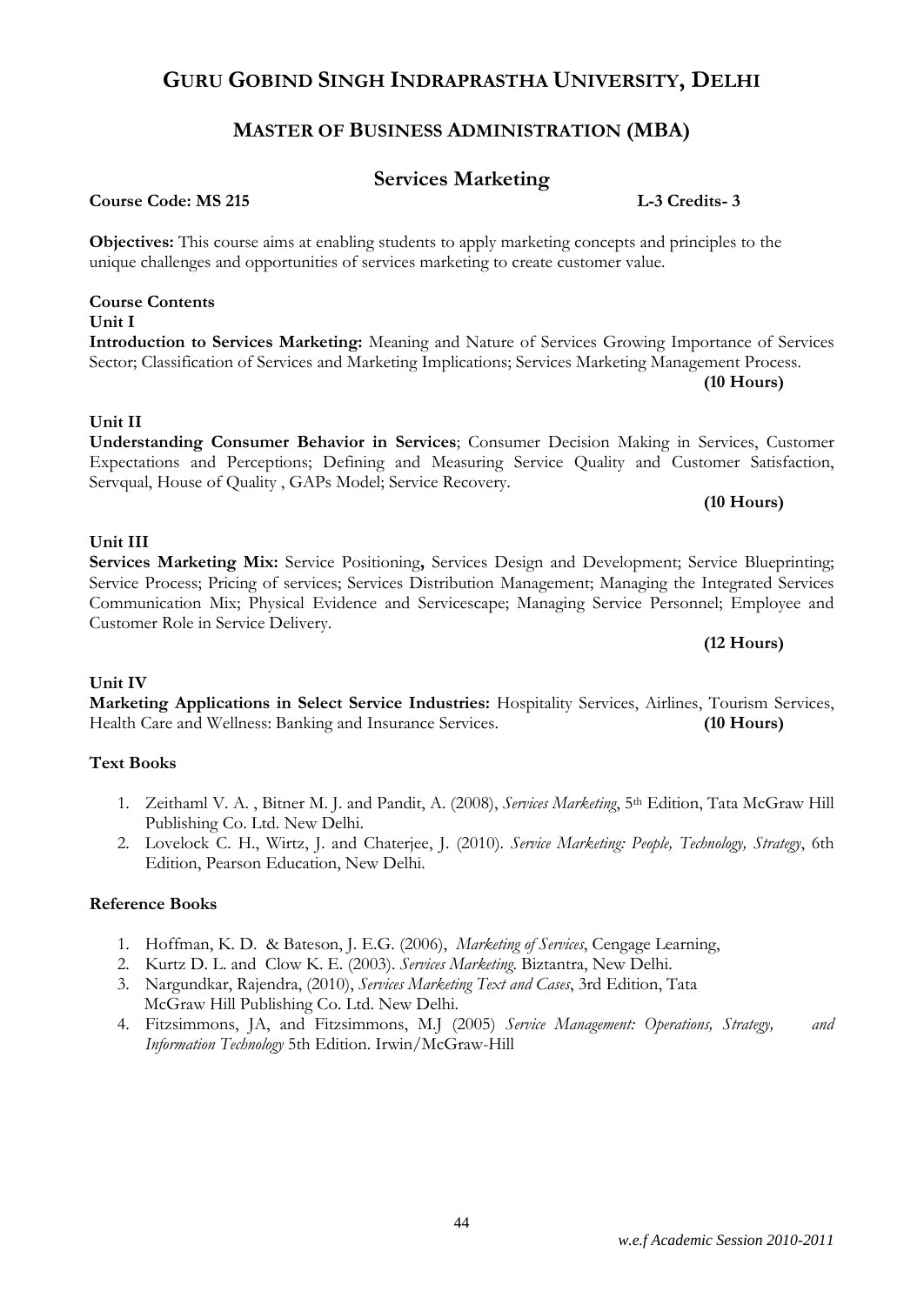# **MASTER OF BUSINESS ADMINISTRATION (MBA)**

### **Services Marketing**

**Introduction to Services Marketing:** Meaning and Nature of Services Growing Importance of Services Sector; Classification of Services and Marketing Implications; Services Marketing Management Process.

**Understanding Consumer Behavior in Services**; Consumer Decision Making in Services, Customer Expectations and Perceptions; Defining and Measuring Service Quality and Customer Satisfaction,

**Services Marketing Mix:** Service Positioning**,** Services Design and Development; Service Blueprinting; Service Process; Pricing of services; Services Distribution Management; Managing the Integrated Services

Servqual, House of Quality , GAPs Model; Service Recovery.

**Objectives:** This course aims at enabling students to apply marketing concepts and principles to the unique challenges and opportunities of services marketing to create customer value.

# **Course Contents**

#### **Unit I**

#### **Unit II**

# **Unit III**

#### Communication Mix; Physical Evidence and Servicescape; Managing Service Personnel; Employee and Customer Role in Service Delivery.

#### **Unit IV**

#### **Marketing Applications in Select Service Industries:** Hospitality Services, Airlines, Tourism Services, Health Care and Wellness: Banking and Insurance Services. **(10 Hours)**

#### **Text Books**

- 1. Zeithaml V. A. , Bitner M. J. and Pandit, A. (2008), *Services Marketing*, 5th Edition, Tata McGraw Hill Publishing Co. Ltd. New Delhi.
- 2. Lovelock C. H., Wirtz, J. and Chaterjee, J. (2010). *Service Marketing: People, Technology, Strategy*, 6th Edition, Pearson Education, New Delhi.

#### **Reference Books**

- 1. Hoffman, K. D. & Bateson, J. E.G. (2006), *Marketing of Services*, Cengage Learning,
- 2. Kurtz D. L. and Clow K. E. (2003). *Services Marketing*. Biztantra, New Delhi.
- 3. Nargundkar, Rajendra, (2010), *Services Marketing Text and Cases*, 3rd Edition, Tata McGraw Hill Publishing Co. Ltd. New Delhi.
- 4. Fitzsimmons, JA, and Fitzsimmons, M.J (2005) *Service Management: Operations, Strategy, and Information Technology* 5th Edition. Irwin/McGraw-Hill

**Course Code: MS 215 L-3 Credits- 3**

**(10 Hours)**

**(12 Hours)**

**(10 Hours)**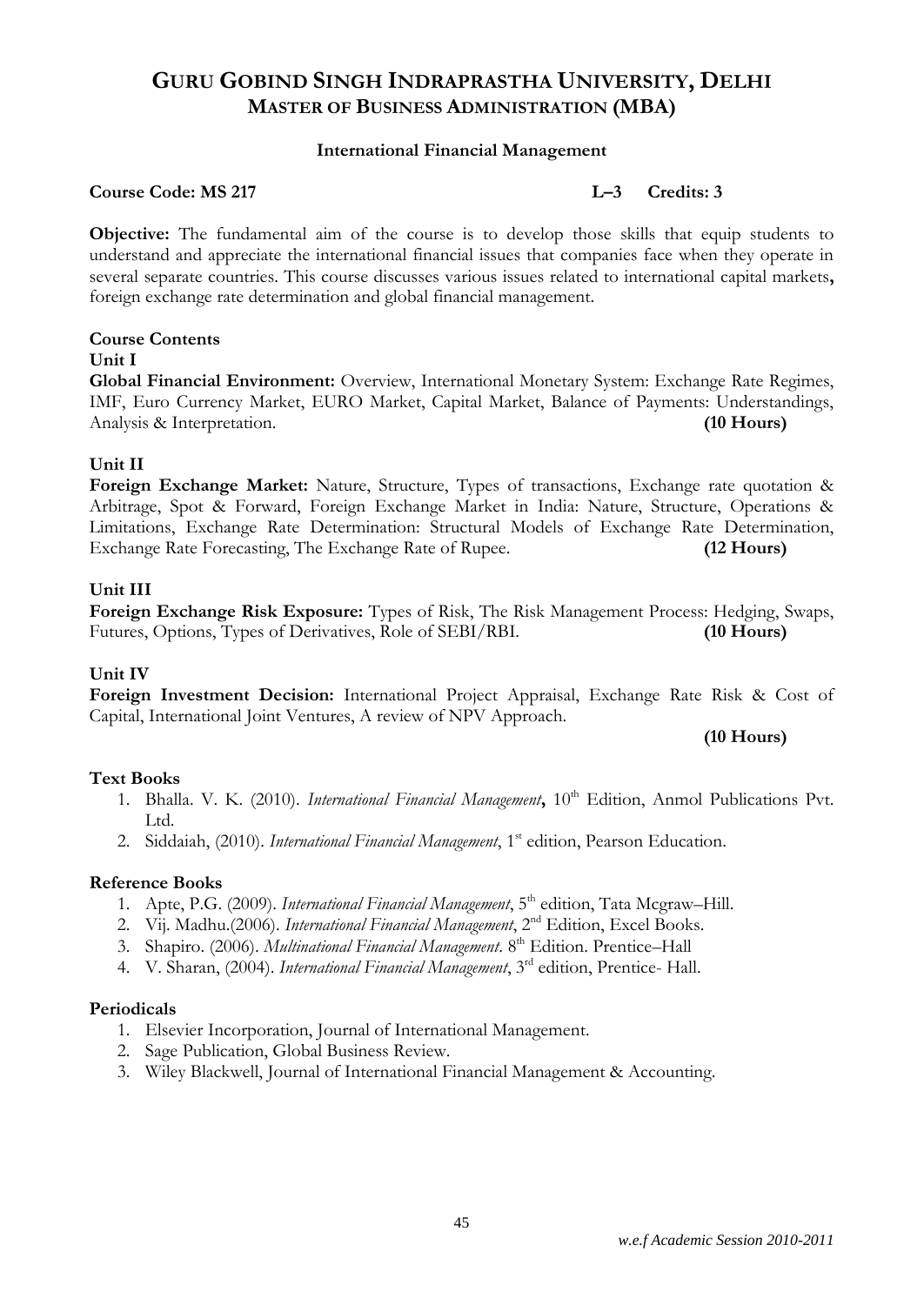#### **International Financial Management**

#### **Course Code: MS 217 L–3 Credits: 3**

**Objective:** The fundamental aim of the course is to develop those skills that equip students to understand and appreciate the international financial issues that companies face when they operate in several separate countries. This course discusses various issues related to international capital markets**,**  foreign exchange rate determination and global financial management.

#### **Course Contents**

#### **Unit I**

**Global Financial Environment:** Overview, International Monetary System: Exchange Rate Regimes, IMF, Euro Currency Market, EURO Market, Capital Market, Balance of Payments: Understandings, Analysis & Interpretation. **(10 Hours)**

#### **Unit II**

**Foreign Exchange Market:** Nature, Structure, Types of transactions, Exchange rate quotation & Arbitrage, Spot & Forward, Foreign Exchange Market in India: Nature, Structure, Operations & Limitations, Exchange Rate Determination: Structural Models of Exchange Rate Determination, Exchange Rate Forecasting, The Exchange Rate of Rupee. **(12 Hours)**

#### **Unit III**

**Foreign Exchange Risk Exposure:** Types of Risk, The Risk Management Process: Hedging, Swaps, Futures, Options, Types of Derivatives, Role of SEBI/RBI. **(10 Hours)**

#### **Unit IV**

**Foreign Investment Decision:** International Project Appraisal, Exchange Rate Risk & Cost of Capital, International Joint Ventures, A review of NPV Approach.

**(10 Hours)**

#### **Text Books**

- 1. Bhalla. V. K. (2010). *International Financial Management*, 10<sup>th</sup> Edition, Anmol Publications Pvt. Ltd.
- 2. Siddaiah, (2010). *International Financial Management*, 1<sup>st</sup> edition, Pearson Education.

#### **Reference Books**

- 1. Apte, P.G. (2009). *International Financial Management*, 5<sup>th</sup> edition, Tata Mcgraw–Hill.
- 2. Vij. Madhu.(2006). *International Financial Management*, 2nd Edition, Excel Books.
- 3. Shapiro. (2006). *Multinational Financial Management*. 8<sup>th</sup> Edition. Prentice-Hall
- 4. V. Sharan, (2004). *International Financial Management*, 3rd edition, Prentice- Hall.

#### **Periodicals**

- 1. Elsevier Incorporation, Journal of International Management.
- 2. Sage Publication, Global Business Review.
- 3. Wiley Blackwell, Journal of International Financial Management & Accounting.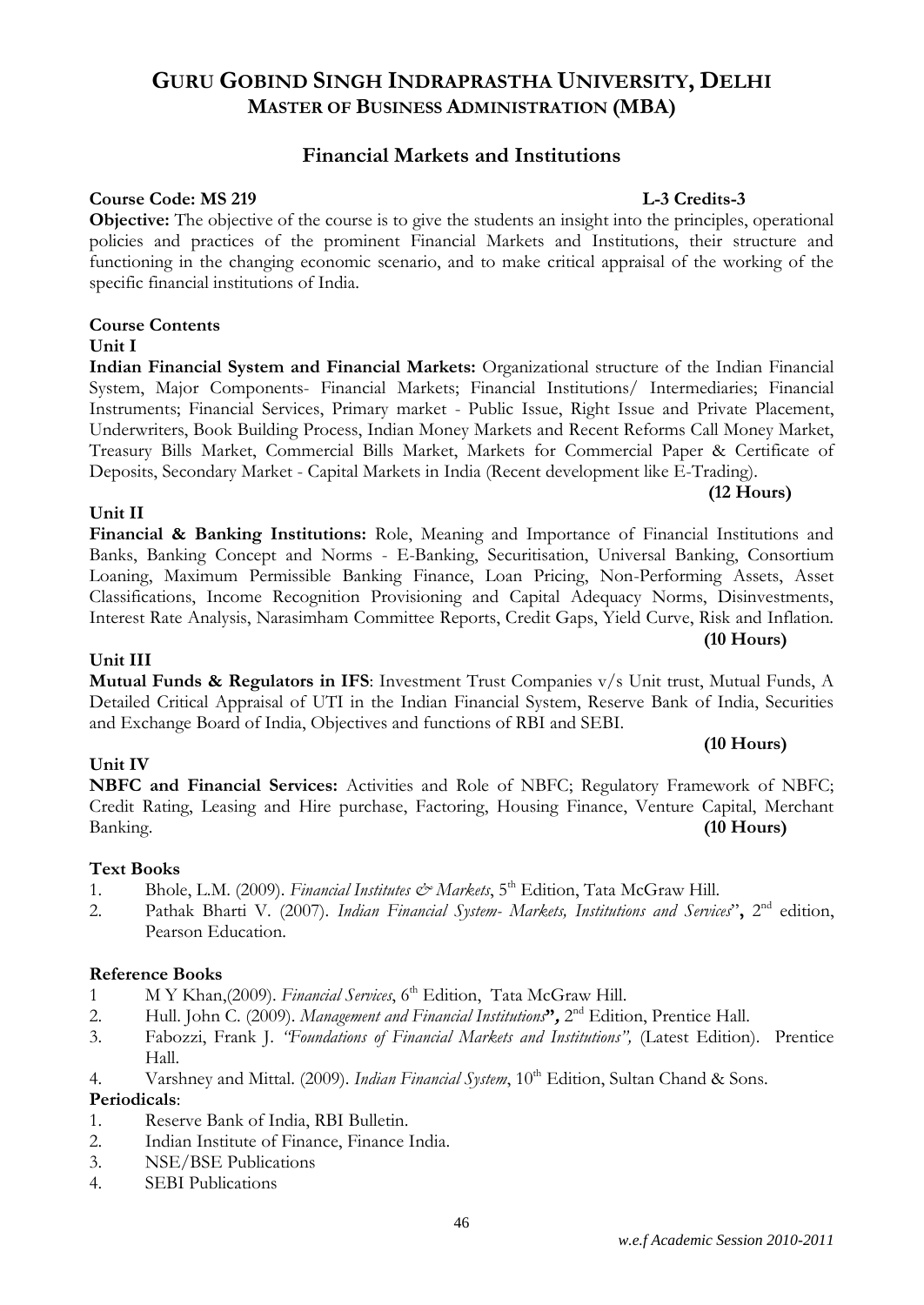#### *w.e.f Academic Session 2010-2011*

# **GURU GOBIND SINGH INDRAPRASTHA UNIVERSITY, DELHI MASTER OF BUSINESS ADMINISTRATION (MBA)**

#### **Financial Markets and Institutions**

#### **Course Code: MS 219 Leading Secure 2.1 <b>Leading Secure 2.1** Leading Leading Leading Leading Leading Leading Leading Leading Leading Leading Leading Leading Leading Leading Leading Leading Leading Leading Leading Leading

**Objective:** The objective of the course is to give the students an insight into the principles, operational policies and practices of the prominent Financial Markets and Institutions, their structure and functioning in the changing economic scenario, and to make critical appraisal of the working of the specific financial institutions of India.

#### **Course Contents**

#### **Unit I**

**Indian Financial System and Financial Markets:** Organizational structure of the Indian Financial System, Major Components- Financial Markets; Financial Institutions/ Intermediaries; Financial Instruments; Financial Services, Primary market - Public Issue, Right Issue and Private Placement, Underwriters, Book Building Process, Indian Money Markets and Recent Reforms Call Money Market, Treasury Bills Market, Commercial Bills Market, Markets for Commercial Paper & Certificate of Deposits, Secondary Market - Capital Markets in India (Recent development like E-Trading).

#### **Unit II**

#### Loaning, Maximum Permissible Banking Finance, Loan Pricing, Non-Performing Assets, Asset Classifications, Income Recognition Provisioning and Capital Adequacy Norms, Disinvestments, Interest Rate Analysis, Narasimham Committee Reports, Credit Gaps, Yield Curve, Risk and Inflation.

**Unit III Mutual Funds & Regulators in IFS**: Investment Trust Companies v/s Unit trust, Mutual Funds, A Detailed Critical Appraisal of UTI in the Indian Financial System, Reserve Bank of India, Securities and Exchange Board of India, Objectives and functions of RBI and SEBI.

#### **Unit IV**

**NBFC and Financial Services:** Activities and Role of NBFC; Regulatory Framework of NBFC; Credit Rating, Leasing and Hire purchase, Factoring, Housing Finance, Venture Capital, Merchant Banking. **(10 Hours)**

#### **Text Books**

- 1. Bhole, L.M. (2009). *Financial Institutes & Markets*, 5<sup>th</sup> Edition, Tata McGraw Hill.
- 2. Pathak Bharti V. (2007). *Indian Financial System- Markets, Institutions and Services*", 2<sup>nd</sup> edition, Pearson Education.

#### **Reference Books**

- 1 M Y Khan,(2009). *Financial Services*, 6<sup>th</sup> Edition, Tata McGraw Hill.
- 2. Hull. John C. (2009). *Management and Financial Institutions***",** 2 nd Edition, Prentice Hall.
- 3. Fabozzi, Frank J. *"Foundations of Financial Markets and Institutions",* (Latest Edition). Prentice Hall.
- 4. Varshney and Mittal. (2009). *Indian Financial System*, 10<sup>th</sup> Edition, Sultan Chand & Sons.

#### **Periodicals**:

- 1. Reserve Bank of India, RBI Bulletin.
- 2. Indian Institute of Finance, Finance India.
- 3. NSE/BSE Publications
- 4. SEBI Publications

# **(12 Hours)**

# **(10 Hours)**

#### **(10 Hours)**

#### **Financial & Banking Institutions:** Role, Meaning and Importance of Financial Institutions and Banks, Banking Concept and Norms - E-Banking, Securitisation, Universal Banking, Consortium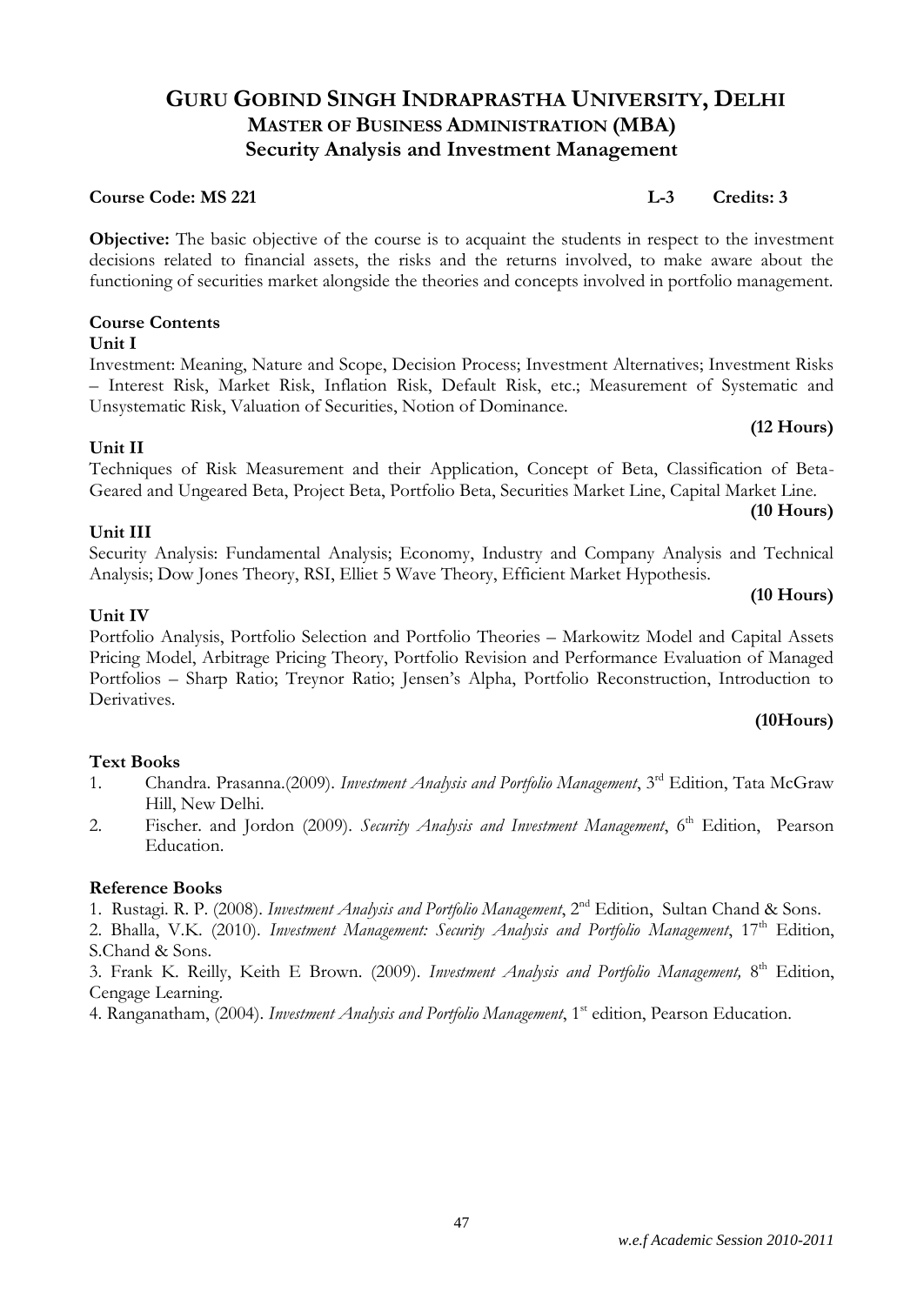#### *w.e.f Academic Session 2010-2011*

# **GURU GOBIND SINGH INDRAPRASTHA UNIVERSITY, DELHI MASTER OF BUSINESS ADMINISTRATION (MBA) Security Analysis and Investment Management**

#### **Course Code: MS 221 L-3 Credits: 3**

**Objective:** The basic objective of the course is to acquaint the students in respect to the investment decisions related to financial assets, the risks and the returns involved, to make aware about the functioning of securities market alongside the theories and concepts involved in portfolio management.

#### **Course Contents**

#### **Unit I**

Investment: Meaning, Nature and Scope, Decision Process; Investment Alternatives; Investment Risks – Interest Risk, Market Risk, Inflation Risk, Default Risk, etc.; Measurement of Systematic and Unsystematic Risk, Valuation of Securities, Notion of Dominance.

#### **Unit II**

#### Techniques of Risk Measurement and their Application, Concept of Beta, Classification of Beta-Geared and Ungeared Beta, Project Beta, Portfolio Beta, Securities Market Line, Capital Market Line.

#### **(10 Hours)**

**(10 Hours)**

**(12 Hours)**

Security Analysis: Fundamental Analysis; Economy, Industry and Company Analysis and Technical Analysis; Dow Jones Theory, RSI, Elliet 5 Wave Theory, Efficient Market Hypothesis.

#### **Unit IV**

**Unit III**

Portfolio Analysis, Portfolio Selection and Portfolio Theories – Markowitz Model and Capital Assets Pricing Model, Arbitrage Pricing Theory, Portfolio Revision and Performance Evaluation of Managed Portfolios – Sharp Ratio; Treynor Ratio; Jensen's Alpha, Portfolio Reconstruction, Introduction to Derivatives.

#### **(10Hours)**

#### **Text Books**

- 1. Chandra. Prasanna.(2009). *Investment Analysis and Portfolio Management*, 3rd Edition, Tata McGraw Hill, New Delhi.
- 2. Fischer. and Jordon (2009). *Security Analysis and Investment Management*, 6<sup>th</sup> Edition, Pearson Education.

#### **Reference Books**

- 1. Rustagi. R. P. (2008). *Investment Analysis and Portfolio Management*, 2nd Edition, Sultan Chand & Sons.
- 2. Bhalla, V.K. (2010). *Investment Management: Security Analysis and Portfolio Management*, 17<sup>th</sup> Edition, S.Chand & Sons.

3. Frank K. Reilly, Keith E Brown. (2009). *Investment Analysis and Portfolio Management,* 8 th Edition, Cengage Learning.

4. Ranganatham, (2004). *Investment Analysis and Portfolio Management*, 1<sup>st</sup> edition, Pearson Education.

47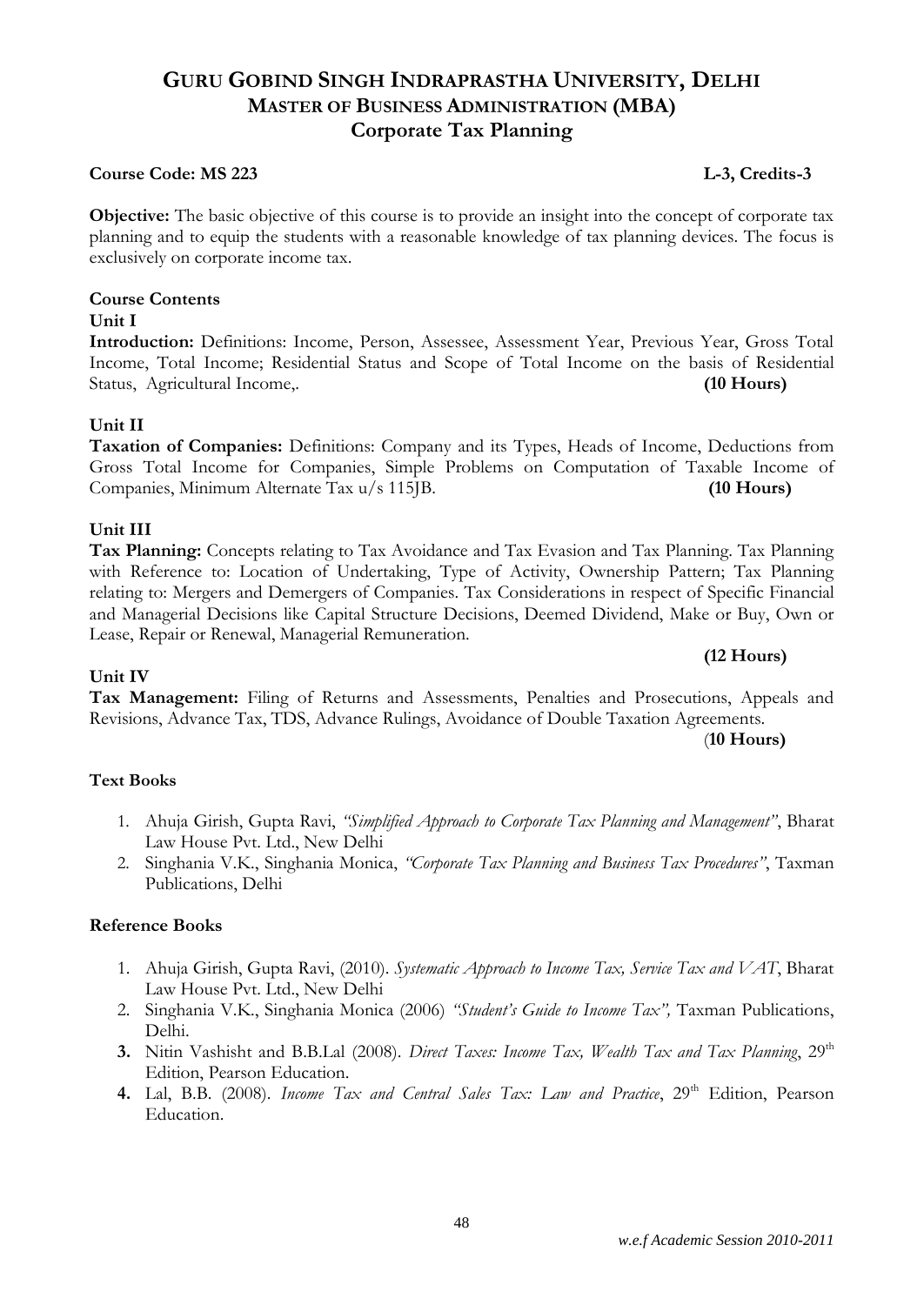# **Course Code: MS 223** L-3, Credits-3

**Objective:** The basic objective of this course is to provide an insight into the concept of corporate tax planning and to equip the students with a reasonable knowledge of tax planning devices. The focus is exclusively on corporate income tax.

**GURU GOBIND SINGH INDRAPRASTHA UNIVERSITY, DELHI MASTER OF BUSINESS ADMINISTRATION (MBA) Corporate Tax Planning**

# **Course Contents**

# **Unit I**

**Introduction:** Definitions: Income, Person, Assessee, Assessment Year, Previous Year, Gross Total Income, Total Income; Residential Status and Scope of Total Income on the basis of Residential Status, Agricultural Income,. **(10 Hours)**

### **Unit II**

**Taxation of Companies:** Definitions: Company and its Types, Heads of Income, Deductions from Gross Total Income for Companies, Simple Problems on Computation of Taxable Income of Companies, Minimum Alternate Tax u/s 115JB. **(10 Hours)**

### **Unit III**

**Unit IV**

**Tax Planning:** Concepts relating to Tax Avoidance and Tax Evasion and Tax Planning. Tax Planning with Reference to: Location of Undertaking, Type of Activity, Ownership Pattern; Tax Planning relating to: Mergers and Demergers of Companies. Tax Considerations in respect of Specific Financial and Managerial Decisions like Capital Structure Decisions, Deemed Dividend, Make or Buy, Own or Lease, Repair or Renewal, Managerial Remuneration.

#### **(12 Hours)**

**Tax Management:** Filing of Returns and Assessments, Penalties and Prosecutions, Appeals and Revisions, Advance Tax, TDS, Advance Rulings, Avoidance of Double Taxation Agreements.

(**10 Hours)**

#### **Text Books**

- 1. Ahuja Girish, Gupta Ravi, *"Simplified Approach to Corporate Tax Planning and Management"*, Bharat Law House Pvt. Ltd., New Delhi
- 2. Singhania V.K., Singhania Monica, *"Corporate Tax Planning and Business Tax Procedures"*, Taxman Publications, Delhi

- 1. Ahuja Girish, Gupta Ravi, (2010). *Systematic Approach to Income Tax, Service Tax and VAT*, Bharat Law House Pvt. Ltd., New Delhi
- 2. Singhania V.K., Singhania Monica (2006) *"Student's Guide to Income Tax",* Taxman Publications, Delhi.
- **3.** Nitin Vashisht and B.B.Lal (2008). *Direct Taxes: Income Tax, Wealth Tax and Tax Planning*, 29<sup>th</sup> Edition, Pearson Education.
- 4. Lal, B.B. (2008). *Income Tax and Central Sales Tax: Law and Practice*, 29<sup>th</sup> Edition, Pearson Education.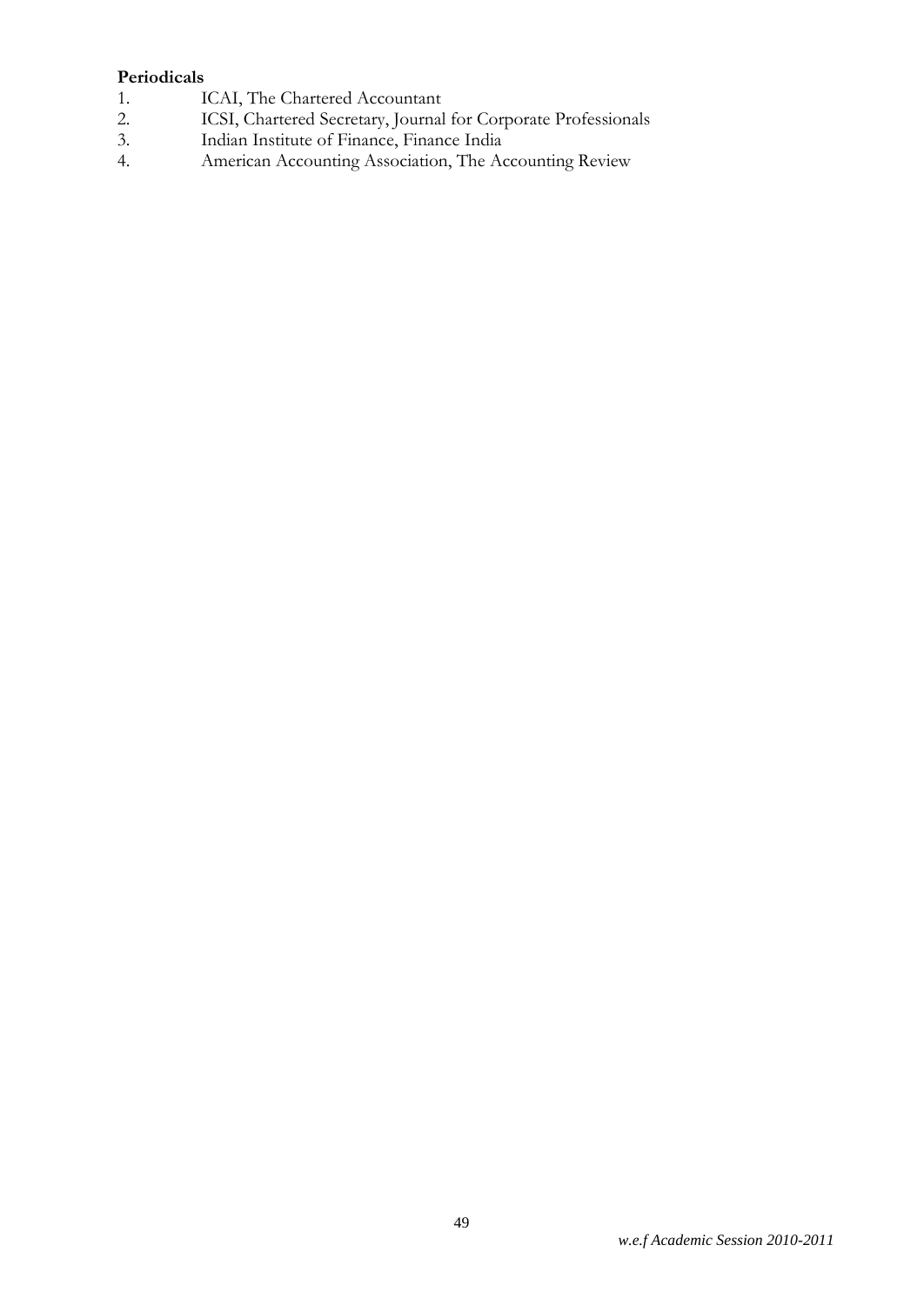# **Periodicals**<br>1. I

- 1. ICAI, The Chartered Accountant<br>2. ICSI, Chartered Secretary, Journal
- 2. ICSI, Chartered Secretary, Journal for Corporate Professionals<br>3. Indian Institute of Finance, Finance India
- 3. Indian Institute of Finance, Finance India<br>4. American Accounting Association, The Ac
- American Accounting Association, The Accounting Review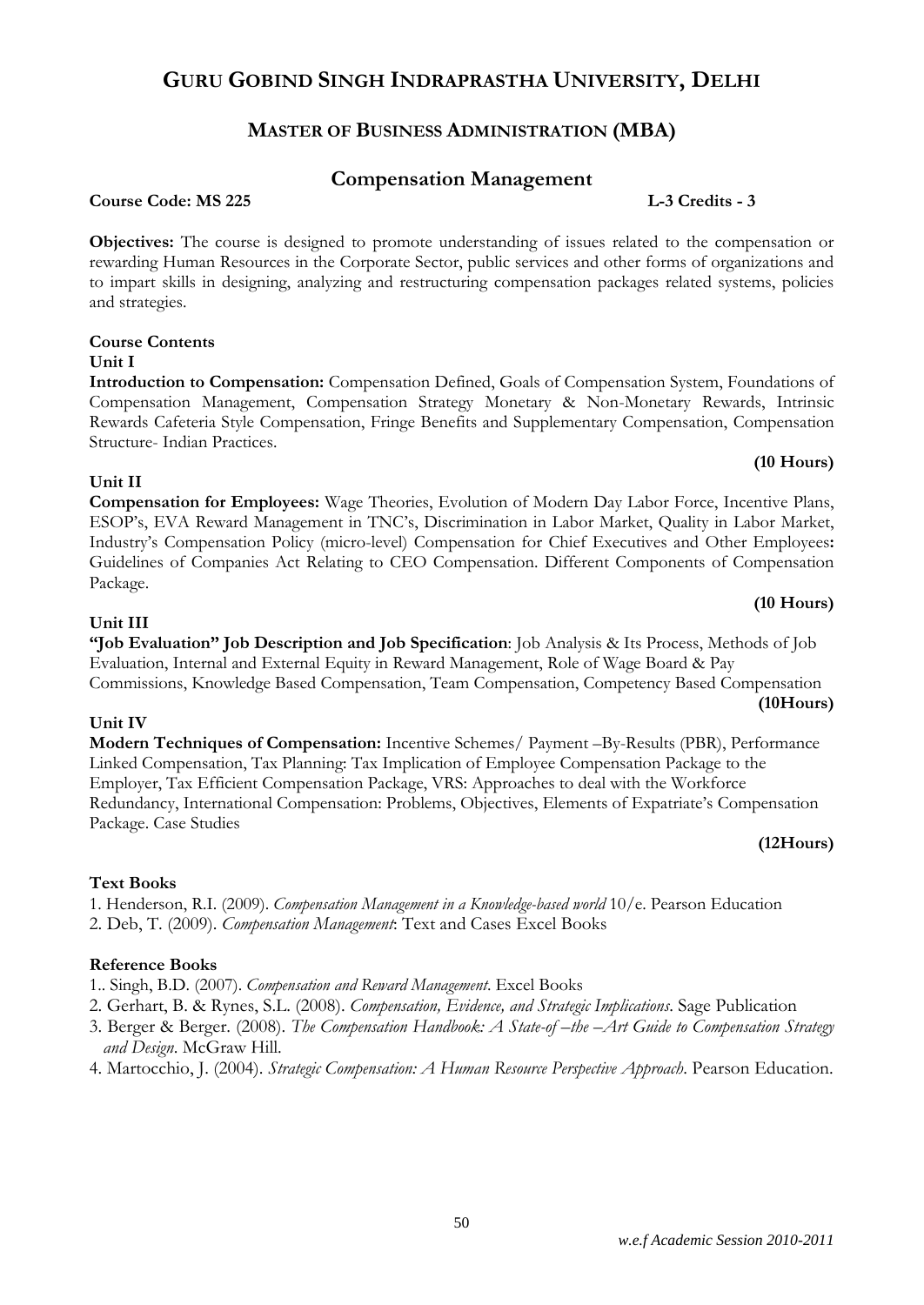# **MASTER OF BUSINESS ADMINISTRATION (MBA)**

### **Compensation Management**

#### **Course Code: MS 225 L-3 Credits - 3**

**Objectives:** The course is designed to promote understanding of issues related to the compensation or rewarding Human Resources in the Corporate Sector, public services and other forms of organizations and to impart skills in designing, analyzing and restructuring compensation packages related systems, policies and strategies.

#### **Course Contents Unit I**

**Introduction to Compensation:** Compensation Defined, Goals of Compensation System, Foundations of Compensation Management, Compensation Strategy Monetary & Non-Monetary Rewards, Intrinsic Rewards Cafeteria Style Compensation, Fringe Benefits and Supplementary Compensation, Compensation Structure- Indian Practices.

#### **Unit II**

**Compensation for Employees:** Wage Theories, Evolution of Modern Day Labor Force, Incentive Plans, ESOP's, EVA Reward Management in TNC's, Discrimination in Labor Market, Quality in Labor Market, Industry's Compensation Policy (micro-level) Compensation for Chief Executives and Other Employees**:**  Guidelines of Companies Act Relating to CEO Compensation. Different Components of Compensation Package.

#### **(10 Hours)**

**(10 Hours)**

#### **Unit III**

**"Job Evaluation" Job Description and Job Specification**: Job Analysis & Its Process, Methods of Job Evaluation, Internal and External Equity in Reward Management, Role of Wage Board & Pay Commissions, Knowledge Based Compensation, Team Compensation, Competency Based Compensation **(10Hours)**

#### **Unit IV**

**Modern Techniques of Compensation:** Incentive Schemes/ Payment –By-Results (PBR), Performance Linked Compensation, Tax Planning: Tax Implication of Employee Compensation Package to the Employer, Tax Efficient Compensation Package, VRS: Approaches to deal with the Workforce Redundancy, International Compensation: Problems, Objectives, Elements of Expatriate's Compensation Package. Case Studies

#### **(12Hours)**

#### **Text Books**

1. Henderson, R.I. (2009). *Compensation Management in a Knowledge-based world* 10/e. Pearson Education 2. Deb, T. (2009). *Compensation Management*: Text and Cases Excel Books

- 1.. Singh, B.D. (2007). *Compensation and Reward Management*. Excel Books
- 2. Gerhart, B. & Rynes, S.L. (2008). *Compensation, Evidence, and Strategic Implications*. Sage Publication
- 3. Berger & Berger. (2008). *The Compensation Handbook: A State-of –the –Art Guide to Compensation Strategy and Design*. McGraw Hill.
- 4. Martocchio, J. (2004). *Strategic Compensation: A Human Resource Perspective Approach*. Pearson Education.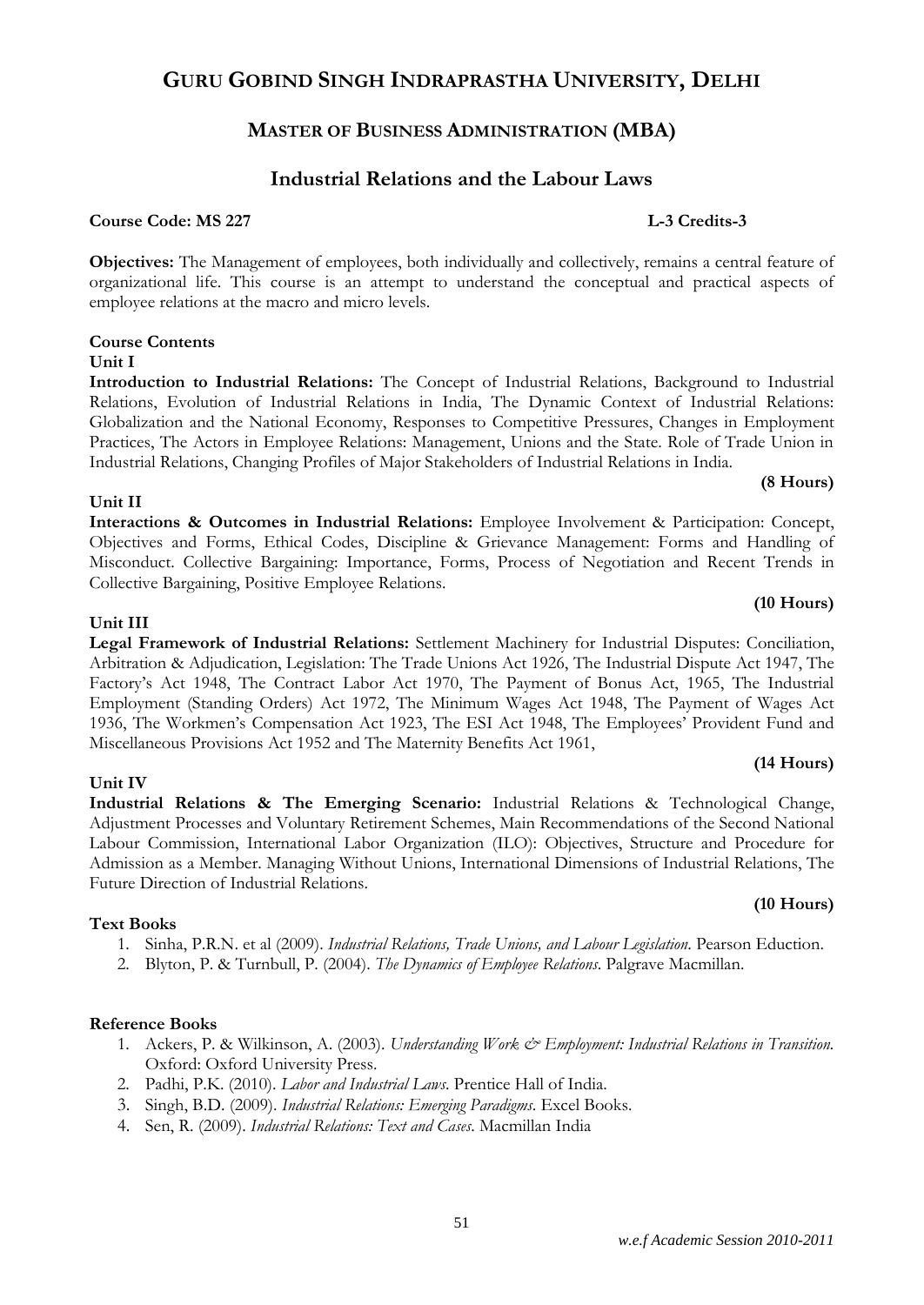### **MASTER OF BUSINESS ADMINISTRATION (MBA)**

### **Industrial Relations and the Labour Laws**

**Course Code: MS 227** L-3 Credits-3

**Objectives:** The Management of employees, both individually and collectively, remains a central feature of organizational life. This course is an attempt to understand the conceptual and practical aspects of employee relations at the macro and micro levels.

#### **Course Contents Unit I**

**Introduction to Industrial Relations:** The Concept of Industrial Relations, Background to Industrial Relations, Evolution of Industrial Relations in India, The Dynamic Context of Industrial Relations: Globalization and the National Economy, Responses to Competitive Pressures, Changes in Employment Practices, The Actors in Employee Relations: Management, Unions and the State. Role of Trade Union in Industrial Relations, Changing Profiles of Major Stakeholders of Industrial Relations in India.

#### **Unit II**

**Interactions & Outcomes in Industrial Relations:** Employee Involvement & Participation: Concept, Objectives and Forms, Ethical Codes, Discipline & Grievance Management: Forms and Handling of Misconduct. Collective Bargaining: Importance, Forms, Process of Negotiation and Recent Trends in Collective Bargaining, Positive Employee Relations.

#### **Unit III**

**Legal Framework of Industrial Relations:** Settlement Machinery for Industrial Disputes: Conciliation, Arbitration & Adjudication, Legislation: The Trade Unions Act 1926, The Industrial Dispute Act 1947, The Factory's Act 1948, The Contract Labor Act 1970, The Payment of Bonus Act, 1965, The Industrial Employment (Standing Orders) Act 1972, The Minimum Wages Act 1948, The Payment of Wages Act 1936, The Workmen's Compensation Act 1923, The ESI Act 1948, The Employees' Provident Fund and Miscellaneous Provisions Act 1952 and The Maternity Benefits Act 1961,

#### **Unit IV**

**Industrial Relations & The Emerging Scenario:** Industrial Relations & Technological Change, Adjustment Processes and Voluntary Retirement Schemes, Main Recommendations of the Second National Labour Commission, International Labor Organization (ILO): Objectives, Structure and Procedure for Admission as a Member. Managing Without Unions, International Dimensions of Industrial Relations, The Future Direction of Industrial Relations.

#### **Text Books**

- 1. Sinha, P.R.N. et al (2009). *Industrial Relations, Trade Unions, and Labour Legislation*. Pearson Eduction.
- 2. Blyton, P. & Turnbull, P. (2004). *The Dynamics of Employee Relations*. Palgrave Macmillan.

#### **Reference Books**

- 1. Ackers, P. & Wilkinson, A. (2003). *Understanding Work & Employment: Industrial Relations in Transition.* Oxford: Oxford University Press.
- 2. Padhi, P.K. (2010). *Labor and Industrial Laws*. Prentice Hall of India.
- 3. Singh, B.D. (2009). *Industrial Relations: Emerging Paradigms*. Excel Books.
- 4. Sen, R. (2009). *Industrial Relations: Text and Cases*. Macmillan India

#### **(14 Hours)**

**(8 Hours)**

**(10 Hours)**

#### **(10 Hours)**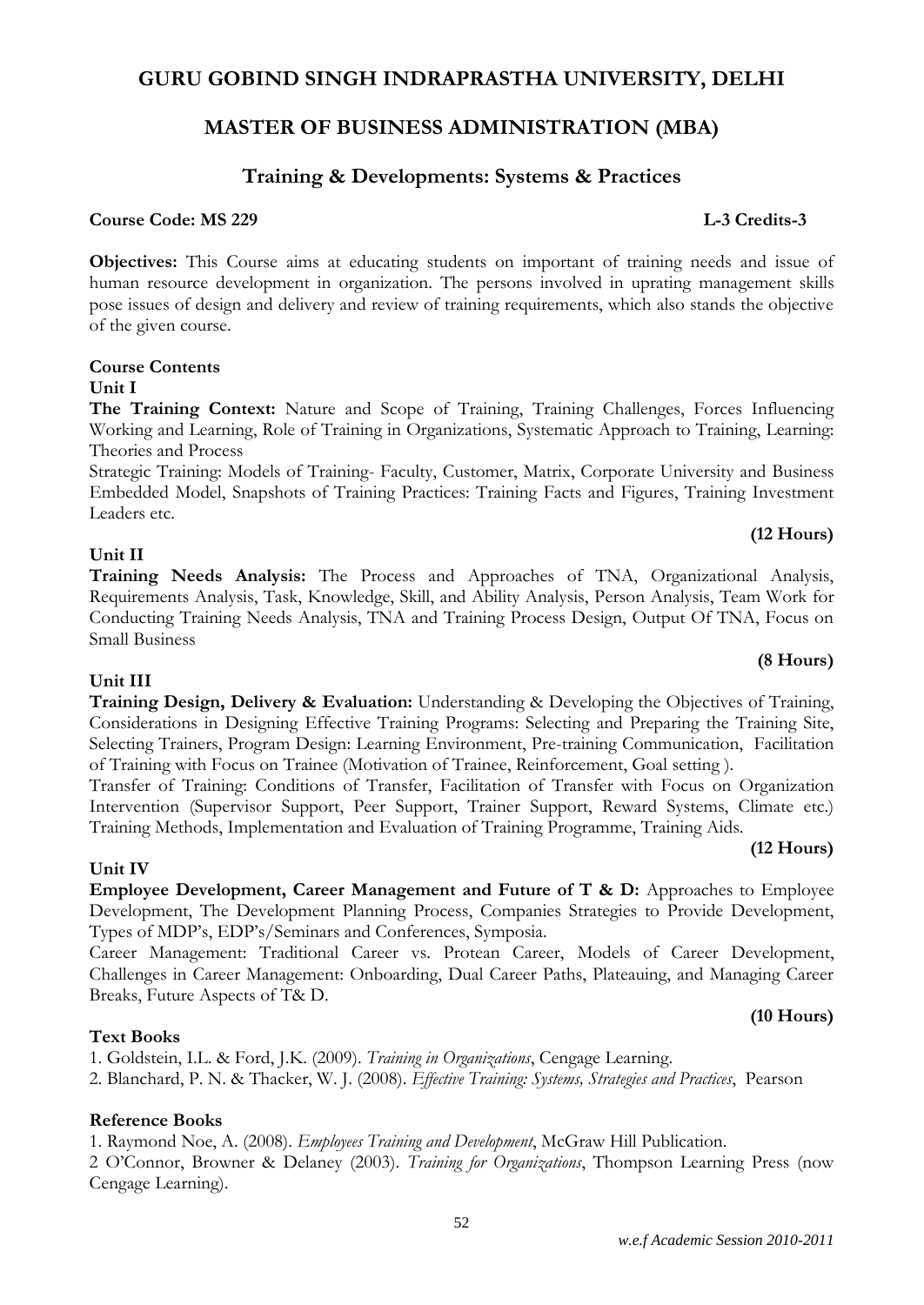#### *w.e.f Academic Session 2010-2011*

#### **GURU GOBIND SINGH INDRAPRASTHA UNIVERSITY, DELHI**

#### **MASTER OF BUSINESS ADMINISTRATION (MBA)**

#### **Training & Developments: Systems & Practices**

#### **Course Code: MS 229 L-3 Credits-3**

**Objectives:** This Course aims at educating students on important of training needs and issue of human resource development in organization. The persons involved in uprating management skills pose issues of design and delivery and review of training requirements, which also stands the objective of the given course.

#### **Course Contents**

#### **Unit I**

**The Training Context:** Nature and Scope of Training, Training Challenges, Forces Influencing Working and Learning, Role of Training in Organizations, Systematic Approach to Training, Learning: Theories and Process

Strategic Training: Models of Training- Faculty, Customer, Matrix, Corporate University and Business Embedded Model, Snapshots of Training Practices: Training Facts and Figures, Training Investment Leaders etc.

#### **Unit II**

**Unit III**

#### **Training Needs Analysis:** The Process and Approaches of TNA, Organizational Analysis, Requirements Analysis, Task, Knowledge, Skill, and Ability Analysis, Person Analysis, Team Work for Conducting Training Needs Analysis, TNA and Training Process Design, Output Of TNA, Focus on Small Business

**Training Design, Delivery & Evaluation:** Understanding & Developing the Objectives of Training, Considerations in Designing Effective Training Programs: Selecting and Preparing the Training Site, Selecting Trainers, Program Design: Learning Environment, Pre-training Communication, Facilitation of Training with Focus on Trainee (Motivation of Trainee, Reinforcement, Goal setting ).

Transfer of Training: Conditions of Transfer, Facilitation of Transfer with Focus on Organization Intervention (Supervisor Support, Peer Support, Trainer Support, Reward Systems, Climate etc.) Training Methods, Implementation and Evaluation of Training Programme, Training Aids.

#### **Unit IV**

**Employee Development, Career Management and Future of T & D:** Approaches to Employee Development, The Development Planning Process, Companies Strategies to Provide Development, Types of MDP's, EDP's/Seminars and Conferences, Symposia.

Career Management: Traditional Career vs. Protean Career, Models of Career Development, Challenges in Career Management: Onboarding, Dual Career Paths, Plateauing, and Managing Career Breaks, Future Aspects of T& D.

#### **Text Books**

1. Goldstein, I.L. & Ford, J.K. (2009). *Training in Organizations*, Cengage Learning.

2. Blanchard, P. N. & Thacker, W. J. (2008). *Effective Training: Systems, Strategies and Practices*, Pearson

#### **Reference Books**

1. Raymond Noe, A. (2008). *Employees Training and Development*, McGraw Hill Publication.

2 O'Connor, Browner & Delaney (2003). *Training for Organizations*, Thompson Learning Press (now Cengage Learning).

**(12 Hours)**

**(8 Hours)**

**(12 Hours)**

**(10 Hours)**

#### 52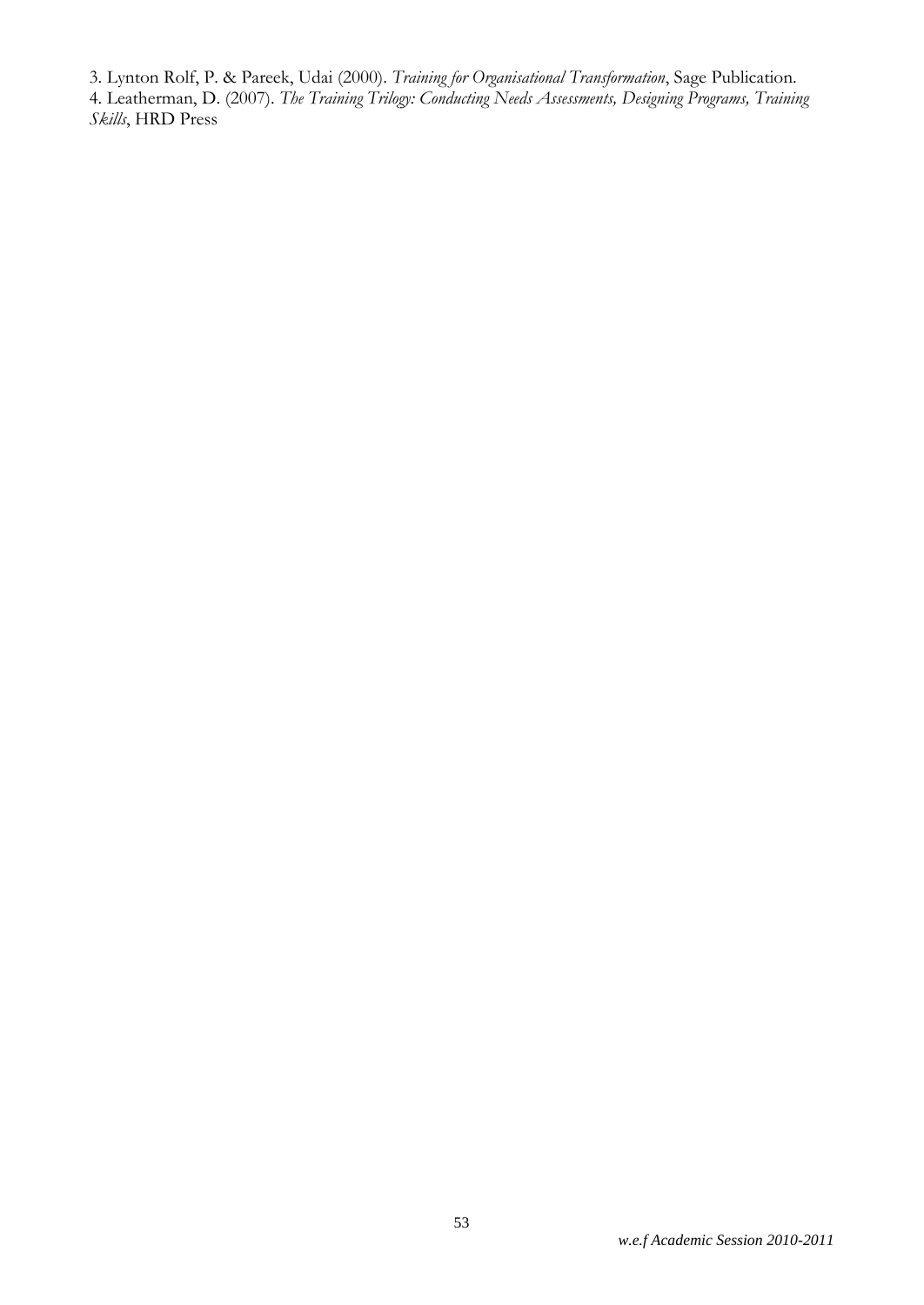3. Lynton Rolf, P. & Pareek, Udai (2000). *Training for Organisational Transformation*, Sage Publication. 4. Leatherman, D. (2007). *The Training Trilogy: Conducting Needs Assessments, Designing Programs, Training Skills*, HRD Press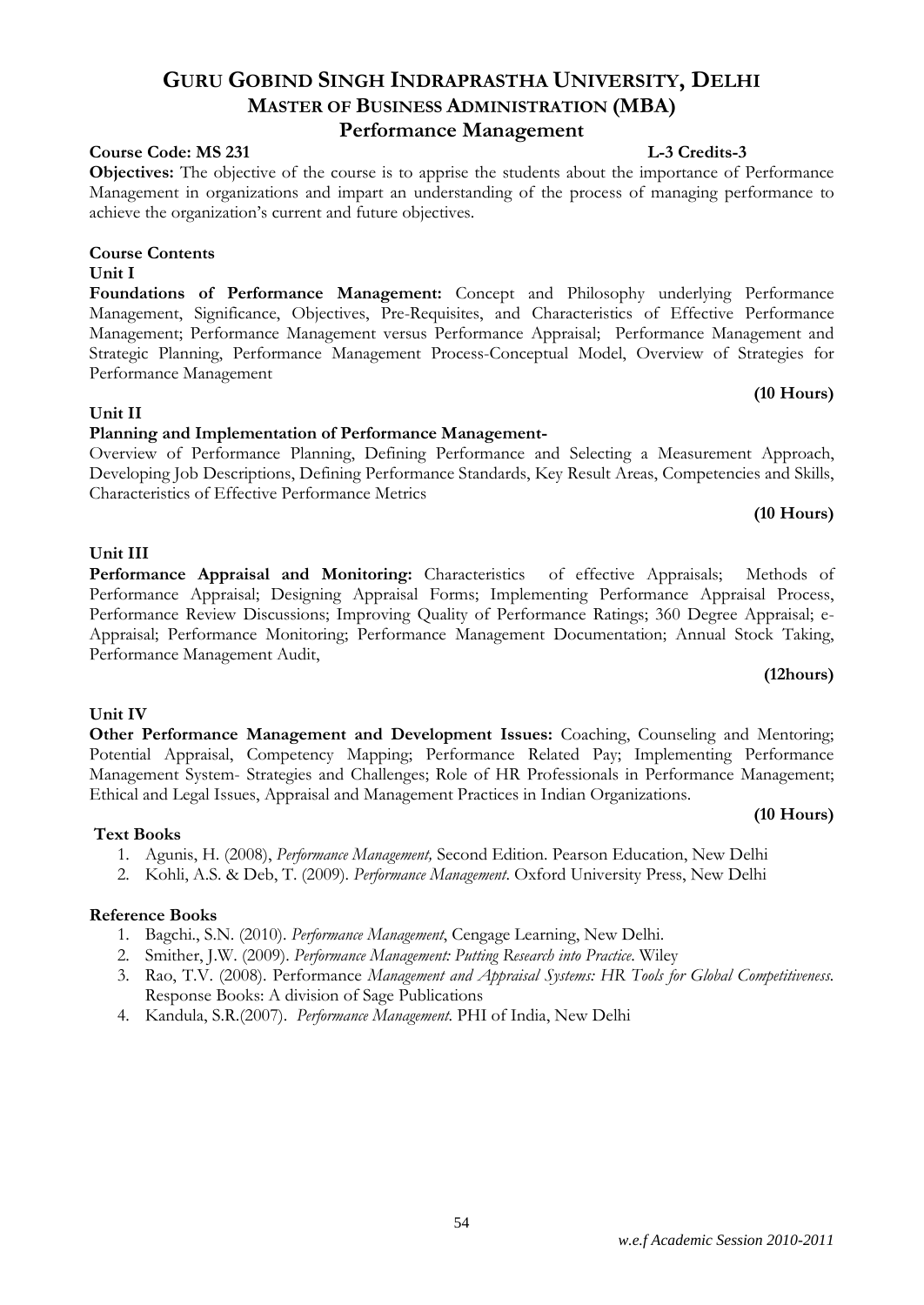#### *w.e.f Academic Session 2010-2011*

# **GURU GOBIND SINGH INDRAPRASTHA UNIVERSITY, DELHI MASTER OF BUSINESS ADMINISTRATION (MBA)**

#### **Performance Management**

#### **Course Code: MS 231 L-3 Credits-3**

**Objectives:** The objective of the course is to apprise the students about the importance of Performance Management in organizations and impart an understanding of the process of managing performance to achieve the organization's current and future objectives.

# **Course Contents**

#### **Unit I**

**Foundations of Performance Management:** Concept and Philosophy underlying Performance Management, Significance, Objectives, Pre-Requisites, and Characteristics of Effective Performance Management; Performance Management versus Performance Appraisal; Performance Management and Strategic Planning, Performance Management Process-Conceptual Model, Overview of Strategies for Performance Management

#### **Unit II**

#### **Planning and Implementation of Performance Management-**

Overview of Performance Planning, Defining Performance and Selecting a Measurement Approach, Developing Job Descriptions, Defining Performance Standards, Key Result Areas, Competencies and Skills, Characteristics of Effective Performance Metrics

#### **(10 Hours)**

**(10 Hours)**

#### **Unit III**

**Performance Appraisal and Monitoring:** Characteristics of effective Appraisals; Methods of Performance Appraisal; Designing Appraisal Forms; Implementing Performance Appraisal Process, Performance Review Discussions; Improving Quality of Performance Ratings; 360 Degree Appraisal; e-Appraisal; Performance Monitoring; Performance Management Documentation; Annual Stock Taking, Performance Management Audit,

#### **(12hours)**

**(10 Hours)**

#### **Unit IV**

#### **Other Performance Management and Development Issues:** Coaching, Counseling and Mentoring; Potential Appraisal, Competency Mapping; Performance Related Pay; Implementing Performance Management System- Strategies and Challenges; Role of HR Professionals in Performance Management; Ethical and Legal Issues, Appraisal and Management Practices in Indian Organizations.

#### **Text Books**

- 1. Agunis, H. (2008), *Performance Management,* Second Edition. Pearson Education, New Delhi
- 2. Kohli, A.S. & Deb, T. (2009). *Performance Management*. Oxford University Press, New Delhi

#### **Reference Books**

- 1. Bagchi., S.N. (2010). *Performance Management*, Cengage Learning, New Delhi.
- 2. Smither, J.W. (2009). *Performance Management: Putting Research into Practice*. Wiley
- 3. Rao, T.V. (2008). Performance *Management and Appraisal Systems: HR Tools for Global Competitiveness.*  Response Books: A division of Sage Publications
- 4. Kandula, S.R.(2007). *Performance Management*. PHI of India, New Delhi

54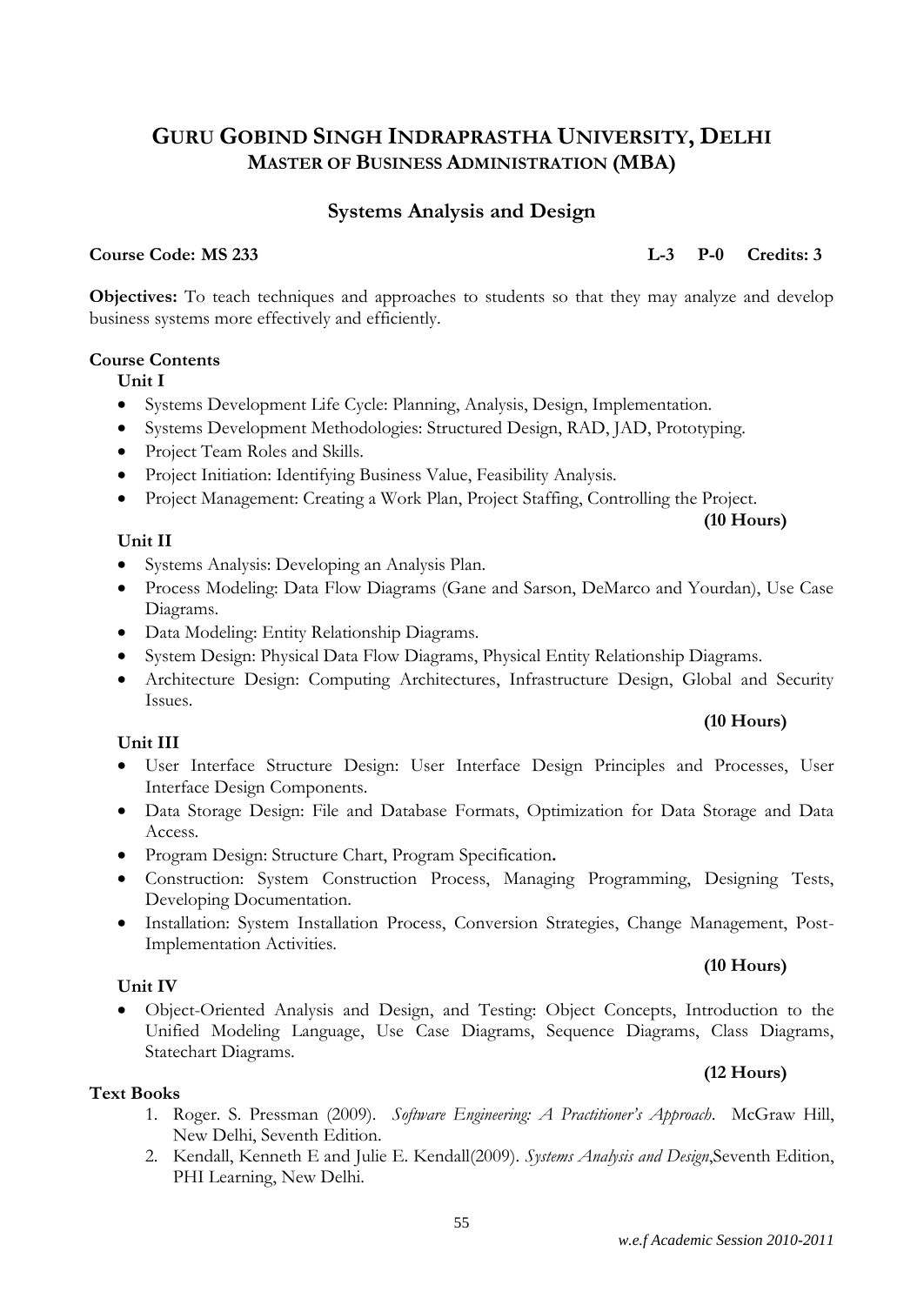### **Systems Analysis and Design**

**Course Code: MS 233 L-3 P-0 Credits: 3**

**(10 Hours)**

**(10 Hours)**

**Objectives:** To teach techniques and approaches to students so that they may analyze and develop business systems more effectively and efficiently.

#### **Course Contents**

**Unit I**

- Systems Development Life Cycle: Planning, Analysis, Design, Implementation.
- Systems Development Methodologies: Structured Design, RAD, JAD, Prototyping.
- Project Team Roles and Skills.
- Project Initiation: Identifying Business Value, Feasibility Analysis.
- Project Management: Creating a Work Plan, Project Staffing, Controlling the Project.

#### **Unit II**

- Systems Analysis: Developing an Analysis Plan.
- Process Modeling: Data Flow Diagrams (Gane and Sarson, DeMarco and Yourdan), Use Case Diagrams.
- Data Modeling: Entity Relationship Diagrams.
- System Design: Physical Data Flow Diagrams, Physical Entity Relationship Diagrams.
- Architecture Design: Computing Architectures, Infrastructure Design, Global and Security Issues.

#### **Unit III**

- User Interface Structure Design: User Interface Design Principles and Processes, User Interface Design Components.
- Data Storage Design: File and Database Formats, Optimization for Data Storage and Data Access.
- Program Design: Structure Chart, Program Specification**.**
- Construction: System Construction Process, Managing Programming, Designing Tests, Developing Documentation.
- Installation: System Installation Process, Conversion Strategies, Change Management, Post-Implementation Activities.

#### **Unit IV**

 Object-Oriented Analysis and Design, and Testing: Object Concepts, Introduction to the Unified Modeling Language, Use Case Diagrams, Sequence Diagrams, Class Diagrams, Statechart Diagrams.

#### **(12 Hours)**

#### **Text Books**

- 1. Roger. S. Pressman (2009). *Software Engineering: A Practitioner's Approach*. McGraw Hill, New Delhi, Seventh Edition.
- 2. Kendall, Kenneth E and Julie E. Kendall(2009). *Systems Analysis and Design*,Seventh Edition, PHI Learning, New Delhi.

### **(10 Hours)**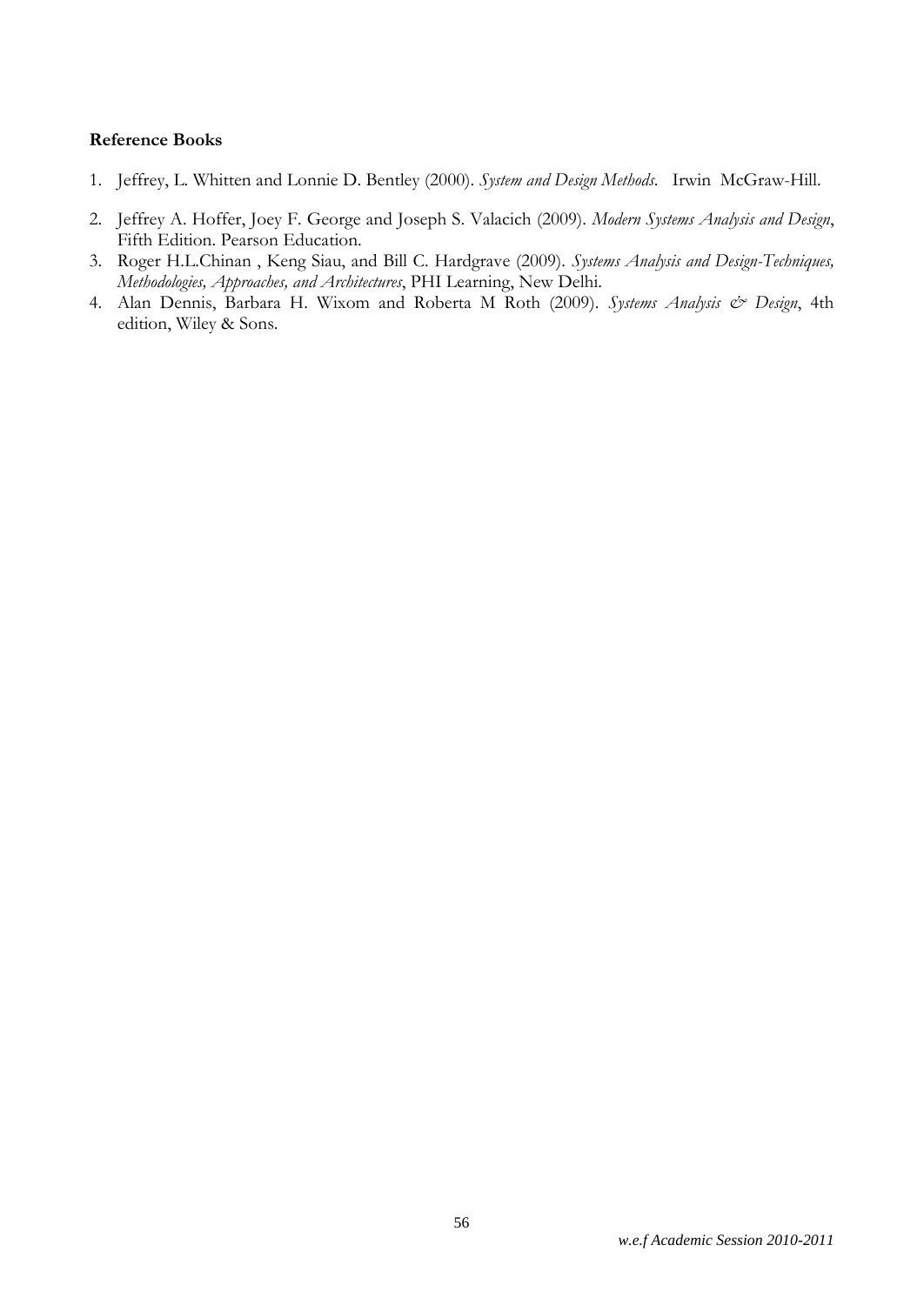- 1. Jeffrey, L. Whitten and Lonnie D. Bentley (2000). *System and Design Methods*. Irwin McGraw-Hill.
- 2. Jeffrey A. Hoffer, Joey F. George and Joseph S. Valacich (2009). *Modern Systems Analysis and Design*, Fifth Edition. Pearson Education.
- 3. Roger H.L.Chinan , Keng Siau, and Bill C. Hardgrave (2009). *Systems Analysis and Design-Techniques, Methodologies, Approaches, and Architectures*, PHI Learning, New Delhi.
- 4. Alan Dennis, Barbara H. Wixom and Roberta M Roth (2009). Systems Analysis & Design, 4th edition, Wiley & Sons.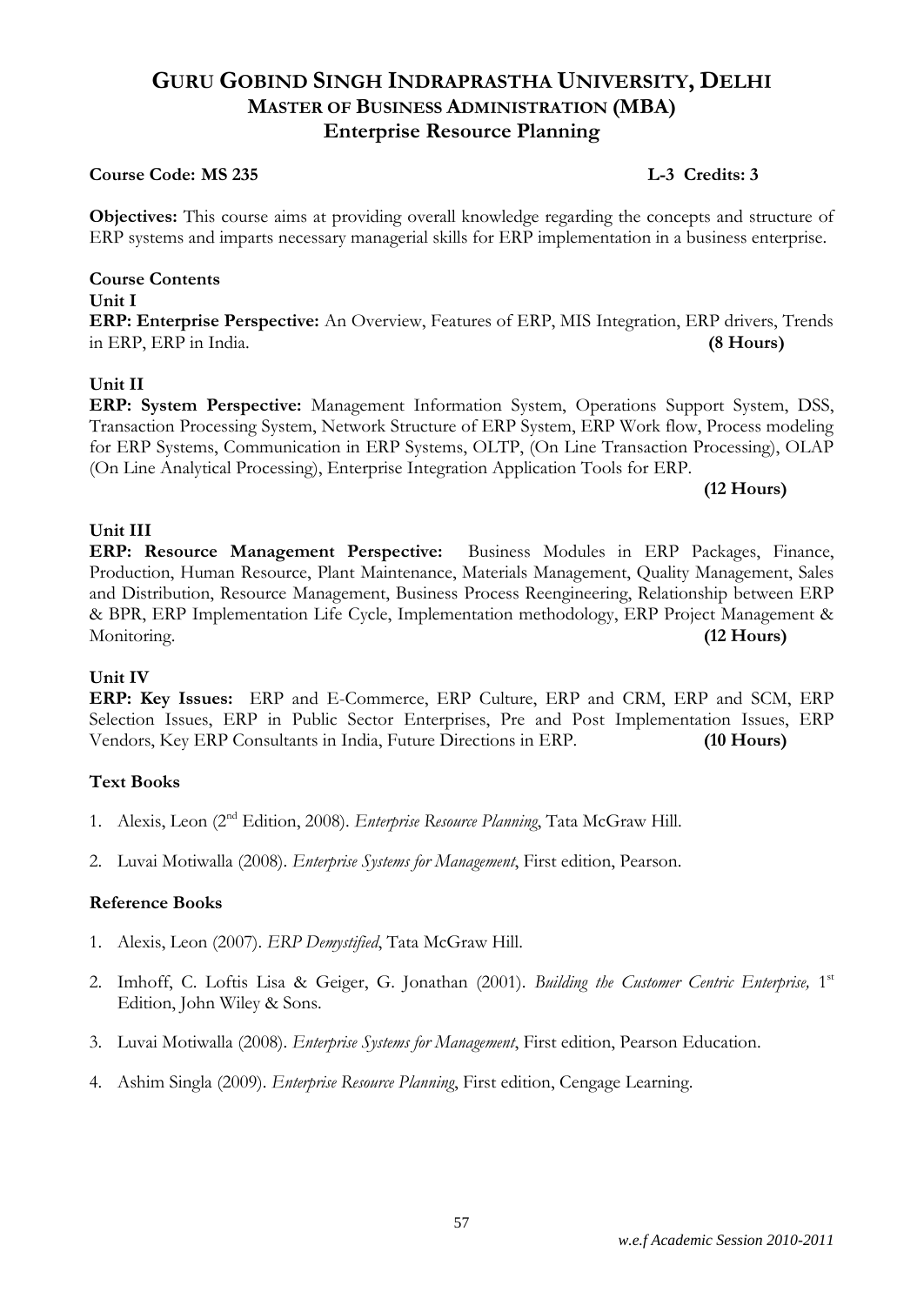# **GURU GOBIND SINGH INDRAPRASTHA UNIVERSITY, DELHI MASTER OF BUSINESS ADMINISTRATION (MBA) Enterprise Resource Planning**

#### **Course Code: MS 235 L-3 Credits: 3**

**Objectives:** This course aims at providing overall knowledge regarding the concepts and structure of ERP systems and imparts necessary managerial skills for ERP implementation in a business enterprise.

#### **Course Contents Unit I ERP: Enterprise Perspective:** An Overview, Features of ERP, MIS Integration, ERP drivers, Trends in ERP, ERP in India. **(8 Hours)**

#### **Unit II**

**ERP: System Perspective:** Management Information System, Operations Support System, DSS, Transaction Processing System, Network Structure of ERP System, ERP Work flow, Process modeling for ERP Systems, Communication in ERP Systems, OLTP, (On Line Transaction Processing), OLAP (On Line Analytical Processing), Enterprise Integration Application Tools for ERP.

**(12 Hours)**

#### **Unit III**

**ERP: Resource Management Perspective:** Business Modules in ERP Packages, Finance, Production, Human Resource, Plant Maintenance, Materials Management, Quality Management, Sales and Distribution, Resource Management, Business Process Reengineering, Relationship between ERP & BPR, ERP Implementation Life Cycle, Implementation methodology, ERP Project Management & Monitoring. **(12 Hours)**

#### **Unit IV**

**ERP: Key Issues:** ERP and E-Commerce, ERP Culture, ERP and CRM, ERP and SCM, ERP Selection Issues, ERP in Public Sector Enterprises, Pre and Post Implementation Issues, ERP Vendors, Key ERP Consultants in India, Future Directions in ERP. **(10 Hours)**

#### **Text Books**

- 1. Alexis, Leon (2nd Edition, 2008). *Enterprise Resource Planning*, Tata McGraw Hill.
- 2. Luvai Motiwalla (2008). *Enterprise Systems for Management*, First edition, Pearson.

- 1. Alexis, Leon (2007). *ERP Demystified*, Tata McGraw Hill.
- 2. Imhoff, C. Loftis Lisa & Geiger, G. Jonathan (2001). Building the Customer Centric Enterprise, 1st Edition, John Wiley & Sons.
- 3. Luvai Motiwalla (2008). *Enterprise Systems for Management*, First edition, Pearson Education.
- 4. Ashim Singla (2009). *Enterprise Resource Planning*, First edition, Cengage Learning.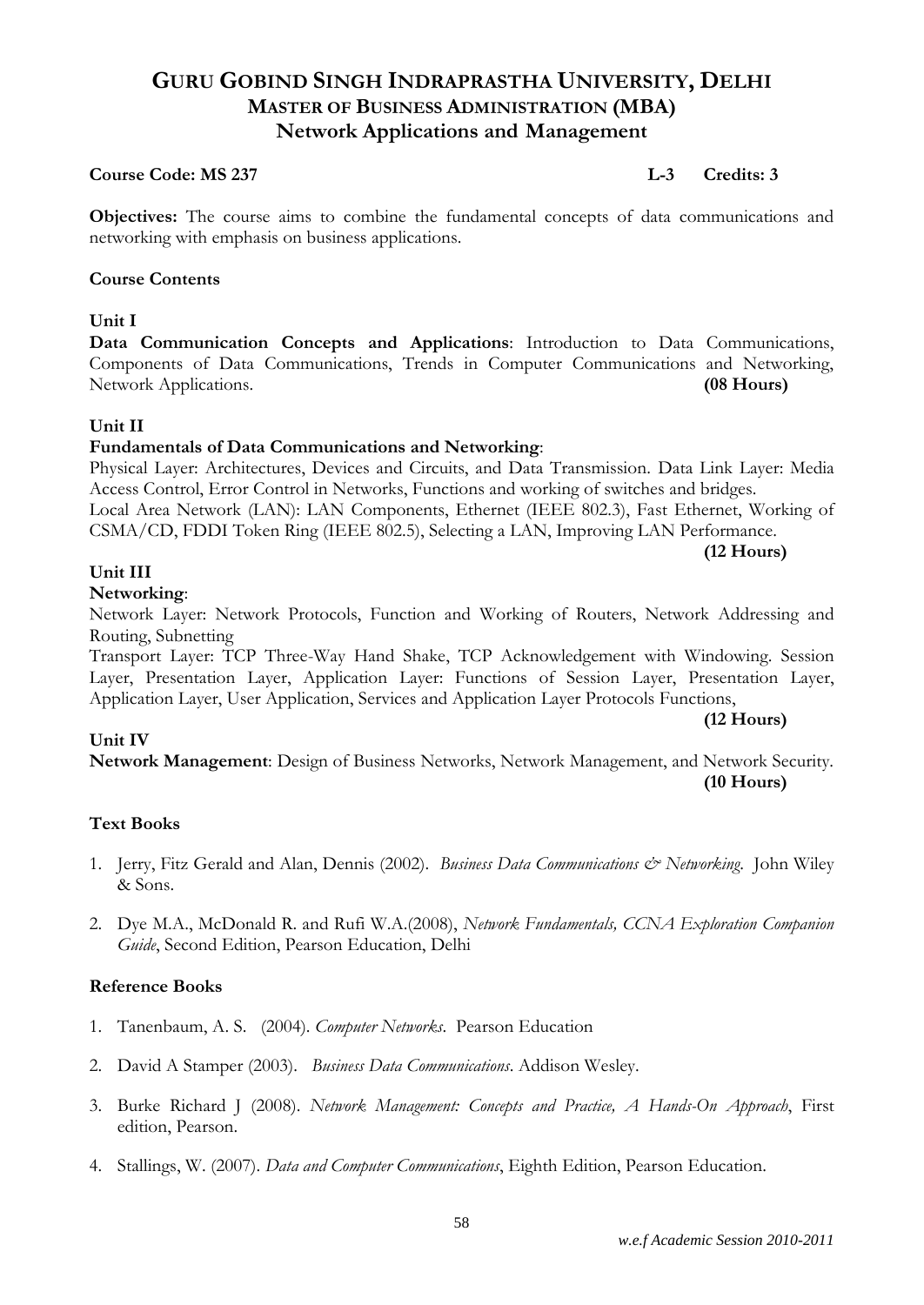# **GURU GOBIND SINGH INDRAPRASTHA UNIVERSITY, DELHI MASTER OF BUSINESS ADMINISTRATION (MBA) Network Applications and Management**

#### **Course Code: MS 237 L-3 Credits: 3**

**Objectives:** The course aims to combine the fundamental concepts of data communications and networking with emphasis on business applications.

#### **Course Contents**

#### **Unit I**

**Data Communication Concepts and Applications**: Introduction to Data Communications, Components of Data Communications, Trends in Computer Communications and Networking, Network Applications. **(08 Hours)**

#### **Unit II**

#### **Fundamentals of Data Communications and Networking**:

Physical Layer: Architectures, Devices and Circuits, and Data Transmission. Data Link Layer: Media Access Control, Error Control in Networks, Functions and working of switches and bridges. Local Area Network (LAN): LAN Components, Ethernet (IEEE 802.3), Fast Ethernet, Working of

CSMA/CD, FDDI Token Ring (IEEE 802.5), Selecting a LAN, Improving LAN Performance.

#### **(12 Hours)**

**(12 Hours)**

# **Unit III**

#### **Networking**:

Network Layer: Network Protocols, Function and Working of Routers, Network Addressing and Routing, Subnetting

Transport Layer: TCP Three-Way Hand Shake, TCP Acknowledgement with Windowing. Session Layer, Presentation Layer, Application Layer: Functions of Session Layer, Presentation Layer, Application Layer, User Application, Services and Application Layer Protocols Functions,

#### **Unit IV**

**Network Management**: Design of Business Networks, Network Management, and Network Security. **(10 Hours)**

#### **Text Books**

- 1. Jerry, Fitz Gerald and Alan, Dennis (2002). *Business Data Communications & Networking*. John Wiley & Sons.
- 2. Dye M.A., McDonald R. and Rufi W.A.(2008), *Network Fundamentals, CCNA Exploration Companion Guide*, Second Edition, Pearson Education, Delhi

- 1. Tanenbaum, A. S. (2004). *Computer Networks*. Pearson Education
- 2. David A Stamper (2003). *Business Data Communications*. Addison Wesley.
- 3. Burke Richard J (2008). *Network Management: Concepts and Practice, A Hands-On Approach*, First edition, Pearson.
- 4. Stallings, W. (2007). *Data and Computer Communications*, Eighth Edition, Pearson Education.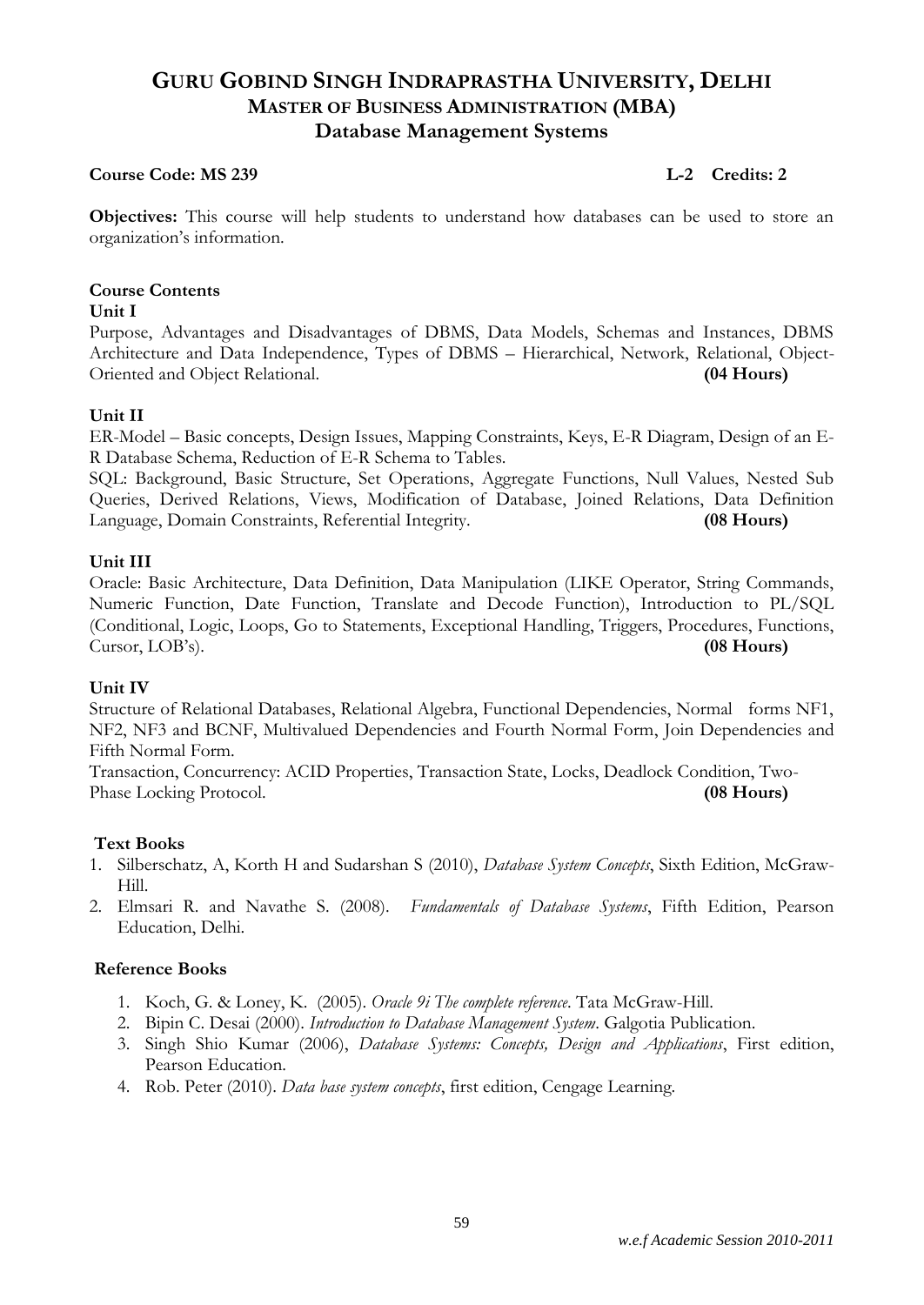# **GURU GOBIND SINGH INDRAPRASTHA UNIVERSITY, DELHI MASTER OF BUSINESS ADMINISTRATION (MBA) Database Management Systems**

#### **Course Code: MS 239 Leap Leap Leap Leap Leap Leap Leap Credits: 2**

**Objectives:** This course will help students to understand how databases can be used to store an organization's information.

#### **Course Contents**

#### **Unit I**

Purpose, Advantages and Disadvantages of DBMS, Data Models, Schemas and Instances, DBMS Architecture and Data Independence, Types of DBMS – Hierarchical, Network, Relational, Object-Oriented and Object Relational. **(04 Hours)**

#### **Unit II**

ER-Model – Basic concepts, Design Issues, Mapping Constraints, Keys, E-R Diagram, Design of an E-R Database Schema, Reduction of E-R Schema to Tables.

SQL: Background, Basic Structure, Set Operations, Aggregate Functions, Null Values, Nested Sub Queries, Derived Relations, Views, Modification of Database, Joined Relations, Data Definition Language, Domain Constraints, Referential Integrity. **(08 Hours)**

#### **Unit III**

Oracle: Basic Architecture, Data Definition, Data Manipulation (LIKE Operator, String Commands, Numeric Function, Date Function, Translate and Decode Function), Introduction to PL/SQL (Conditional, Logic, Loops, Go to Statements, Exceptional Handling, Triggers, Procedures, Functions, Cursor, LOB's). **(08 Hours)**

#### **Unit IV**

Structure of Relational Databases, Relational Algebra, Functional Dependencies, Normal forms NF1, NF2, NF3 and BCNF, Multivalued Dependencies and Fourth Normal Form, Join Dependencies and Fifth Normal Form.

Transaction, Concurrency: ACID Properties, Transaction State, Locks, Deadlock Condition, Two-Phase Locking Protocol. **(08 Hours)** 

#### **Text Books**

- 1. Silberschatz, A, Korth H and Sudarshan S (2010), *Database System Concepts*, Sixth Edition, McGraw-Hill.
- 2. Elmsari R. and Navathe S. (2008). *Fundamentals of Database Systems*, Fifth Edition, Pearson Education, Delhi.

- 1. Koch, G. & Loney, K. (2005). *Oracle 9i The complete reference*. Tata McGraw-Hill.
- 2. Bipin C. Desai (2000). *Introduction to Database Management System*. Galgotia Publication.
- 3. Singh Shio Kumar (2006), *Database Systems: Concepts, Design and Applications*, First edition, Pearson Education.
- 4. Rob. Peter (2010). *Data base system concepts*, first edition, Cengage Learning.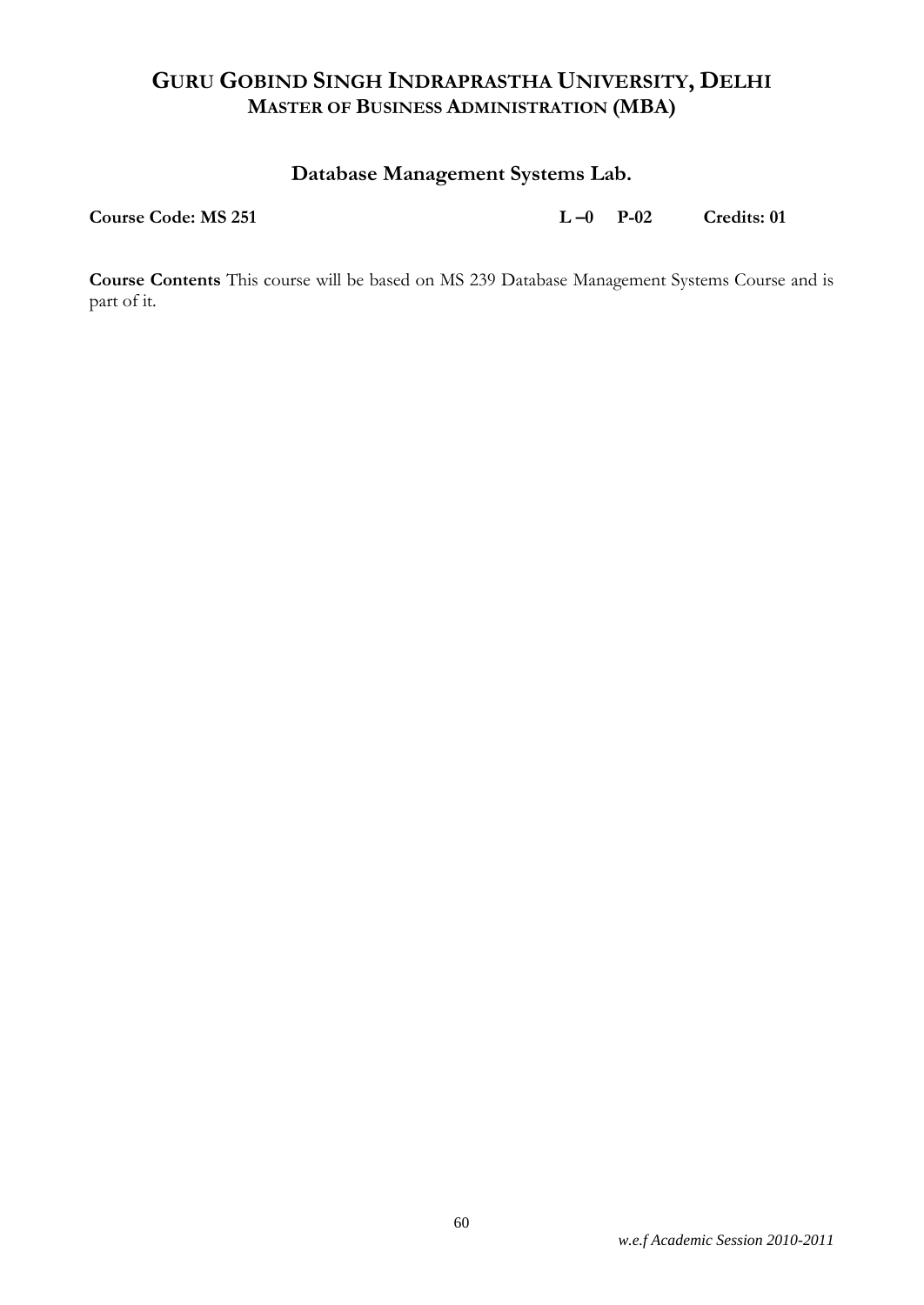# **Database Management Systems Lab.**

**Course Code: MS 251 L –0 P-02 Credits: 01**

**Course Contents** This course will be based on MS 239 Database Management Systems Course and is part of it.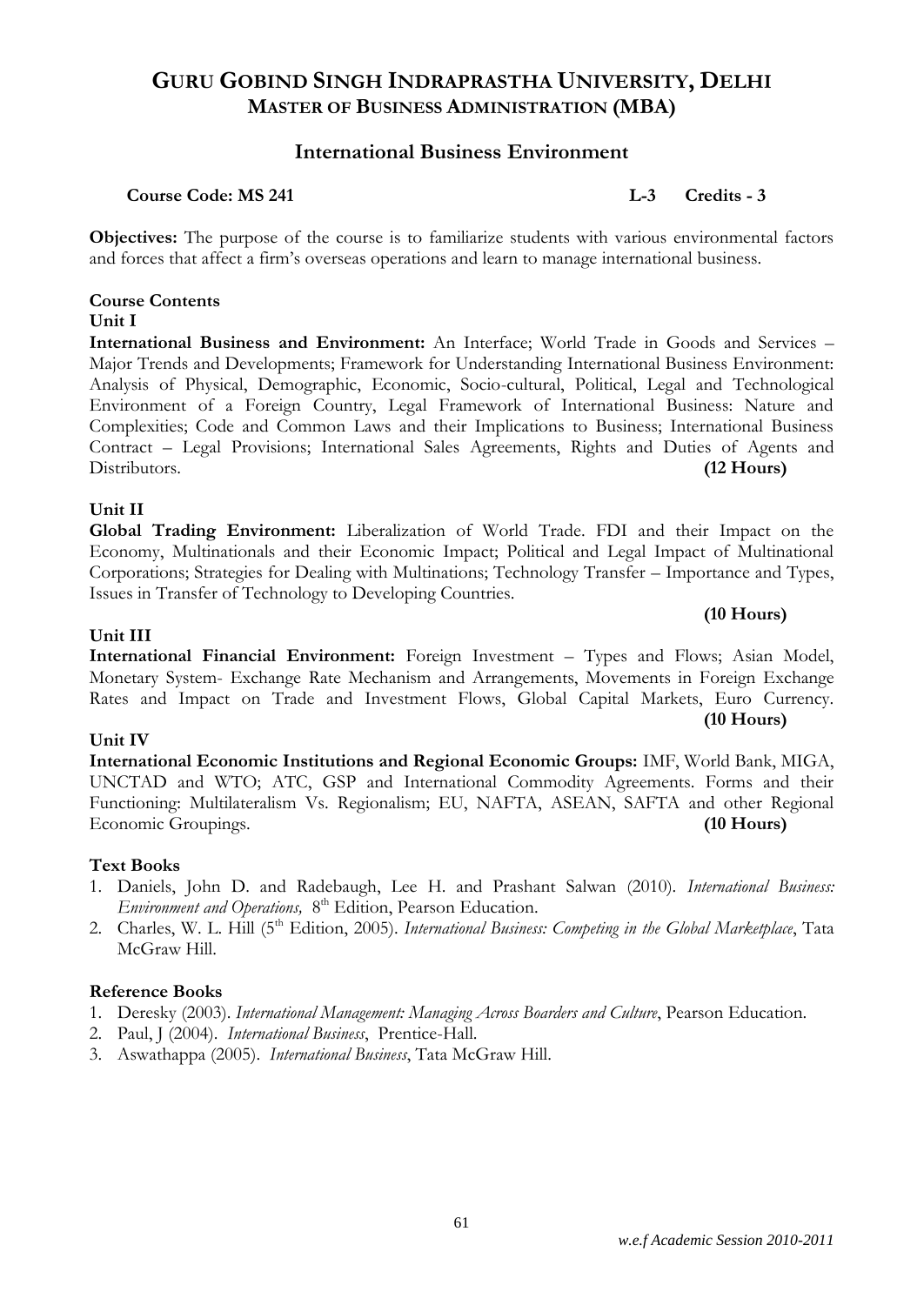### **International Business Environment**

#### **Course Code: MS 241 L-3 Credits - 3**

**Objectives:** The purpose of the course is to familiarize students with various environmental factors and forces that affect a firm's overseas operations and learn to manage international business.

#### **Course Contents Unit I**

**International Business and Environment:** An Interface; World Trade in Goods and Services – Major Trends and Developments; Framework for Understanding International Business Environment: Analysis of Physical, Demographic, Economic, Socio-cultural, Political, Legal and Technological Environment of a Foreign Country, Legal Framework of International Business: Nature and Complexities; Code and Common Laws and their Implications to Business; International Business Contract – Legal Provisions; International Sales Agreements, Rights and Duties of Agents and Distributors. **(12 Hours)**

#### **Unit II**

**Global Trading Environment:** Liberalization of World Trade. FDI and their Impact on the Economy, Multinationals and their Economic Impact; Political and Legal Impact of Multinational Corporations; Strategies for Dealing with Multinations; Technology Transfer – Importance and Types, Issues in Transfer of Technology to Developing Countries.

#### **Unit III**

#### **International Financial Environment:** Foreign Investment – Types and Flows; Asian Model, Monetary System- Exchange Rate Mechanism and Arrangements, Movements in Foreign Exchange Rates and Impact on Trade and Investment Flows, Global Capital Markets, Euro Currency. **(10 Hours)**

#### **Unit IV**

**International Economic Institutions and Regional Economic Groups:** IMF, World Bank, MIGA, UNCTAD and WTO; ATC, GSP and International Commodity Agreements. Forms and their Functioning: Multilateralism Vs. Regionalism; EU, NAFTA, ASEAN, SAFTA and other Regional Economic Groupings. **(10 Hours)**

#### **Text Books**

- 1. Daniels, John D. and Radebaugh, Lee H. and Prashant Salwan (2010). *International Business:*  Environment and Operations, 8<sup>th</sup> Edition, Pearson Education.
- 2. Charles, W. L. Hill (5th Edition, 2005). *International Business: Competing in the Global Marketplace*, Tata McGraw Hill.

#### **Reference Books**

1. Deresky (2003). *International Management: Managing Across Boarders and Culture*, Pearson Education.

61

- 2. Paul, J (2004). *International Business*, Prentice-Hall.
- 3. Aswathappa (2005). *International Business*, Tata McGraw Hill.

**(10 Hours)**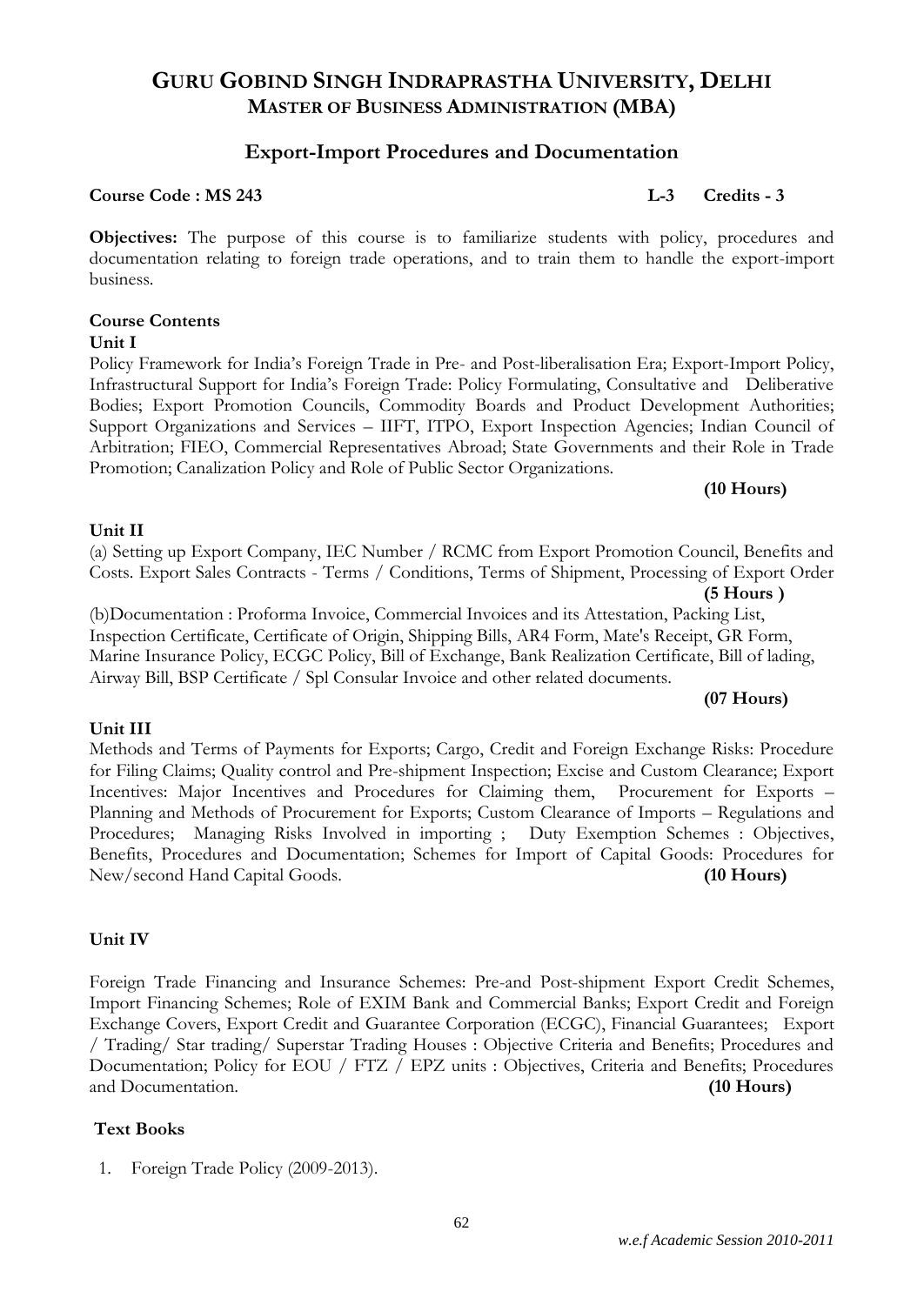### **Export-Import Procedures and Documentation**

#### **Course Code : MS 243 L-3 Credits - 3**

**Objectives:** The purpose of this course is to familiarize students with policy, procedures and documentation relating to foreign trade operations, and to train them to handle the export-import business.

### **Course Contents**

#### **Unit I**

Policy Framework for India's Foreign Trade in Pre- and Post-liberalisation Era; Export-Import Policy, Infrastructural Support for India's Foreign Trade: Policy Formulating, Consultative and Deliberative Bodies; Export Promotion Councils, Commodity Boards and Product Development Authorities; Support Organizations and Services – IIFT, ITPO, Export Inspection Agencies; Indian Council of Arbitration; FIEO, Commercial Representatives Abroad; State Governments and their Role in Trade Promotion; Canalization Policy and Role of Public Sector Organizations.

#### **(10 Hours)**

#### **Unit II**

# (a) Setting up Export Company, IEC Number / RCMC from Export Promotion Council, Benefits and Costs. Export Sales Contracts - Terms / Conditions, Terms of Shipment, Processing of Export Order

**(5 Hours )**

(b)Documentation : Proforma Invoice, Commercial Invoices and its Attestation, Packing List, Inspection Certificate, Certificate of Origin, Shipping Bills, AR4 Form, Mate's Receipt, GR Form, Marine Insurance Policy, ECGC Policy, Bill of Exchange, Bank Realization Certificate, Bill of lading, Airway Bill, BSP Certificate / Spl Consular Invoice and other related documents.

#### **(07 Hours)**

#### **Unit III**

Methods and Terms of Payments for Exports; Cargo, Credit and Foreign Exchange Risks: Procedure for Filing Claims; Quality control and Pre-shipment Inspection; Excise and Custom Clearance; Export Incentives: Major Incentives and Procedures for Claiming them, Procurement for Exports – Planning and Methods of Procurement for Exports; Custom Clearance of Imports – Regulations and Procedures; Managing Risks Involved in importing ; Duty Exemption Schemes : Objectives, Benefits, Procedures and Documentation; Schemes for Import of Capital Goods: Procedures for New/second Hand Capital Goods. **(10 Hours)**

#### **Unit IV**

Foreign Trade Financing and Insurance Schemes: Pre-and Post-shipment Export Credit Schemes, Import Financing Schemes; Role of EXIM Bank and Commercial Banks; Export Credit and Foreign Exchange Covers, Export Credit and Guarantee Corporation (ECGC), Financial Guarantees; Export / Trading/ Star trading/ Superstar Trading Houses : Objective Criteria and Benefits; Procedures and Documentation; Policy for EOU / FTZ / EPZ units : Objectives, Criteria and Benefits; Procedures and Documentation. **(10 Hours)**

#### **Text Books**

1. Foreign Trade Policy (2009-2013).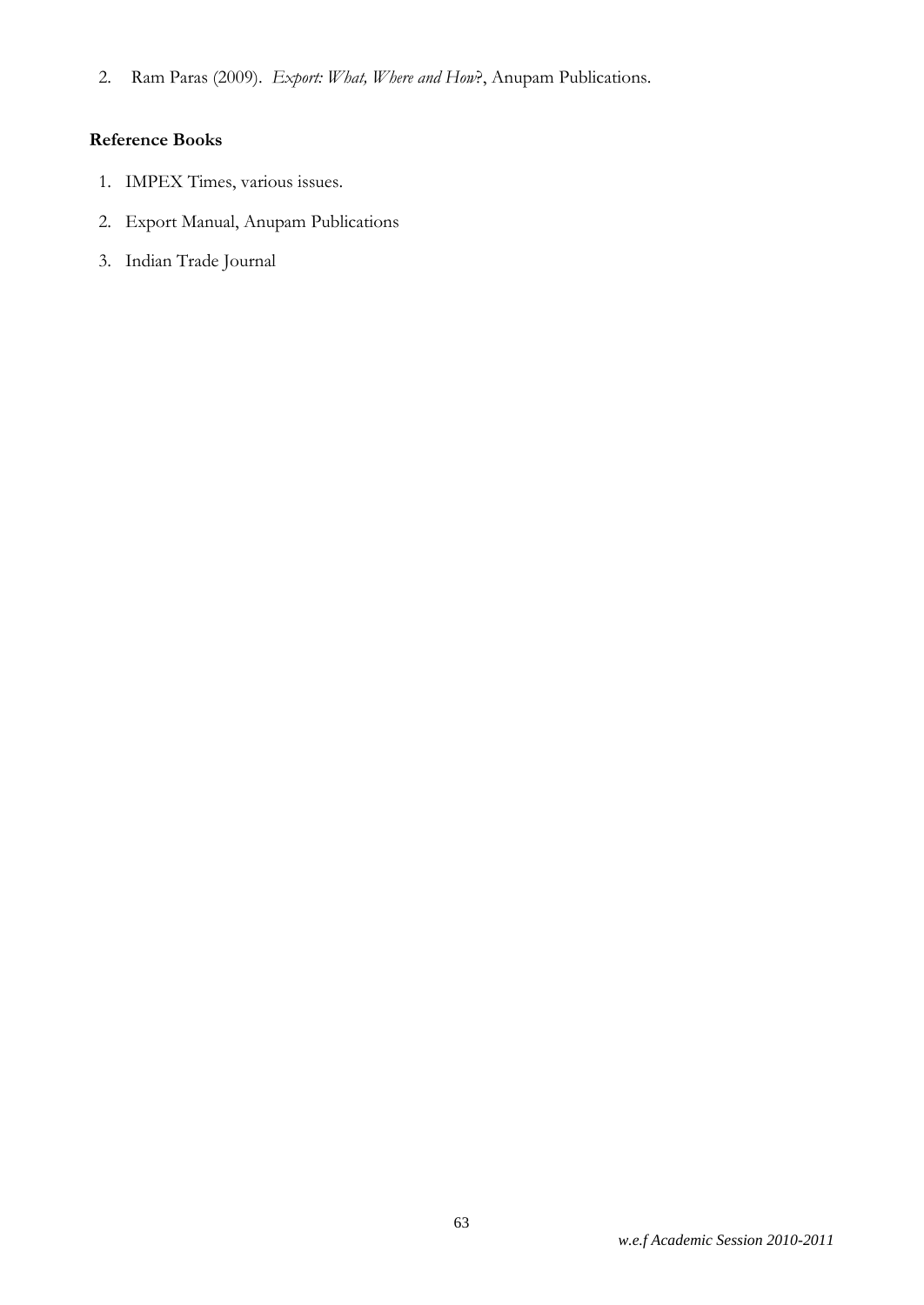2. Ram Paras (2009). *Export: What, Where and How*?, Anupam Publications.

- 1. IMPEX Times, various issues.
- 2. Export Manual, Anupam Publications
- 3. Indian Trade Journal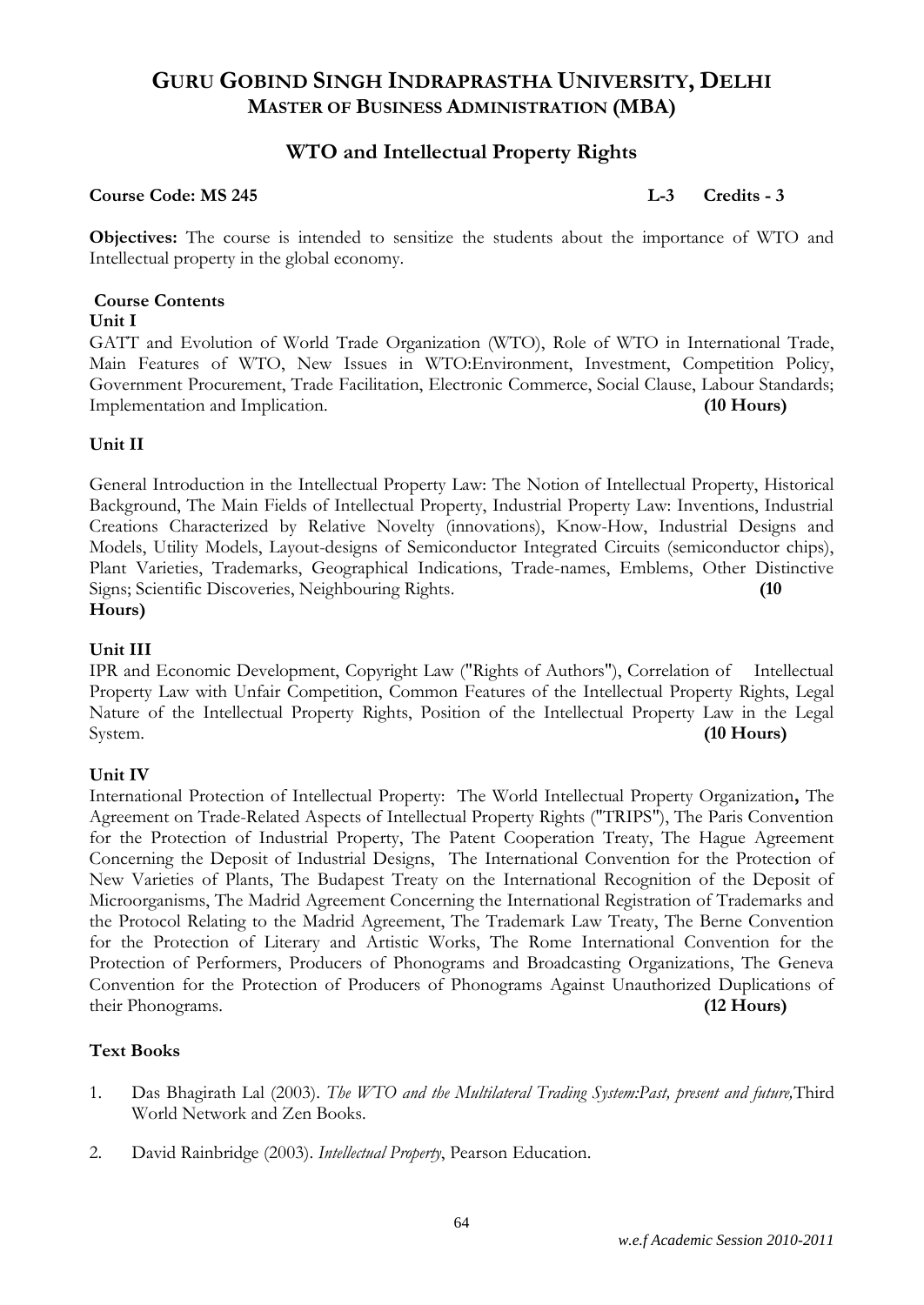# **WTO and Intellectual Property Rights**

#### **Course Code: MS 245 L-3 Credits - 3**

**Objectives:** The course is intended to sensitize the students about the importance of WTO and Intellectual property in the global economy.

### **Course Contents**

#### **Unit I**

GATT and Evolution of World Trade Organization (WTO), Role of WTO in International Trade, Main Features of WTO, New Issues in WTO:Environment, Investment, Competition Policy, Government Procurement, Trade Facilitation, Electronic Commerce, Social Clause, Labour Standards; Implementation and Implication. **(10 Hours)**

#### **Unit II**

General Introduction in the Intellectual Property Law: The Notion of Intellectual Property, Historical Background, The Main Fields of Intellectual Property, Industrial Property Law: Inventions, Industrial Creations Characterized by Relative Novelty (innovations), Know-How, Industrial Designs and Models, Utility Models, Layout-designs of Semiconductor Integrated Circuits (semiconductor chips), Plant Varieties, Trademarks, Geographical Indications, Trade-names, Emblems, Other Distinctive Signs; Scientific Discoveries, Neighbouring Rights. **(10 Hours)**

#### **Unit III**

IPR and Economic Development, Copyright Law ("Rights of Authors"), Correlation of Intellectual Property Law with Unfair Competition, Common Features of the Intellectual Property Rights, Legal Nature of the Intellectual Property Rights, Position of the Intellectual Property Law in the Legal System. **(10 Hours)**

#### **Unit IV**

International Protection of Intellectual Property: The World Intellectual Property Organization**,** The Agreement on Trade-Related Aspects of Intellectual Property Rights ("TRIPS"), The Paris Convention for the Protection of Industrial Property, The Patent Cooperation Treaty, The Hague Agreement Concerning the Deposit of Industrial Designs, The International Convention for the Protection of New Varieties of Plants, The Budapest Treaty on the International Recognition of the Deposit of Microorganisms, The Madrid Agreement Concerning the International Registration of Trademarks and the Protocol Relating to the Madrid Agreement, The Trademark Law Treaty, The Berne Convention for the Protection of Literary and Artistic Works, The Rome International Convention for the Protection of Performers, Producers of Phonograms and Broadcasting Organizations, The Geneva Convention for the Protection of Producers of Phonograms Against Unauthorized Duplications of their Phonograms. **(12 Hours)**

#### **Text Books**

- 1. Das Bhagirath Lal (2003). *The WTO and the Multilateral Trading System:Past, present and future,*Third World Network and Zen Books.
- 2. David Rainbridge (2003). *Intellectual Property*, Pearson Education.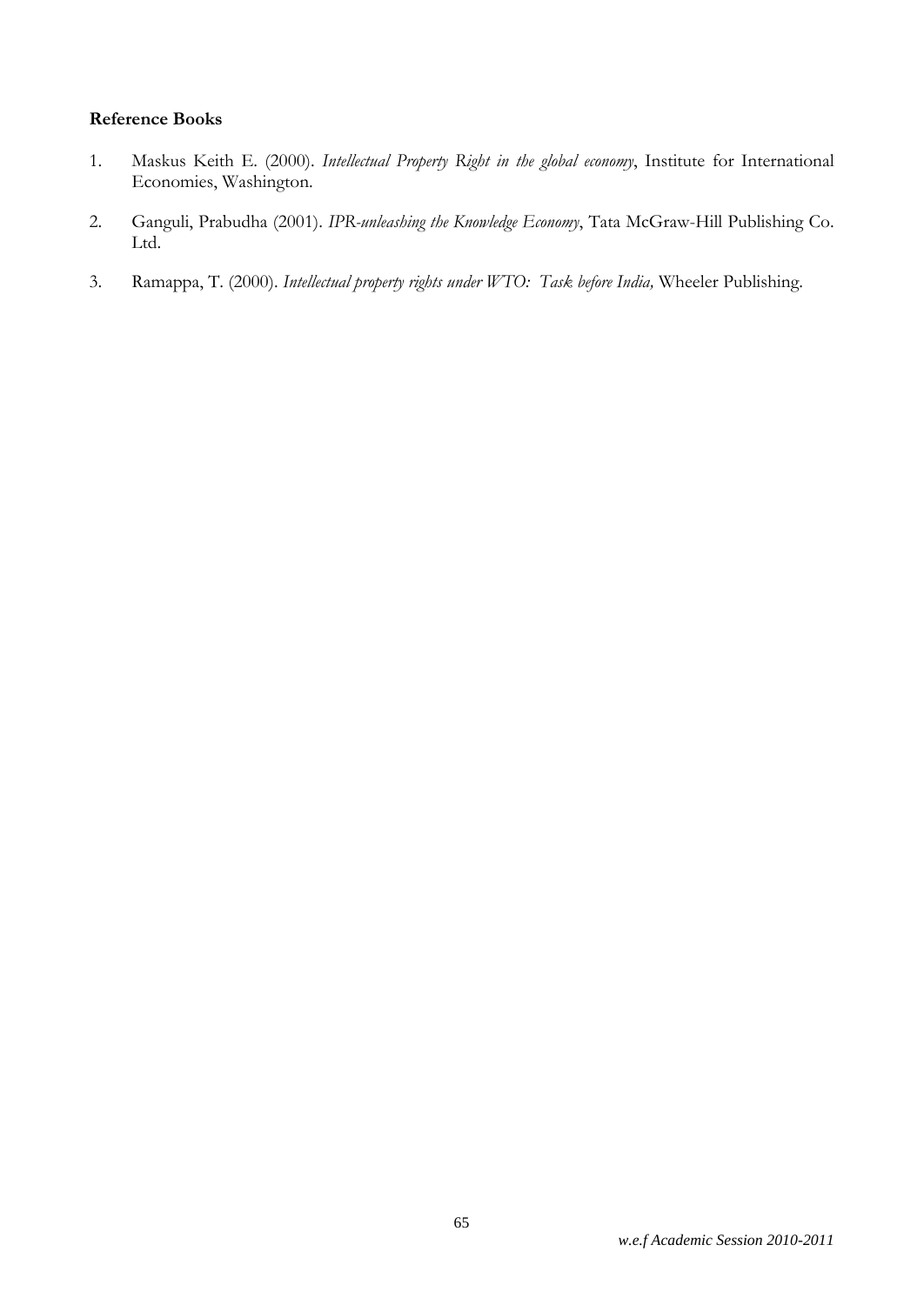- 1. Maskus Keith E. (2000). *Intellectual Property Right in the global economy*, Institute for International Economies, Washington.
- 2. Ganguli, Prabudha (2001). *IPR-unleashing the Knowledge Economy*, Tata McGraw-Hill Publishing Co. Ltd.
- 3. Ramappa, T. (2000). *Intellectual property rights under WTO: Task before India,* Wheeler Publishing.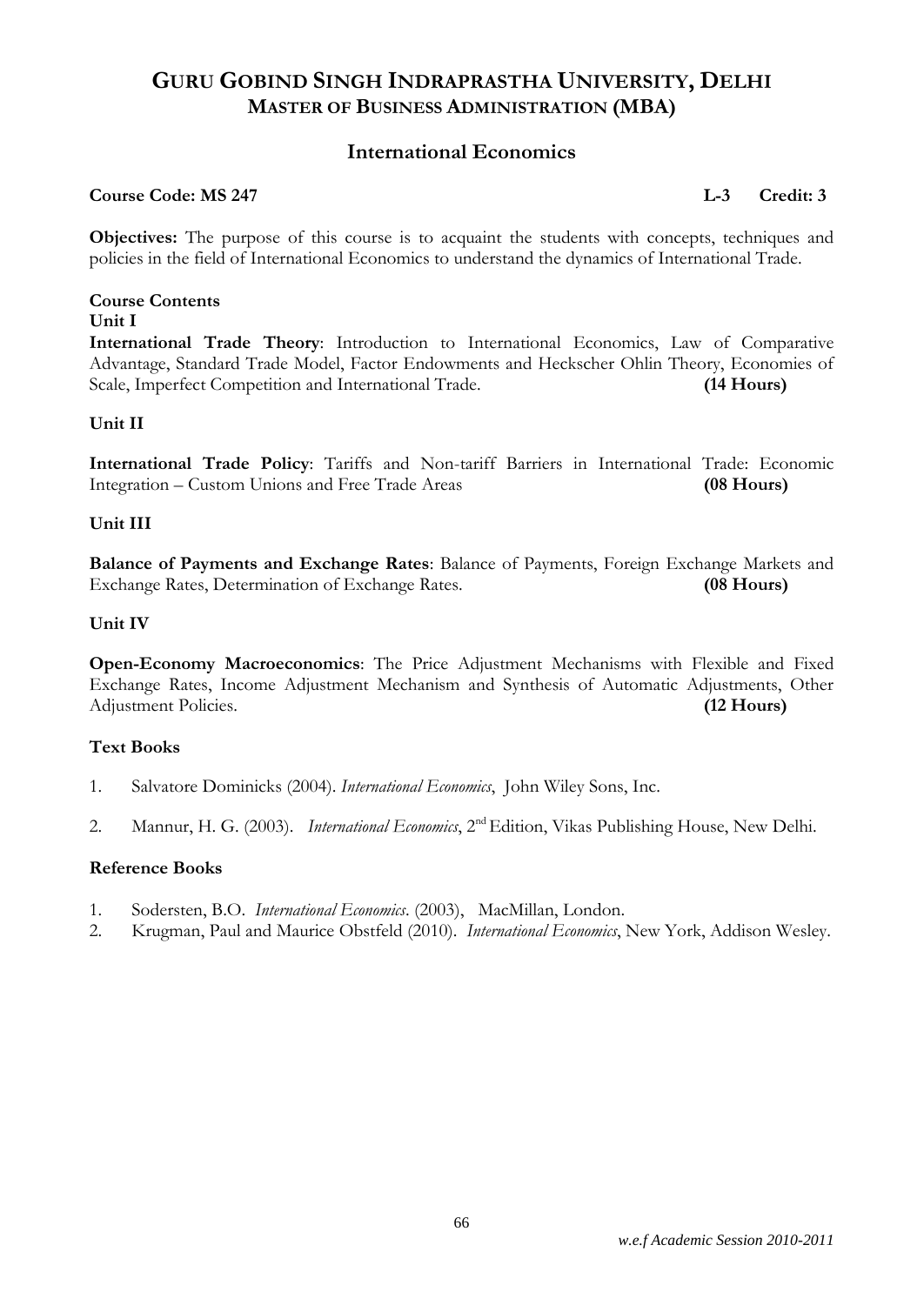### **International Economics**

#### **Course Code: MS 247 L-3 Credit: 3**

**Objectives:** The purpose of this course is to acquaint the students with concepts, techniques and policies in the field of International Economics to understand the dynamics of International Trade.

#### **Course Contents Unit I**

**International Trade Theory**: Introduction to International Economics, Law of Comparative Advantage, Standard Trade Model, Factor Endowments and Heckscher Ohlin Theory, Economies of Scale, Imperfect Competition and International Trade. **(14 Hours)**

#### **Unit II**

**International Trade Policy**: Tariffs and Non-tariff Barriers in International Trade: Economic Integration – Custom Unions and Free Trade Areas **(08 Hours)**

#### **Unit III**

**Balance of Payments and Exchange Rates**: Balance of Payments, Foreign Exchange Markets and Exchange Rates, Determination of Exchange Rates. **(08 Hours)**

#### **Unit IV**

**Open-Economy Macroeconomics**: The Price Adjustment Mechanisms with Flexible and Fixed Exchange Rates, Income Adjustment Mechanism and Synthesis of Automatic Adjustments, Other Adjustment Policies. **(12 Hours)**

#### **Text Books**

- 1. Salvatore Dominicks (2004). *International Economics*, John Wiley Sons, Inc.
- 2. Mannur, H. G. (2003). *International Economics*, 2<sup>nd</sup> Edition, Vikas Publishing House, New Delhi.

- 1. Sodersten, B.O. *International Economics*. (2003), MacMillan, London.
- 2. Krugman, Paul and Maurice Obstfeld (2010). *International Economics*, New York, Addison Wesley.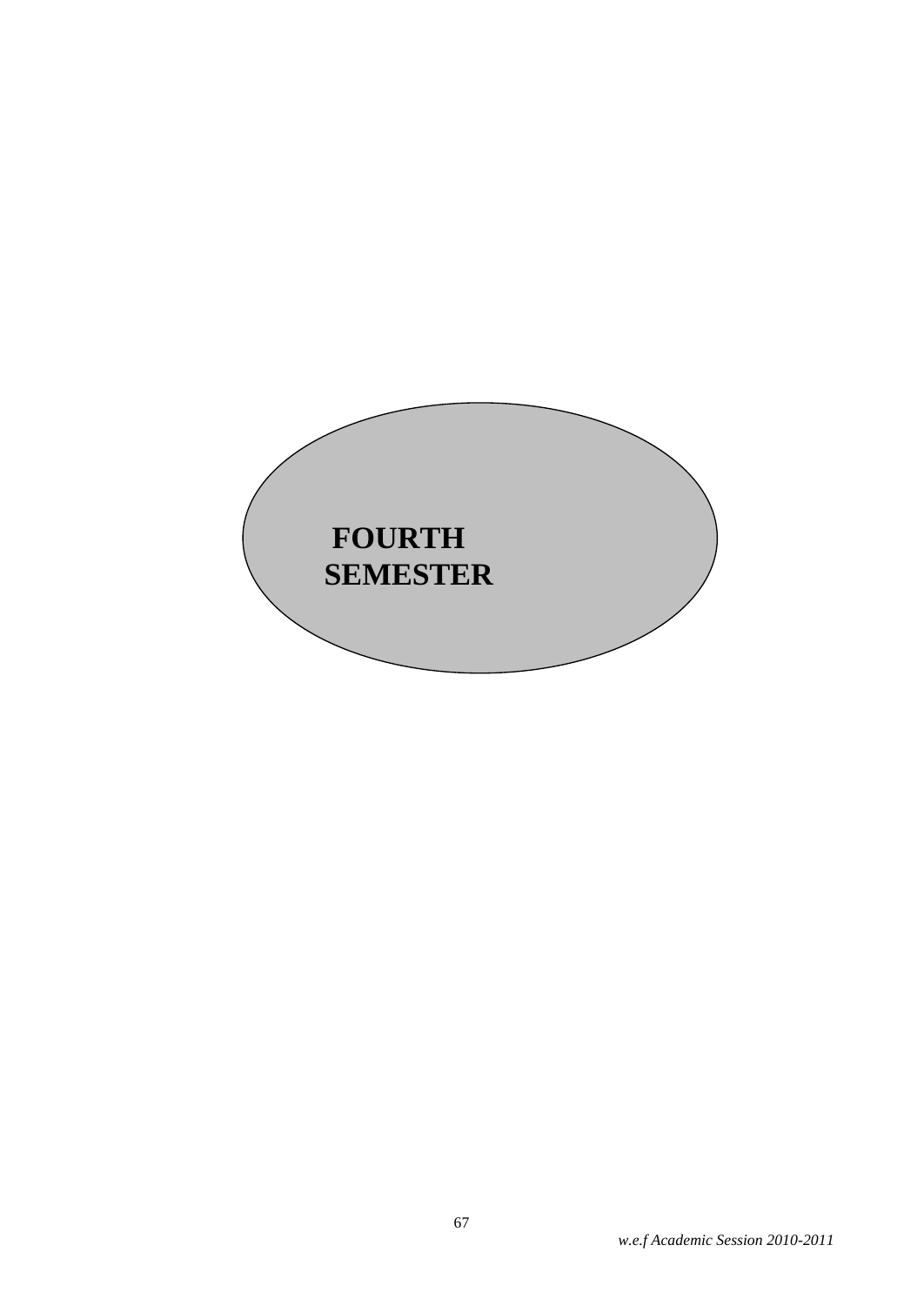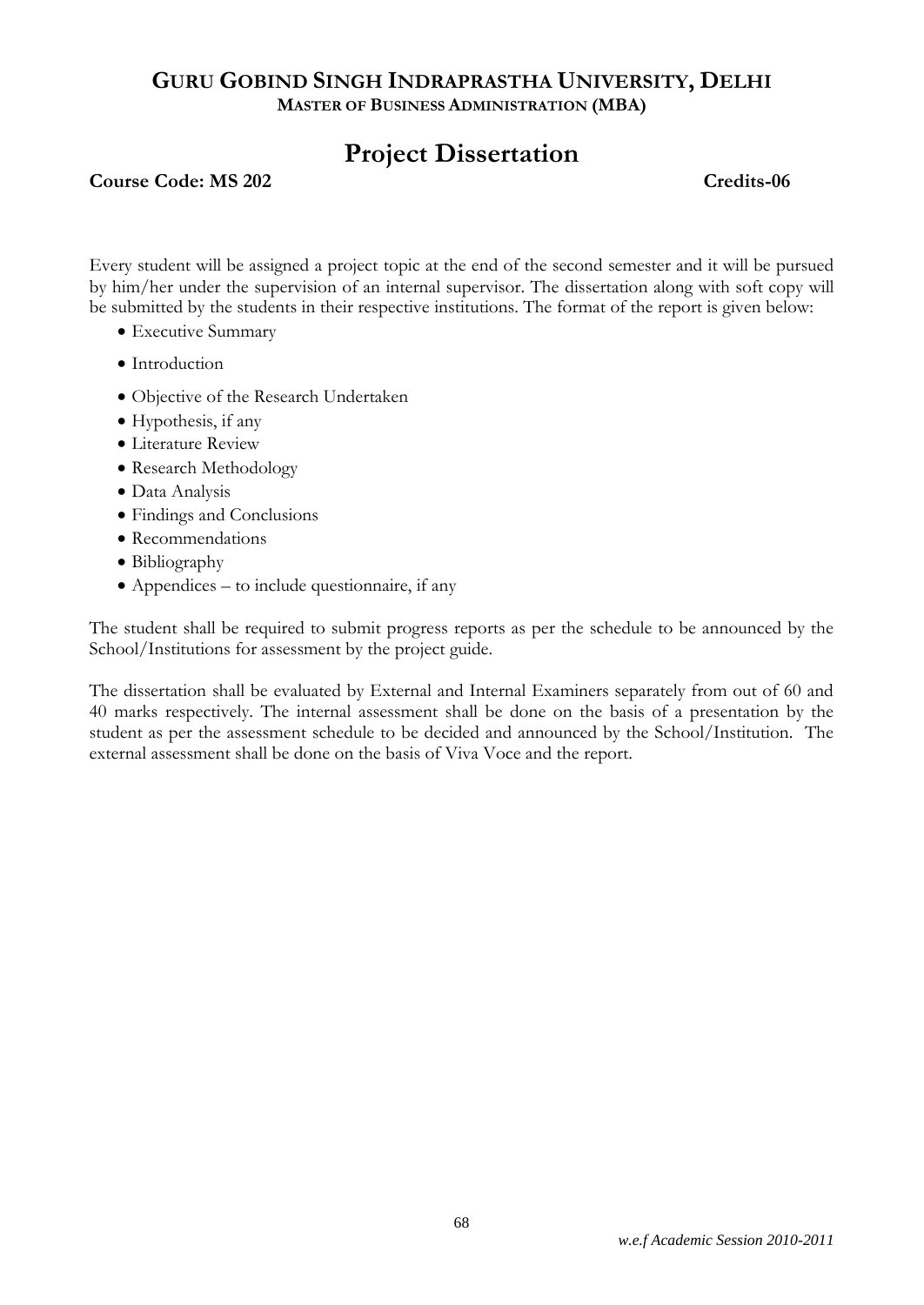# **Project Dissertation**

#### **Course Code: MS 202** Credits-06

Every student will be assigned a project topic at the end of the second semester and it will be pursued by him/her under the supervision of an internal supervisor. The dissertation along with soft copy will be submitted by the students in their respective institutions. The format of the report is given below:

- Executive Summary
- Introduction
- Objective of the Research Undertaken
- Hypothesis, if any
- Literature Review
- Research Methodology
- Data Analysis
- Findings and Conclusions
- Recommendations
- Bibliography
- Appendices to include questionnaire, if any

The student shall be required to submit progress reports as per the schedule to be announced by the School/Institutions for assessment by the project guide.

The dissertation shall be evaluated by External and Internal Examiners separately from out of 60 and 40 marks respectively. The internal assessment shall be done on the basis of a presentation by the student as per the assessment schedule to be decided and announced by the School/Institution. The external assessment shall be done on the basis of Viva Voce and the report.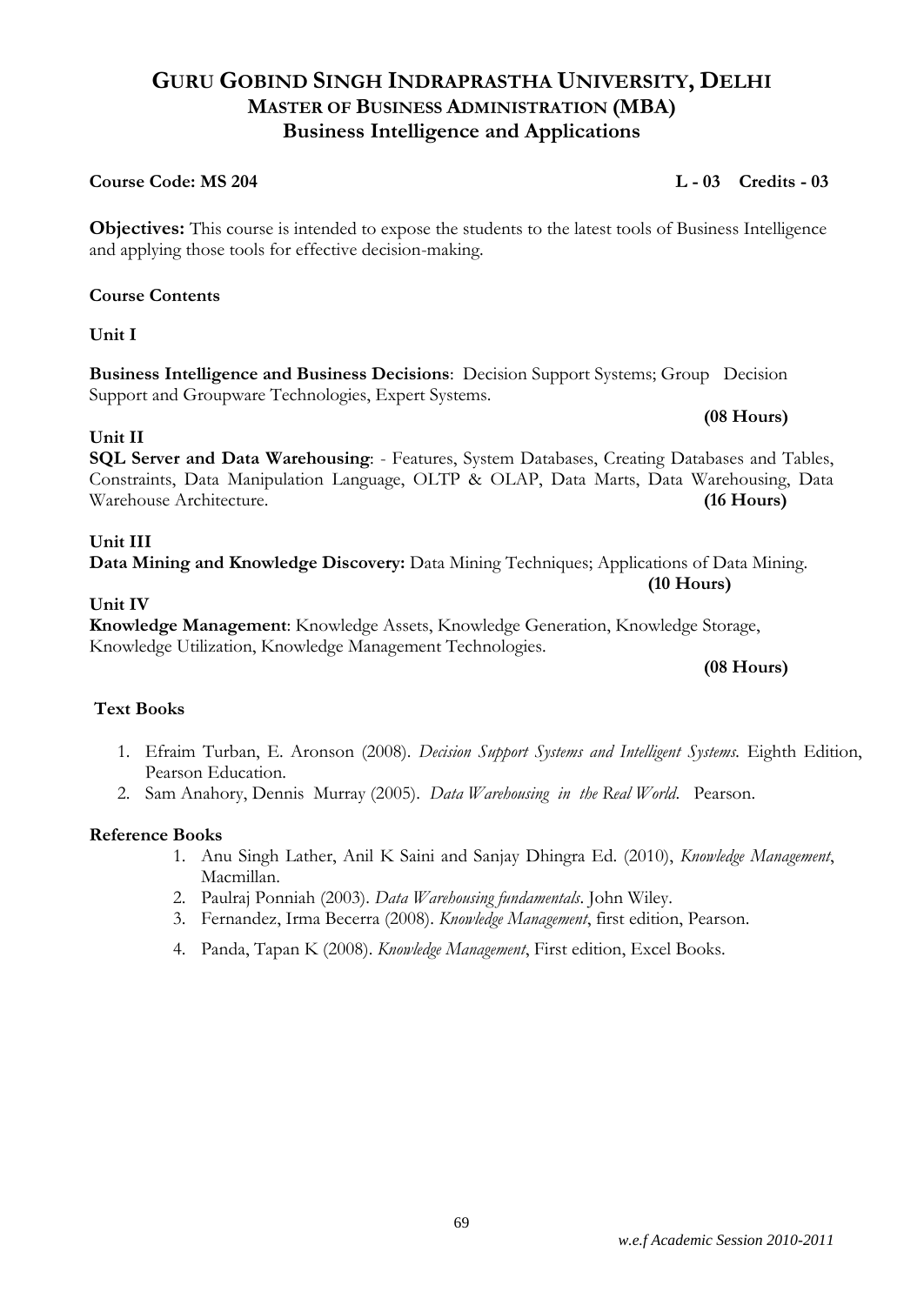#### *w.e.f Academic Session 2010-2011*

# **GURU GOBIND SINGH INDRAPRASTHA UNIVERSITY, DELHI MASTER OF BUSINESS ADMINISTRATION (MBA) Business Intelligence and Applications**

# **Course Code: MS 204 L - 03 Credits - 03**

**Objectives:** This course is intended to expose the students to the latest tools of Business Intelligence and applying those tools for effective decision-making.

# **Course Contents**

**Unit I**

**Business Intelligence and Business Decisions**: Decision Support Systems; Group Decision Support and Groupware Technologies, Expert Systems.

### **Unit II**

**SQL Server and Data Warehousing**: - Features, System Databases, Creating Databases and Tables, Constraints, Data Manipulation Language, OLTP & OLAP, Data Marts, Data Warehousing, Data Warehouse Architecture. **(16 Hours)**

### **Unit III**

**Data Mining and Knowledge Discovery:** Data Mining Techniques; Applications of Data Mining.

#### **Unit IV**

**Knowledge Management**: Knowledge Assets, Knowledge Generation, Knowledge Storage, Knowledge Utilization, Knowledge Management Technologies.

#### **(08 Hours)**

**(10 Hours)**

### **Text Books**

- 1. Efraim Turban, E. Aronson (2008). *Decision Support Systems and Intelligent Systems.* Eighth Edition, Pearson Education.
- 2. Sam Anahory, Dennis Murray (2005). *Data Warehousing in the Real World*. Pearson.

#### **Reference Books**

- 1. Anu Singh Lather, Anil K Saini and Sanjay Dhingra Ed. (2010), *Knowledge Management*, Macmillan.
- 2. Paulraj Ponniah (2003). *Data Warehousing fundamentals*. John Wiley.
- 3. Fernandez, Irma Becerra (2008). *Knowledge Management*, first edition, Pearson.
- 4. Panda, Tapan K (2008). *Knowledge Management*, First edition, Excel Books.

#### **(08 Hours)**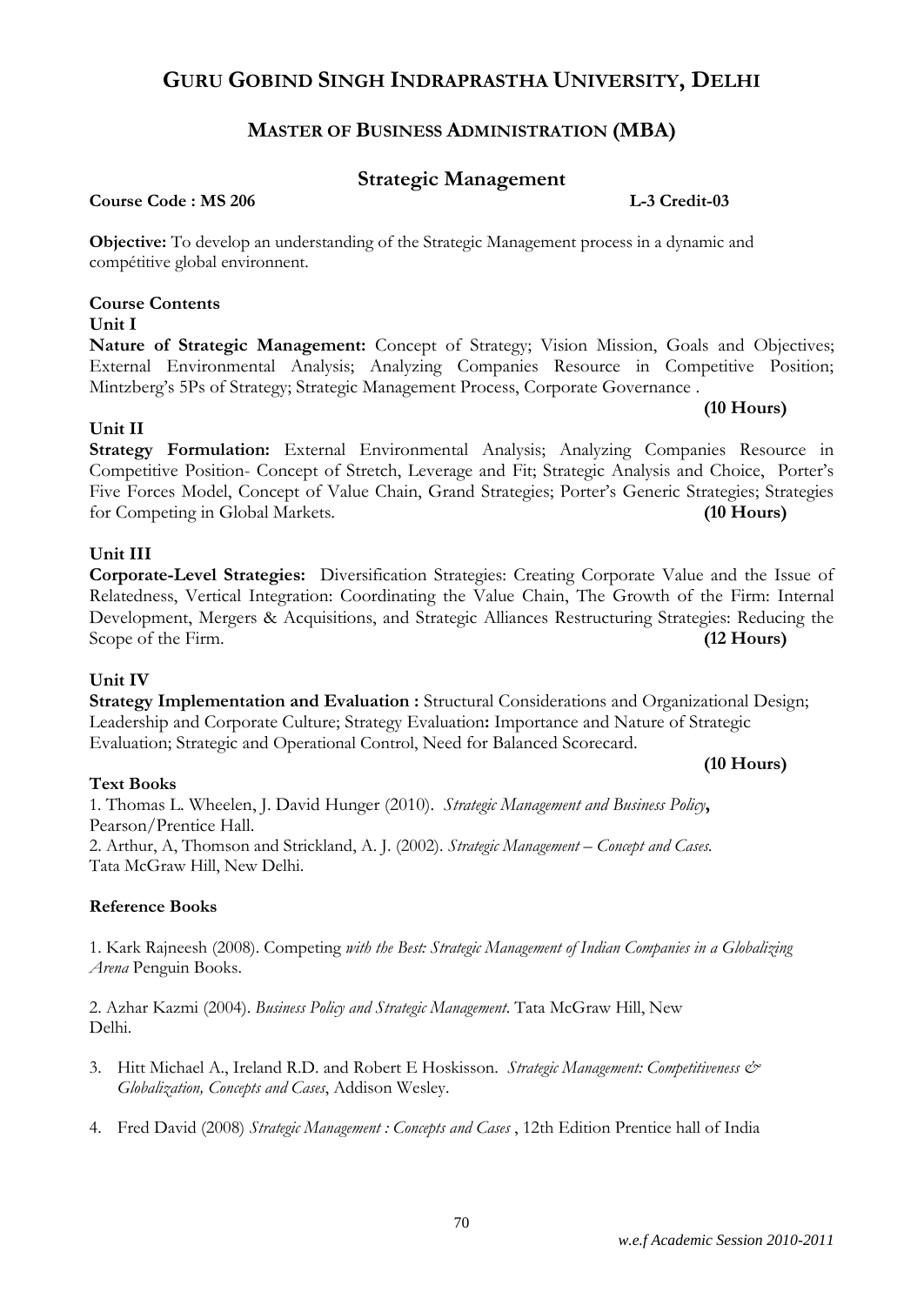# **MASTER OF BUSINESS ADMINISTRATION (MBA)**

# **Strategic Management**

**Course Code : MS 206 L-3 Credit-03**

**Objective:** To develop an understanding of the Strategic Management process in a dynamic and compétitive global environnent.

### **Course Contents**

#### **Unit I**

**Nature of Strategic Management:** Concept of Strategy; Vision Mission, Goals and Objectives; External Environmental Analysis; Analyzing Companies Resource in Competitive Position; Mintzberg's 5Ps of Strategy; Strategic Management Process, Corporate Governance .

#### **Unit II**

**Strategy Formulation:** External Environmental Analysis; Analyzing Companies Resource in Competitive Position- Concept of Stretch, Leverage and Fit; Strategic Analysis and Choice, Porter's Five Forces Model, Concept of Value Chain, Grand Strategies; Porter's Generic Strategies; Strategies for Competing in Global Markets. **(10 Hours)**

#### **Unit III**

**Corporate-Level Strategies:** Diversification Strategies: Creating Corporate Value and the Issue of Relatedness, Vertical Integration: Coordinating the Value Chain, The Growth of the Firm: Internal Development, Mergers & Acquisitions, and Strategic Alliances Restructuring Strategies: Reducing the Scope of the Firm. **(12 Hours)**

#### **Unit IV**

**Strategy Implementation and Evaluation :** Structural Considerations and Organizational Design; Leadership and Corporate Culture; Strategy Evaluation**:** Importance and Nature of Strategic Evaluation; Strategic and Operational Control, Need for Balanced Scorecard.

#### **Text Books**

1*.* Thomas L. Wheelen, J. David Hunger (2010). *Strategic Management and Business Policy***,** Pearson/Prentice Hall. 2. Arthur, A, Thomson and Strickland, A. J. (2002). *Strategic Management – Concept and Cases.* Tata McGraw Hill, New Delhi.

#### **Reference Books**

1. Kark Rajneesh (2008). Competing *with the Best: Strategic Management of Indian Companies in a Globalizing Arena* Penguin Books.

2. Azhar Kazmi (2004). *Business Policy and Strategic Management*. Tata McGraw Hill, New Delhi.

- 3. Hitt Michael A., Ireland R.D. and Robert E Hoskisson. *Strategic Management: Competitiveness & Globalization, Concepts and Cases*, Addison Wesley.
- 4. Fred David (2008) *Strategic Management : Concepts and Cases* , 12th Edition Prentice hall of India

# **(10 Hours)**

**(10 Hours)**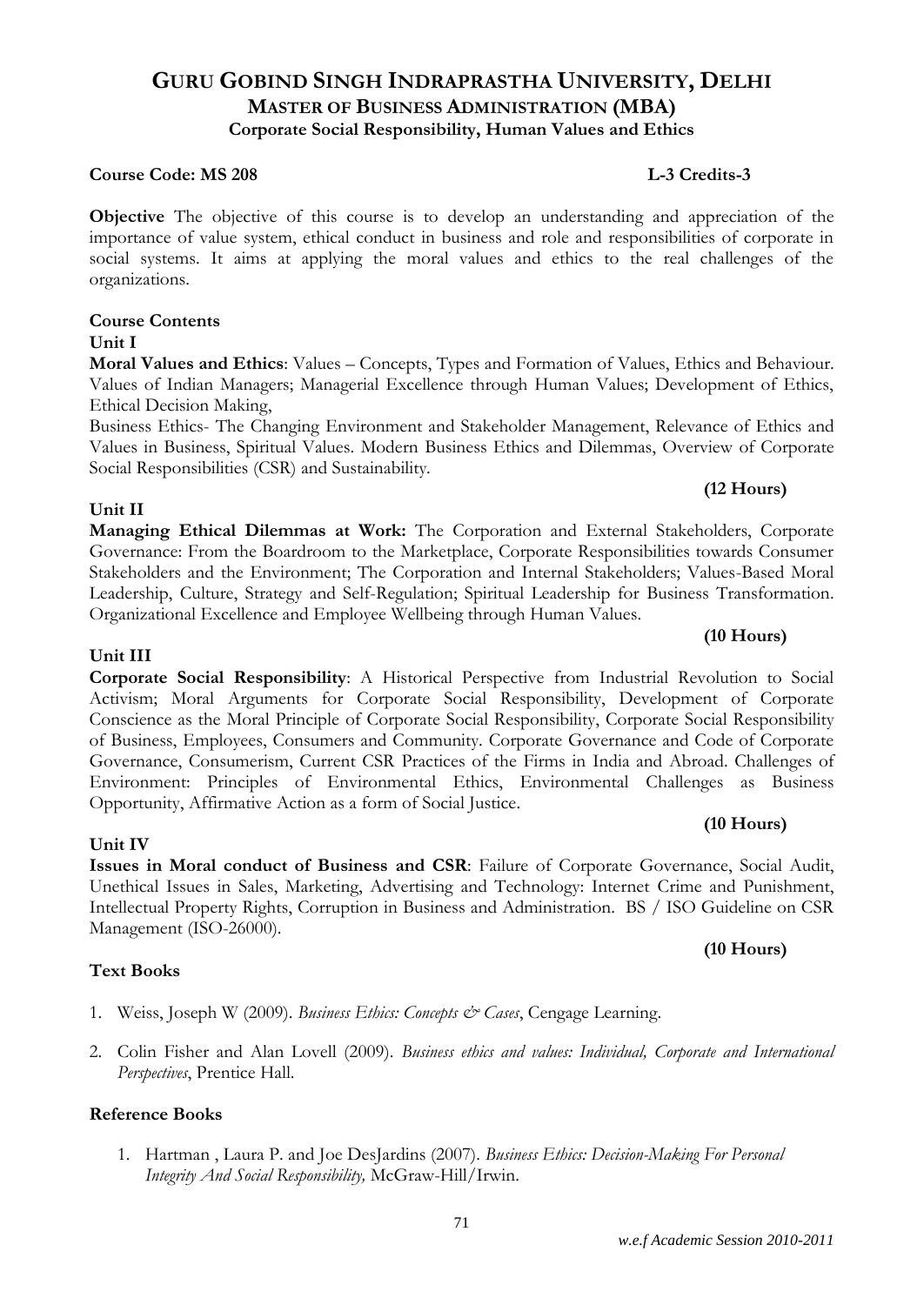# **GURU GOBIND SINGH INDRAPRASTHA UNIVERSITY, DELHI MASTER OF BUSINESS ADMINISTRATION (MBA) Corporate Social Responsibility, Human Values and Ethics**

#### **Course Code: MS 208 L-3 Credits-3**

**Objective** The objective of this course is to develop an understanding and appreciation of the importance of value system, ethical conduct in business and role and responsibilities of corporate in social systems. It aims at applying the moral values and ethics to the real challenges of the organizations.

### **Course Contents**

#### **Unit I**

**Moral Values and Ethics**: Values – Concepts, Types and Formation of Values, Ethics and Behaviour. Values of Indian Managers; Managerial Excellence through Human Values; Development of Ethics, Ethical Decision Making,

Business Ethics- The Changing Environment and Stakeholder Management, Relevance of Ethics and Values in Business, Spiritual Values. Modern Business Ethics and Dilemmas, Overview of Corporate Social Responsibilities (CSR) and Sustainability.

#### **Unit II**

**Managing Ethical Dilemmas at Work:** The Corporation and External Stakeholders, Corporate Governance: From the Boardroom to the Marketplace, Corporate Responsibilities towards Consumer Stakeholders and the Environment; The Corporation and Internal Stakeholders; Values-Based Moral Leadership, Culture, Strategy and Self-Regulation; Spiritual Leadership for Business Transformation. Organizational Excellence and Employee Wellbeing through Human Values.

#### **Unit III**

**Corporate Social Responsibility**: A Historical Perspective from Industrial Revolution to Social Activism; Moral Arguments for Corporate Social Responsibility, Development of Corporate Conscience as the Moral Principle of Corporate Social Responsibility, Corporate Social Responsibility of Business, Employees, Consumers and Community. Corporate Governance and Code of Corporate Governance, Consumerism, Current CSR Practices of the Firms in India and Abroad. Challenges of Environment: Principles of Environmental Ethics, Environmental Challenges as Business Opportunity, Affirmative Action as a form of Social Justice.

#### **Unit IV**

**Issues in Moral conduct of Business and CSR**: Failure of Corporate Governance, Social Audit, Unethical Issues in Sales, Marketing, Advertising and Technology: Internet Crime and Punishment, Intellectual Property Rights, Corruption in Business and Administration. BS / ISO Guideline on CSR Management (ISO-26000).

#### **Text Books**

- 1. Weiss, Joseph W (2009). *Business Ethics: Concepts & Cases*, Cengage Learning.
- 2. Colin Fisher and Alan Lovell (2009). *Business ethics and values: Individual, Corporate and International Perspectives*, Prentice Hall.

#### **Reference Books**

1. Hartman , Laura P. and Joe DesJardins (2007). *Business Ethics: Decision-Making For Personal Integrity And Social Responsibility,* McGraw-Hill/Irwin.

### **(10 Hours)**

**(12 Hours)**

#### **(10 Hours)**

**(10 Hours)**

#### 71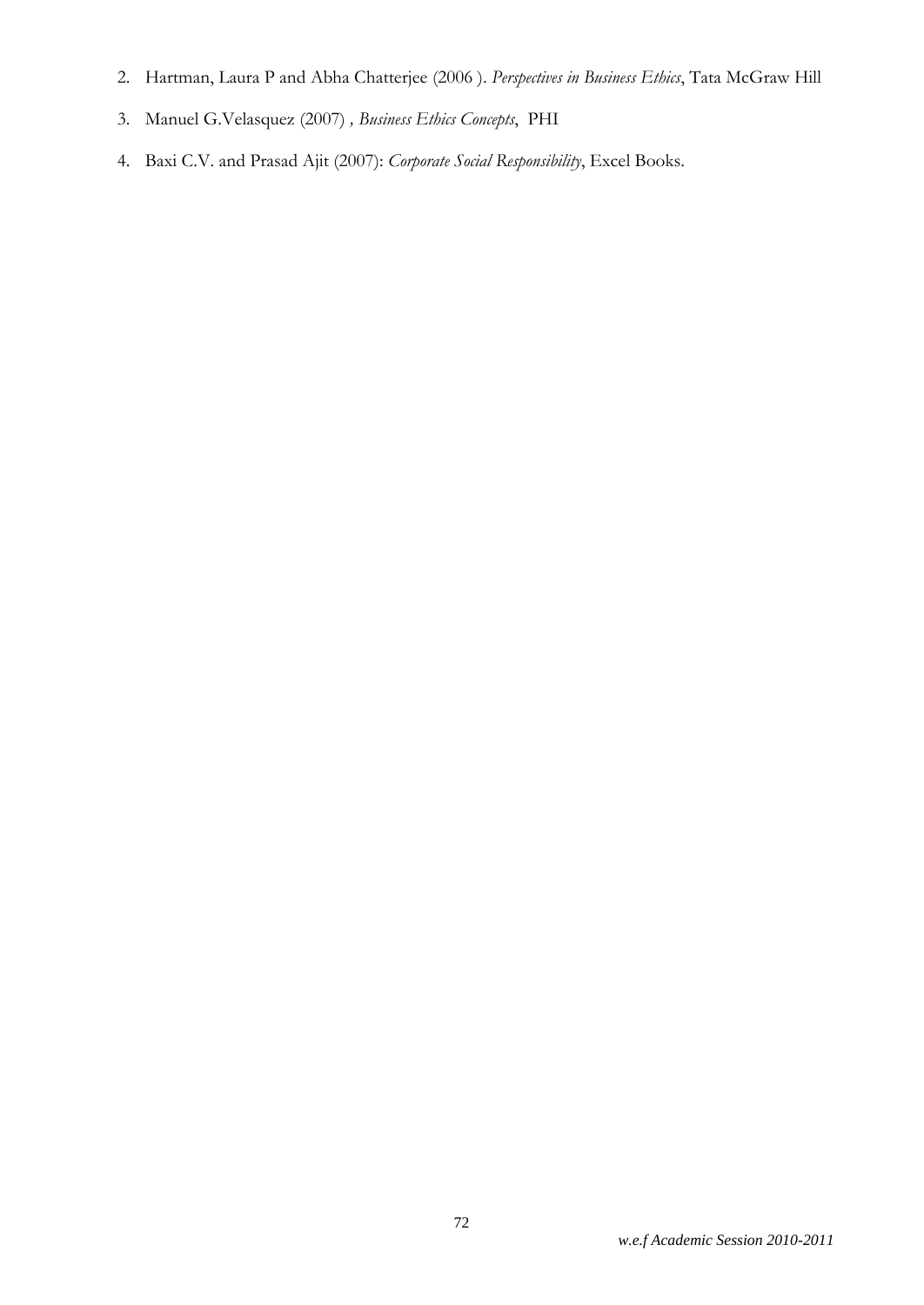- 2. [Hartman,](http://www.flipkart.com/author/laura-hartman/) Laura P and [Abha Chatterjee](http://www.flipkart.com/author/abha-chatterjee/) (2006 ). *Perspectives in Business Ethics*, Tata McGraw Hill
- 3. Manuel G.Velasquez (2007) *, Business Ethics Concepts*, PHI
- 4. Baxi C.V. and Prasad Ajit (2007): *Corporate Social Responsibility*, Excel Books.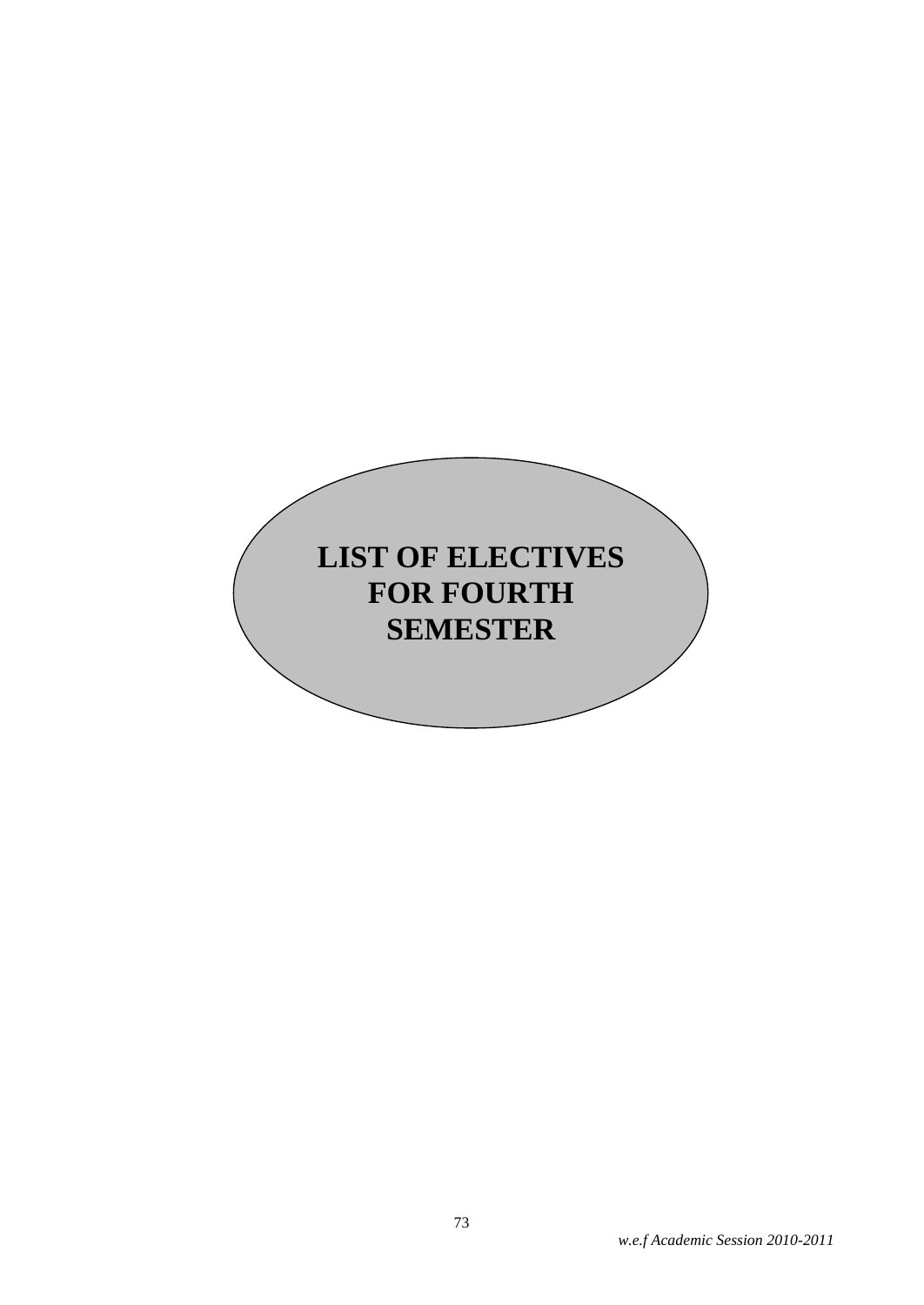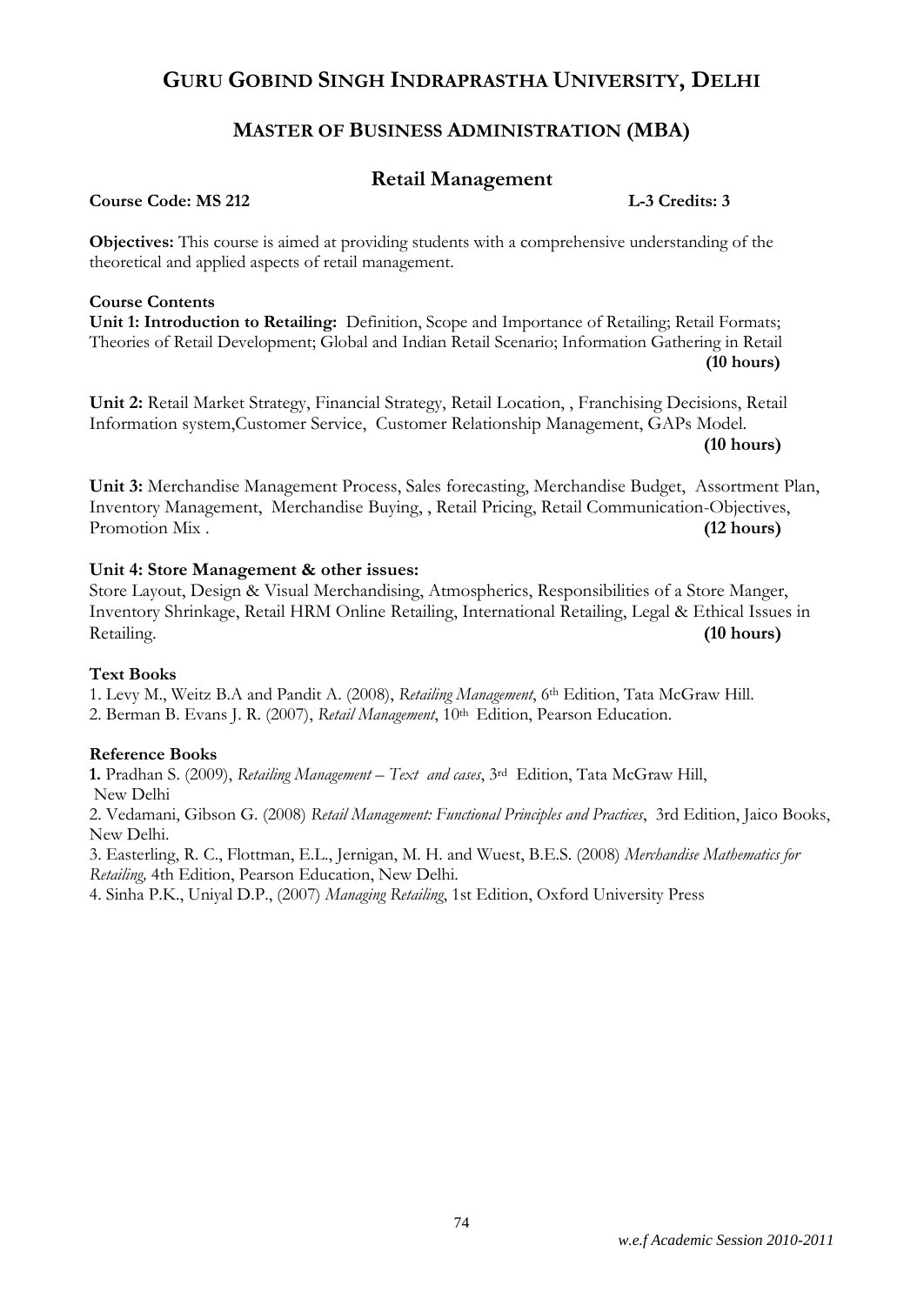# **MASTER OF BUSINESS ADMINISTRATION (MBA)**

# **Retail Management**

**Course Code: MS 212 L-3 Credits: 3**

**Objectives:** This course is aimed at providing students with a comprehensive understanding of the theoretical and applied aspects of retail management.

#### **Course Contents**

**Unit 1: Introduction to Retailing:** Definition, Scope and Importance of Retailing; Retail Formats; Theories of Retail Development; Global and Indian Retail Scenario; Information Gathering in Retail **(10 hours)**

**Unit 2:** Retail Market Strategy, Financial Strategy, Retail Location, , Franchising Decisions, Retail Information system,Customer Service, Customer Relationship Management, GAPs Model.

**(10 hours)**

**Unit 3:** Merchandise Management Process, Sales forecasting, Merchandise Budget, Assortment Plan, Inventory Management, Merchandise Buying, , Retail Pricing, Retail Communication-Objectives, Promotion Mix . **(12 hours) (12 hours)** 

# **Unit 4: Store Management & other issues:**

Store Layout, Design & Visual Merchandising, Atmospherics, Responsibilities of a Store Manger, Inventory Shrinkage, Retail HRM Online Retailing, International Retailing, Legal & Ethical Issues in Retailing. **(10 hours)**

#### **Text Books**

1. Levy M., Weitz B.A and Pandit A. (2008), *Retailing Management*, 6th Edition, Tata McGraw Hill. 2. Berman B. Evans J. R. (2007), *Retail Management*, 10<sup>th</sup> Edition, Pearson Education.

# **Reference Books**

**1.** Pradhan S. (2009), *Retailing Management – Text and cases*, 3rd Edition, Tata McGraw Hill, New Delhi

2. Vedamani, Gibson G. (2008) *Retail Management: Functional Principles and Practices*, 3rd Edition, Jaico Books, New Delhi.

3. Easterling, R. C., Flottman, E.L., Jernigan, M. H. and Wuest, B.E.S. (2008) *Merchandise Mathematics for Retailing,* 4th Edition, Pearson Education, New Delhi.

4. Sinha P.K., Uniyal D.P., (2007) *Managing Retailing*, 1st Edition, Oxford University Press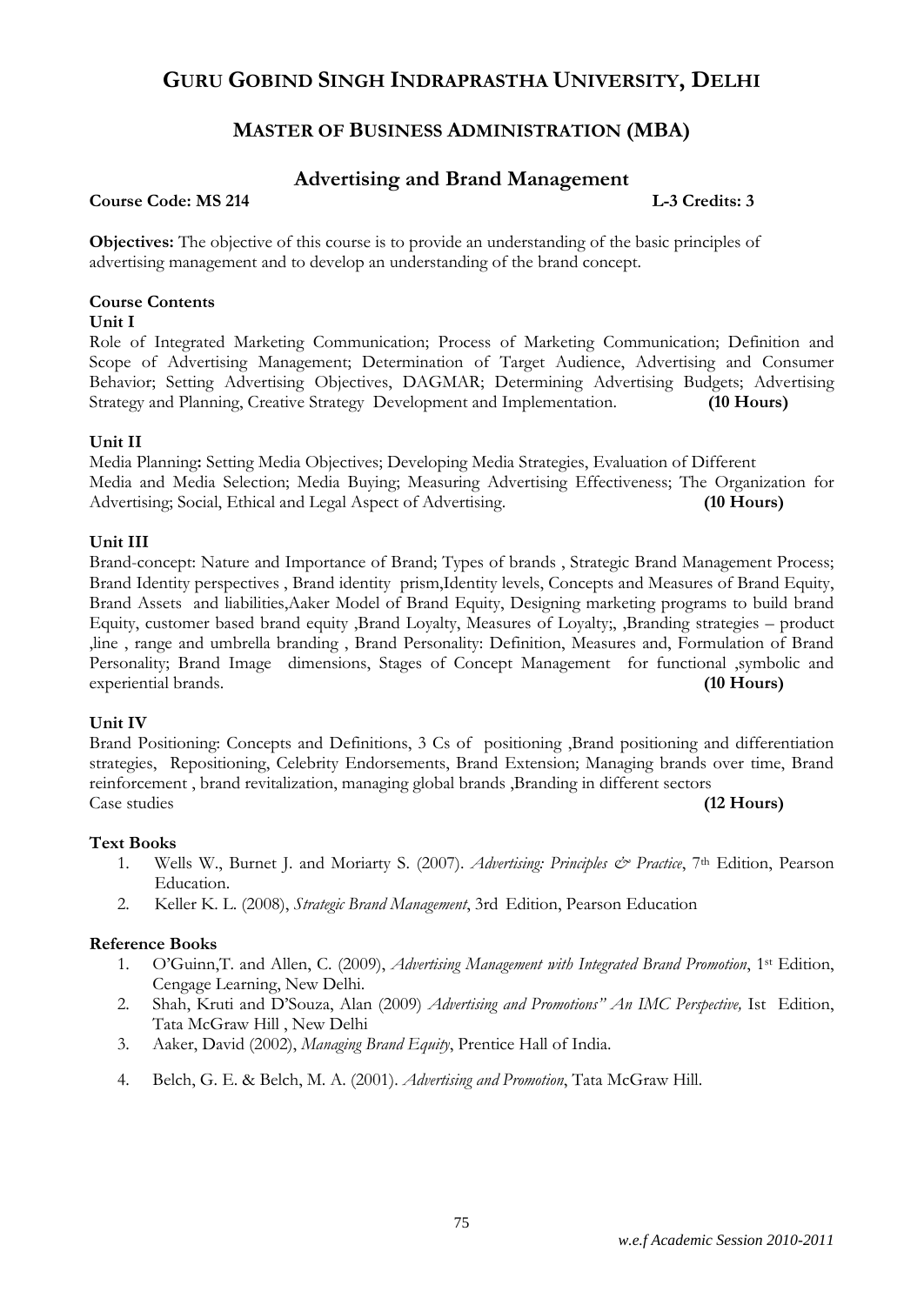# **MASTER OF BUSINESS ADMINISTRATION (MBA)**

# **Advertising and Brand Management**

### **Course Code: MS 214 L-3 Credits: 3**

**Objectives:** The objective of this course is to provide an understanding of the basic principles of advertising management and to develop an understanding of the brand concept.

### **Course Contents**

#### **Unit I**

Role of Integrated Marketing Communication; Process of Marketing Communication; Definition and Scope of Advertising Management; Determination of Target Audience, Advertising and Consumer Behavior; Setting Advertising Objectives, DAGMAR; Determining Advertising Budgets; Advertising Strategy and Planning, Creative Strategy Development and Implementation. **(10 Hours)**

#### **Unit II**

Media Planning**:** Setting Media Objectives; Developing Media Strategies, Evaluation of Different Media and Media Selection; Media Buying; Measuring Advertising Effectiveness; The Organization for Advertising; Social, Ethical and Legal Aspect of Advertising. **(10 Hours)**

#### **Unit III**

Brand-concept: Nature and Importance of Brand; Types of brands , Strategic Brand Management Process; Brand Identity perspectives , Brand identity prism,Identity levels, Concepts and Measures of Brand Equity, Brand Assets and liabilities,Aaker Model of Brand Equity, Designing marketing programs to build brand Equity, customer based brand equity ,Brand Loyalty, Measures of Loyalty;, ,Branding strategies – product ,line , range and umbrella branding , Brand Personality: Definition, Measures and, Formulation of Brand Personality; Brand Image dimensions, Stages of Concept Management for functional ,symbolic and experiential brands. **(10 Hours)**

#### **Unit IV**

Brand Positioning: Concepts and Definitions, 3 Cs of positioning ,Brand positioning and differentiation strategies, Repositioning, Celebrity Endorsements, Brand Extension; Managing brands over time, Brand reinforcement , brand revitalization, managing global brands ,Branding in different sectors Case studies **(12 Hours)**

#### **Text Books**

- 1. Wells W., Burnet J. and Moriarty S. (2007). *Advertising: Principles & Practice*, 7th Edition, Pearson Education.
- 2. Keller K. L. (2008), *Strategic Brand Management*, 3rd Edition, Pearson Education

#### **Reference Books**

- 1. O'Guinn,T. and Allen, C. (2009), *Advertising Management with Integrated Brand Promotion*, 1st Edition, Cengage Learning, New Delhi.
- 2. Shah, Kruti and D'Souza, Alan (2009) *Advertising and Promotions" An IMC Perspective,* Ist Edition, Tata McGraw Hill , New Delhi
- 3. Aaker, David (2002), *Managing Brand Equity*, Prentice Hall of India.
- 4. Belch, G. E. & Belch, M. A. (2001). *Advertising and Promotion*, Tata McGraw Hill.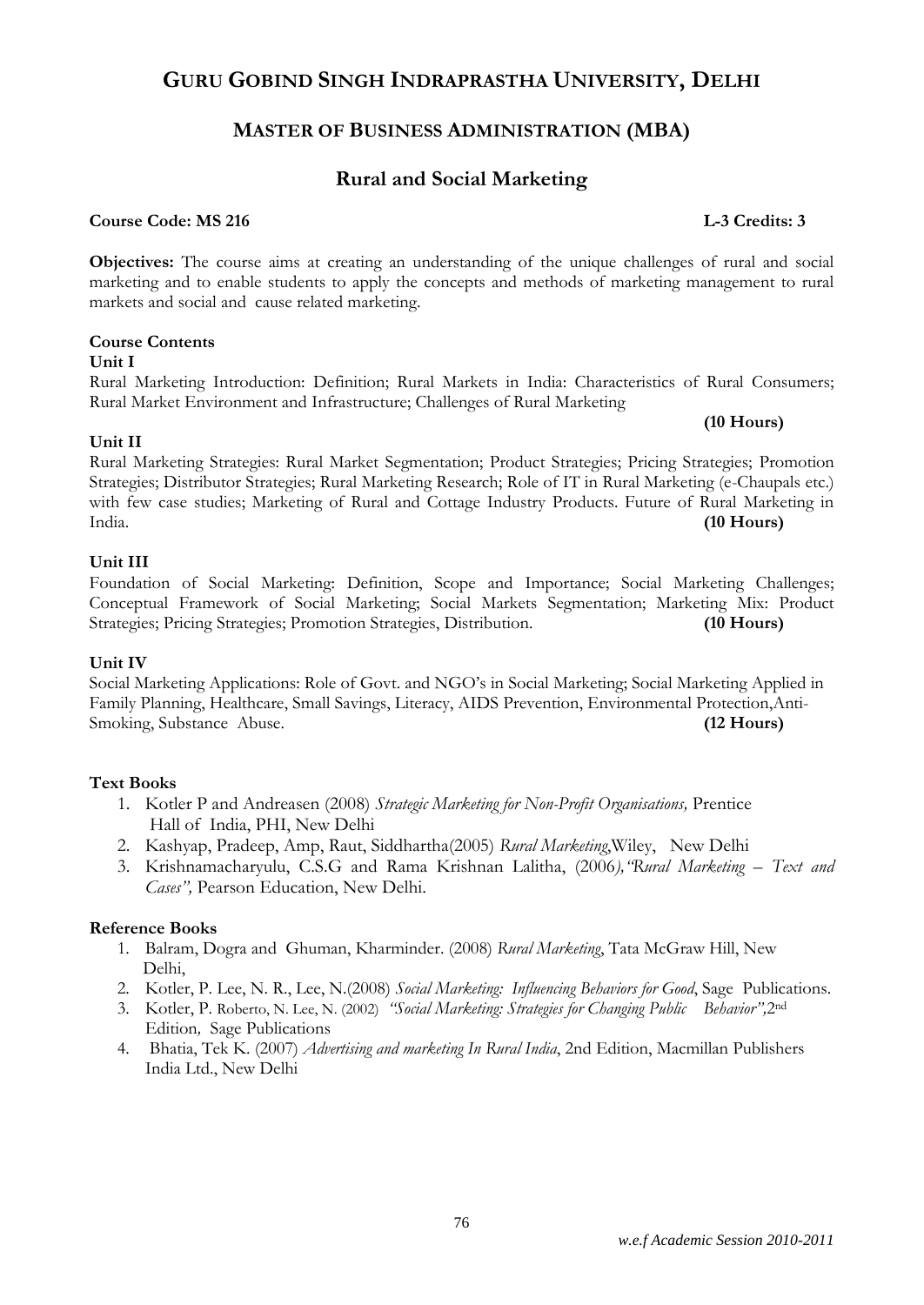# **MASTER OF BUSINESS ADMINISTRATION (MBA)**

# **Rural and Social Marketing**

# **Course Code: MS 216 L-3 Credits: 3**

**Objectives:** The course aims at creating an understanding of the unique challenges of rural and social marketing and to enable students to apply the concepts and methods of marketing management to rural markets and social and cause related marketing.

# **Course Contents**

#### **Unit I**

Rural Marketing Introduction: Definition; Rural Markets in India: Characteristics of Rural Consumers; Rural Market Environment and Infrastructure; Challenges of Rural Marketing

#### **Unit II**

Rural Marketing Strategies: Rural Market Segmentation; Product Strategies; Pricing Strategies; Promotion Strategies; Distributor Strategies; Rural Marketing Research; Role of IT in Rural Marketing (e-Chaupals etc.) with few case studies; Marketing of Rural and Cottage Industry Products. Future of Rural Marketing in India. **(10 Hours)**

# **Unit III**

Foundation of Social Marketing: Definition, Scope and Importance; Social Marketing Challenges; Conceptual Framework of Social Marketing; Social Markets Segmentation; Marketing Mix: Product Strategies; Pricing Strategies; Promotion Strategies, Distribution. **(10 Hours)**

# **Unit IV**

Social Marketing Applications: Role of Govt. and NGO's in Social Marketing; Social Marketing Applied in Family Planning, Healthcare, Small Savings, Literacy, AIDS Prevention, Environmental Protection,Anti-Smoking, Substance Abuse. **(12 Hours)**

# **Text Books**

- 1. Kotler P and Andreasen (2008) *Strategic Marketing for Non-Profit Organisations,* Prentice Hall of India, PHI, New Delhi
- 2. Kashyap, Pradeep, Amp, Raut, Siddhartha(2005) *Rural Marketing*,Wiley, New Delhi
- 3. Krishnamacharyulu, C.S.G and Rama Krishnan Lalitha, (2006*),"Rural Marketing – Text and Cases",* Pearson Education, New Delhi.

# **Reference Books**

- 1. [Balram,](http://www.flipkart.com/author/dogra-balram/) Dogra and [Ghuman,](http://www.flipkart.com/author/kharminder-ghuman/) Kharminder. (2008) *Rural Marketing*, Tata McGraw Hill, New Delhi,
- 2. Kotler, P. Lee, N. R., Lee, N.(2008) *Social Marketing: Influencing Behaviors for Good*, Sage Publications.
- 3. Kotler, P. Roberto, N. Lee, N. (2002) *"Social Marketing: Strategies for Changing Public Behavior",*2nd Edition*,* Sage Publications
- 4. Bhatia, Tek K. (2007) *Advertising and marketing In Rural India*, 2nd Edition, Macmillan Publishers India Ltd., New Delhi

**(10 Hours)**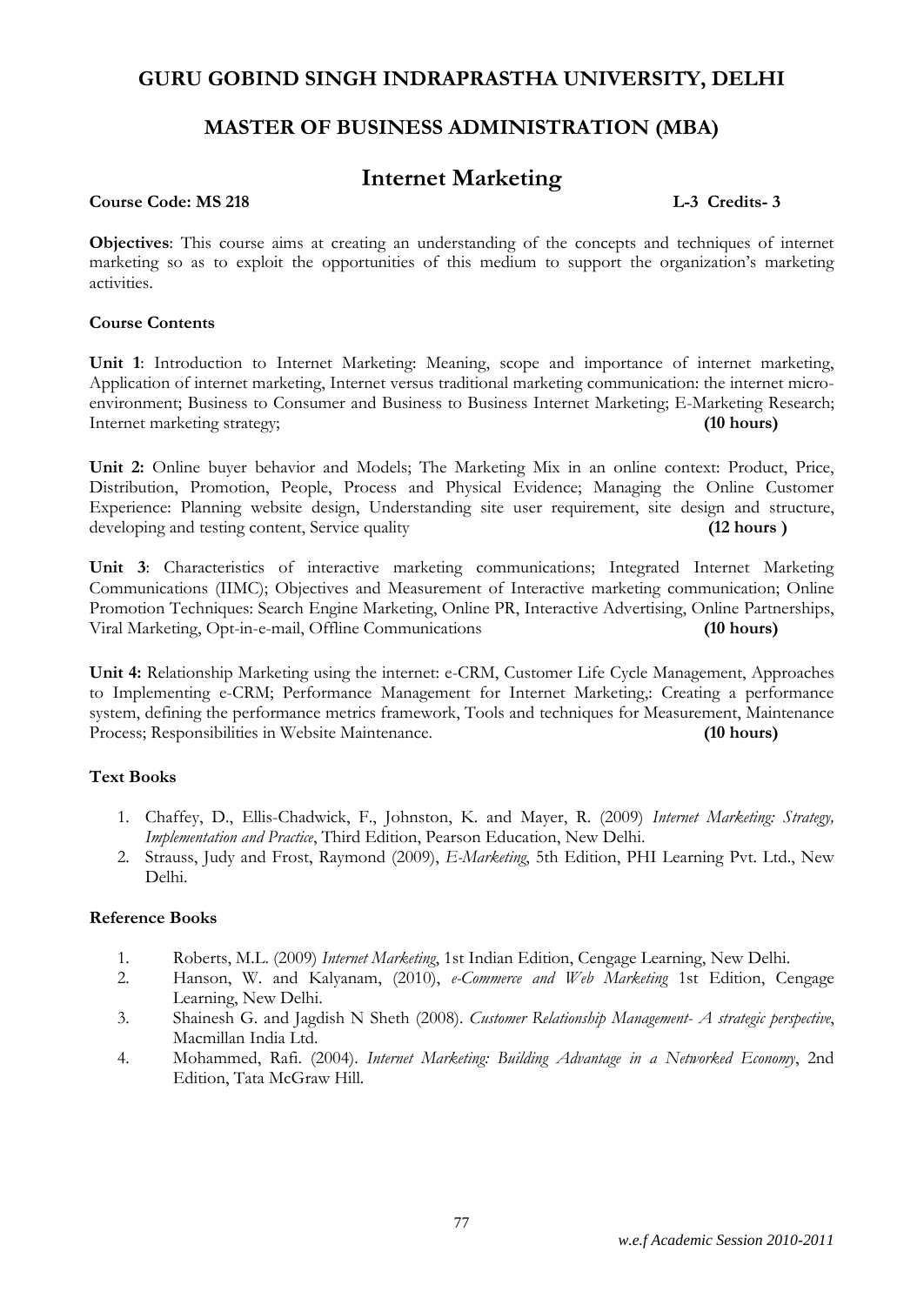# **MASTER OF BUSINESS ADMINISTRATION (MBA)**

# **Internet Marketing**

#### **Course Code: MS 218 L-3 Credits- 3**

**Objectives**: This course aims at creating an understanding of the concepts and techniques of internet marketing so as to exploit the opportunities of this medium to support the organization's marketing activities.

#### **Course Contents**

**Unit 1**: Introduction to Internet Marketing: Meaning, scope and importance of internet marketing, Application of internet marketing, Internet versus traditional marketing communication: the internet microenvironment; Business to Consumer and Business to Business Internet Marketing; E-Marketing Research; Internet marketing strategy; **(10 hours)**

**Unit 2:** Online buyer behavior and Models; The Marketing Mix in an online context: Product, Price, Distribution, Promotion, People, Process and Physical Evidence; Managing the Online Customer Experience: Planning website design, Understanding site user requirement, site design and structure, developing and testing content, Service quality **(12 hours )**

**Unit 3**: Characteristics of interactive marketing communications; Integrated Internet Marketing Communications (IIMC); Objectives and Measurement of Interactive marketing communication; Online Promotion Techniques: Search Engine Marketing, Online PR, Interactive Advertising, Online Partnerships, Viral Marketing, Opt-in-e-mail, Offline Communications **(10 hours)**

**Unit 4:** Relationship Marketing using the internet: e-CRM, Customer Life Cycle Management, Approaches to Implementing e-CRM; Performance Management for Internet Marketing,: Creating a performance system, defining the performance metrics framework, Tools and techniques for Measurement, Maintenance Process; Responsibilities in Website Maintenance. **(10 hours)**

# **Text Books**

- 1. Chaffey, D., Ellis-Chadwick, F., Johnston, K. and Mayer, R. (2009) *Internet Marketing: Strategy, Implementation and Practice*, Third Edition, Pearson Education, New Delhi.
- 2. Strauss, Judy and Frost, Raymond (2009), *E-Marketing*, 5th Edition, PHI Learning Pvt. Ltd., New Delhi.

#### **Reference Books**

- 1. Roberts, M.L. (2009) *Internet Marketing*, 1st Indian Edition, Cengage Learning, New Delhi.
- 2. Hanson, W. and Kalyanam, (2010), *e-Commerce and Web Marketing* 1st Edition, Cengage Learning, New Delhi.
- 3. Shainesh G. and Jagdish N Sheth (2008). *Customer Relationship Management- A strategic perspective*, Macmillan India Ltd.
- 4. Mohammed, Rafi. (2004). *Internet Marketing: Building Advantage in a Networked Economy*, 2nd Edition, Tata McGraw Hill.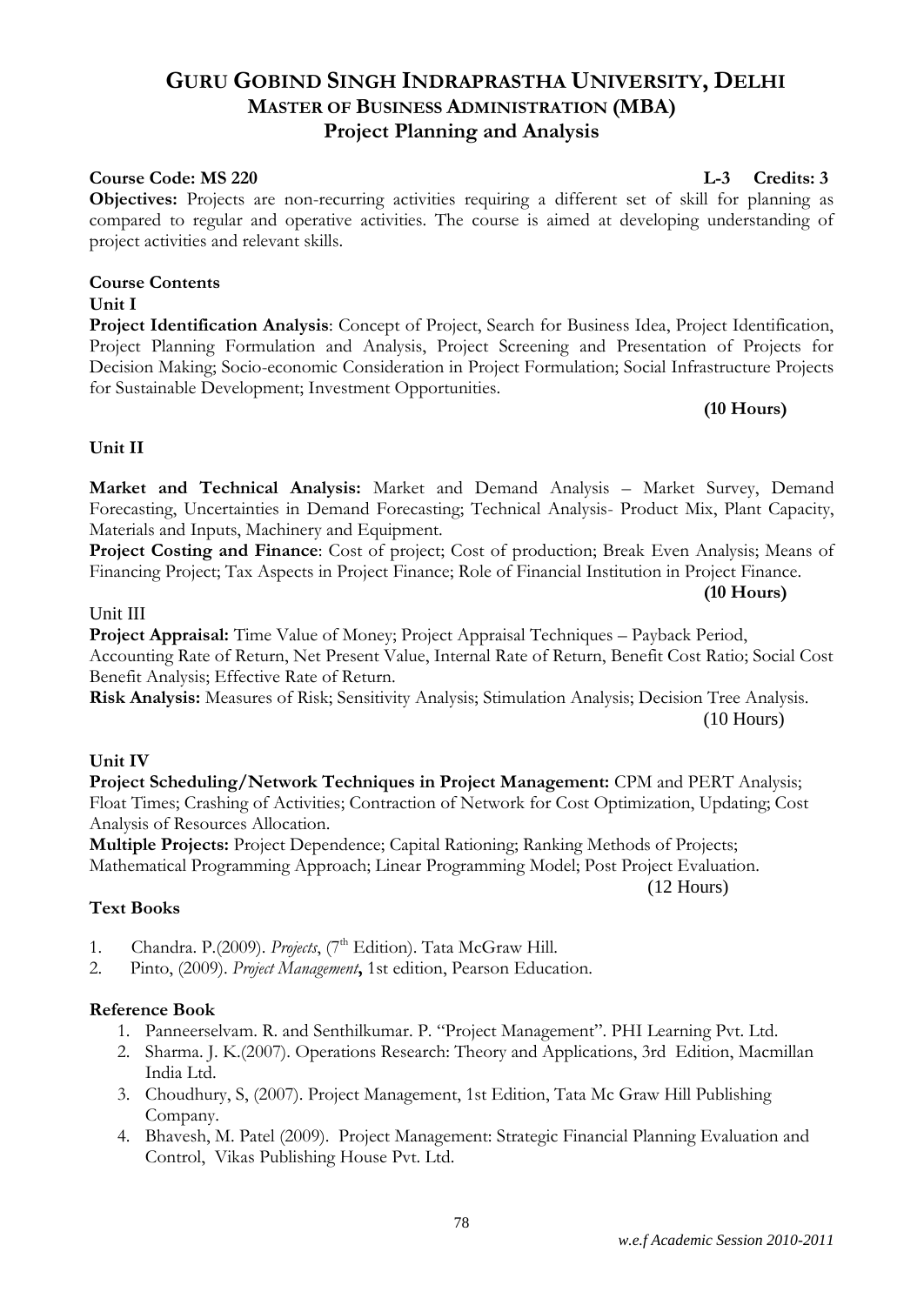# **GURU GOBIND SINGH INDRAPRASTHA UNIVERSITY, DELHI MASTER OF BUSINESS ADMINISTRATION (MBA) Project Planning and Analysis**

# **Course Code: MS 220 L-3 Credits: 3**

**Objectives:** Projects are non-recurring activities requiring a different set of skill for planning as compared to regular and operative activities. The course is aimed at developing understanding of project activities and relevant skills.

# **Course Contents**

# **Unit I**

**Project Identification Analysis**: Concept of Project, Search for Business Idea, Project Identification, Project Planning Formulation and Analysis, Project Screening and Presentation of Projects for Decision Making; Socio-economic Consideration in Project Formulation; Social Infrastructure Projects for Sustainable Development; Investment Opportunities.

#### **(10 Hours)**

**(10 Hours)**

# **Unit II**

**Market and Technical Analysis:** Market and Demand Analysis – Market Survey, Demand Forecasting, Uncertainties in Demand Forecasting; Technical Analysis- Product Mix, Plant Capacity, Materials and Inputs, Machinery and Equipment.

**Project Costing and Finance**: Cost of project; Cost of production; Break Even Analysis; Means of Financing Project; Tax Aspects in Project Finance; Role of Financial Institution in Project Finance.

#### Unit III

**Project Appraisal:** Time Value of Money; Project Appraisal Techniques – Payback Period, Accounting Rate of Return, Net Present Value, Internal Rate of Return, Benefit Cost Ratio; Social Cost Benefit Analysis; Effective Rate of Return.

**Risk Analysis:** Measures of Risk; Sensitivity Analysis; Stimulation Analysis; Decision Tree Analysis. (10 Hours)

# **Unit IV**

**Project Scheduling/Network Techniques in Project Management:** CPM and PERT Analysis; Float Times; Crashing of Activities; Contraction of Network for Cost Optimization, Updating; Cost Analysis of Resources Allocation.

**Multiple Projects:** Project Dependence; Capital Rationing; Ranking Methods of Projects; Mathematical Programming Approach; Linear Programming Model; Post Project Evaluation.

(12 Hours)

# **Text Books**

- 1. Chandra. P.(2009). *Projects*, (7<sup>th</sup> Edition). Tata McGraw Hill.
- 2. Pinto, (2009). *Project Management***,** 1st edition, Pearson Education.

# **Reference Book**

- 1. Panneerselvam. R. and Senthilkumar. P. "Project Management". PHI Learning Pvt. Ltd.
- 2. Sharma. J. K.(2007). Operations Research: Theory and Applications, 3rd Edition, Macmillan India Ltd.
- 3. Choudhury, S, (2007). Project Management, 1st Edition, Tata Mc Graw Hill Publishing Company.
- 4. Bhavesh, M. Patel (2009). Project Management: Strategic Financial Planning Evaluation and Control, Vikas Publishing House Pvt. Ltd.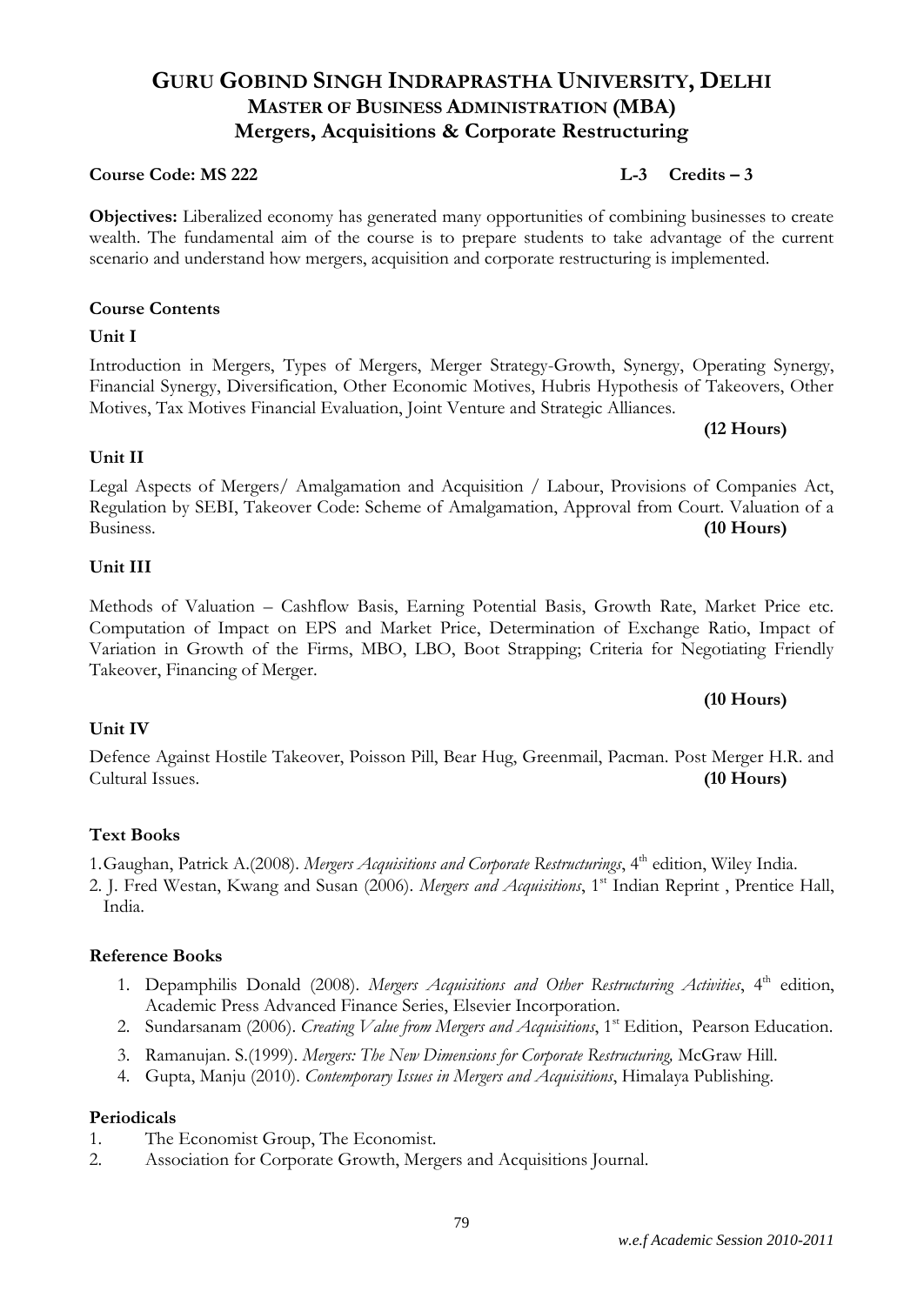# **GURU GOBIND SINGH INDRAPRASTHA UNIVERSITY, DELHI MASTER OF BUSINESS ADMINISTRATION (MBA) Mergers, Acquisitions & Corporate Restructuring**

# **Course Code: MS 222 L-3 Credits – 3**

**Objectives:** Liberalized economy has generated many opportunities of combining businesses to create wealth. The fundamental aim of the course is to prepare students to take advantage of the current scenario and understand how mergers, acquisition and corporate restructuring is implemented.

# **Course Contents**

# **Unit I**

Introduction in Mergers, Types of Mergers, Merger Strategy-Growth, Synergy, Operating Synergy, Financial Synergy, Diversification, Other Economic Motives, Hubris Hypothesis of Takeovers, Other Motives, Tax Motives Financial Evaluation, Joint Venture and Strategic Alliances.

# **Unit II**

# Legal Aspects of Mergers/ Amalgamation and Acquisition / Labour, Provisions of Companies Act, Regulation by SEBI, Takeover Code: Scheme of Amalgamation, Approval from Court. Valuation of a Business. **(10 Hours)**

# **Unit III**

Methods of Valuation – Cashflow Basis, Earning Potential Basis, Growth Rate, Market Price etc. Computation of Impact on EPS and Market Price, Determination of Exchange Ratio, Impact of Variation in Growth of the Firms, MBO, LBO, Boot Strapping; Criteria for Negotiating Friendly Takeover, Financing of Merger.

# **Unit IV**

Defence Against Hostile Takeover, Poisson Pill, Bear Hug, Greenmail, Pacman. Post Merger H.R. and Cultural Issues. **(10 Hours)**

# **Text Books**

1. Gaughan, Patrick A.(2008). *Mergers Acquisitions and Corporate Restructurings*, 4<sup>th</sup> edition, Wiley India.

2. J. Fred Westan, Kwang and Susan (2006). *Mergers and Acquisitions*, 1<sup>st</sup> Indian Reprint, Prentice Hall, India.

# **Reference Books**

- 1. Depamphilis Donald (2008). *Mergers Acquisitions and Other Restructuring Activities*, 4<sup>th</sup> edition, Academic Press Advanced Finance Series, Elsevier Incorporation.
- 2. Sundarsanam (2006). *Creating Value from Mergers and Acquisitions*, 1<sup>st</sup> Edition, Pearson Education.
- 3. Ramanujan. S.(1999). *Mergers: The New Dimensions for Corporate Restructuring,* McGraw Hill.
- 4. Gupta, Manju (2010). *Contemporary Issues in Mergers and Acquisitions*, Himalaya Publishing.

# **Periodicals**

- 1. The Economist Group, The Economist.
- 2. Association for Corporate Growth, Mergers and Acquisitions Journal.

# **(10 Hours)**

# **(12 Hours)**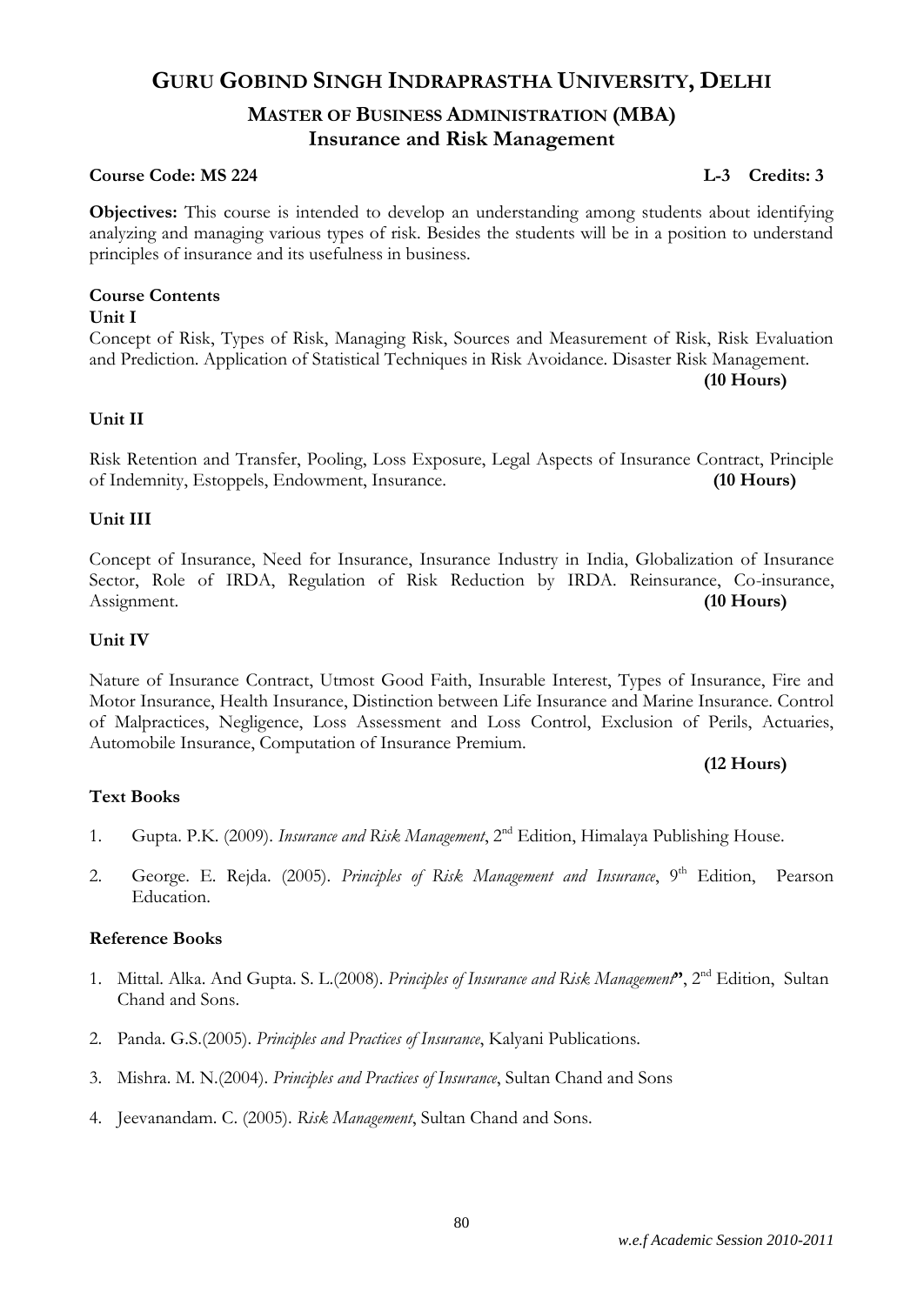# **GURU GOBIND SINGH INDRAPRASTHA UNIVERSITY, DELHI MASTER OF BUSINESS ADMINISTRATION (MBA) Insurance and Risk Management**

#### **Course Code: MS 224 L-3 Credits: 3**

**Objectives:** This course is intended to develop an understanding among students about identifying analyzing and managing various types of risk. Besides the students will be in a position to understand principles of insurance and its usefulness in business.

# **Course Contents**

#### **Unit I**

Concept of Risk, Types of Risk, Managing Risk, Sources and Measurement of Risk, Risk Evaluation and Prediction. Application of Statistical Techniques in Risk Avoidance. Disaster Risk Management. **(10 Hours)**

# **Unit II**

Risk Retention and Transfer, Pooling, Loss Exposure, Legal Aspects of Insurance Contract, Principle of Indemnity, Estoppels, Endowment, Insurance. **(10 Hours)**

# **Unit III**

Concept of Insurance, Need for Insurance, Insurance Industry in India, Globalization of Insurance Sector, Role of IRDA, Regulation of Risk Reduction by IRDA. Reinsurance, Co-insurance, Assignment. **(10 Hours)**

# **Unit IV**

Nature of Insurance Contract, Utmost Good Faith, Insurable Interest, Types of Insurance, Fire and Motor Insurance, Health Insurance, Distinction between Life Insurance and Marine Insurance. Control of Malpractices, Negligence, Loss Assessment and Loss Control, Exclusion of Perils, Actuaries, Automobile Insurance, Computation of Insurance Premium.

# **(12 Hours)**

# **Text Books**

- 1. Gupta. P.K. (2009). *Insurance and Risk Management*, 2nd Edition, Himalaya Publishing House.
- 2. George. E. Rejda. (2005). *Principles of Risk Management and Insurance*, 9<sup>th</sup> Edition, Pearson Education.

# **Reference Books**

- 1. Mittal. Alka. And Gupta. S. L.(2008). *Principles of Insurance and Risk Management***"**, 2nd Edition, Sultan Chand and Sons.
- 2. Panda. G.S.(2005). *Principles and Practices of Insurance*, Kalyani Publications.
- 3. Mishra. M. N.(2004). *Principles and Practices of Insurance*, Sultan Chand and Sons
- 4. Jeevanandam. C. (2005). *Risk Management*, Sultan Chand and Sons.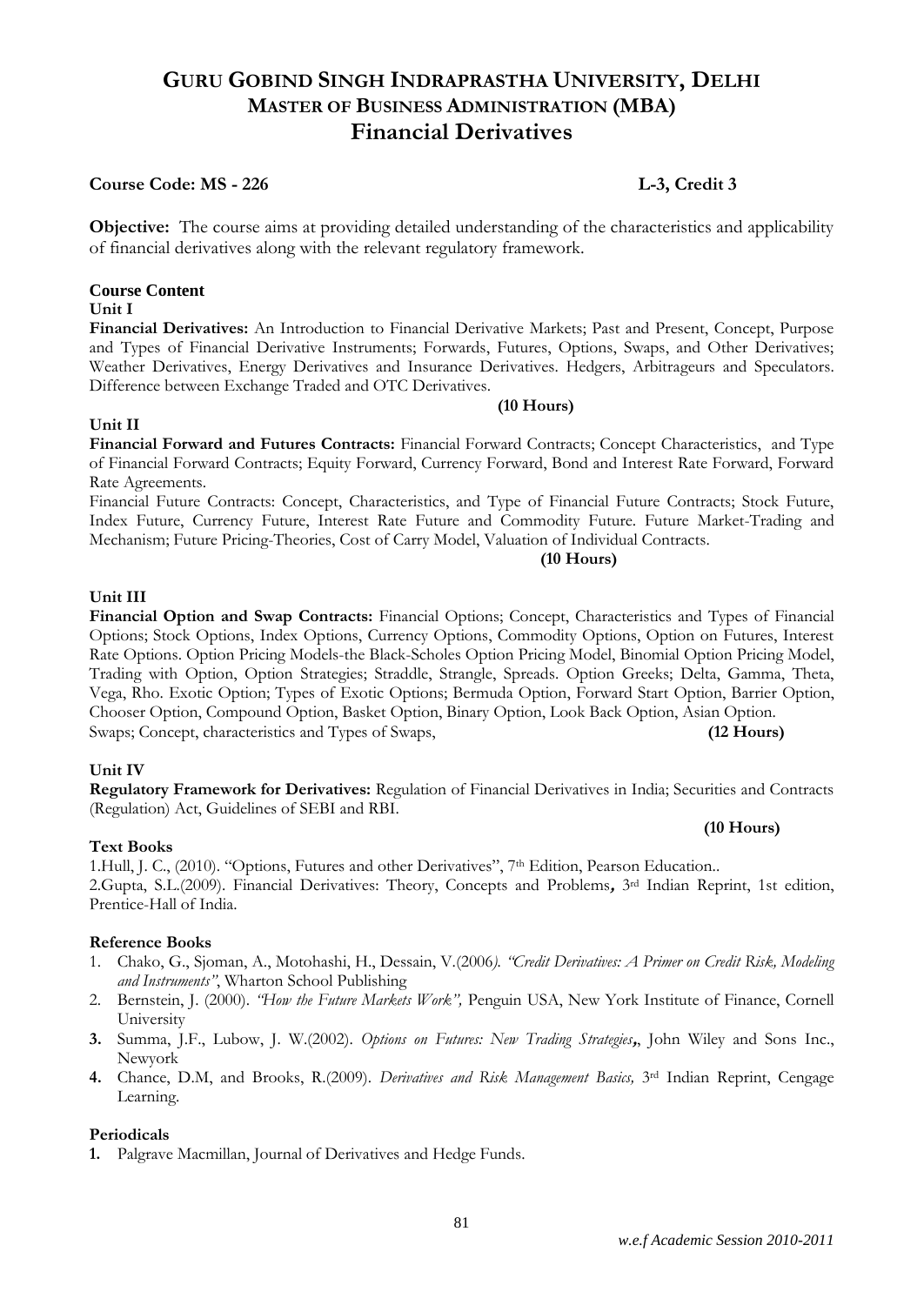# **GURU GOBIND SINGH INDRAPRASTHA UNIVERSITY, DELHI MASTER OF BUSINESS ADMINISTRATION (MBA) Financial Derivatives**

# **Course Code: MS - 226 L-3, Credit 3**

**Objective:** The course aims at providing detailed understanding of the characteristics and applicability of financial derivatives along with the relevant regulatory framework.

#### **Course Content**

#### **Unit I**

**Financial Derivatives:** An Introduction to Financial Derivative Markets; Past and Present, Concept, Purpose and Types of Financial Derivative Instruments; Forwards, Futures, Options, Swaps, and Other Derivatives; Weather Derivatives, Energy Derivatives and Insurance Derivatives. Hedgers, Arbitrageurs and Speculators. Difference between Exchange Traded and OTC Derivatives.

#### **Unit II**

**Financial Forward and Futures Contracts:** Financial Forward Contracts; Concept Characteristics, and Type of Financial Forward Contracts; Equity Forward, Currency Forward, Bond and Interest Rate Forward, Forward Rate Agreements.

Financial Future Contracts: Concept, Characteristics, and Type of Financial Future Contracts; Stock Future, Index Future, Currency Future, Interest Rate Future and Commodity Future. Future Market-Trading and Mechanism; Future Pricing-Theories, Cost of Carry Model, Valuation of Individual Contracts.

#### **(10 Hours)**

**(10 Hours)**

#### **Unit III**

**Financial Option and Swap Contracts:** Financial Options; Concept, Characteristics and Types of Financial Options; Stock Options, Index Options, Currency Options, Commodity Options, Option on Futures, Interest Rate Options. Option Pricing Models-the Black-Scholes Option Pricing Model, Binomial Option Pricing Model, Trading with Option, Option Strategies; Straddle, Strangle, Spreads. Option Greeks; Delta, Gamma, Theta, Vega, Rho. Exotic Option; Types of Exotic Options; Bermuda Option, Forward Start Option, Barrier Option, Chooser Option, Compound Option, Basket Option, Binary Option, Look Back Option, Asian Option. Swaps; Concept, characteristics and Types of Swaps, **(12 Hours)**

#### **Unit IV**

**Regulatory Framework for Derivatives:** Regulation of Financial Derivatives in India; Securities and Contracts (Regulation) Act, Guidelines of SEBI and RBI.

#### **Text Books**

1.Hull, J. C., (2010). "Options, Futures and other Derivatives", 7<sup>th</sup> Edition, Pearson Education.. 2.Gupta, S.L.(2009). Financial Derivatives: Theory, Concepts and Problems**,** 3rd Indian Reprint, 1st edition, Prentice-Hall of India.

#### **Reference Books**

- 1. Chako, G., Sjoman, A., Motohashi, H., Dessain, V.(2006*). "Credit Derivatives: A Primer on Credit Risk, Modeling and Instruments"*, Wharton School Publishing
- 2. Bernstein, J. (2000). *"How the Future Markets Work",* Penguin USA, New York Institute of Finance, Cornell University
- **3.** Summa, J.F., Lubow, J. W.(2002). *Options on Futures: New Trading Strategies***,**, John Wiley and Sons Inc., Newyork
- **4.** Chance, D.M, and Brooks, R.(2009). *Derivatives and Risk Management Basics,* 3rd Indian Reprint, Cengage Learning.

#### **Periodicals**

**1.** Palgrave Macmillan, Journal of Derivatives and Hedge Funds.

**(10 Hours)**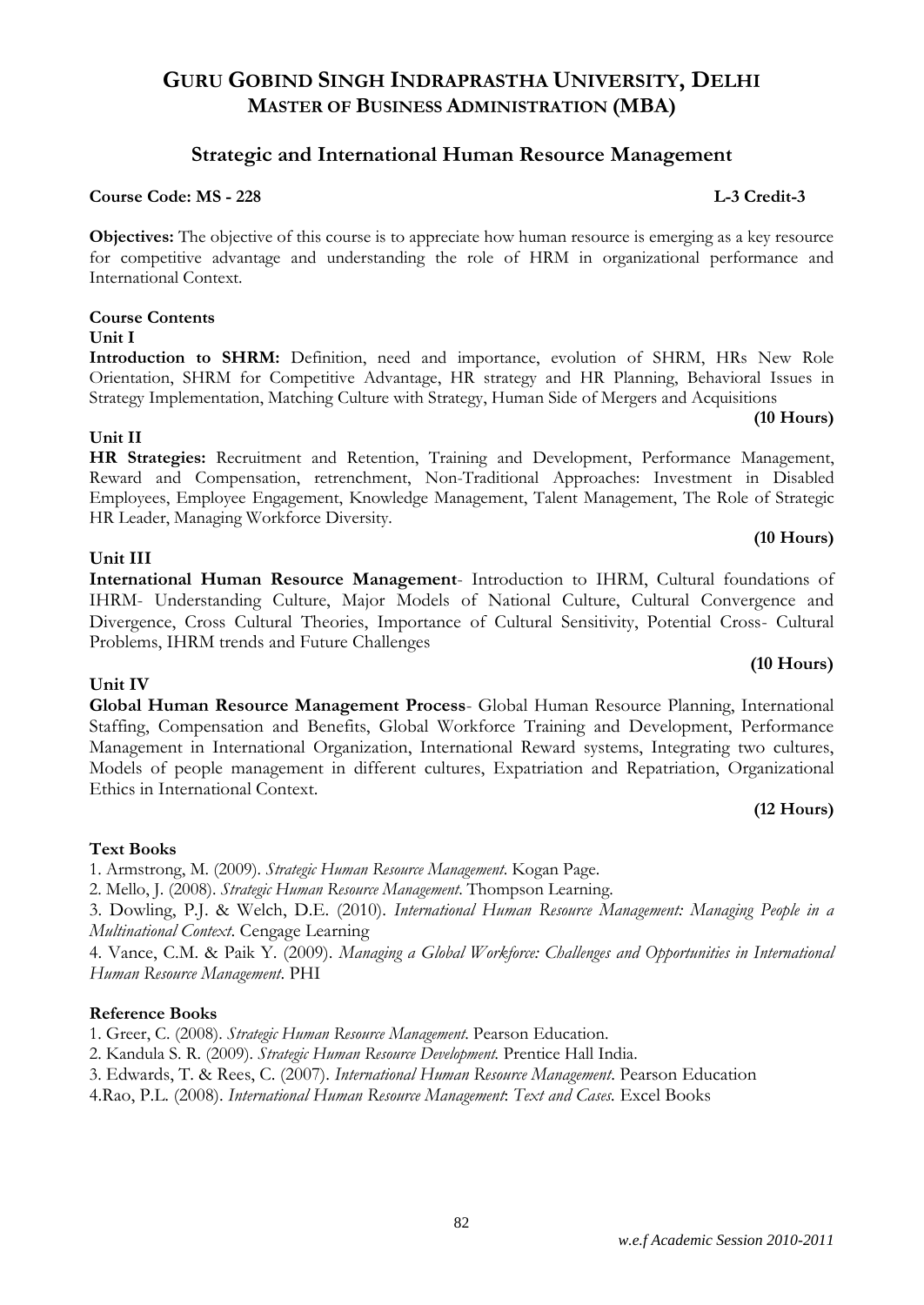#### *w.e.f Academic Session 2010-2011*

# **GURU GOBIND SINGH INDRAPRASTHA UNIVERSITY, DELHI MASTER OF BUSINESS ADMINISTRATION (MBA)**

### **Strategic and International Human Resource Management**

### **Course Code: MS - 228 L-3 Credit-3**

**Objectives:** The objective of this course is to appreciate how human resource is emerging as a key resource for competitive advantage and understanding the role of HRM in organizational performance and International Context.

#### **Course Contents**

#### **Unit I**

Introduction to **SHRM:** Definition, need and importance, evolution of SHRM, HRs New Role Orientation, SHRM for Competitive Advantage, HR strategy and HR Planning, Behavioral Issues in Strategy Implementation, Matching Culture with Strategy, Human Side of Mergers and Acquisitions

#### **Unit II**

**HR Strategies:** Recruitment and Retention, Training and Development, Performance Management, Reward and Compensation, retrenchment, Non-Traditional Approaches: Investment in Disabled Employees, Employee Engagement, Knowledge Management, Talent Management, The Role of Strategic HR Leader, Managing Workforce Diversity.

#### **Unit III**

**International Human Resource Management**- Introduction to IHRM, Cultural foundations of IHRM- Understanding Culture, Major Models of National Culture, Cultural Convergence and Divergence, Cross Cultural Theories, Importance of Cultural Sensitivity, Potential Cross- Cultural Problems, IHRM trends and Future Challenges

#### **Unit IV**

**Global Human Resource Management Process**- Global Human Resource Planning, International Staffing, Compensation and Benefits, Global Workforce Training and Development, Performance Management in International Organization, International Reward systems, Integrating two cultures, Models of people management in different cultures, Expatriation and Repatriation, Organizational Ethics in International Context.

# **(12 Hours)**

#### **Text Books**

1. Armstrong, M. (2009). *Strategic Human Resource Management*. Kogan Page.

2. Mello, J. (2008). *Strategic Human Resource Management*. Thompson Learning.

3. Dowling, P.J. & Welch, D.E. (2010). *International Human Resource Management: Managing People in a Multinational Context*. Cengage Learning

4. Vance, C.M. & Paik Y. (2009). *Managing a Global Workforce: Challenges and Opportunities in International Human Resource Management*. PHI

#### **Reference Books**

1. Greer, C. (2008). *Strategic Human Resource Management*. Pearson Education.

2. Kandula S. R. (2009). *Strategic Human Resource Development.* Prentice Hall India.

3. Edwards, T. & Rees, C. (2007). *International Human Resource Management*. Pearson Education

4.Rao, P.L. (2008). *International Human Resource Management*: *Text and Cases.* Excel Books

#### 82

# **(10 Hours)**

**(10 Hours)**

**(10 Hours)**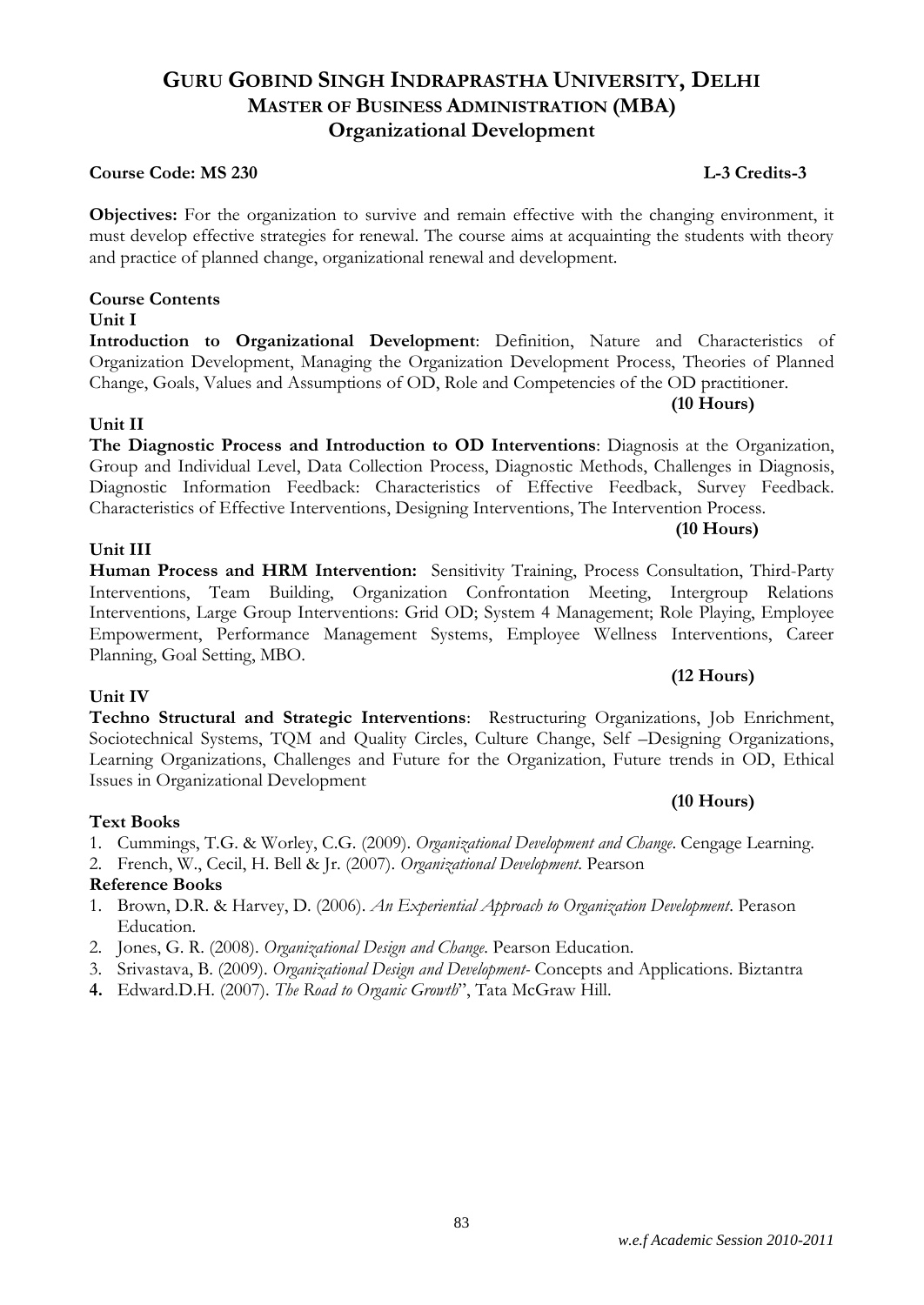#### *w.e.f Academic Session 2010-2011*

# **GURU GOBIND SINGH INDRAPRASTHA UNIVERSITY, DELHI MASTER OF BUSINESS ADMINISTRATION (MBA) Organizational Development**

#### **Course Code: MS 230 L-3 Credits-3**

**Objectives:** For the organization to survive and remain effective with the changing environment, it must develop effective strategies for renewal. The course aims at acquainting the students with theory and practice of planned change, organizational renewal and development.

# **Course Contents**

# **Unit I**

**Introduction to Organizational Development**: Definition, Nature and Characteristics of Organization Development, Managing the Organization Development Process, Theories of Planned Change, Goals, Values and Assumptions of OD, Role and Competencies of the OD practitioner.

# **Unit II**

# **The Diagnostic Process and Introduction to OD Interventions**: Diagnosis at the Organization, Group and Individual Level, Data Collection Process, Diagnostic Methods, Challenges in Diagnosis, Diagnostic Information Feedback: Characteristics of Effective Feedback, Survey Feedback. Characteristics of Effective Interventions, Designing Interventions, The Intervention Process.

# **Unit III**

# **Human Process and HRM Intervention:** Sensitivity Training, Process Consultation, Third-Party Interventions, Team Building, Organization Confrontation Meeting, Intergroup Relations Interventions, Large Group Interventions: Grid OD; System 4 Management; Role Playing, Employee Empowerment, Performance Management Systems, Employee Wellness Interventions, Career Planning, Goal Setting, MBO.

# **Unit IV**

**Techno Structural and Strategic Interventions**: Restructuring Organizations, Job Enrichment, Sociotechnical Systems, TQM and Quality Circles, Culture Change, Self –Designing Organizations, Learning Organizations, Challenges and Future for the Organization, Future trends in OD, Ethical Issues in Organizational Development

# **(10 Hours)**

# 1. Cummings, T.G. & Worley, C.G. (2009). *Organizational Development and Change*. Cengage Learning.

2. French, W., Cecil, H. Bell & Jr. (2007). *Organizational Development*. Pearson

# **Reference Books**

**Text Books**

- 1. Brown, D.R. & Harvey, D. (2006). *An Experiential Approach to Organization Development*. Perason Education.
- 2. Jones, G. R. (2008). *Organizational Design and Change*. Pearson Education.
- 3. Srivastava, B. (2009). *Organizational Design and Development-* Concepts and Applications. Biztantra
- **4.** Edward.D.H. (2007). *The Road to Organic Growth*", Tata McGraw Hill.

# **(10 Hours)**

**(10 Hours)**

**(12 Hours)**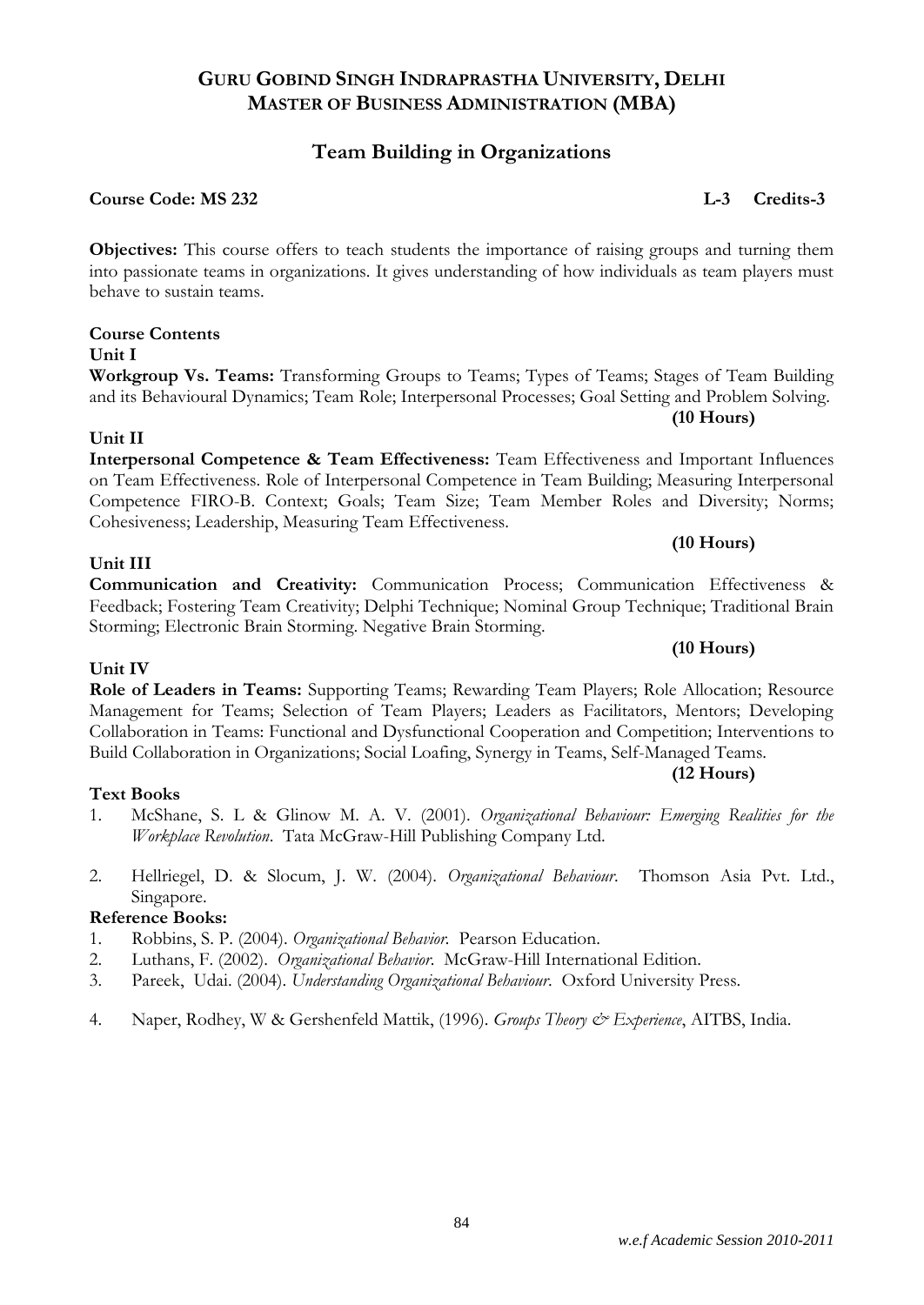# **Team Building in Organizations**

# **Course Code: MS 232 L-3 Credits-3**

**Objectives:** This course offers to teach students the importance of raising groups and turning them into passionate teams in organizations. It gives understanding of how individuals as team players must behave to sustain teams.

**Course Contents Unit I**

**Workgroup Vs. Teams:** Transforming Groups to Teams; Types of Teams; Stages of Team Building and its Behavioural Dynamics; Team Role; Interpersonal Processes; Goal Setting and Problem Solving.

# **Unit II**

**Interpersonal Competence & Team Effectiveness:** Team Effectiveness and Important Influences on Team Effectiveness. Role of Interpersonal Competence in Team Building; Measuring Interpersonal Competence FIRO-B. Context; Goals; Team Size; Team Member Roles and Diversity; Norms; Cohesiveness; Leadership, Measuring Team Effectiveness.

# **Unit III**

**Unit IV**

**Communication and Creativity:** Communication Process; Communication Effectiveness & Feedback; Fostering Team Creativity; Delphi Technique; Nominal Group Technique; Traditional Brain Storming; Electronic Brain Storming. Negative Brain Storming.

**Role of Leaders in Teams:** Supporting Teams; Rewarding Team Players; Role Allocation; Resource Management for Teams; Selection of Team Players; Leaders as Facilitators, Mentors; Developing Collaboration in Teams: Functional and Dysfunctional Cooperation and Competition; Interventions to Build Collaboration in Organizations; Social Loafing, Synergy in Teams, Self-Managed Teams.

# **(12 Hours)**

**(10 Hours)**

# **Text Books**

- 1. McShane, S. L & Glinow M. A. V. (2001). *Organizational Behaviour: Emerging Realities for the Workplace Revolution*. Tata McGraw-Hill Publishing Company Ltd.
- 2. Hellriegel, D. & Slocum, J. W. (2004). *Organizational Behaviour*. Thomson Asia Pvt. Ltd., Singapore.

# **Reference Books:**

- 1. Robbins, S. P. (2004). *Organizational Behavior.* Pearson Education.
- 2. Luthans, F. (2002). *Organizational Behavior*. McGraw-Hill International Edition.
- 3. Pareek, Udai. (2004). *Understanding Organizational Behaviour*. Oxford University Press.
- 4. Naper, Rodhey, W & Gershenfeld Mattik, (1996). *Groups Theory & Experience*, AITBS, India.

**(10 Hours)**

# **(10 Hours)**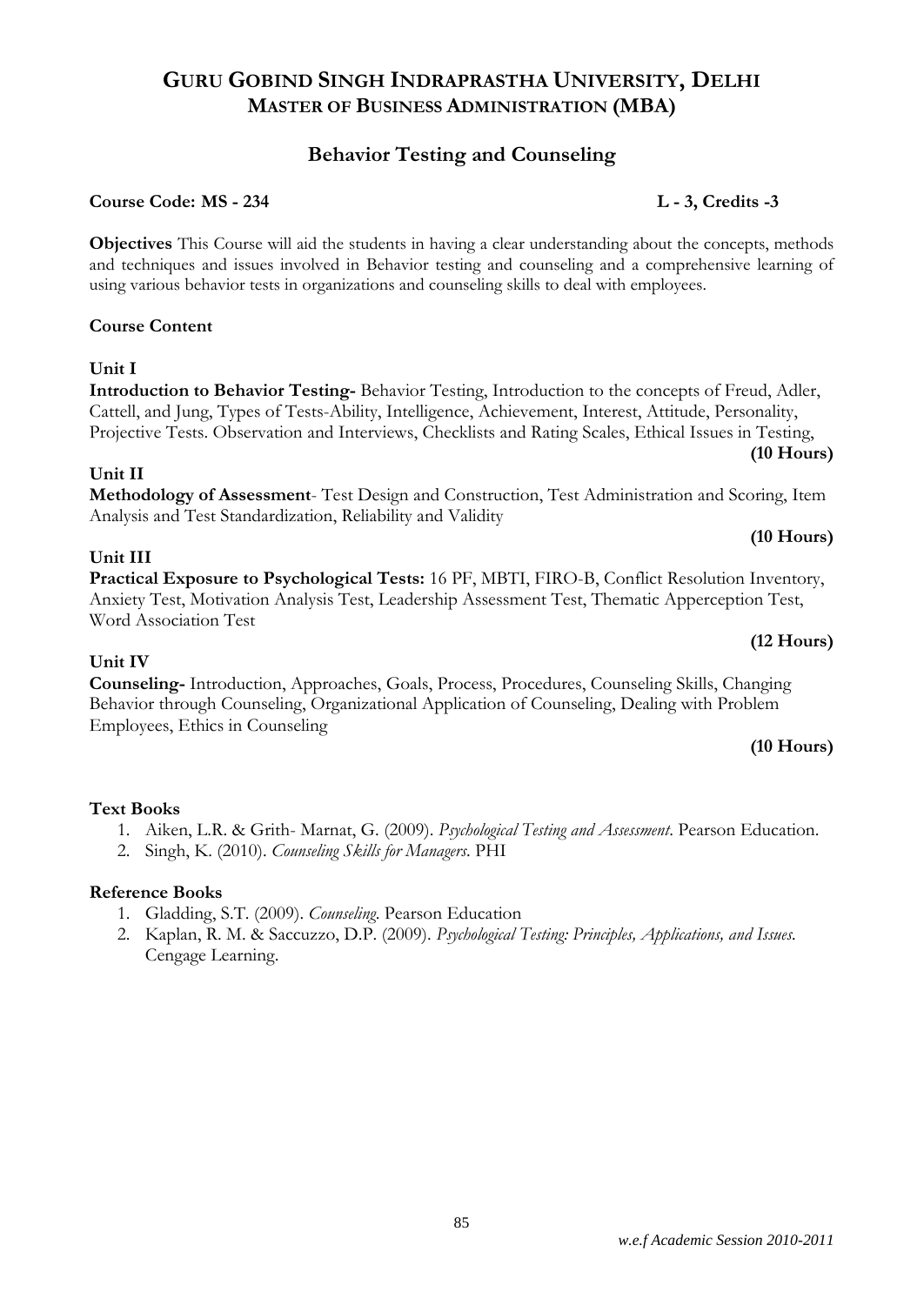# **Behavior Testing and Counseling**

# **Course Code: MS - 234 L - 3, Credits -3**

**Objectives** This Course will aid the students in having a clear understanding about the concepts, methods and techniques and issues involved in Behavior testing and counseling and a comprehensive learning of using various behavior tests in organizations and counseling skills to deal with employees.

# **Course Content**

# **Unit I**

**Introduction to Behavior Testing-** Behavior Testing, Introduction to the concepts of Freud, Adler, Cattell, and Jung, Types of Tests-Ability, Intelligence, Achievement, Interest, Attitude, Personality, Projective Tests. Observation and Interviews, Checklists and Rating Scales, Ethical Issues in Testing, **(10 Hours)**

# **Unit II**

**Methodology of Assessment**- Test Design and Construction, Test Administration and Scoring, Item Analysis and Test Standardization, Reliability and Validity

# **Unit III**

# **Practical Exposure to Psychological Tests:** 16 PF, MBTI, FIRO-B, Conflict Resolution Inventory, Anxiety Test, Motivation Analysis Test, Leadership Assessment Test, Thematic Apperception Test, Word Association Test

# **Unit IV**

**Counseling-** Introduction, Approaches, Goals, Process, Procedures, Counseling Skills, Changing Behavior through Counseling, Organizational Application of Counseling, Dealing with Problem Employees, Ethics in Counseling

# **(10 Hours)**

**(10 Hours)**

**(12 Hours)**

# **Text Books**

- 1. Aiken, L.R. & Grith- Marnat, G. (2009). *Psychological Testing and Assessment*. Pearson Education.
- 2. Singh, K. (2010). *Counseling Skills for Managers*. PHI

# **Reference Books**

- 1. Gladding, S.T. (2009). *Counseling*. Pearson Education
- 2. Kaplan, R. M. & Saccuzzo, D.P. (2009). *Psychological Testing: Principles, Applications, and Issues.* Cengage Learning.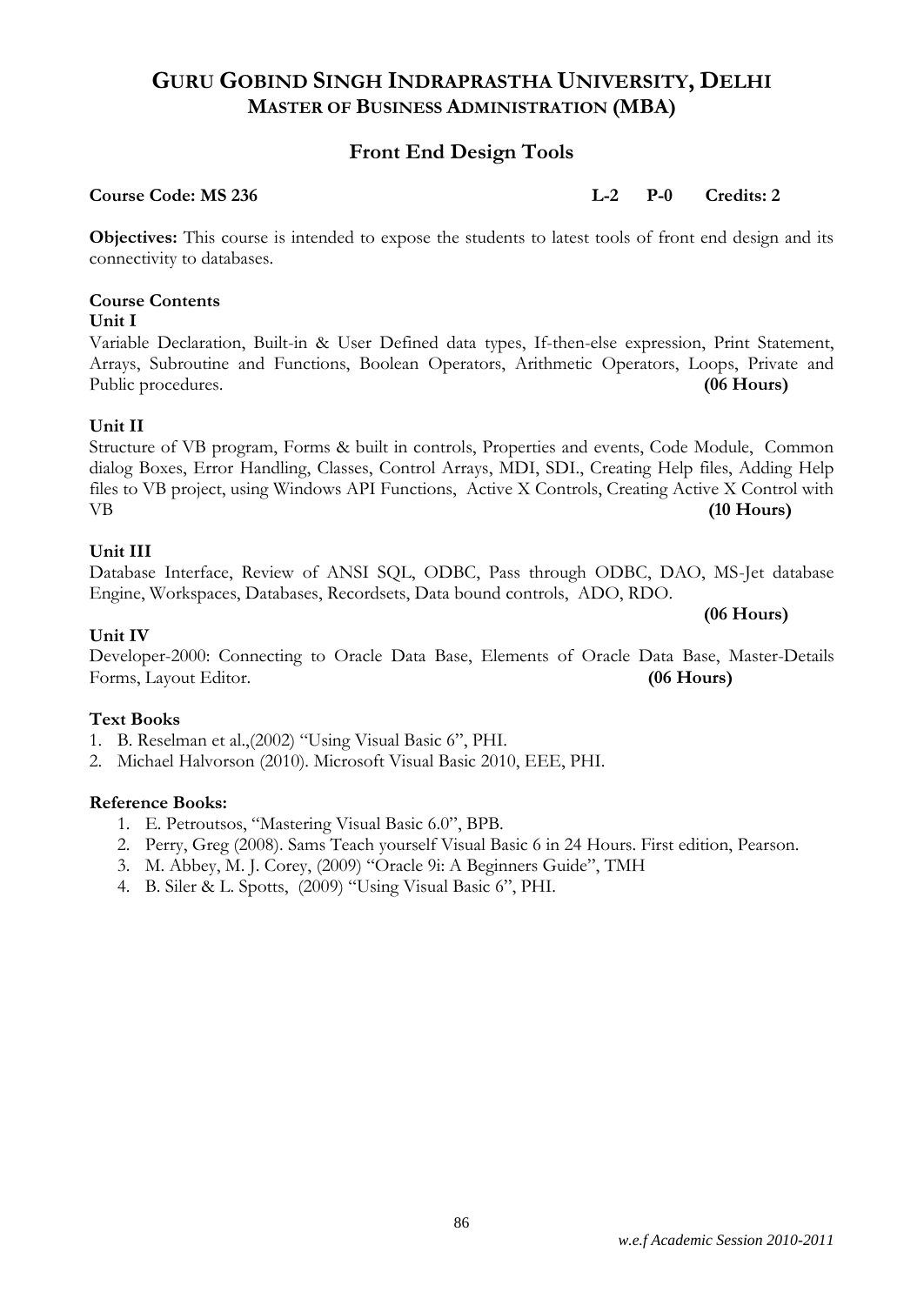# **Front End Design Tools**

**Course Code: MS 236 L-2 P-0 Credits: 2**

**Objectives:** This course is intended to expose the students to latest tools of front end design and its connectivity to databases.

# **Course Contents**

# **Unit I**

Variable Declaration, Built-in & User Defined data types, If-then-else expression, Print Statement, Arrays, Subroutine and Functions, Boolean Operators, Arithmetic Operators, Loops, Private and Public procedures. **(06 Hours)** 

# **Unit II**

Structure of VB program, Forms & built in controls, Properties and events, Code Module, Common dialog Boxes, Error Handling, Classes, Control Arrays, MDI, SDI., Creating Help files, Adding Help files to VB project, using Windows API Functions, Active X Controls, Creating Active X Control with VB **(10 Hours)**

# **Unit III**

Database Interface, Review of ANSI SQL, ODBC, Pass through ODBC, DAO, MS-Jet database Engine, Workspaces, Databases, Recordsets, Data bound controls, ADO, RDO.

**(06 Hours)**

# **Unit IV**

Developer-2000: Connecting to Oracle Data Base, Elements of Oracle Data Base, Master-Details Forms, Layout Editor. **(06 Hours)**

# **Text Books**

- 1. B. Reselman et al.,(2002) "Using Visual Basic 6", PHI.
- 2. Michael Halvorson (2010). Microsoft Visual Basic 2010, EEE, PHI.

# **Reference Books:**

- 1. E. Petroutsos, "Mastering Visual Basic 6.0", BPB.
- 2. Perry, Greg (2008). Sams Teach yourself Visual Basic 6 in 24 Hours. First edition, Pearson.
- 3. M. Abbey, M. J. Corey, (2009) "Oracle 9i: A Beginners Guide", TMH
- 4. B. Siler & L. Spotts, (2009) "Using Visual Basic 6", PHI.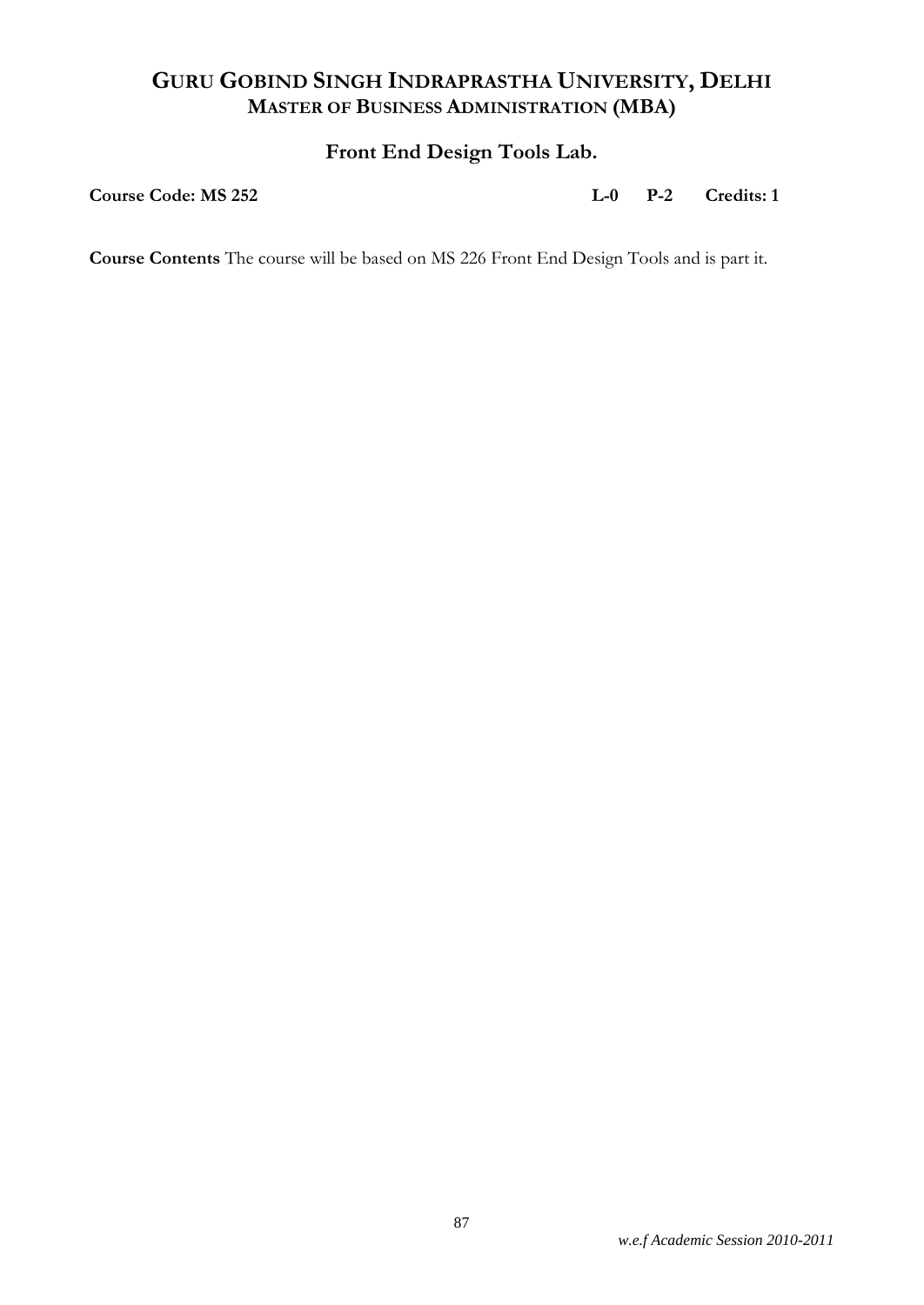# **Front End Design Tools Lab.**

**Course Code: MS 252 L-0 P-2 Credits: 1**

**Course Contents** The course will be based on MS 226 Front End Design Tools and is part it.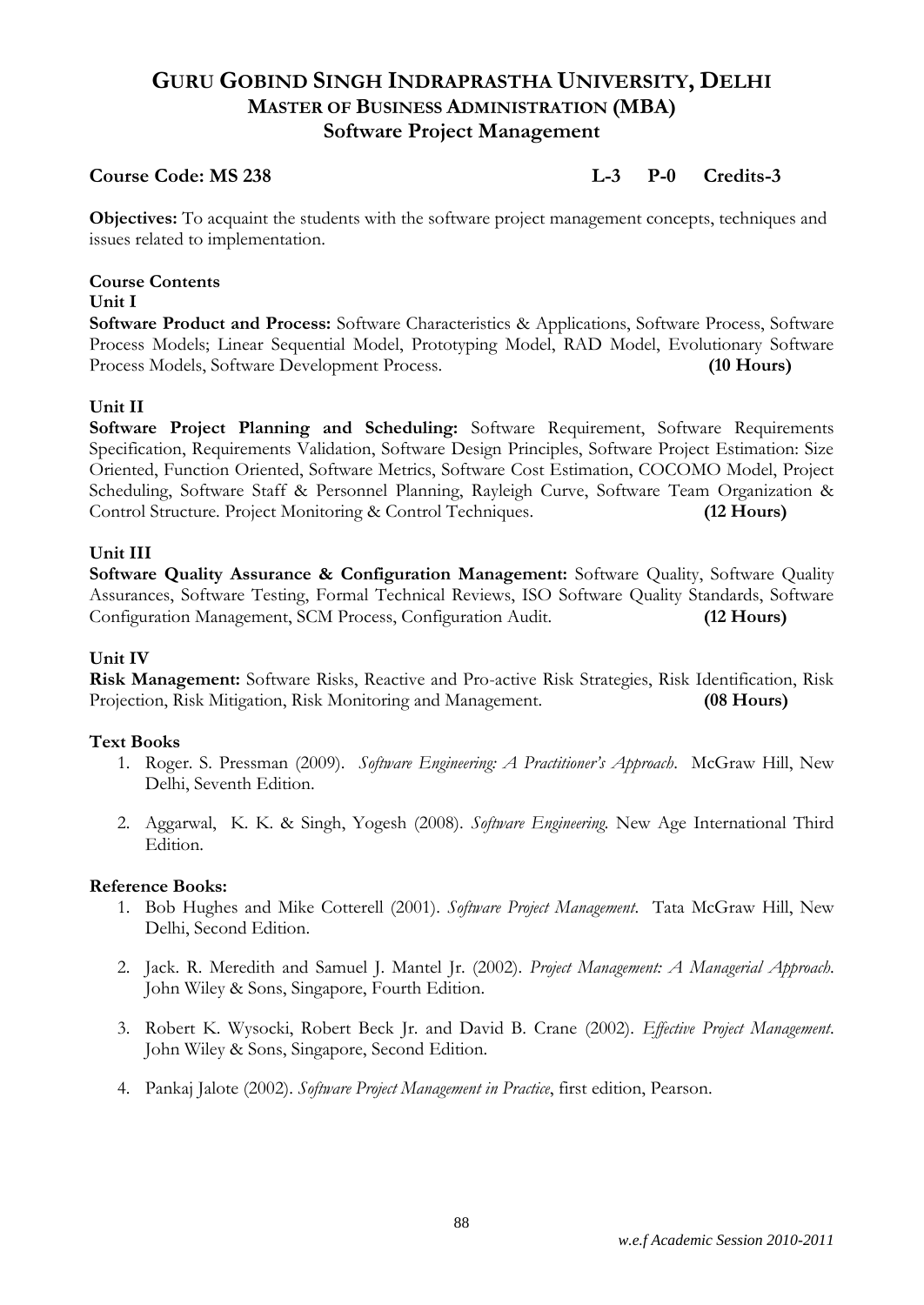# **GURU GOBIND SINGH INDRAPRASTHA UNIVERSITY, DELHI MASTER OF BUSINESS ADMINISTRATION (MBA) Software Project Management**

# **Course Code: MS 238 L-3 P-0 Credits-3**

**Objectives:** To acquaint the students with the software project management concepts, techniques and issues related to implementation.

# **Course Contents**

## **Unit I**

**Software Product and Process:** Software Characteristics & Applications, Software Process, Software Process Models; Linear Sequential Model, Prototyping Model, RAD Model, Evolutionary Software Process Models, Software Development Process. **(10 Hours)**

# **Unit II**

**Software Project Planning and Scheduling:** Software Requirement, Software Requirements Specification, Requirements Validation, Software Design Principles, Software Project Estimation: Size Oriented, Function Oriented, Software Metrics, Software Cost Estimation, COCOMO Model, Project Scheduling, Software Staff & Personnel Planning, Rayleigh Curve, Software Team Organization & Control Structure. Project Monitoring & Control Techniques. **(12 Hours)**

# **Unit III**

**Software Quality Assurance & Configuration Management:** Software Quality, Software Quality Assurances, Software Testing, Formal Technical Reviews, ISO Software Quality Standards, Software Configuration Management, SCM Process, Configuration Audit. **(12 Hours)**

# **Unit IV**

**Risk Management:** Software Risks, Reactive and Pro-active Risk Strategies, Risk Identification, Risk Projection, Risk Mitigation, Risk Monitoring and Management. **(08 Hours)**

# **Text Books**

- 1. Roger. S. Pressman (2009). *Software Engineering: A Practitioner's Approach*. McGraw Hill, New Delhi, Seventh Edition.
- 2. Aggarwal, K. K. & Singh, Yogesh (2008). *Software Engineering.* New Age International Third Edition.

# **Reference Books:**

- 1. Bob Hughes and Mike Cotterell (2001). *Software Project Management*. Tata McGraw Hill, New Delhi, Second Edition.
- 2. Jack. R. Meredith and Samuel J. Mantel Jr. (2002). *Project Management: A Managerial Approach*. John Wiley & Sons, Singapore, Fourth Edition.
- 3. Robert K. Wysocki, Robert Beck Jr. and David B. Crane (2002). *Effective Project Management*. John Wiley & Sons, Singapore, Second Edition.
- 4. Pankaj Jalote (2002). *Software Project Management in Practice*, first edition, Pearson.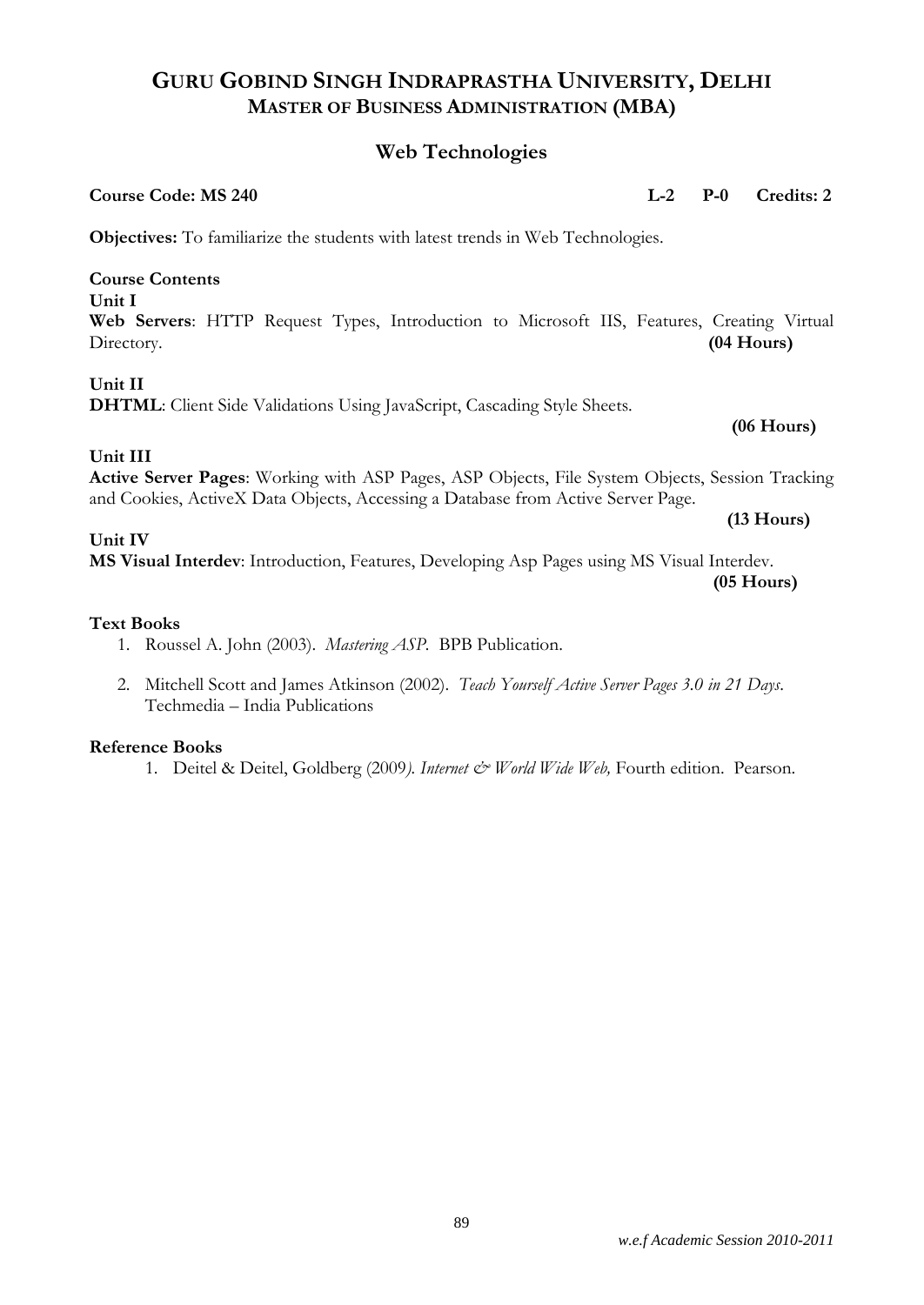# **Web Technologies**

| <b>Course Code: MS 240</b>                                                                                                                                                                             | $L-2$ | $P-0$        | Credits: 2   |
|--------------------------------------------------------------------------------------------------------------------------------------------------------------------------------------------------------|-------|--------------|--------------|
| <b>Objectives:</b> To familiarize the students with latest trends in Web Technologies.                                                                                                                 |       |              |              |
| <b>Course Contents</b><br>Unit I<br>Web Servers: HTTP Request Types, Introduction to Microsoft IIS, Features, Creating Virtual<br>Directory.                                                           |       | $(04$ Hours) |              |
| Unit II<br>DHTML: Client Side Validations Using JavaScript, Cascading Style Sheets.                                                                                                                    |       |              | $(06$ Hours) |
| Unit III<br><b>Active Server Pages:</b> Working with ASP Pages, ASP Objects, File System Objects, Session Tracking<br>and Cookies, ActiveX Data Objects, Accessing a Database from Active Server Page. |       |              | $(13$ Hours) |
| Unit IV<br>MS Visual Interdev: Introduction, Features, Developing Asp Pages using MS Visual Interdev.                                                                                                  |       |              | $(05$ Hours) |
| <b>Text Books</b>                                                                                                                                                                                      |       |              |              |

- 1. Roussel A. John (2003). *Mastering ASP.* BPB Publication.
- 2. Mitchell Scott and James Atkinson (2002). *Teach Yourself Active Server Pages 3.0 in 21 Days*. Techmedia – India Publications

# **Reference Books**

1. Deitel & Deitel, Goldberg (2009). Internet & World Wide Web, Fourth edition. Pearson.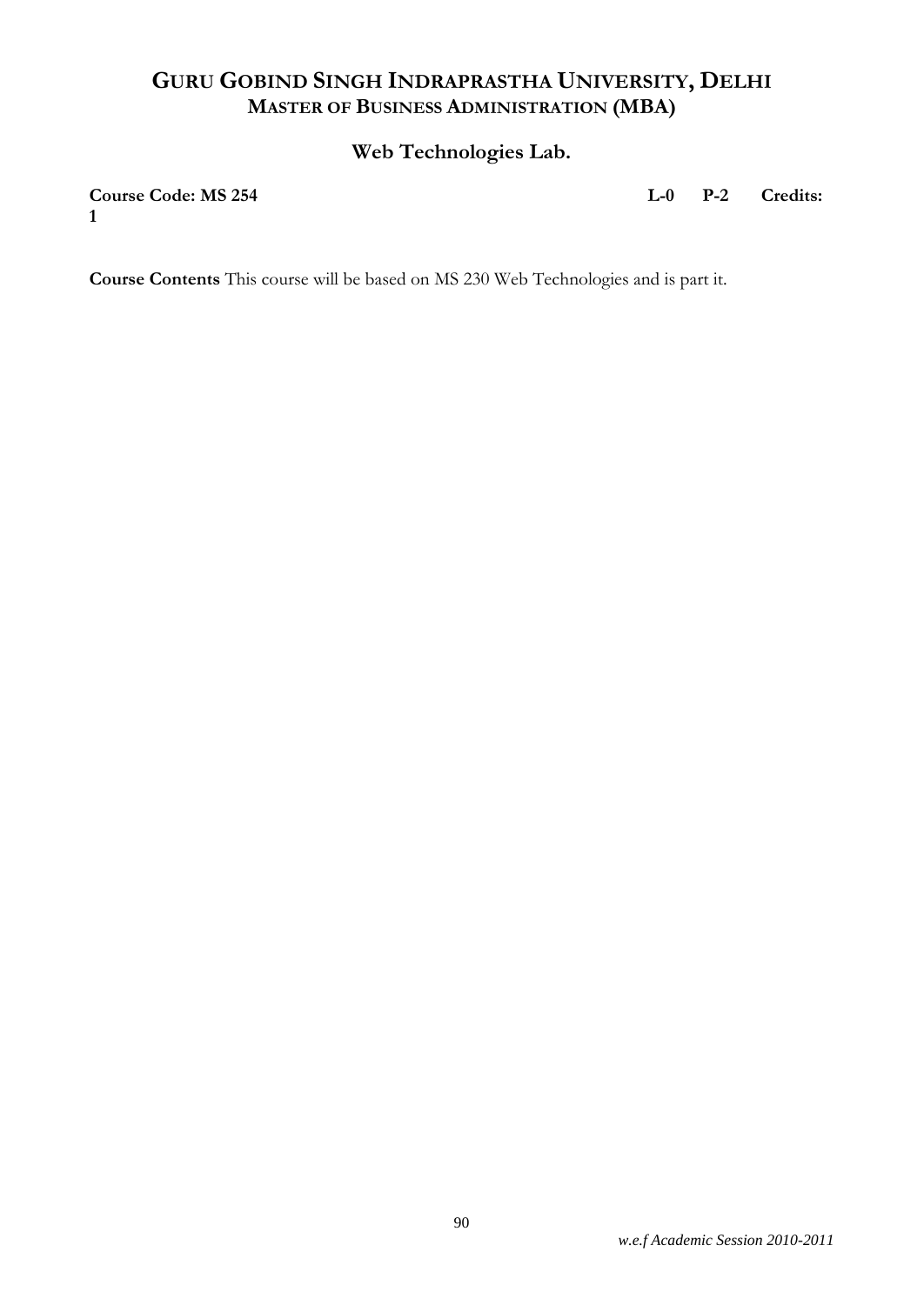# **Web Technologies Lab.**

**1**

**Course Code: MS 254 L-0 P-2 Credits:** 

**Course Contents** This course will be based on MS 230 Web Technologies and is part it.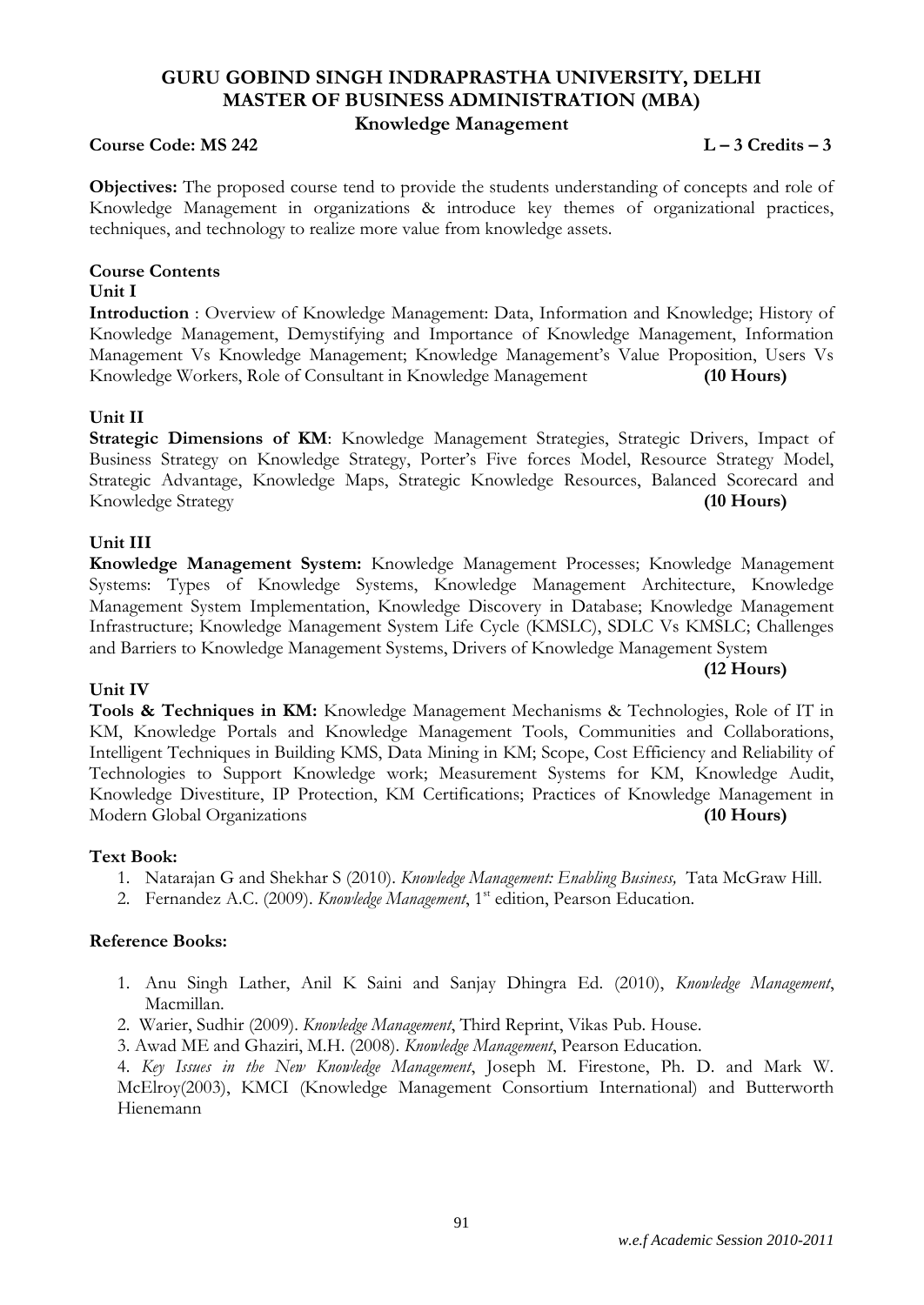# **GURU GOBIND SINGH INDRAPRASTHA UNIVERSITY, DELHI MASTER OF BUSINESS ADMINISTRATION (MBA) Knowledge Management**

### **Course Code: MS 242 L – 3 Credits – 3**

**Objectives:** The proposed course tend to provide the students understanding of concepts and role of Knowledge Management in organizations & introduce key themes of organizational practices, techniques, and technology to realize more value from knowledge assets.

# **Course Contents**

#### **Unit I**

**Introduction** : Overview of Knowledge Management: Data, Information and Knowledge; History of Knowledge Management, Demystifying and Importance of Knowledge Management, Information Management Vs Knowledge Management; Knowledge Management's Value Proposition, Users Vs Knowledge Workers, Role of Consultant in Knowledge Management **(10 Hours)**

# **Unit II**

**Strategic Dimensions of KM**: Knowledge Management Strategies, Strategic Drivers, Impact of Business Strategy on Knowledge Strategy, Porter's Five forces Model, Resource Strategy Model, Strategic Advantage, Knowledge Maps, Strategic Knowledge Resources, Balanced Scorecard and Knowledge Strategy **(10 Hours)**

# **Unit III**

**Knowledge Management System:** Knowledge Management Processes; Knowledge Management Systems: Types of Knowledge Systems, Knowledge Management Architecture, Knowledge Management System Implementation, Knowledge Discovery in Database; Knowledge Management Infrastructure; Knowledge Management System Life Cycle (KMSLC), SDLC Vs KMSLC; Challenges and Barriers to Knowledge Management Systems, Drivers of Knowledge Management System

#### **(12 Hours)**

# **Unit IV**

**Tools & Techniques in KM:** Knowledge Management Mechanisms & Technologies, Role of IT in KM, Knowledge Portals and Knowledge Management Tools, Communities and Collaborations, Intelligent Techniques in Building KMS, Data Mining in KM; Scope, Cost Efficiency and Reliability of Technologies to Support Knowledge work; Measurement Systems for KM, Knowledge Audit, Knowledge Divestiture, IP Protection, KM Certifications; Practices of Knowledge Management in Modern Global Organizations **(10 Hours)**

# **Text Book:**

- 1. Natarajan G and Shekhar S (2010). *Knowledge Management: Enabling Business,* Tata McGraw Hill.
- 2. Fernandez A.C. (2009). *Knowledge Management*, 1<sup>st</sup> edition, Pearson Education.

# **Reference Books:**

- 1. Anu Singh Lather, Anil K Saini and Sanjay Dhingra Ed. (2010), *Knowledge Management*, Macmillan.
- 2. Warier, Sudhir (2009). *Knowledge Management*, Third Reprint, Vikas Pub. House.

3. Awad ME and Ghaziri, M.H. (2008). *Knowledge Management*, Pearson Education.

4. *Key Issues in the New Knowledge Management*, Joseph M. Firestone, Ph. D. and Mark W. McElroy(2003), KMCI (Knowledge Management Consortium International) and Butterworth Hienemann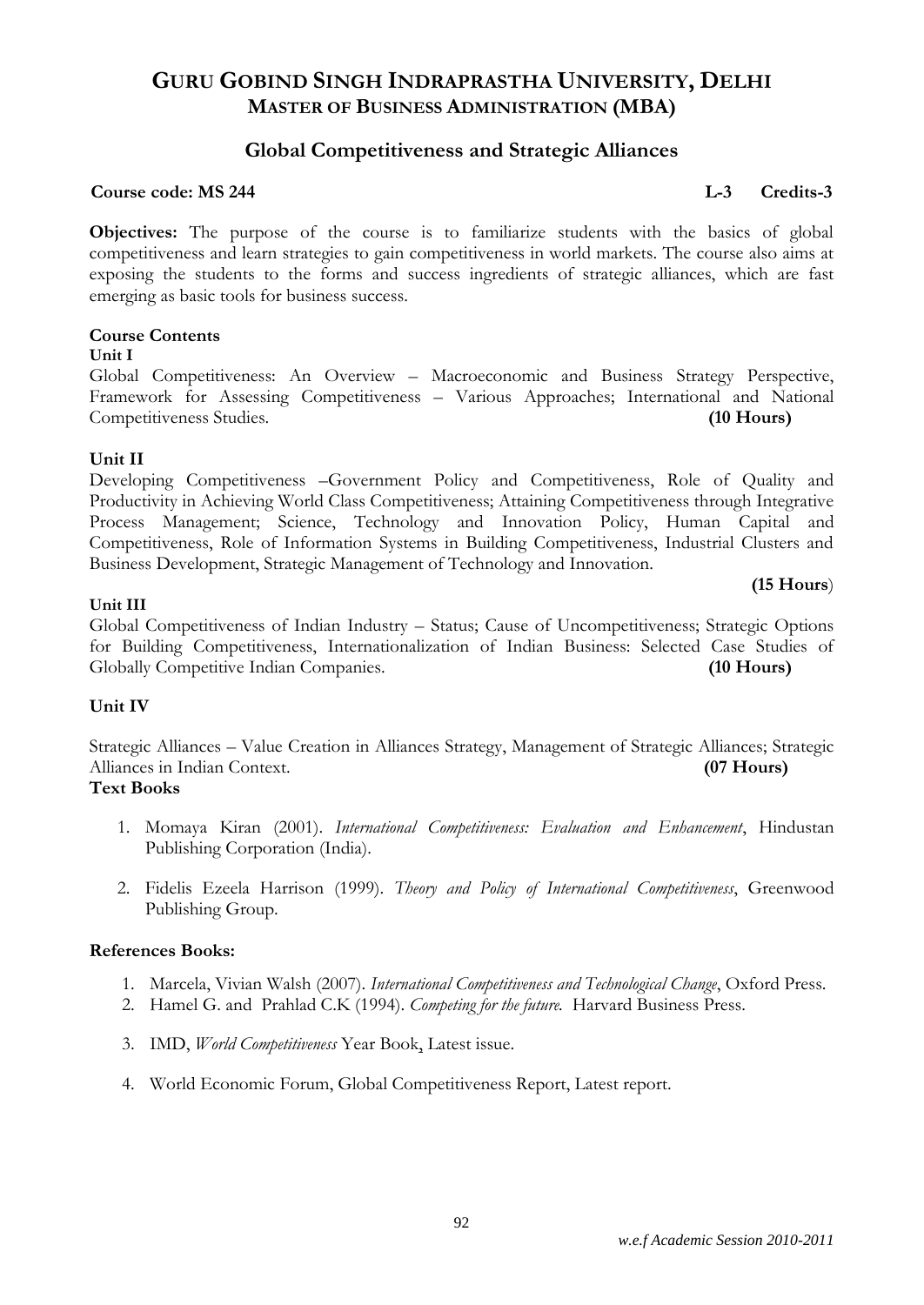# **Global Competitiveness and Strategic Alliances**

# **Course code: MS 244 L-3 Credits-3**

**Objectives:** The purpose of the course is to familiarize students with the basics of global competitiveness and learn strategies to gain competitiveness in world markets. The course also aims at exposing the students to the forms and success ingredients of strategic alliances, which are fast emerging as basic tools for business success.

# **Course Contents**

#### **Unit I**

Global Competitiveness: An Overview – Macroeconomic and Business Strategy Perspective, Framework for Assessing Competitiveness – Various Approaches; International and National Competitiveness Studies. **(10 Hours)**

# **Unit II**

Developing Competitiveness –Government Policy and Competitiveness, Role of Quality and Productivity in Achieving World Class Competitiveness; Attaining Competitiveness through Integrative Process Management; Science, Technology and Innovation Policy, Human Capital and Competitiveness, Role of Information Systems in Building Competitiveness, Industrial Clusters and Business Development, Strategic Management of Technology and Innovation.

**(15 Hours**)

# **Unit III**

Global Competitiveness of Indian Industry – Status; Cause of Uncompetitiveness; Strategic Options for Building Competitiveness, Internationalization of Indian Business: Selected Case Studies of Globally Competitive Indian Companies. **(10 Hours)**

# **Unit IV**

Strategic Alliances – Value Creation in Alliances Strategy, Management of Strategic Alliances; Strategic Alliances in Indian Context. **(07 Hours)**

# **Text Books**

- 1. Momaya Kiran (2001). *International Competitiveness: Evaluation and Enhancement*, Hindustan Publishing Corporation (India).
- 2. Fidelis Ezeela Harrison (1999). *Theory and Policy of International Competitiveness*, Greenwood Publishing Group.

# **References Books:**

- 1. Marcela, Vivian Walsh (2007). *International Competitiveness and Technological Change*, Oxford Press.
- 2. Hamel G. and Prahlad C.K (1994). *Competing for the future.* Harvard Business Press.
- 3. IMD, *World Competitiveness* Year Book, Latest issue.
- 4. World Economic Forum, Global Competitiveness Report, Latest report.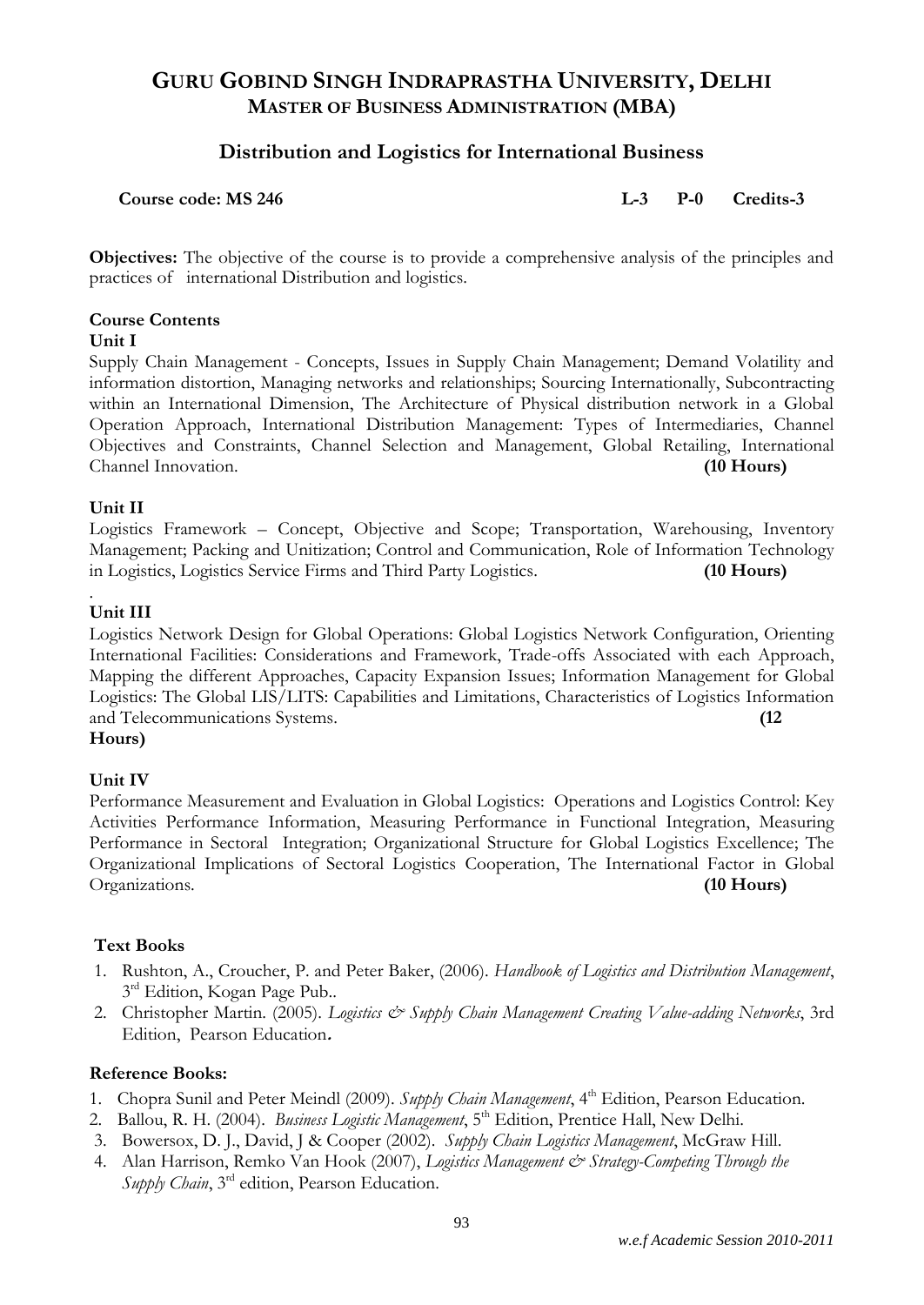# **Distribution and Logistics for International Business**

**Course code: MS 246 L-3 P-0 Credits-3**

**Objectives:** The objective of the course is to provide a comprehensive analysis of the principles and practices of international Distribution and logistics.

# **Course Contents**

#### **Unit I**

Supply Chain Management - Concepts, Issues in Supply Chain Management; Demand Volatility and information distortion, Managing networks and relationships; Sourcing Internationally, Subcontracting within an International Dimension, The Architecture of Physical distribution network in a Global Operation Approach, International Distribution Management: Types of Intermediaries, Channel Objectives and Constraints, Channel Selection and Management, Global Retailing, International Channel Innovation. **(10 Hours)**

# **Unit II**

Logistics Framework – Concept, Objective and Scope; Transportation, Warehousing, Inventory Management; Packing and Unitization; Control and Communication, Role of Information Technology in Logistics, Logistics Service Firms and Third Party Logistics. **(10 Hours)**

#### . **Unit III**

Logistics Network Design for Global Operations: Global Logistics Network Configuration, Orienting International Facilities: Considerations and Framework, Trade-offs Associated with each Approach, Mapping the different Approaches, Capacity Expansion Issues; Information Management for Global Logistics: The Global LIS/LITS: Capabilities and Limitations, Characteristics of Logistics Information and Telecommunications Systems. **(12** 

# **Hours)**

# **Unit IV**

Performance Measurement and Evaluation in Global Logistics: Operations and Logistics Control: Key Activities Performance Information, Measuring Performance in Functional Integration, Measuring Performance in Sectoral Integration; Organizational Structure for Global Logistics Excellence; The Organizational Implications of Sectoral Logistics Cooperation, The International Factor in Global Organizations. **(10 Hours)**

# **Text Books**

- 1. Rushton, A., Croucher, P. and Peter Baker, (2006). *Handbook of Logistics and Distribution Management*, 3<sup>rd</sup> Edition, Kogan Page Pub..
- 2. Christopher Martin. (2005). *Logistics & Supply Chain Management Creating Value-adding Networks*, 3rd Edition, Pearson Education**.**

# **Reference Books:**

- 1. Chopra Sunil and Peter Meindl (2009). *Supply Chain Management*, 4<sup>th</sup> Edition, Pearson Education.
- 2. Ballou, R. H. (2004). *Business Logistic Management*, 5<sup>th</sup> Edition, Prentice Hall, New Delhi.
- 3. Bowersox, D. J., David, J & Cooper (2002). *Supply Chain Logistics Management*, McGraw Hill.
- 4. Alan Harrison, Remko Van Hook (2007), *Logistics Management & Strategy-Competing Through the Supply Chain*, 3rd edition, Pearson Education.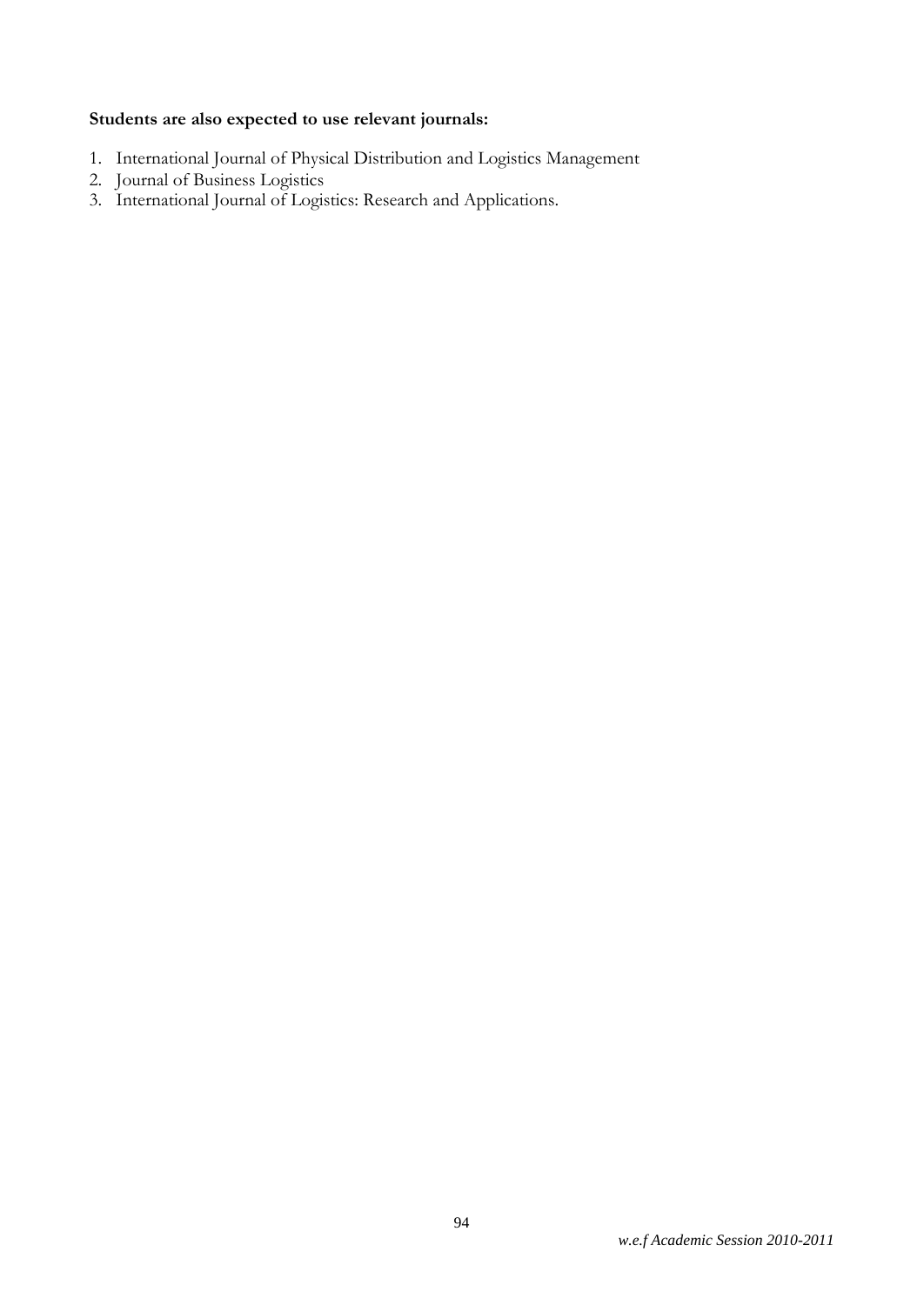# **Students are also expected to use relevant journals:**

- 1. International Journal of Physical Distribution and Logistics Management
- 2. Journal of Business Logistics
- 3. International Journal of Logistics: Research and Applications.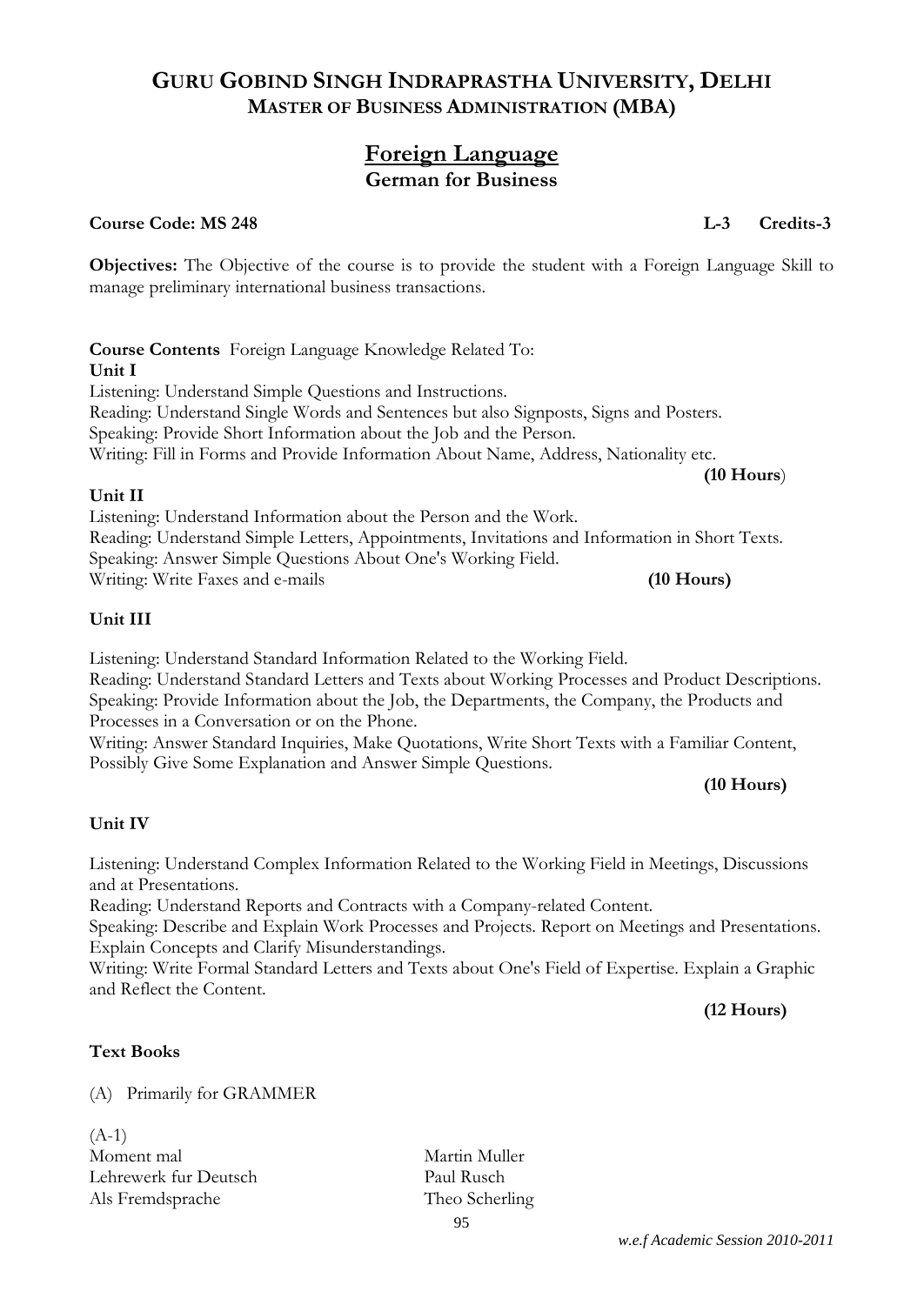# **Foreign Language German for Business**

# **Course Code: MS 248 L-3 Credits-3**

**Objectives:** The Objective of the course is to provide the student with a Foreign Language Skill to manage preliminary international business transactions.

**Course Contents** Foreign Language Knowledge Related To: **Unit I** Listening: Understand Simple Questions and Instructions. Reading: Understand Single Words and Sentences but also Signposts, Signs and Posters. Speaking: Provide Short Information about the Job and the Person. Writing: Fill in Forms and Provide Information About Name, Address, Nationality etc. **(10 Hours**)

# **Unit II**

Listening: Understand Information about the Person and the Work. Reading: Understand Simple Letters, Appointments, Invitations and Information in Short Texts. Speaking: Answer Simple Questions About One's Working Field. Writing: Write Faxes and e-mails **(10 Hours)**

# **Unit III**

Listening: Understand Standard Information Related to the Working Field. Reading: Understand Standard Letters and Texts about Working Processes and Product Descriptions. Speaking: Provide Information about the Job, the Departments, the Company, the Products and Processes in a Conversation or on the Phone.

Writing: Answer Standard Inquiries, Make Quotations, Write Short Texts with a Familiar Content, Possibly Give Some Explanation and Answer Simple Questions.

# **Unit IV**

Listening: Understand Complex Information Related to the Working Field in Meetings, Discussions and at Presentations.

Reading: Understand Reports and Contracts with a Company-related Content.

Speaking: Describe and Explain Work Processes and Projects. Report on Meetings and Presentations. Explain Concepts and Clarify Misunderstandings.

Writing: Write Formal Standard Letters and Texts about One's Field of Expertise. Explain a Graphic and Reflect the Content.

**(12 Hours)**

**(10 Hours)**

# **Text Books**

(A) Primarily for GRAMMER

 $(A-1)$ Moment mal Martin Muller Lehrewerk fur Deutsch Paul Rusch Als Fremdsprache Theo Scherling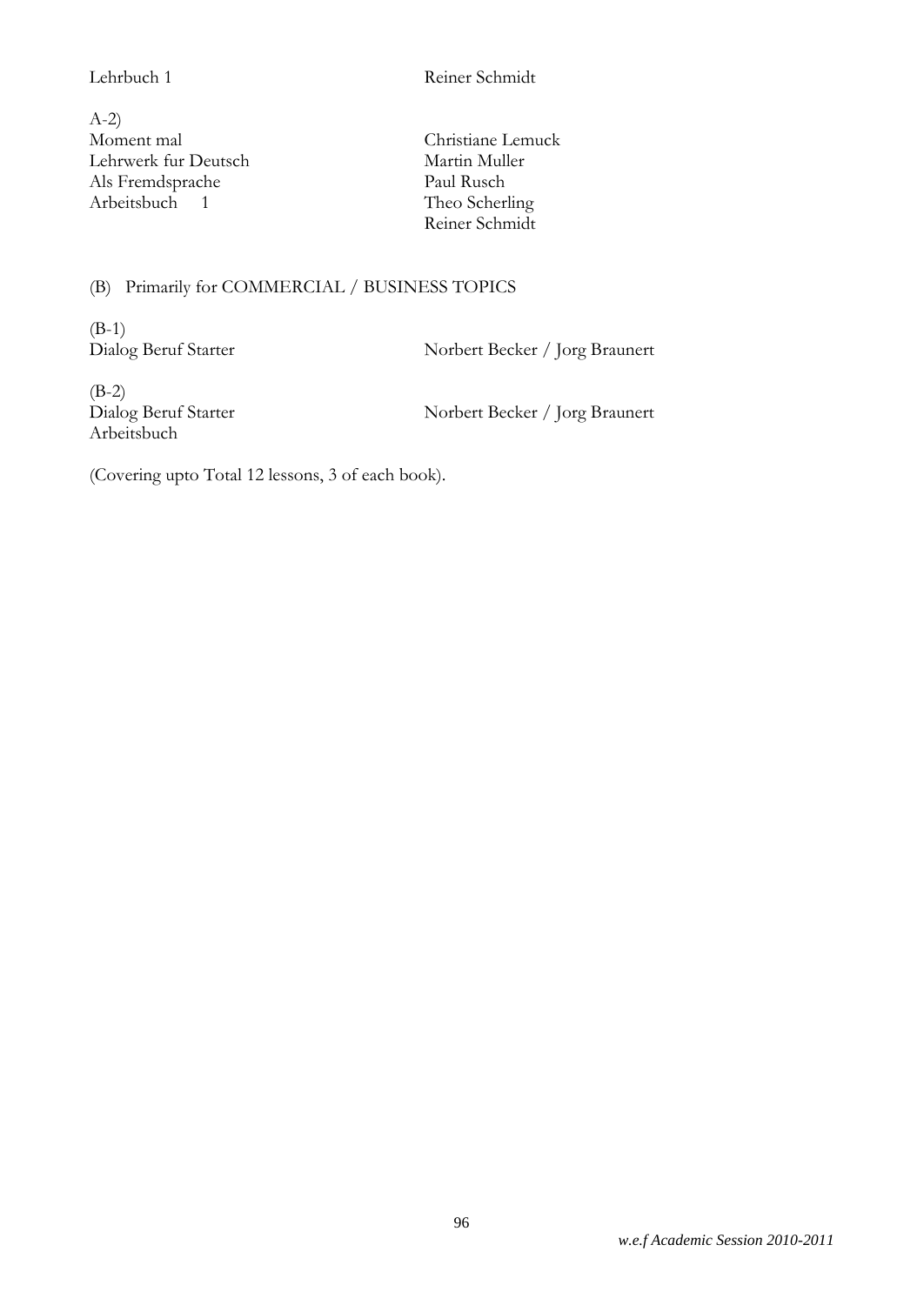Lehrbuch 1 Reiner Schmidt

A-2) Moment mal Christiane Lemuck Lehrwerk fur Deutsch Martin Muller<br>Als Fremdsprache Martin Muller<br>Paul Rusch Als Fremdsprache Arbeitsbuch 1 Theo Scherling

Reiner Schmidt

# (B) Primarily for COMMERCIAL / BUSINESS TOPICS

(B-1)

Dialog Beruf Starter Norbert Becker / Jorg Braunert

(B-2) Arbeitsbuch

Dialog Beruf Starter Norbert Becker / Jorg Braunert

(Covering upto Total 12 lessons, 3 of each book).